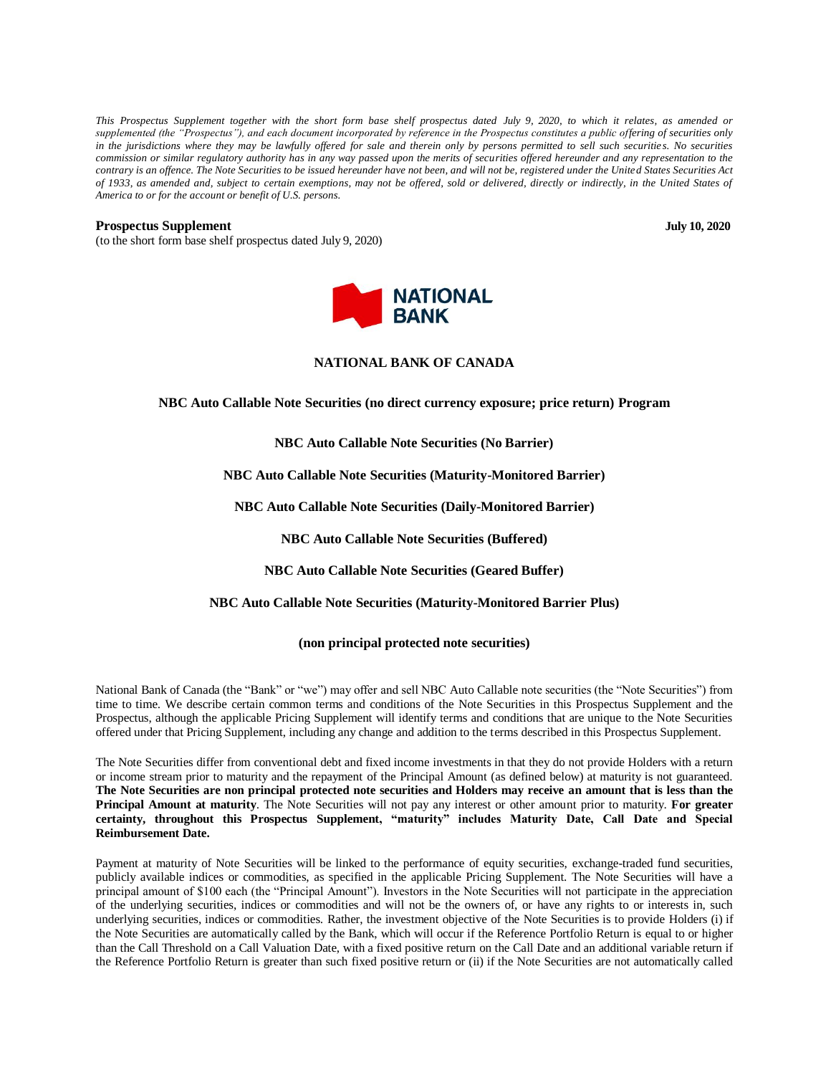*This Prospectus Supplement together with the short form base shelf prospectus dated July 9, 2020, to which it relates, as amended or supplemented (the "Prospectus"), and each document incorporated by reference in the Prospectus constitutes a public offering of securities only in the jurisdictions where they may be lawfully offered for sale and therein only by persons permitted to sell such securities. No securities commission or similar regulatory authority has in any way passed upon the merits of securities offered hereunder and any representation to the contrary is an offence. The Note Securities to be issued hereunder have not been, and will not be, registered under the United States Securities Act of 1933, as amended and, subject to certain exemptions, may not be offered, sold or delivered, directly or indirectly, in the United States of America to or for the account or benefit of U.S. persons.*

#### **Prospectus Supplement July 10, 2020**

(to the short form base shelf prospectus dated July 9, 2020)



# **NATIONAL BANK OF CANADA**

**NBC Auto Callable Note Securities (no direct currency exposure; price return) Program**

#### **NBC Auto Callable Note Securities (No Barrier)**

**NBC Auto Callable Note Securities (Maturity-Monitored Barrier)**

**NBC Auto Callable Note Securities (Daily-Monitored Barrier)**

**NBC Auto Callable Note Securities (Buffered)**

**NBC Auto Callable Note Securities (Geared Buffer)** 

**NBC Auto Callable Note Securities (Maturity-Monitored Barrier Plus)**

# **(non principal protected note securities)**

National Bank of Canada (the "Bank" or "we") may offer and sell NBC Auto Callable note securities (the "Note Securities") from time to time. We describe certain common terms and conditions of the Note Securities in this Prospectus Supplement and the Prospectus, although the applicable Pricing Supplement will identify terms and conditions that are unique to the Note Securities offered under that Pricing Supplement, including any change and addition to the terms described in this Prospectus Supplement.

The Note Securities differ from conventional debt and fixed income investments in that they do not provide Holders with a return or income stream prior to maturity and the repayment of the Principal Amount (as defined below) at maturity is not guaranteed. **The Note Securities are non principal protected note securities and Holders may receive an amount that is less than the Principal Amount at maturity**. The Note Securities will not pay any interest or other amount prior to maturity. **For greater certainty, throughout this Prospectus Supplement, "maturity" includes Maturity Date, Call Date and Special Reimbursement Date.**

Payment at maturity of Note Securities will be linked to the performance of equity securities, exchange-traded fund securities, publicly available indices or commodities, as specified in the applicable Pricing Supplement. The Note Securities will have a principal amount of \$100 each (the "Principal Amount"). Investors in the Note Securities will not participate in the appreciation of the underlying securities, indices or commodities and will not be the owners of, or have any rights to or interests in, such underlying securities, indices or commodities. Rather, the investment objective of the Note Securities is to provide Holders (i) if the Note Securities are automatically called by the Bank, which will occur if the Reference Portfolio Return is equal to or higher than the Call Threshold on a Call Valuation Date, with a fixed positive return on the Call Date and an additional variable return if the Reference Portfolio Return is greater than such fixed positive return or (ii) if the Note Securities are not automatically called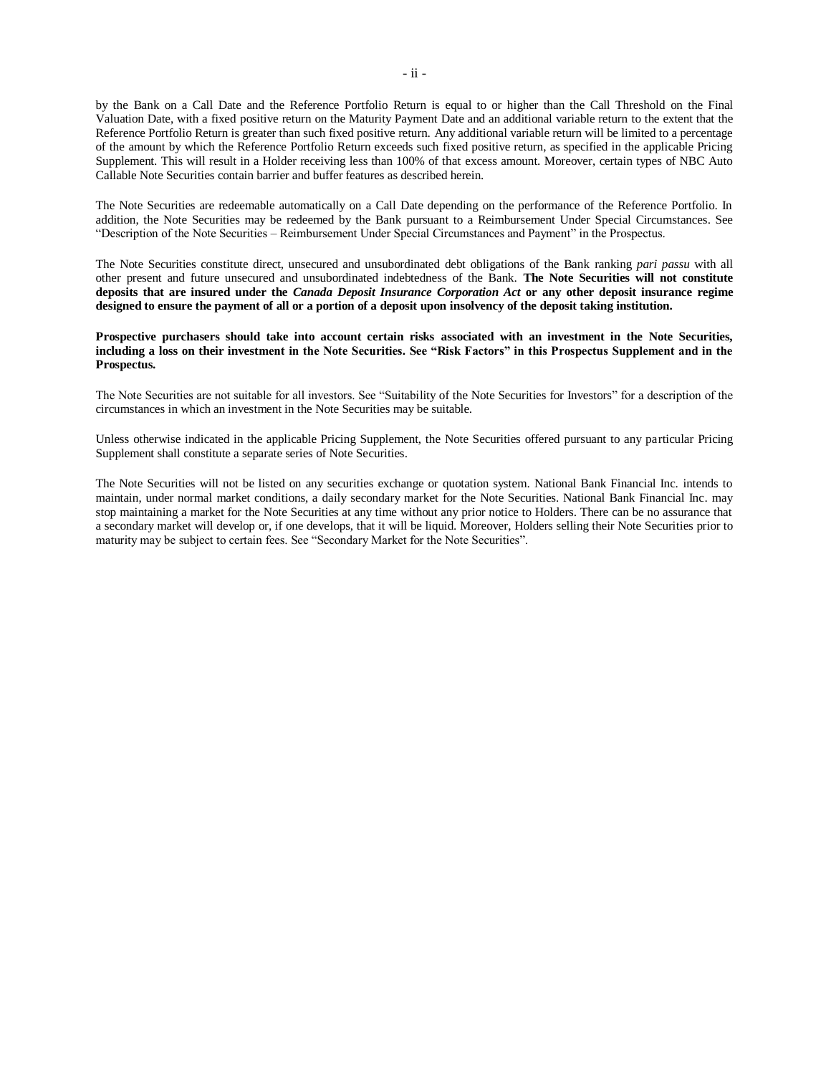by the Bank on a Call Date and the Reference Portfolio Return is equal to or higher than the Call Threshold on the Final Valuation Date, with a fixed positive return on the Maturity Payment Date and an additional variable return to the extent that the Reference Portfolio Return is greater than such fixed positive return. Any additional variable return will be limited to a percentage of the amount by which the Reference Portfolio Return exceeds such fixed positive return, as specified in the applicable Pricing Supplement. This will result in a Holder receiving less than 100% of that excess amount. Moreover, certain types of NBC Auto Callable Note Securities contain barrier and buffer features as described herein.

The Note Securities are redeemable automatically on a Call Date depending on the performance of the Reference Portfolio. In addition, the Note Securities may be redeemed by the Bank pursuant to a Reimbursement Under Special Circumstances. See "Description of the Note Securities – Reimbursement Under Special Circumstances and Payment" in the Prospectus.

The Note Securities constitute direct, unsecured and unsubordinated debt obligations of the Bank ranking *pari passu* with all other present and future unsecured and unsubordinated indebtedness of the Bank. **The Note Securities will not constitute deposits that are insured under the** *Canada Deposit Insurance Corporation Act* **or any other deposit insurance regime designed to ensure the payment of all or a portion of a deposit upon insolvency of the deposit taking institution.**

#### **Prospective purchasers should take into account certain risks associated with an investment in the Note Securities, including a loss on their investment in the Note Securities. See "Risk Factors" in this Prospectus Supplement and in the Prospectus.**

The Note Securities are not suitable for all investors. See "Suitability of the Note Securities for Investors" for a description of the circumstances in which an investment in the Note Securities may be suitable.

Unless otherwise indicated in the applicable Pricing Supplement, the Note Securities offered pursuant to any particular Pricing Supplement shall constitute a separate series of Note Securities.

The Note Securities will not be listed on any securities exchange or quotation system. National Bank Financial Inc. intends to maintain, under normal market conditions, a daily secondary market for the Note Securities. National Bank Financial Inc. may stop maintaining a market for the Note Securities at any time without any prior notice to Holders. There can be no assurance that a secondary market will develop or, if one develops, that it will be liquid. Moreover, Holders selling their Note Securities prior to maturity may be subject to certain fees. See "Secondary Market for the Note Securities".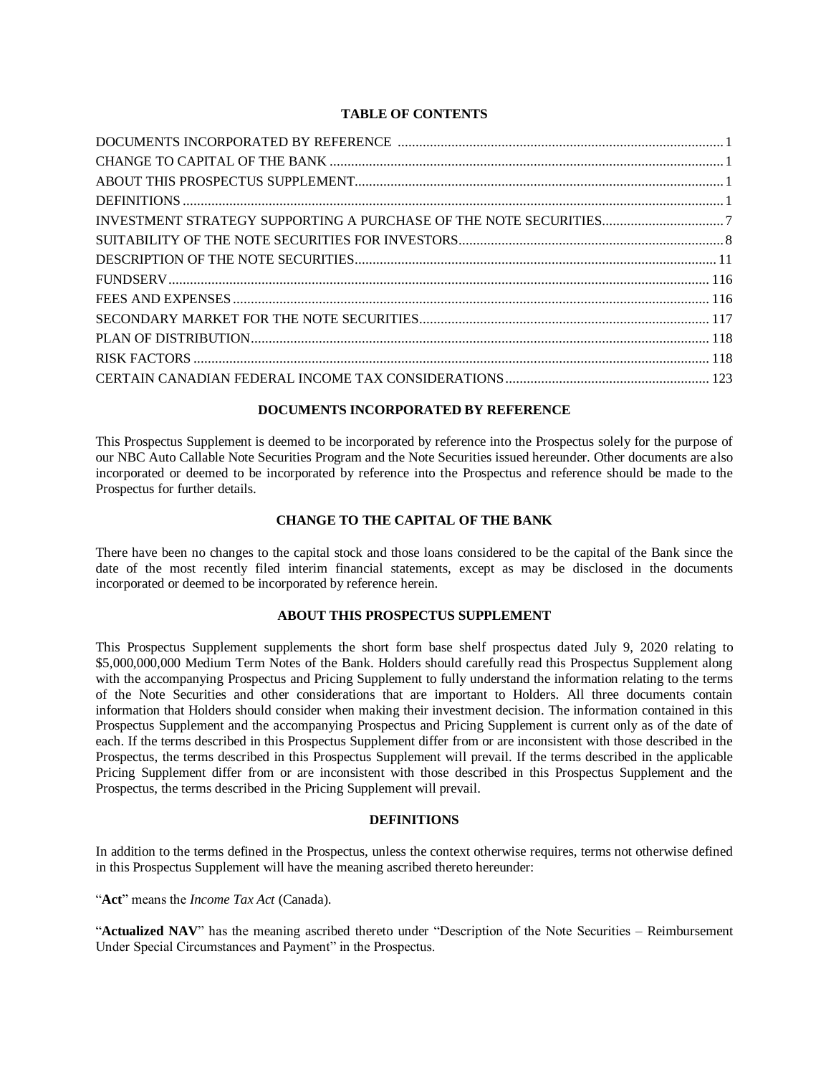# **TABLE OF CONTENTS**

# **DOCUMENTS INCORPORATED BY REFERENCE**

<span id="page-2-0"></span>This Prospectus Supplement is deemed to be incorporated by reference into the Prospectus solely for the purpose of our NBC Auto Callable Note Securities Program and the Note Securities issued hereunder. Other documents are also incorporated or deemed to be incorporated by reference into the Prospectus and reference should be made to the Prospectus for further details.

# **CHANGE TO THE CAPITAL OF THE BANK**

<span id="page-2-2"></span><span id="page-2-1"></span>There have been no changes to the capital stock and those loans considered to be the capital of the Bank since the date of the most recently filed interim financial statements, except as may be disclosed in the documents incorporated or deemed to be incorporated by reference herein.

# **ABOUT THIS PROSPECTUS SUPPLEMENT**

This Prospectus Supplement supplements the short form base shelf prospectus dated July 9, 2020 relating to \$5,000,000,000 Medium Term Notes of the Bank. Holders should carefully read this Prospectus Supplement along with the accompanying Prospectus and Pricing Supplement to fully understand the information relating to the terms of the Note Securities and other considerations that are important to Holders. All three documents contain information that Holders should consider when making their investment decision. The information contained in this Prospectus Supplement and the accompanying Prospectus and Pricing Supplement is current only as of the date of each. If the terms described in this Prospectus Supplement differ from or are inconsistent with those described in the Prospectus, the terms described in this Prospectus Supplement will prevail. If the terms described in the applicable Pricing Supplement differ from or are inconsistent with those described in this Prospectus Supplement and the Prospectus, the terms described in the Pricing Supplement will prevail.

# **DEFINITIONS**

<span id="page-2-3"></span>In addition to the terms defined in the Prospectus, unless the context otherwise requires, terms not otherwise defined in this Prospectus Supplement will have the meaning ascribed thereto hereunder:

"**Act**" means the *Income Tax Act* (Canada).

"**Actualized NAV**" has the meaning ascribed thereto under "Description of the Note Securities – Reimbursement Under Special Circumstances and Payment" in the Prospectus.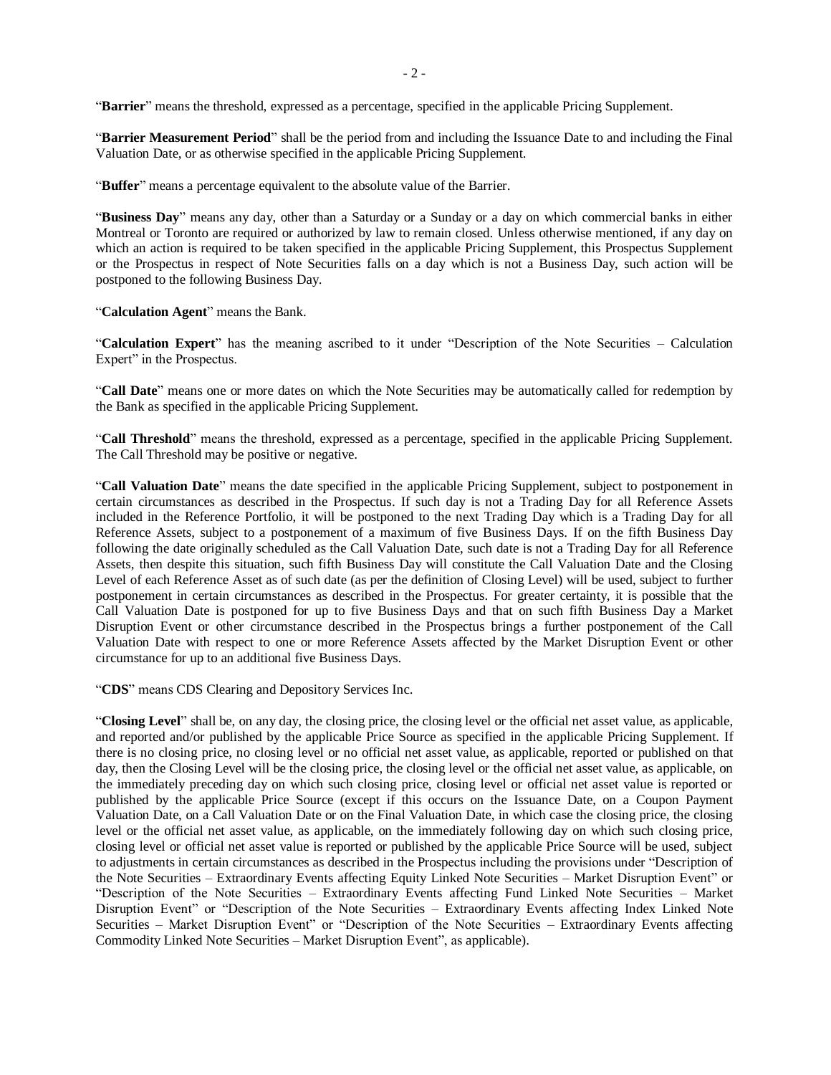"**Barrier**" means the threshold, expressed as a percentage, specified in the applicable Pricing Supplement.

"**Barrier Measurement Period**" shall be the period from and including the Issuance Date to and including the Final Valuation Date, or as otherwise specified in the applicable Pricing Supplement.

"**Buffer**" means a percentage equivalent to the absolute value of the Barrier.

"**Business Day**" means any day, other than a Saturday or a Sunday or a day on which commercial banks in either Montreal or Toronto are required or authorized by law to remain closed. Unless otherwise mentioned, if any day on which an action is required to be taken specified in the applicable Pricing Supplement, this Prospectus Supplement or the Prospectus in respect of Note Securities falls on a day which is not a Business Day, such action will be postponed to the following Business Day.

"**Calculation Agent**" means the Bank.

"**Calculation Expert**" has the meaning ascribed to it under "Description of the Note Securities – Calculation Expert" in the Prospectus.

"**Call Date**" means one or more dates on which the Note Securities may be automatically called for redemption by the Bank as specified in the applicable Pricing Supplement.

"**Call Threshold**" means the threshold, expressed as a percentage, specified in the applicable Pricing Supplement. The Call Threshold may be positive or negative.

"**Call Valuation Date**" means the date specified in the applicable Pricing Supplement, subject to postponement in certain circumstances as described in the Prospectus. If such day is not a Trading Day for all Reference Assets included in the Reference Portfolio, it will be postponed to the next Trading Day which is a Trading Day for all Reference Assets, subject to a postponement of a maximum of five Business Days. If on the fifth Business Day following the date originally scheduled as the Call Valuation Date, such date is not a Trading Day for all Reference Assets, then despite this situation, such fifth Business Day will constitute the Call Valuation Date and the Closing Level of each Reference Asset as of such date (as per the definition of Closing Level) will be used, subject to further postponement in certain circumstances as described in the Prospectus. For greater certainty, it is possible that the Call Valuation Date is postponed for up to five Business Days and that on such fifth Business Day a Market Disruption Event or other circumstance described in the Prospectus brings a further postponement of the Call Valuation Date with respect to one or more Reference Assets affected by the Market Disruption Event or other circumstance for up to an additional five Business Days.

"**CDS**" means CDS Clearing and Depository Services Inc.

"**Closing Level**" shall be, on any day, the closing price, the closing level or the official net asset value, as applicable, and reported and/or published by the applicable Price Source as specified in the applicable Pricing Supplement. If there is no closing price, no closing level or no official net asset value, as applicable, reported or published on that day, then the Closing Level will be the closing price, the closing level or the official net asset value, as applicable, on the immediately preceding day on which such closing price, closing level or official net asset value is reported or published by the applicable Price Source (except if this occurs on the Issuance Date, on a Coupon Payment Valuation Date, on a Call Valuation Date or on the Final Valuation Date, in which case the closing price, the closing level or the official net asset value, as applicable, on the immediately following day on which such closing price, closing level or official net asset value is reported or published by the applicable Price Source will be used, subject to adjustments in certain circumstances as described in the Prospectus including the provisions under "Description of the Note Securities – Extraordinary Events affecting Equity Linked Note Securities – Market Disruption Event" or "Description of the Note Securities – Extraordinary Events affecting Fund Linked Note Securities – Market Disruption Event" or "Description of the Note Securities – Extraordinary Events affecting Index Linked Note Securities – Market Disruption Event" or "Description of the Note Securities – Extraordinary Events affecting Commodity Linked Note Securities – Market Disruption Event", as applicable).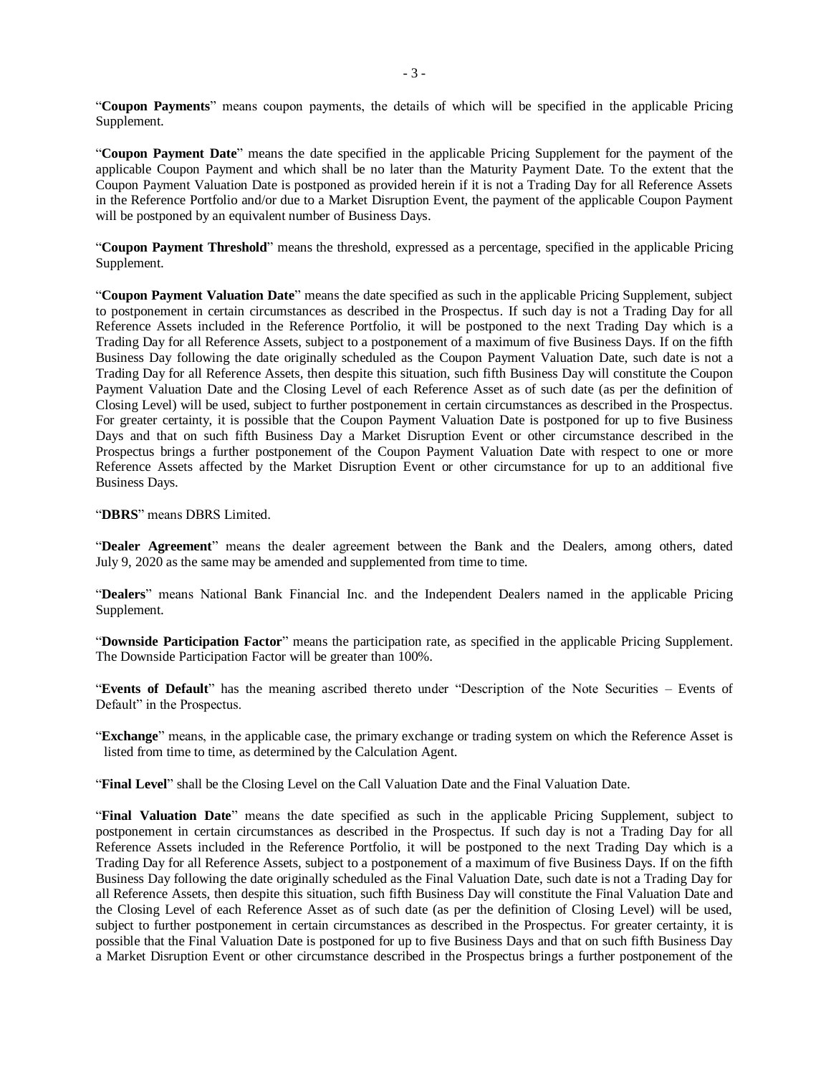"**Coupon Payments**" means coupon payments, the details of which will be specified in the applicable Pricing Supplement.

"**Coupon Payment Date**" means the date specified in the applicable Pricing Supplement for the payment of the applicable Coupon Payment and which shall be no later than the Maturity Payment Date. To the extent that the Coupon Payment Valuation Date is postponed as provided herein if it is not a Trading Day for all Reference Assets in the Reference Portfolio and/or due to a Market Disruption Event, the payment of the applicable Coupon Payment will be postponed by an equivalent number of Business Days.

"**Coupon Payment Threshold**" means the threshold, expressed as a percentage, specified in the applicable Pricing Supplement.

"**Coupon Payment Valuation Date**" means the date specified as such in the applicable Pricing Supplement, subject to postponement in certain circumstances as described in the Prospectus. If such day is not a Trading Day for all Reference Assets included in the Reference Portfolio, it will be postponed to the next Trading Day which is a Trading Day for all Reference Assets, subject to a postponement of a maximum of five Business Days. If on the fifth Business Day following the date originally scheduled as the Coupon Payment Valuation Date, such date is not a Trading Day for all Reference Assets, then despite this situation, such fifth Business Day will constitute the Coupon Payment Valuation Date and the Closing Level of each Reference Asset as of such date (as per the definition of Closing Level) will be used, subject to further postponement in certain circumstances as described in the Prospectus. For greater certainty, it is possible that the Coupon Payment Valuation Date is postponed for up to five Business Days and that on such fifth Business Day a Market Disruption Event or other circumstance described in the Prospectus brings a further postponement of the Coupon Payment Valuation Date with respect to one or more Reference Assets affected by the Market Disruption Event or other circumstance for up to an additional five Business Days.

"**DBRS**" means DBRS Limited.

"**Dealer Agreement**" means the dealer agreement between the Bank and the Dealers, among others, dated July 9, 2020 as the same may be amended and supplemented from time to time.

"**Dealers**" means National Bank Financial Inc. and the Independent Dealers named in the applicable Pricing Supplement.

"**Downside Participation Factor**" means the participation rate, as specified in the applicable Pricing Supplement. The Downside Participation Factor will be greater than 100%.

"**Events of Default**" has the meaning ascribed thereto under "Description of the Note Securities – Events of Default" in the Prospectus.

"**Exchange**" means, in the applicable case, the primary exchange or trading system on which the Reference Asset is listed from time to time, as determined by the Calculation Agent.

"**Final Level**" shall be the Closing Level on the Call Valuation Date and the Final Valuation Date.

"**Final Valuation Date**" means the date specified as such in the applicable Pricing Supplement, subject to postponement in certain circumstances as described in the Prospectus. If such day is not a Trading Day for all Reference Assets included in the Reference Portfolio, it will be postponed to the next Trading Day which is a Trading Day for all Reference Assets, subject to a postponement of a maximum of five Business Days. If on the fifth Business Day following the date originally scheduled as the Final Valuation Date, such date is not a Trading Day for all Reference Assets, then despite this situation, such fifth Business Day will constitute the Final Valuation Date and the Closing Level of each Reference Asset as of such date (as per the definition of Closing Level) will be used, subject to further postponement in certain circumstances as described in the Prospectus. For greater certainty, it is possible that the Final Valuation Date is postponed for up to five Business Days and that on such fifth Business Day a Market Disruption Event or other circumstance described in the Prospectus brings a further postponement of the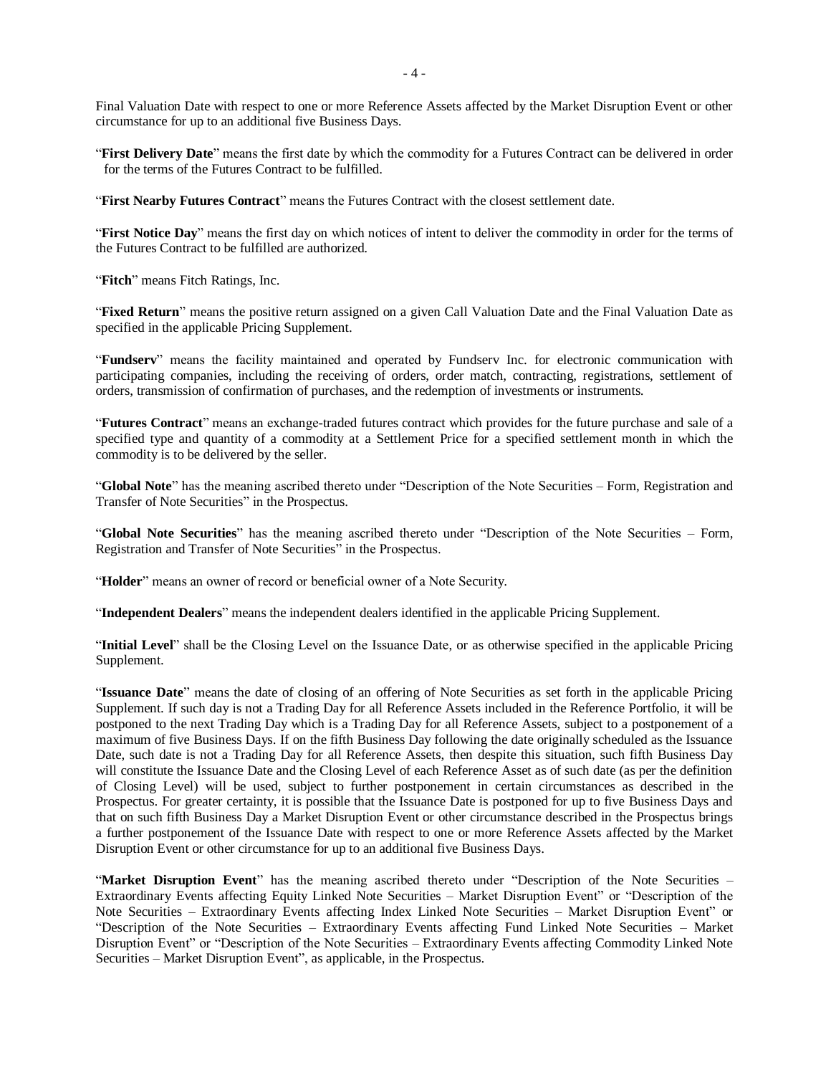Final Valuation Date with respect to one or more Reference Assets affected by the Market Disruption Event or other circumstance for up to an additional five Business Days.

"**First Delivery Date**" means the first date by which the commodity for a Futures Contract can be delivered in order for the terms of the Futures Contract to be fulfilled.

"**First Nearby Futures Contract**" means the Futures Contract with the closest settlement date.

"**First Notice Day**" means the first day on which notices of intent to deliver the commodity in order for the terms of the Futures Contract to be fulfilled are authorized.

"**Fitch**" means Fitch Ratings, Inc.

"**Fixed Return**" means the positive return assigned on a given Call Valuation Date and the Final Valuation Date as specified in the applicable Pricing Supplement.

"**Fundserv**" means the facility maintained and operated by Fundserv Inc. for electronic communication with participating companies, including the receiving of orders, order match, contracting, registrations, settlement of orders, transmission of confirmation of purchases, and the redemption of investments or instruments.

"**Futures Contract**" means an exchange-traded futures contract which provides for the future purchase and sale of a specified type and quantity of a commodity at a Settlement Price for a specified settlement month in which the commodity is to be delivered by the seller.

"**Global Note**" has the meaning ascribed thereto under "Description of the Note Securities – Form, Registration and Transfer of Note Securities" in the Prospectus.

"**Global Note Securities**" has the meaning ascribed thereto under "Description of the Note Securities – Form, Registration and Transfer of Note Securities" in the Prospectus.

"**Holder**" means an owner of record or beneficial owner of a Note Security.

"**Independent Dealers**" means the independent dealers identified in the applicable Pricing Supplement.

"**Initial Level**" shall be the Closing Level on the Issuance Date, or as otherwise specified in the applicable Pricing Supplement.

"**Issuance Date**" means the date of closing of an offering of Note Securities as set forth in the applicable Pricing Supplement. If such day is not a Trading Day for all Reference Assets included in the Reference Portfolio, it will be postponed to the next Trading Day which is a Trading Day for all Reference Assets, subject to a postponement of a maximum of five Business Days. If on the fifth Business Day following the date originally scheduled as the Issuance Date, such date is not a Trading Day for all Reference Assets, then despite this situation, such fifth Business Day will constitute the Issuance Date and the Closing Level of each Reference Asset as of such date (as per the definition of Closing Level) will be used, subject to further postponement in certain circumstances as described in the Prospectus. For greater certainty, it is possible that the Issuance Date is postponed for up to five Business Days and that on such fifth Business Day a Market Disruption Event or other circumstance described in the Prospectus brings a further postponement of the Issuance Date with respect to one or more Reference Assets affected by the Market Disruption Event or other circumstance for up to an additional five Business Days.

"**Market Disruption Event**" has the meaning ascribed thereto under "Description of the Note Securities – Extraordinary Events affecting Equity Linked Note Securities – Market Disruption Event" or "Description of the Note Securities – Extraordinary Events affecting Index Linked Note Securities – Market Disruption Event" or "Description of the Note Securities – Extraordinary Events affecting Fund Linked Note Securities – Market Disruption Event" or "Description of the Note Securities – Extraordinary Events affecting Commodity Linked Note Securities – Market Disruption Event", as applicable, in the Prospectus.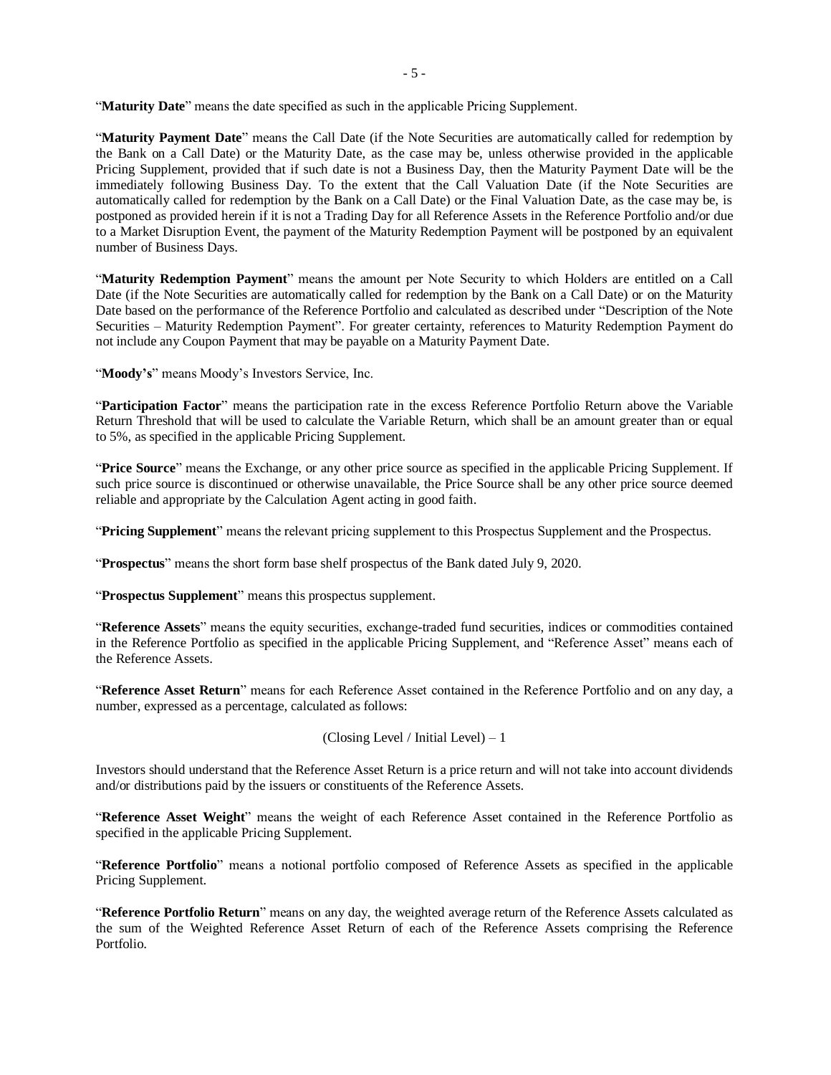"**Maturity Date**" means the date specified as such in the applicable Pricing Supplement.

"**Maturity Payment Date**" means the Call Date (if the Note Securities are automatically called for redemption by the Bank on a Call Date) or the Maturity Date, as the case may be, unless otherwise provided in the applicable Pricing Supplement, provided that if such date is not a Business Day, then the Maturity Payment Date will be the immediately following Business Day. To the extent that the Call Valuation Date (if the Note Securities are automatically called for redemption by the Bank on a Call Date) or the Final Valuation Date, as the case may be, is postponed as provided herein if it is not a Trading Day for all Reference Assets in the Reference Portfolio and/or due to a Market Disruption Event, the payment of the Maturity Redemption Payment will be postponed by an equivalent number of Business Days.

"**Maturity Redemption Payment**" means the amount per Note Security to which Holders are entitled on a Call Date (if the Note Securities are automatically called for redemption by the Bank on a Call Date) or on the Maturity Date based on the performance of the Reference Portfolio and calculated as described under "Description of the Note Securities – Maturity Redemption Payment". For greater certainty, references to Maturity Redemption Payment do not include any Coupon Payment that may be payable on a Maturity Payment Date.

"**Moody's**" means Moody's Investors Service, Inc.

"**Participation Factor**" means the participation rate in the excess Reference Portfolio Return above the Variable Return Threshold that will be used to calculate the Variable Return, which shall be an amount greater than or equal to 5%, as specified in the applicable Pricing Supplement.

"**Price Source**" means the Exchange, or any other price source as specified in the applicable Pricing Supplement. If such price source is discontinued or otherwise unavailable, the Price Source shall be any other price source deemed reliable and appropriate by the Calculation Agent acting in good faith.

"**Pricing Supplement**" means the relevant pricing supplement to this Prospectus Supplement and the Prospectus.

"**Prospectus**" means the short form base shelf prospectus of the Bank dated July 9, 2020.

"**Prospectus Supplement**" means this prospectus supplement.

"**Reference Assets**" means the equity securities, exchange-traded fund securities, indices or commodities contained in the Reference Portfolio as specified in the applicable Pricing Supplement, and "Reference Asset" means each of the Reference Assets.

"**Reference Asset Return**" means for each Reference Asset contained in the Reference Portfolio and on any day, a number, expressed as a percentage, calculated as follows:

```
(Closing Level / Initial Level) – 1
```
Investors should understand that the Reference Asset Return is a price return and will not take into account dividends and/or distributions paid by the issuers or constituents of the Reference Assets.

"**Reference Asset Weight**" means the weight of each Reference Asset contained in the Reference Portfolio as specified in the applicable Pricing Supplement.

"**Reference Portfolio**" means a notional portfolio composed of Reference Assets as specified in the applicable Pricing Supplement.

"**Reference Portfolio Return**" means on any day, the weighted average return of the Reference Assets calculated as the sum of the Weighted Reference Asset Return of each of the Reference Assets comprising the Reference Portfolio.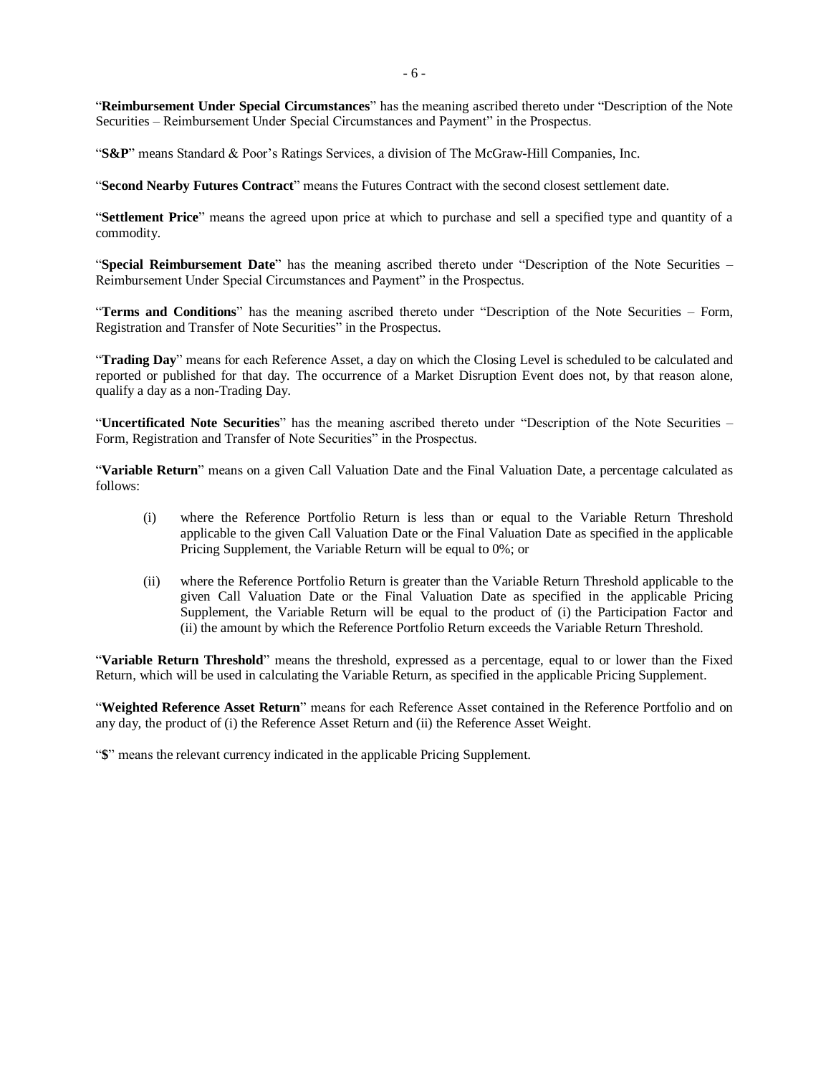"**Reimbursement Under Special Circumstances**" has the meaning ascribed thereto under "Description of the Note Securities – Reimbursement Under Special Circumstances and Payment" in the Prospectus.

"**S&P**" means Standard & Poor's Ratings Services, a division of The McGraw-Hill Companies, Inc.

"**Second Nearby Futures Contract**" means the Futures Contract with the second closest settlement date.

"**Settlement Price**" means the agreed upon price at which to purchase and sell a specified type and quantity of a commodity.

"**Special Reimbursement Date**" has the meaning ascribed thereto under "Description of the Note Securities – Reimbursement Under Special Circumstances and Payment" in the Prospectus.

"**Terms and Conditions**" has the meaning ascribed thereto under "Description of the Note Securities – Form, Registration and Transfer of Note Securities" in the Prospectus.

"**Trading Day**" means for each Reference Asset, a day on which the Closing Level is scheduled to be calculated and reported or published for that day. The occurrence of a Market Disruption Event does not, by that reason alone, qualify a day as a non-Trading Day.

"**Uncertificated Note Securities**" has the meaning ascribed thereto under "Description of the Note Securities – Form, Registration and Transfer of Note Securities" in the Prospectus.

"**Variable Return**" means on a given Call Valuation Date and the Final Valuation Date, a percentage calculated as follows:

- (i) where the Reference Portfolio Return is less than or equal to the Variable Return Threshold applicable to the given Call Valuation Date or the Final Valuation Date as specified in the applicable Pricing Supplement, the Variable Return will be equal to 0%; or
- (ii) where the Reference Portfolio Return is greater than the Variable Return Threshold applicable to the given Call Valuation Date or the Final Valuation Date as specified in the applicable Pricing Supplement, the Variable Return will be equal to the product of (i) the Participation Factor and (ii) the amount by which the Reference Portfolio Return exceeds the Variable Return Threshold.

"**Variable Return Threshold**" means the threshold, expressed as a percentage, equal to or lower than the Fixed Return, which will be used in calculating the Variable Return, as specified in the applicable Pricing Supplement.

"**Weighted Reference Asset Return**" means for each Reference Asset contained in the Reference Portfolio and on any day, the product of (i) the Reference Asset Return and (ii) the Reference Asset Weight.

"**\$**" means the relevant currency indicated in the applicable Pricing Supplement.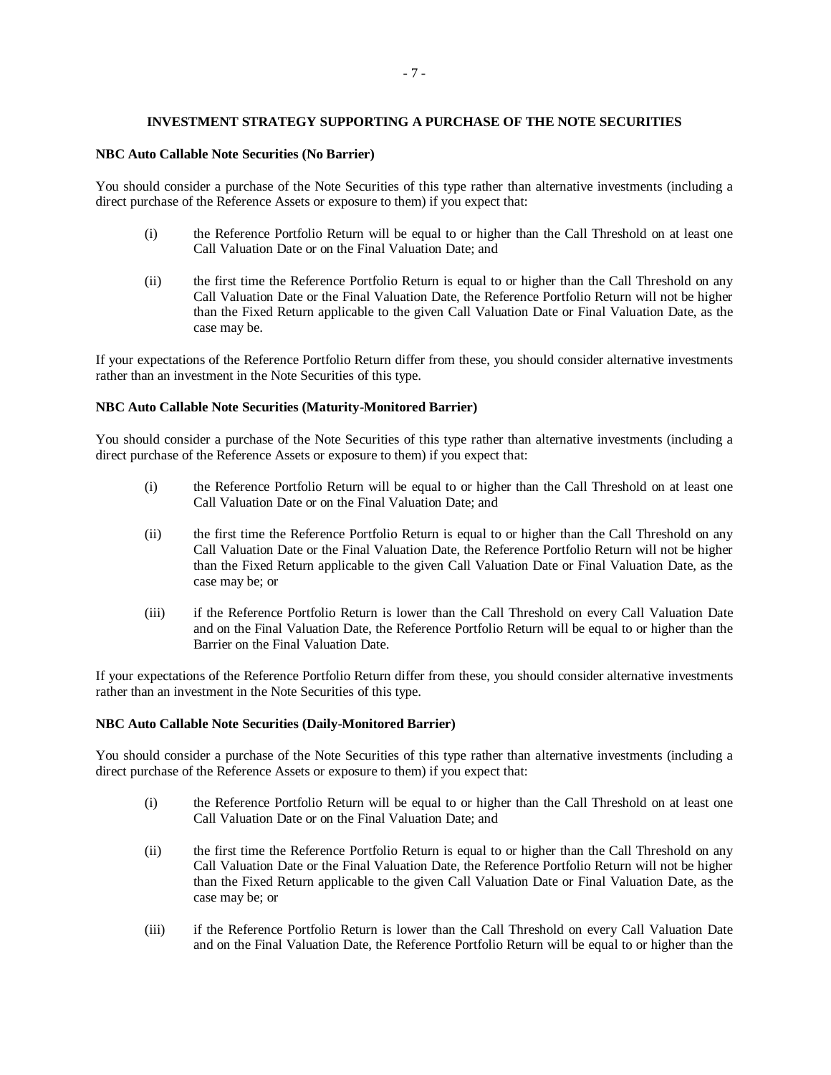# **INVESTMENT STRATEGY SUPPORTING A PURCHASE OF THE NOTE SECURITIES**

#### <span id="page-8-0"></span>**NBC Auto Callable Note Securities (No Barrier)**

You should consider a purchase of the Note Securities of this type rather than alternative investments (including a direct purchase of the Reference Assets or exposure to them) if you expect that:

- (i) the Reference Portfolio Return will be equal to or higher than the Call Threshold on at least one Call Valuation Date or on the Final Valuation Date; and
- (ii) the first time the Reference Portfolio Return is equal to or higher than the Call Threshold on any Call Valuation Date or the Final Valuation Date, the Reference Portfolio Return will not be higher than the Fixed Return applicable to the given Call Valuation Date or Final Valuation Date, as the case may be.

If your expectations of the Reference Portfolio Return differ from these, you should consider alternative investments rather than an investment in the Note Securities of this type.

# **NBC Auto Callable Note Securities (Maturity-Monitored Barrier)**

You should consider a purchase of the Note Securities of this type rather than alternative investments (including a direct purchase of the Reference Assets or exposure to them) if you expect that:

- (i) the Reference Portfolio Return will be equal to or higher than the Call Threshold on at least one Call Valuation Date or on the Final Valuation Date; and
- (ii) the first time the Reference Portfolio Return is equal to or higher than the Call Threshold on any Call Valuation Date or the Final Valuation Date, the Reference Portfolio Return will not be higher than the Fixed Return applicable to the given Call Valuation Date or Final Valuation Date, as the case may be; or
- (iii) if the Reference Portfolio Return is lower than the Call Threshold on every Call Valuation Date and on the Final Valuation Date, the Reference Portfolio Return will be equal to or higher than the Barrier on the Final Valuation Date.

If your expectations of the Reference Portfolio Return differ from these, you should consider alternative investments rather than an investment in the Note Securities of this type.

# **NBC Auto Callable Note Securities (Daily-Monitored Barrier)**

You should consider a purchase of the Note Securities of this type rather than alternative investments (including a direct purchase of the Reference Assets or exposure to them) if you expect that:

- (i) the Reference Portfolio Return will be equal to or higher than the Call Threshold on at least one Call Valuation Date or on the Final Valuation Date; and
- (ii) the first time the Reference Portfolio Return is equal to or higher than the Call Threshold on any Call Valuation Date or the Final Valuation Date, the Reference Portfolio Return will not be higher than the Fixed Return applicable to the given Call Valuation Date or Final Valuation Date, as the case may be; or
- (iii) if the Reference Portfolio Return is lower than the Call Threshold on every Call Valuation Date and on the Final Valuation Date, the Reference Portfolio Return will be equal to or higher than the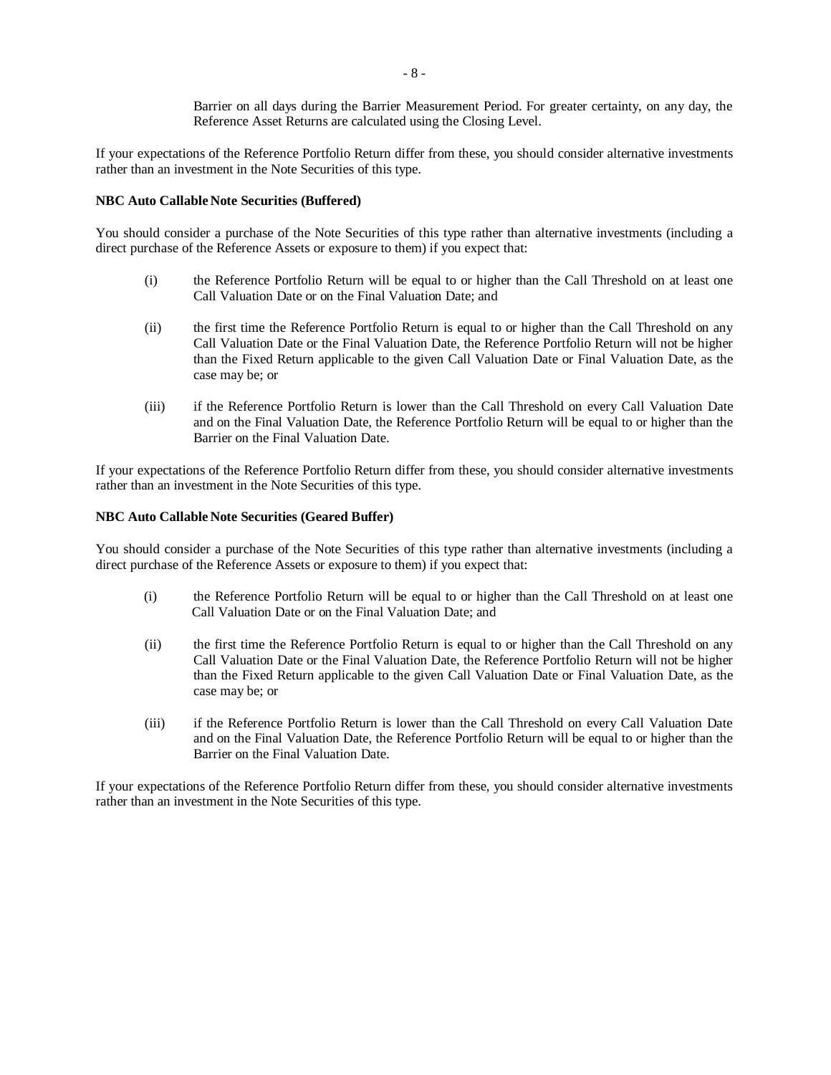Barrier on all days during the Barrier Measurement Period. For greater certainty, on any day, the Reference Asset Returns are calculated using the Closing Level.

If your expectations of the Reference Portfolio Return differ from these, you should consider alternative investments rather than an investment in the Note Securities of this type.

# **NBC Auto Callable Note Securities (Buffered)**

You should consider a purchase of the Note Securities of this type rather than alternative investments (including a direct purchase of the Reference Assets or exposure to them) if you expect that:

- (i) the Reference Portfolio Return will be equal to or higher than the Call Threshold on at least one Call Valuation Date or on the Final Valuation Date; and
- (ii) the first time the Reference Portfolio Return is equal to or higher than the Call Threshold on any Call Valuation Date or the Final Valuation Date, the Reference Portfolio Return will not be higher than the Fixed Return applicable to the given Call Valuation Date or Final Valuation Date, as the case may be; or
- (iii) if the Reference Portfolio Return is lower than the Call Threshold on every Call Valuation Date and on the Final Valuation Date, the Reference Portfolio Return will be equal to or higher than the Barrier on the Final Valuation Date.

If your expectations of the Reference Portfolio Return differ from these, you should consider alternative investments rather than an investment in the Note Securities of this type.

# <span id="page-9-0"></span>**NBC Auto Callable Note Securities (Geared Buffer)**

You should consider a purchase of the Note Securities of this type rather than alternative investments (including a direct purchase of the Reference Assets or exposure to them) if you expect that:

- (i) the Reference Portfolio Return will be equal to or higher than the Call Threshold on at least one Call Valuation Date or on the Final Valuation Date; and
- (ii) the first time the Reference Portfolio Return is equal to or higher than the Call Threshold on any Call Valuation Date or the Final Valuation Date, the Reference Portfolio Return will not be higher than the Fixed Return applicable to the given Call Valuation Date or Final Valuation Date, as the case may be; or
- (iii) if the Reference Portfolio Return is lower than the Call Threshold on every Call Valuation Date and on the Final Valuation Date, the Reference Portfolio Return will be equal to or higher than the Barrier on the Final Valuation Date.

If your expectations of the Reference Portfolio Return differ from these, you should consider alternative investments rather than an investment in the Note Securities of this type.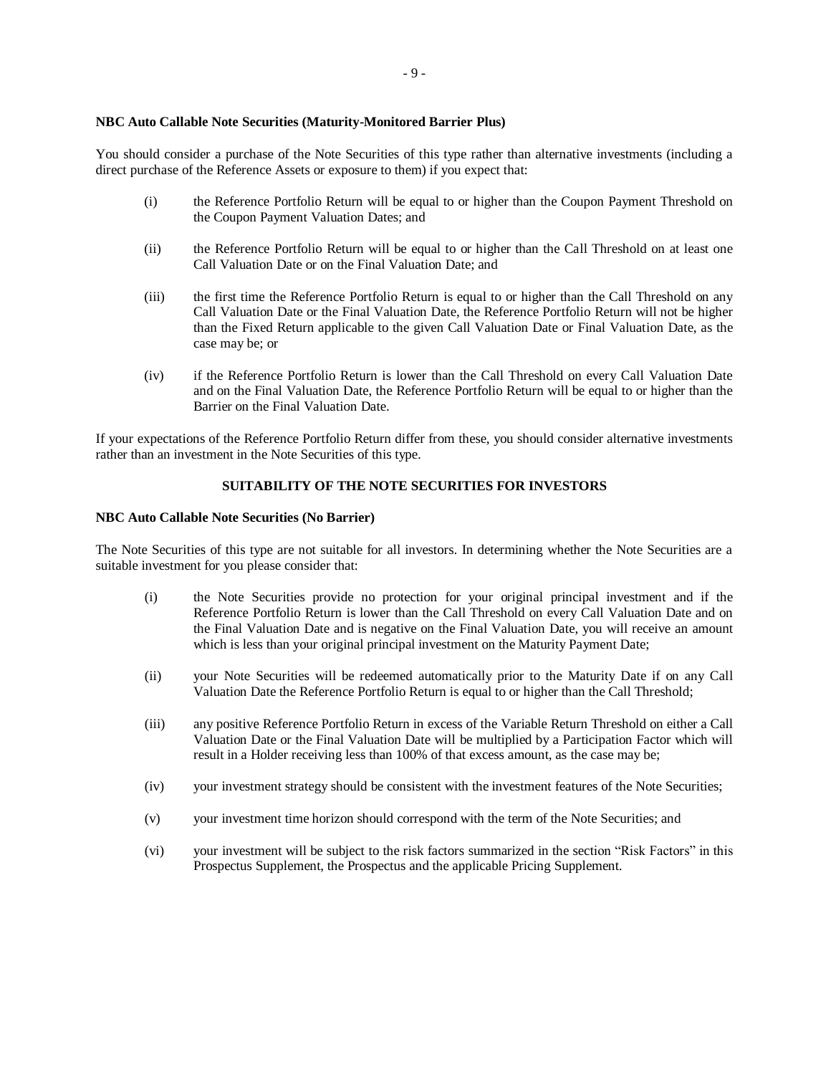#### **NBC Auto Callable Note Securities (Maturity-Monitored Barrier Plus)**

You should consider a purchase of the Note Securities of this type rather than alternative investments (including a direct purchase of the Reference Assets or exposure to them) if you expect that:

- (i) the Reference Portfolio Return will be equal to or higher than the Coupon Payment Threshold on the Coupon Payment Valuation Dates; and
- (ii) the Reference Portfolio Return will be equal to or higher than the Call Threshold on at least one Call Valuation Date or on the Final Valuation Date; and
- (iii) the first time the Reference Portfolio Return is equal to or higher than the Call Threshold on any Call Valuation Date or the Final Valuation Date, the Reference Portfolio Return will not be higher than the Fixed Return applicable to the given Call Valuation Date or Final Valuation Date, as the case may be; or
- (iv) if the Reference Portfolio Return is lower than the Call Threshold on every Call Valuation Date and on the Final Valuation Date, the Reference Portfolio Return will be equal to or higher than the Barrier on the Final Valuation Date.

If your expectations of the Reference Portfolio Return differ from these, you should consider alternative investments rather than an investment in the Note Securities of this type.

# **SUITABILITY OF THE NOTE SECURITIES FOR INVESTORS**

#### **NBC Auto Callable Note Securities (No Barrier)**

The Note Securities of this type are not suitable for all investors. In determining whether the Note Securities are a suitable investment for you please consider that:

- (i) the Note Securities provide no protection for your original principal investment and if the Reference Portfolio Return is lower than the Call Threshold on every Call Valuation Date and on the Final Valuation Date and is negative on the Final Valuation Date, you will receive an amount which is less than your original principal investment on the Maturity Payment Date;
- (ii) your Note Securities will be redeemed automatically prior to the Maturity Date if on any Call Valuation Date the Reference Portfolio Return is equal to or higher than the Call Threshold;
- (iii) any positive Reference Portfolio Return in excess of the Variable Return Threshold on either a Call Valuation Date or the Final Valuation Date will be multiplied by a Participation Factor which will result in a Holder receiving less than 100% of that excess amount, as the case may be;
- (iv) your investment strategy should be consistent with the investment features of the Note Securities;
- (v) your investment time horizon should correspond with the term of the Note Securities; and
- (vi) your investment will be subject to the risk factors summarized in the section "Risk Factors" in this Prospectus Supplement, the Prospectus and the applicable Pricing Supplement.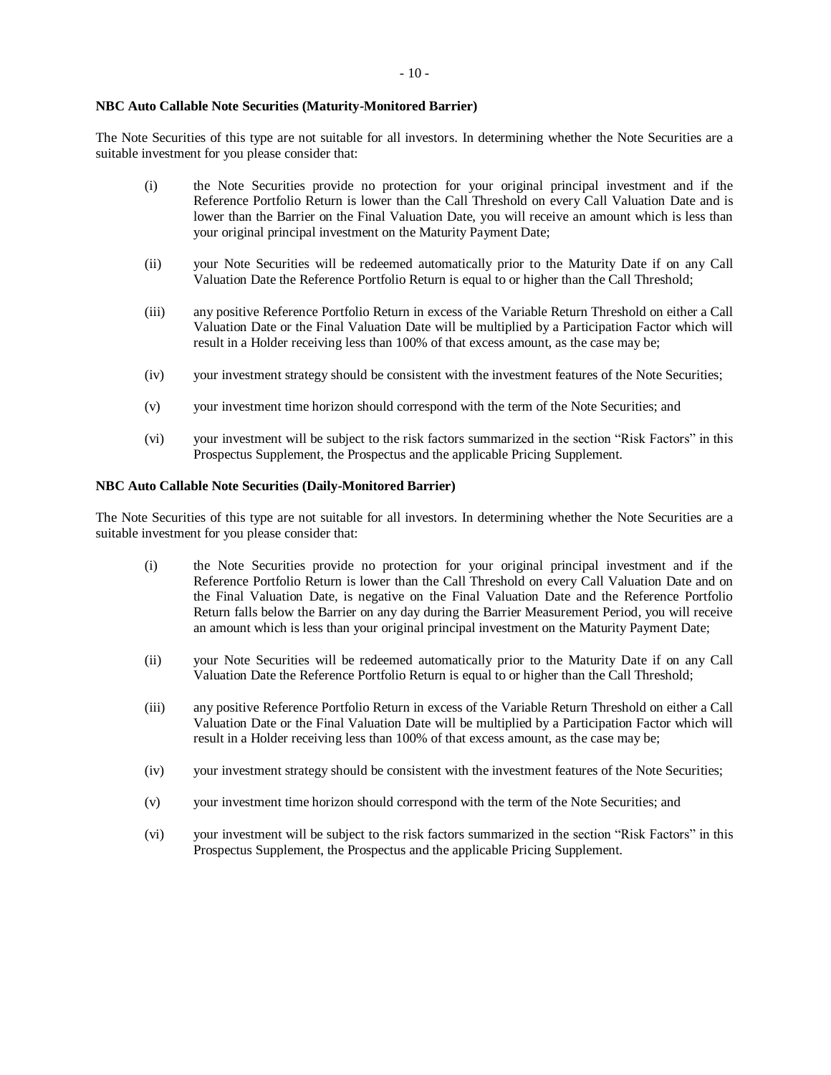#### **NBC Auto Callable Note Securities (Maturity-Monitored Barrier)**

The Note Securities of this type are not suitable for all investors. In determining whether the Note Securities are a suitable investment for you please consider that:

- (i) the Note Securities provide no protection for your original principal investment and if the Reference Portfolio Return is lower than the Call Threshold on every Call Valuation Date and is lower than the Barrier on the Final Valuation Date, you will receive an amount which is less than your original principal investment on the Maturity Payment Date;
- (ii) your Note Securities will be redeemed automatically prior to the Maturity Date if on any Call Valuation Date the Reference Portfolio Return is equal to or higher than the Call Threshold;
- (iii) any positive Reference Portfolio Return in excess of the Variable Return Threshold on either a Call Valuation Date or the Final Valuation Date will be multiplied by a Participation Factor which will result in a Holder receiving less than 100% of that excess amount, as the case may be;
- (iv) your investment strategy should be consistent with the investment features of the Note Securities;
- (v) your investment time horizon should correspond with the term of the Note Securities; and
- (vi) your investment will be subject to the risk factors summarized in the section "Risk Factors" in this Prospectus Supplement, the Prospectus and the applicable Pricing Supplement.

#### **NBC Auto Callable Note Securities (Daily-Monitored Barrier)**

The Note Securities of this type are not suitable for all investors. In determining whether the Note Securities are a suitable investment for you please consider that:

- (i) the Note Securities provide no protection for your original principal investment and if the Reference Portfolio Return is lower than the Call Threshold on every Call Valuation Date and on the Final Valuation Date, is negative on the Final Valuation Date and the Reference Portfolio Return falls below the Barrier on any day during the Barrier Measurement Period, you will receive an amount which is less than your original principal investment on the Maturity Payment Date;
- (ii) your Note Securities will be redeemed automatically prior to the Maturity Date if on any Call Valuation Date the Reference Portfolio Return is equal to or higher than the Call Threshold;
- (iii) any positive Reference Portfolio Return in excess of the Variable Return Threshold on either a Call Valuation Date or the Final Valuation Date will be multiplied by a Participation Factor which will result in a Holder receiving less than 100% of that excess amount, as the case may be;
- (iv) your investment strategy should be consistent with the investment features of the Note Securities;
- (v) your investment time horizon should correspond with the term of the Note Securities; and
- (vi) your investment will be subject to the risk factors summarized in the section "Risk Factors" in this Prospectus Supplement, the Prospectus and the applicable Pricing Supplement.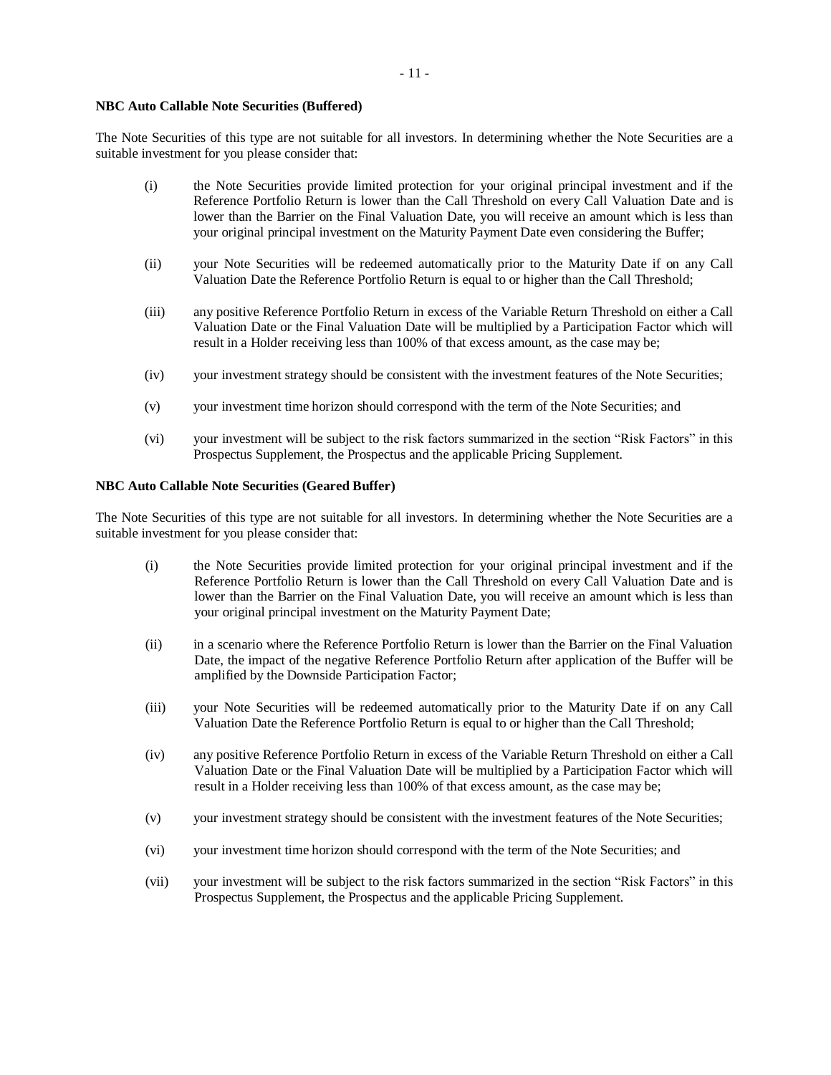#### **NBC Auto Callable Note Securities (Buffered)**

The Note Securities of this type are not suitable for all investors. In determining whether the Note Securities are a suitable investment for you please consider that:

- (i) the Note Securities provide limited protection for your original principal investment and if the Reference Portfolio Return is lower than the Call Threshold on every Call Valuation Date and is lower than the Barrier on the Final Valuation Date, you will receive an amount which is less than your original principal investment on the Maturity Payment Date even considering the Buffer;
- (ii) your Note Securities will be redeemed automatically prior to the Maturity Date if on any Call Valuation Date the Reference Portfolio Return is equal to or higher than the Call Threshold;
- (iii) any positive Reference Portfolio Return in excess of the Variable Return Threshold on either a Call Valuation Date or the Final Valuation Date will be multiplied by a Participation Factor which will result in a Holder receiving less than 100% of that excess amount, as the case may be;
- (iv) your investment strategy should be consistent with the investment features of the Note Securities;
- (v) your investment time horizon should correspond with the term of the Note Securities; and
- (vi) your investment will be subject to the risk factors summarized in the section "Risk Factors" in this Prospectus Supplement, the Prospectus and the applicable Pricing Supplement.

# <span id="page-12-0"></span>**NBC Auto Callable Note Securities (Geared Buffer)**

The Note Securities of this type are not suitable for all investors. In determining whether the Note Securities are a suitable investment for you please consider that:

- (i) the Note Securities provide limited protection for your original principal investment and if the Reference Portfolio Return is lower than the Call Threshold on every Call Valuation Date and is lower than the Barrier on the Final Valuation Date, you will receive an amount which is less than your original principal investment on the Maturity Payment Date;
- (ii) in a scenario where the Reference Portfolio Return is lower than the Barrier on the Final Valuation Date, the impact of the negative Reference Portfolio Return after application of the Buffer will be amplified by the Downside Participation Factor;
- (iii) your Note Securities will be redeemed automatically prior to the Maturity Date if on any Call Valuation Date the Reference Portfolio Return is equal to or higher than the Call Threshold;
- (iv) any positive Reference Portfolio Return in excess of the Variable Return Threshold on either a Call Valuation Date or the Final Valuation Date will be multiplied by a Participation Factor which will result in a Holder receiving less than 100% of that excess amount, as the case may be;
- (v) your investment strategy should be consistent with the investment features of the Note Securities;
- (vi) your investment time horizon should correspond with the term of the Note Securities; and
- (vii) your investment will be subject to the risk factors summarized in the section "Risk Factors" in this Prospectus Supplement, the Prospectus and the applicable Pricing Supplement.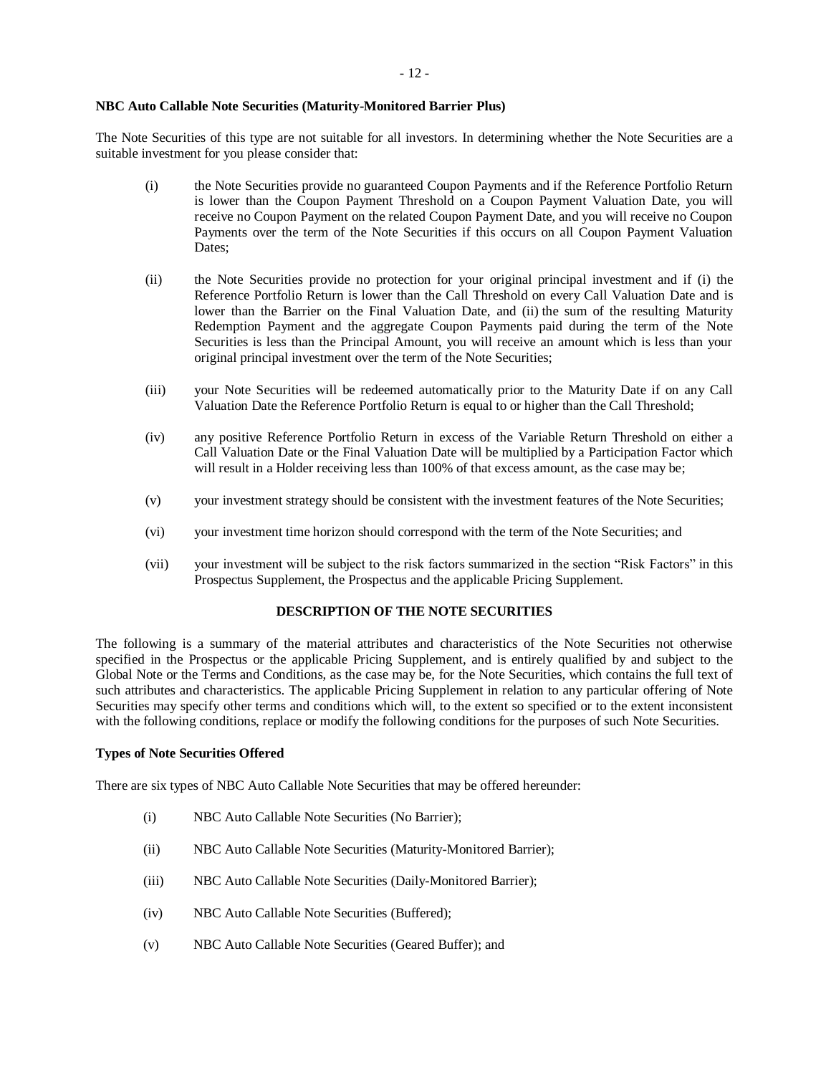# **NBC Auto Callable Note Securities (Maturity-Monitored Barrier Plus)**

The Note Securities of this type are not suitable for all investors. In determining whether the Note Securities are a suitable investment for you please consider that:

- (i) the Note Securities provide no guaranteed Coupon Payments and if the Reference Portfolio Return is lower than the Coupon Payment Threshold on a Coupon Payment Valuation Date, you will receive no Coupon Payment on the related Coupon Payment Date, and you will receive no Coupon Payments over the term of the Note Securities if this occurs on all Coupon Payment Valuation Dates;
- (ii) the Note Securities provide no protection for your original principal investment and if (i) the Reference Portfolio Return is lower than the Call Threshold on every Call Valuation Date and is lower than the Barrier on the Final Valuation Date, and (ii) the sum of the resulting Maturity Redemption Payment and the aggregate Coupon Payments paid during the term of the Note Securities is less than the Principal Amount, you will receive an amount which is less than your original principal investment over the term of the Note Securities;
- (iii) your Note Securities will be redeemed automatically prior to the Maturity Date if on any Call Valuation Date the Reference Portfolio Return is equal to or higher than the Call Threshold;
- (iv) any positive Reference Portfolio Return in excess of the Variable Return Threshold on either a Call Valuation Date or the Final Valuation Date will be multiplied by a Participation Factor which will result in a Holder receiving less than 100% of that excess amount, as the case may be;
- (v) your investment strategy should be consistent with the investment features of the Note Securities;
- (vi) your investment time horizon should correspond with the term of the Note Securities; and
- (vii) your investment will be subject to the risk factors summarized in the section "Risk Factors" in this Prospectus Supplement, the Prospectus and the applicable Pricing Supplement.

# **DESCRIPTION OF THE NOTE SECURITIES**

The following is a summary of the material attributes and characteristics of the Note Securities not otherwise specified in the Prospectus or the applicable Pricing Supplement, and is entirely qualified by and subject to the Global Note or the Terms and Conditions, as the case may be, for the Note Securities, which contains the full text of such attributes and characteristics. The applicable Pricing Supplement in relation to any particular offering of Note Securities may specify other terms and conditions which will, to the extent so specified or to the extent inconsistent with the following conditions, replace or modify the following conditions for the purposes of such Note Securities.

# **Types of Note Securities Offered**

There are six types of NBC Auto Callable Note Securities that may be offered hereunder:

- (i) NBC Auto Callable Note Securities (No Barrier);
- (ii) NBC Auto Callable Note Securities (Maturity-Monitored Barrier);
- (iii) NBC Auto Callable Note Securities (Daily-Monitored Barrier);
- (iv) NBC Auto Callable Note Securities (Buffered);
- (v) NBC Auto Callable Note Securities (Geared Buffer); and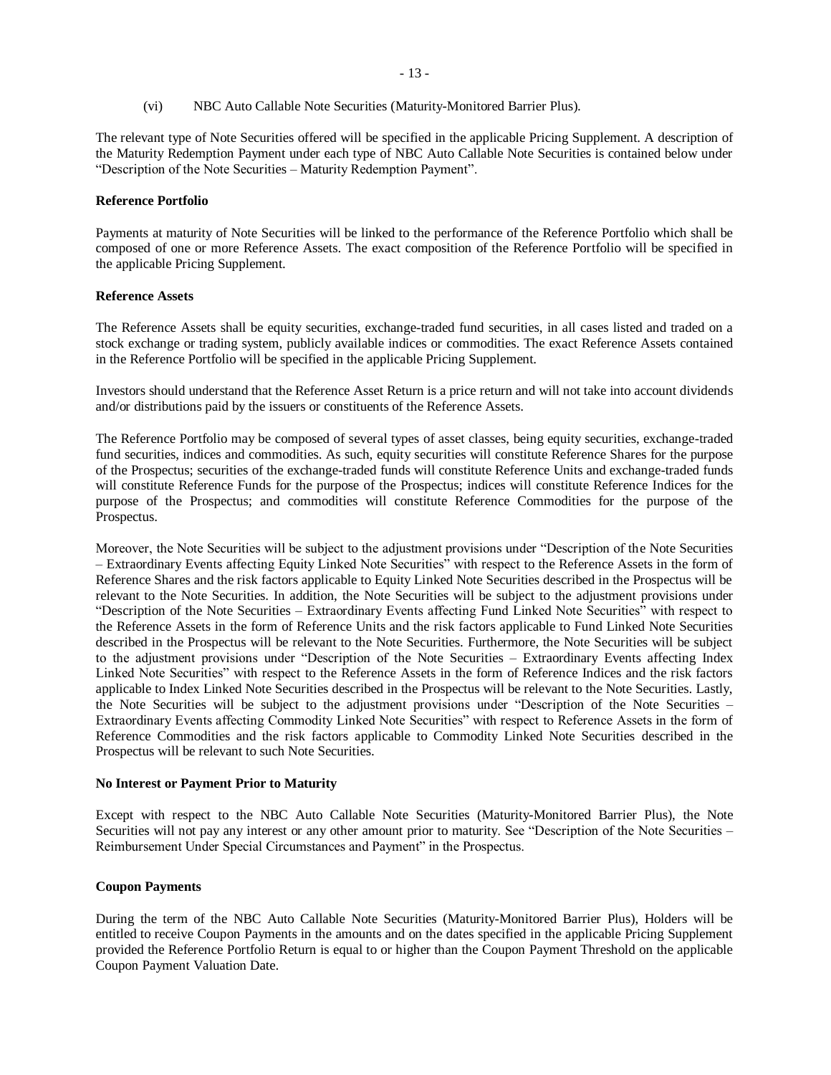(vi) NBC Auto Callable Note Securities (Maturity-Monitored Barrier Plus).

The relevant type of Note Securities offered will be specified in the applicable Pricing Supplement. A description of the Maturity Redemption Payment under each type of NBC Auto Callable Note Securities is contained below under "Description of the Note Securities – Maturity Redemption Payment".

# **Reference Portfolio**

Payments at maturity of Note Securities will be linked to the performance of the Reference Portfolio which shall be composed of one or more Reference Assets. The exact composition of the Reference Portfolio will be specified in the applicable Pricing Supplement.

# **Reference Assets**

The Reference Assets shall be equity securities, exchange-traded fund securities, in all cases listed and traded on a stock exchange or trading system, publicly available indices or commodities. The exact Reference Assets contained in the Reference Portfolio will be specified in the applicable Pricing Supplement.

Investors should understand that the Reference Asset Return is a price return and will not take into account dividends and/or distributions paid by the issuers or constituents of the Reference Assets.

The Reference Portfolio may be composed of several types of asset classes, being equity securities, exchange-traded fund securities, indices and commodities. As such, equity securities will constitute Reference Shares for the purpose of the Prospectus; securities of the exchange-traded funds will constitute Reference Units and exchange-traded funds will constitute Reference Funds for the purpose of the Prospectus; indices will constitute Reference Indices for the purpose of the Prospectus; and commodities will constitute Reference Commodities for the purpose of the Prospectus.

Moreover, the Note Securities will be subject to the adjustment provisions under "Description of the Note Securities – Extraordinary Events affecting Equity Linked Note Securities" with respect to the Reference Assets in the form of Reference Shares and the risk factors applicable to Equity Linked Note Securities described in the Prospectus will be relevant to the Note Securities. In addition, the Note Securities will be subject to the adjustment provisions under "Description of the Note Securities – Extraordinary Events affecting Fund Linked Note Securities" with respect to the Reference Assets in the form of Reference Units and the risk factors applicable to Fund Linked Note Securities described in the Prospectus will be relevant to the Note Securities. Furthermore, the Note Securities will be subject to the adjustment provisions under "Description of the Note Securities – Extraordinary Events affecting Index Linked Note Securities" with respect to the Reference Assets in the form of Reference Indices and the risk factors applicable to Index Linked Note Securities described in the Prospectus will be relevant to the Note Securities. Lastly, the Note Securities will be subject to the adjustment provisions under "Description of the Note Securities – Extraordinary Events affecting Commodity Linked Note Securities" with respect to Reference Assets in the form of Reference Commodities and the risk factors applicable to Commodity Linked Note Securities described in the Prospectus will be relevant to such Note Securities.

# **No Interest or Payment Prior to Maturity**

Except with respect to the NBC Auto Callable Note Securities (Maturity-Monitored Barrier Plus), the Note Securities will not pay any interest or any other amount prior to maturity. See "Description of the Note Securities – Reimbursement Under Special Circumstances and Payment" in the Prospectus.

# **Coupon Payments**

During the term of the NBC Auto Callable Note Securities (Maturity-Monitored Barrier Plus), Holders will be entitled to receive Coupon Payments in the amounts and on the dates specified in the applicable Pricing Supplement provided the Reference Portfolio Return is equal to or higher than the Coupon Payment Threshold on the applicable Coupon Payment Valuation Date.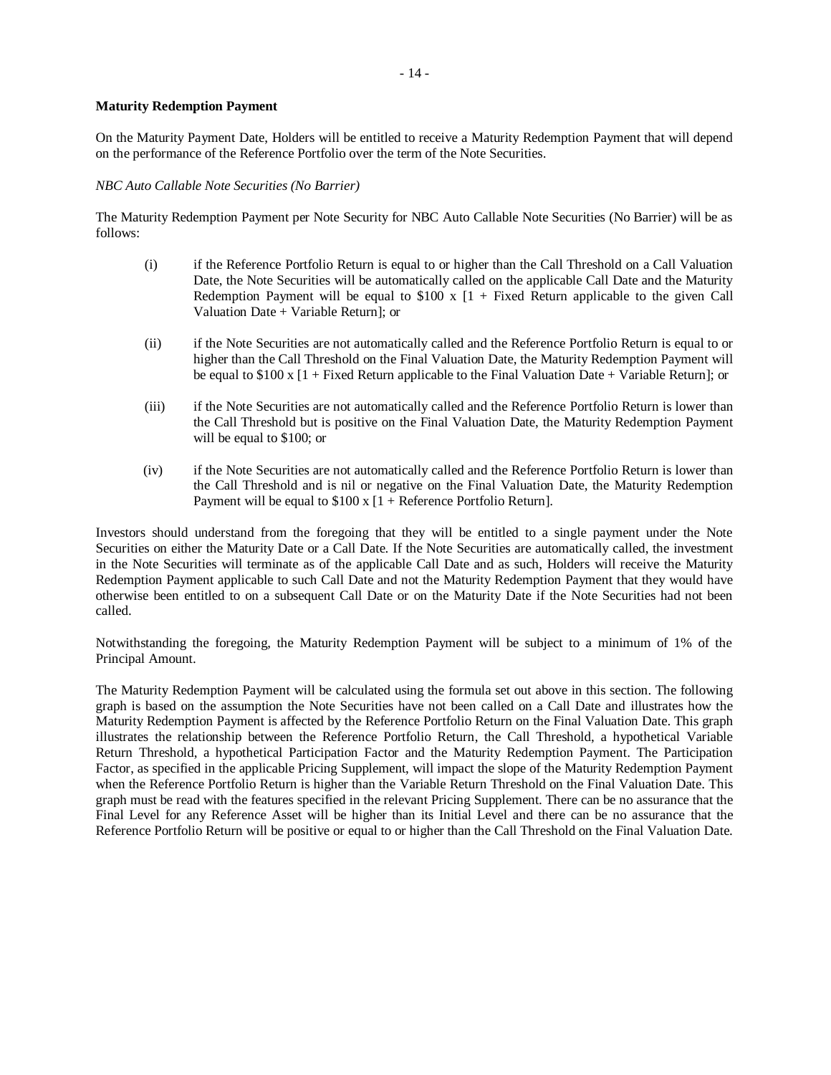#### **Maturity Redemption Payment**

On the Maturity Payment Date, Holders will be entitled to receive a Maturity Redemption Payment that will depend on the performance of the Reference Portfolio over the term of the Note Securities.

#### *NBC Auto Callable Note Securities (No Barrier)*

The Maturity Redemption Payment per Note Security for NBC Auto Callable Note Securities (No Barrier) will be as follows:

- (i) if the Reference Portfolio Return is equal to or higher than the Call Threshold on a Call Valuation Date, the Note Securities will be automatically called on the applicable Call Date and the Maturity Redemption Payment will be equal to  $$100 \times [1 +$  Fixed Return applicable to the given Call Valuation Date + Variable Return]; or
- (ii) if the Note Securities are not automatically called and the Reference Portfolio Return is equal to or higher than the Call Threshold on the Final Valuation Date, the Maturity Redemption Payment will be equal to  $$100 x [1 + Fixed Return applicable to the Final Valuation Date + Variable Return];$  or
- (iii) if the Note Securities are not automatically called and the Reference Portfolio Return is lower than the Call Threshold but is positive on the Final Valuation Date, the Maturity Redemption Payment will be equal to \$100; or
- (iv) if the Note Securities are not automatically called and the Reference Portfolio Return is lower than the Call Threshold and is nil or negative on the Final Valuation Date, the Maturity Redemption Payment will be equal to  $$100 \times [1 + \text{Reference Portfolio Return}]$ .

Investors should understand from the foregoing that they will be entitled to a single payment under the Note Securities on either the Maturity Date or a Call Date. If the Note Securities are automatically called, the investment in the Note Securities will terminate as of the applicable Call Date and as such, Holders will receive the Maturity Redemption Payment applicable to such Call Date and not the Maturity Redemption Payment that they would have otherwise been entitled to on a subsequent Call Date or on the Maturity Date if the Note Securities had not been called.

Notwithstanding the foregoing, the Maturity Redemption Payment will be subject to a minimum of 1% of the Principal Amount.

The Maturity Redemption Payment will be calculated using the formula set out above in this section. The following graph is based on the assumption the Note Securities have not been called on a Call Date and illustrates how the Maturity Redemption Payment is affected by the Reference Portfolio Return on the Final Valuation Date. This graph illustrates the relationship between the Reference Portfolio Return, the Call Threshold, a hypothetical Variable Return Threshold, a hypothetical Participation Factor and the Maturity Redemption Payment. The Participation Factor, as specified in the applicable Pricing Supplement, will impact the slope of the Maturity Redemption Payment when the Reference Portfolio Return is higher than the Variable Return Threshold on the Final Valuation Date. This graph must be read with the features specified in the relevant Pricing Supplement. There can be no assurance that the Final Level for any Reference Asset will be higher than its Initial Level and there can be no assurance that the Reference Portfolio Return will be positive or equal to or higher than the Call Threshold on the Final Valuation Date.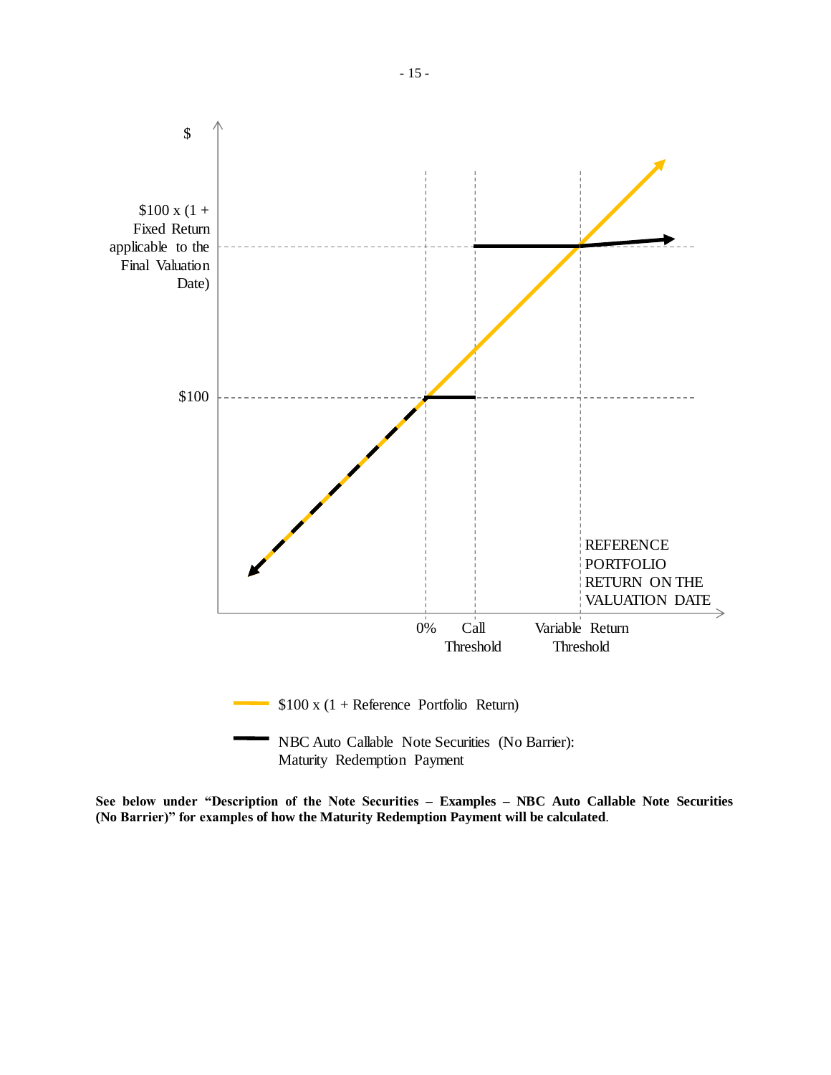

Maturity Redemption Payment

**See below under "Description of the Note Securities – Examples – NBC Auto Callable Note Securities (No Barrier)" for examples of how the Maturity Redemption Payment will be calculated**.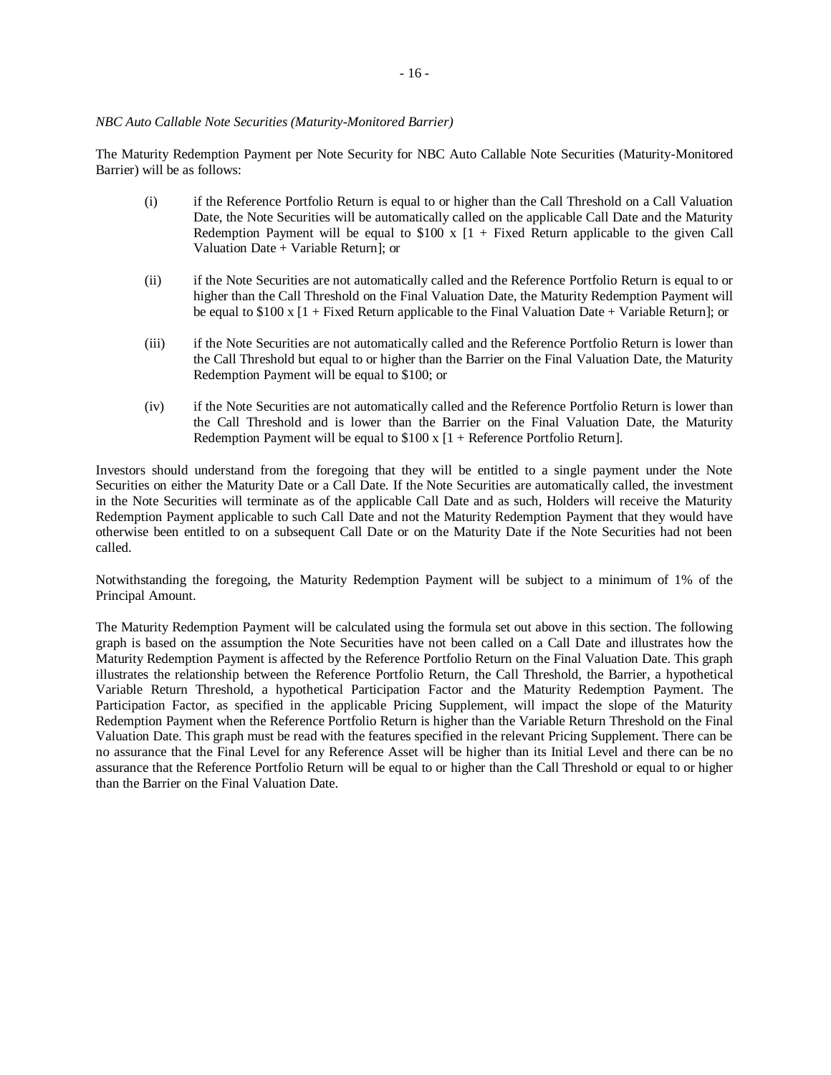# *NBC Auto Callable Note Securities (Maturity-Monitored Barrier)*

The Maturity Redemption Payment per Note Security for NBC Auto Callable Note Securities (Maturity-Monitored Barrier) will be as follows:

- (i) if the Reference Portfolio Return is equal to or higher than the Call Threshold on a Call Valuation Date, the Note Securities will be automatically called on the applicable Call Date and the Maturity Redemption Payment will be equal to  $$100 \times [1 +$  Fixed Return applicable to the given Call Valuation Date + Variable Return]; or
- (ii) if the Note Securities are not automatically called and the Reference Portfolio Return is equal to or higher than the Call Threshold on the Final Valuation Date, the Maturity Redemption Payment will be equal to \$100 x [1 + Fixed Return applicable to the Final Valuation Date + Variable Return]; or
- (iii) if the Note Securities are not automatically called and the Reference Portfolio Return is lower than the Call Threshold but equal to or higher than the Barrier on the Final Valuation Date, the Maturity Redemption Payment will be equal to \$100; or
- (iv) if the Note Securities are not automatically called and the Reference Portfolio Return is lower than the Call Threshold and is lower than the Barrier on the Final Valuation Date, the Maturity Redemption Payment will be equal to  $$100 \times [1 +$  Reference Portfolio Return].

Investors should understand from the foregoing that they will be entitled to a single payment under the Note Securities on either the Maturity Date or a Call Date. If the Note Securities are automatically called, the investment in the Note Securities will terminate as of the applicable Call Date and as such, Holders will receive the Maturity Redemption Payment applicable to such Call Date and not the Maturity Redemption Payment that they would have otherwise been entitled to on a subsequent Call Date or on the Maturity Date if the Note Securities had not been called.

Notwithstanding the foregoing, the Maturity Redemption Payment will be subject to a minimum of 1% of the Principal Amount.

The Maturity Redemption Payment will be calculated using the formula set out above in this section. The following graph is based on the assumption the Note Securities have not been called on a Call Date and illustrates how the Maturity Redemption Payment is affected by the Reference Portfolio Return on the Final Valuation Date. This graph illustrates the relationship between the Reference Portfolio Return, the Call Threshold, the Barrier, a hypothetical Variable Return Threshold, a hypothetical Participation Factor and the Maturity Redemption Payment. The Participation Factor, as specified in the applicable Pricing Supplement, will impact the slope of the Maturity Redemption Payment when the Reference Portfolio Return is higher than the Variable Return Threshold on the Final Valuation Date. This graph must be read with the features specified in the relevant Pricing Supplement. There can be no assurance that the Final Level for any Reference Asset will be higher than its Initial Level and there can be no assurance that the Reference Portfolio Return will be equal to or higher than the Call Threshold or equal to or higher than the Barrier on the Final Valuation Date.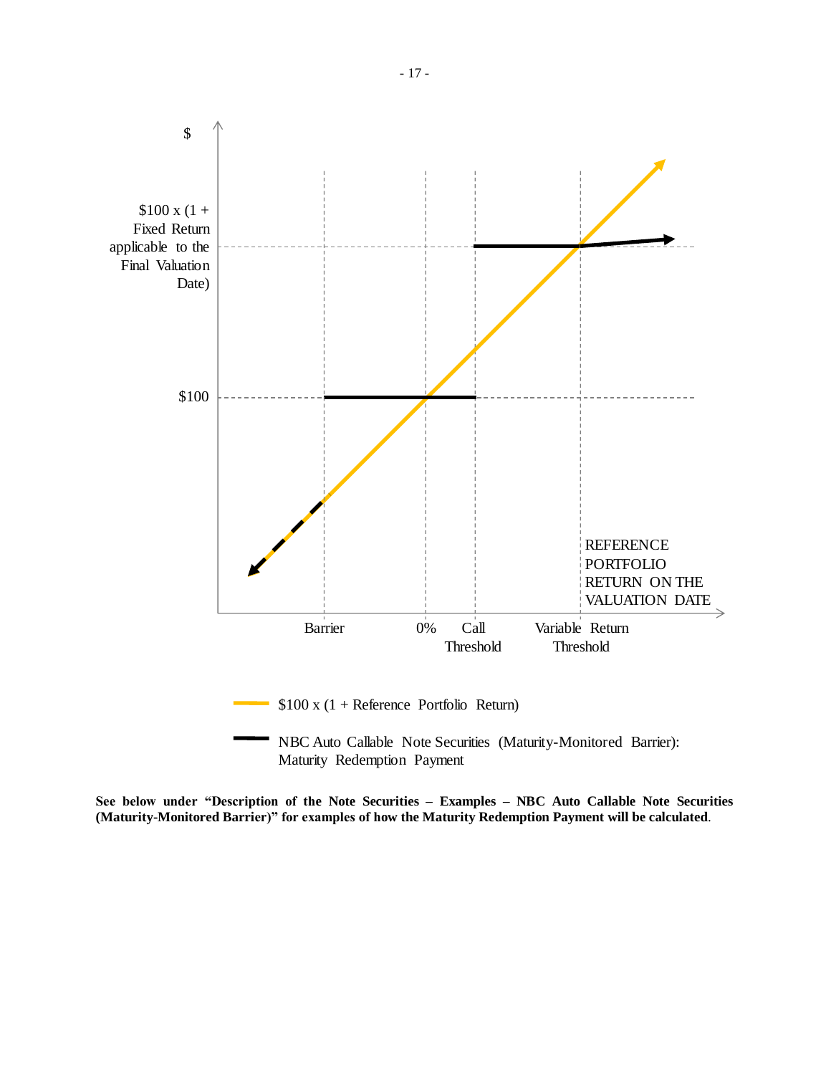

Maturity Redemption Payment

**See below under "Description of the Note Securities – Examples – NBC Auto Callable Note Securities (Maturity-Monitored Barrier)" for examples of how the Maturity Redemption Payment will be calculated**.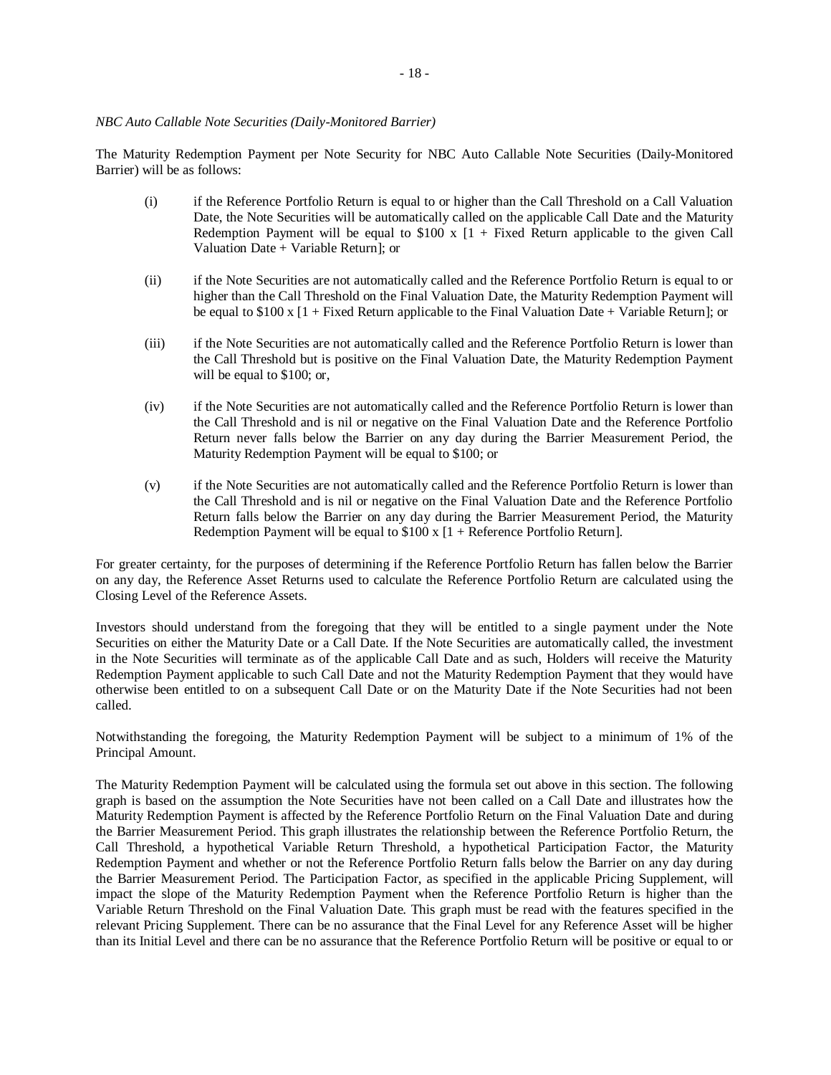# *NBC Auto Callable Note Securities (Daily-Monitored Barrier)*

The Maturity Redemption Payment per Note Security for NBC Auto Callable Note Securities (Daily-Monitored Barrier) will be as follows:

- (i) if the Reference Portfolio Return is equal to or higher than the Call Threshold on a Call Valuation Date, the Note Securities will be automatically called on the applicable Call Date and the Maturity Redemption Payment will be equal to  $$100 \times [1 +$  Fixed Return applicable to the given Call Valuation Date + Variable Return]; or
- (ii) if the Note Securities are not automatically called and the Reference Portfolio Return is equal to or higher than the Call Threshold on the Final Valuation Date, the Maturity Redemption Payment will be equal to \$100 x [1 + Fixed Return applicable to the Final Valuation Date + Variable Return]; or
- (iii) if the Note Securities are not automatically called and the Reference Portfolio Return is lower than the Call Threshold but is positive on the Final Valuation Date, the Maturity Redemption Payment will be equal to \$100; or,
- (iv) if the Note Securities are not automatically called and the Reference Portfolio Return is lower than the Call Threshold and is nil or negative on the Final Valuation Date and the Reference Portfolio Return never falls below the Barrier on any day during the Barrier Measurement Period, the Maturity Redemption Payment will be equal to \$100; or
- (v) if the Note Securities are not automatically called and the Reference Portfolio Return is lower than the Call Threshold and is nil or negative on the Final Valuation Date and the Reference Portfolio Return falls below the Barrier on any day during the Barrier Measurement Period, the Maturity Redemption Payment will be equal to  $$100 \times 11 +$  Reference Portfolio Return].

For greater certainty, for the purposes of determining if the Reference Portfolio Return has fallen below the Barrier on any day, the Reference Asset Returns used to calculate the Reference Portfolio Return are calculated using the Closing Level of the Reference Assets.

Investors should understand from the foregoing that they will be entitled to a single payment under the Note Securities on either the Maturity Date or a Call Date. If the Note Securities are automatically called, the investment in the Note Securities will terminate as of the applicable Call Date and as such, Holders will receive the Maturity Redemption Payment applicable to such Call Date and not the Maturity Redemption Payment that they would have otherwise been entitled to on a subsequent Call Date or on the Maturity Date if the Note Securities had not been called.

Notwithstanding the foregoing, the Maturity Redemption Payment will be subject to a minimum of 1% of the Principal Amount.

The Maturity Redemption Payment will be calculated using the formula set out above in this section. The following graph is based on the assumption the Note Securities have not been called on a Call Date and illustrates how the Maturity Redemption Payment is affected by the Reference Portfolio Return on the Final Valuation Date and during the Barrier Measurement Period. This graph illustrates the relationship between the Reference Portfolio Return, the Call Threshold, a hypothetical Variable Return Threshold, a hypothetical Participation Factor, the Maturity Redemption Payment and whether or not the Reference Portfolio Return falls below the Barrier on any day during the Barrier Measurement Period. The Participation Factor, as specified in the applicable Pricing Supplement, will impact the slope of the Maturity Redemption Payment when the Reference Portfolio Return is higher than the Variable Return Threshold on the Final Valuation Date. This graph must be read with the features specified in the relevant Pricing Supplement. There can be no assurance that the Final Level for any Reference Asset will be higher than its Initial Level and there can be no assurance that the Reference Portfolio Return will be positive or equal to or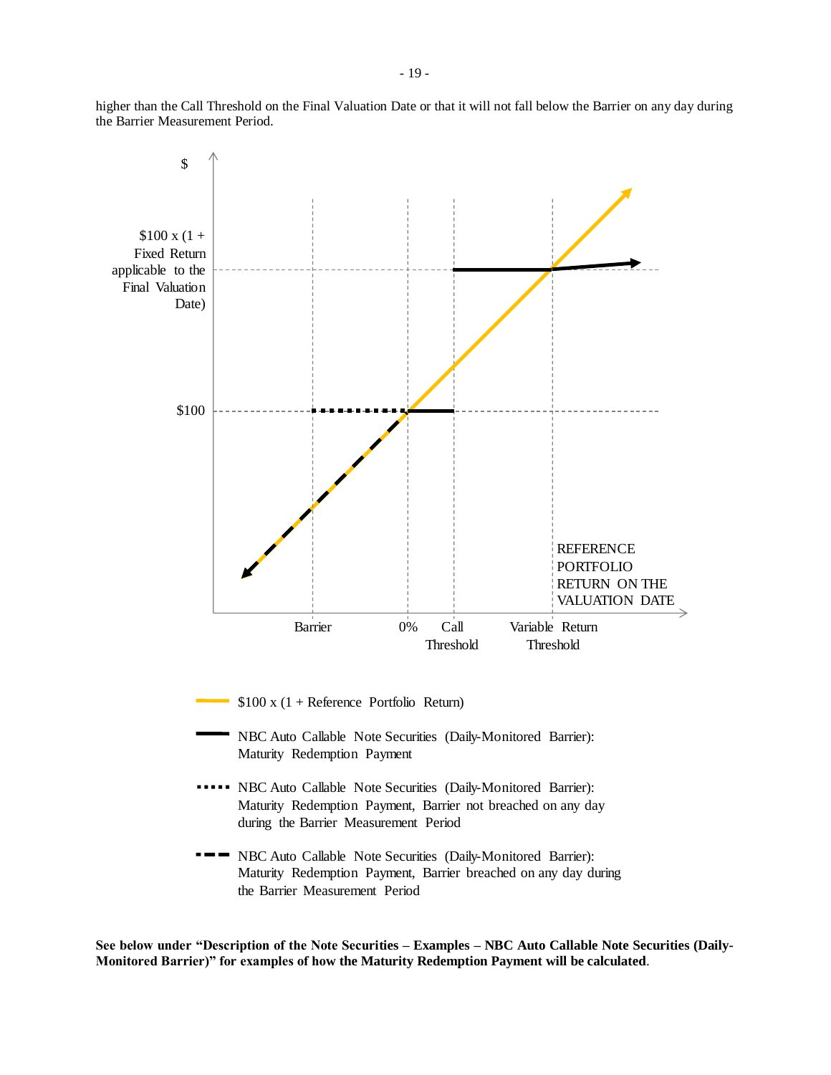higher than the Call Threshold on the Final Valuation Date or that it will not fall below the Barrier on any day during the Barrier Measurement Period.



**See below under "Description of the Note Securities – Examples – NBC Auto Callable Note Securities (Daily-Monitored Barrier)" for examples of how the Maturity Redemption Payment will be calculated**.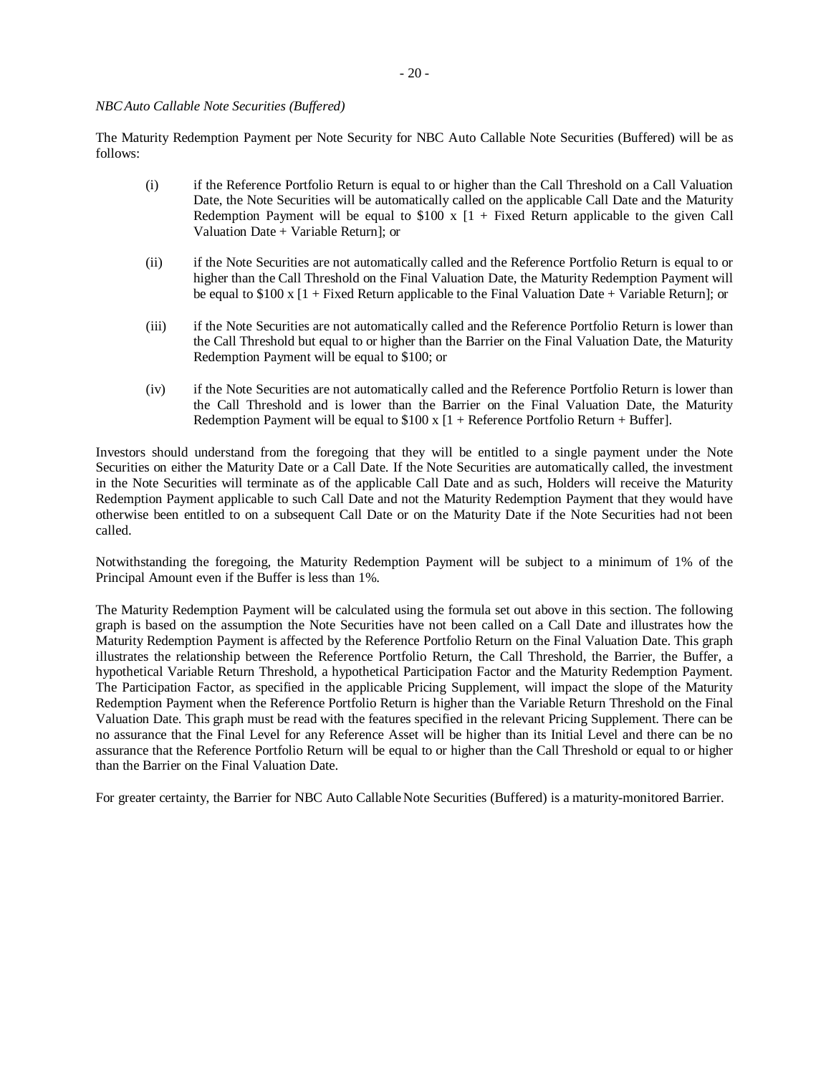# *NBCAuto Callable Note Securities (Buffered)*

The Maturity Redemption Payment per Note Security for NBC Auto Callable Note Securities (Buffered) will be as follows:

- (i) if the Reference Portfolio Return is equal to or higher than the Call Threshold on a Call Valuation Date, the Note Securities will be automatically called on the applicable Call Date and the Maturity Redemption Payment will be equal to  $$100 \times [1 +$  Fixed Return applicable to the given Call Valuation Date + Variable Return]; or
- (ii) if the Note Securities are not automatically called and the Reference Portfolio Return is equal to or higher than the Call Threshold on the Final Valuation Date, the Maturity Redemption Payment will be equal to  $$100 \times [1 + Fixed Return$  applicable to the Final Valuation Date + Variable Return]; or
- (iii) if the Note Securities are not automatically called and the Reference Portfolio Return is lower than the Call Threshold but equal to or higher than the Barrier on the Final Valuation Date, the Maturity Redemption Payment will be equal to \$100; or
- (iv) if the Note Securities are not automatically called and the Reference Portfolio Return is lower than the Call Threshold and is lower than the Barrier on the Final Valuation Date, the Maturity Redemption Payment will be equal to  $$100 \times [1 + \text{Reference Portfolio Return} + \text{Buffer}].$

Investors should understand from the foregoing that they will be entitled to a single payment under the Note Securities on either the Maturity Date or a Call Date. If the Note Securities are automatically called, the investment in the Note Securities will terminate as of the applicable Call Date and as such, Holders will receive the Maturity Redemption Payment applicable to such Call Date and not the Maturity Redemption Payment that they would have otherwise been entitled to on a subsequent Call Date or on the Maturity Date if the Note Securities had not been called.

Notwithstanding the foregoing, the Maturity Redemption Payment will be subject to a minimum of 1% of the Principal Amount even if the Buffer is less than 1%.

The Maturity Redemption Payment will be calculated using the formula set out above in this section. The following graph is based on the assumption the Note Securities have not been called on a Call Date and illustrates how the Maturity Redemption Payment is affected by the Reference Portfolio Return on the Final Valuation Date. This graph illustrates the relationship between the Reference Portfolio Return, the Call Threshold, the Barrier, the Buffer, a hypothetical Variable Return Threshold, a hypothetical Participation Factor and the Maturity Redemption Payment. The Participation Factor, as specified in the applicable Pricing Supplement, will impact the slope of the Maturity Redemption Payment when the Reference Portfolio Return is higher than the Variable Return Threshold on the Final Valuation Date. This graph must be read with the features specified in the relevant Pricing Supplement. There can be no assurance that the Final Level for any Reference Asset will be higher than its Initial Level and there can be no assurance that the Reference Portfolio Return will be equal to or higher than the Call Threshold or equal to or higher than the Barrier on the Final Valuation Date.

For greater certainty, the Barrier for NBC Auto Callable Note Securities (Buffered) is a maturity-monitored Barrier.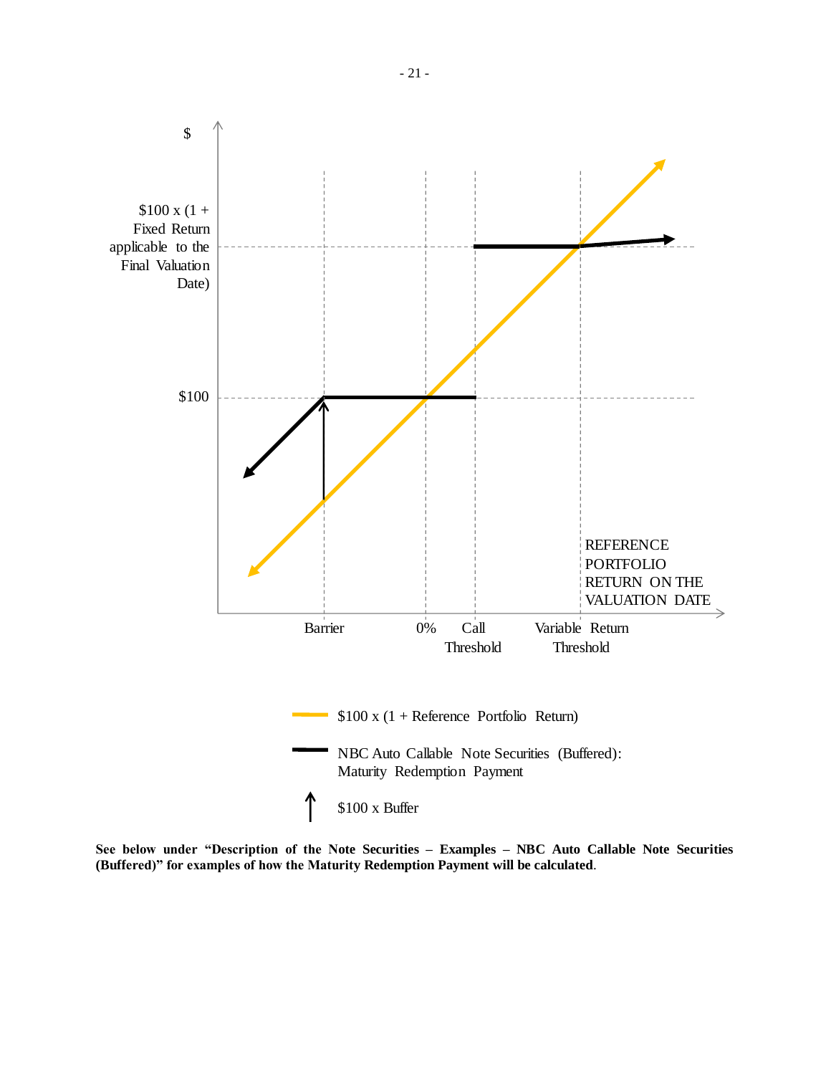

**See below under "Description of the Note Securities – Examples – NBC Auto Callable Note Securities (Buffered)" for examples of how the Maturity Redemption Payment will be calculated**.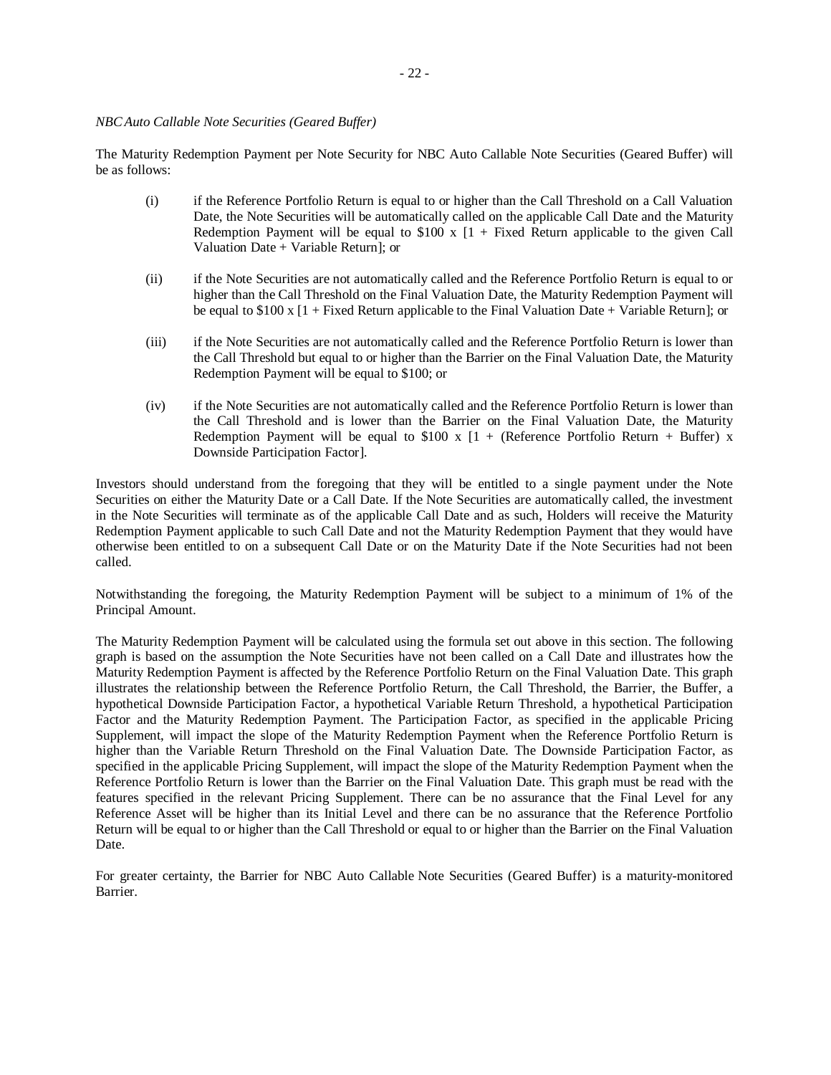# *NBCAuto Callable Note Securities (Geared Buffer)*

The Maturity Redemption Payment per Note Security for NBC Auto Callable Note Securities (Geared Buffer) will be as follows:

- (i) if the Reference Portfolio Return is equal to or higher than the Call Threshold on a Call Valuation Date, the Note Securities will be automatically called on the applicable Call Date and the Maturity Redemption Payment will be equal to  $$100 \times [1 +$  Fixed Return applicable to the given Call Valuation Date + Variable Return]; or
- (ii) if the Note Securities are not automatically called and the Reference Portfolio Return is equal to or higher than the Call Threshold on the Final Valuation Date, the Maturity Redemption Payment will be equal to  $$100 \times [1 + \text{Fixed Return}}$  applicable to the Final Valuation Date + Variable Return]; or
- (iii) if the Note Securities are not automatically called and the Reference Portfolio Return is lower than the Call Threshold but equal to or higher than the Barrier on the Final Valuation Date, the Maturity Redemption Payment will be equal to \$100; or
- (iv) if the Note Securities are not automatically called and the Reference Portfolio Return is lower than the Call Threshold and is lower than the Barrier on the Final Valuation Date, the Maturity Redemption Payment will be equal to \$100 x  $[1 +$  (Reference Portfolio Return + Buffer) x Downside Participation Factor].

Investors should understand from the foregoing that they will be entitled to a single payment under the Note Securities on either the Maturity Date or a Call Date. If the Note Securities are automatically called, the investment in the Note Securities will terminate as of the applicable Call Date and as such, Holders will receive the Maturity Redemption Payment applicable to such Call Date and not the Maturity Redemption Payment that they would have otherwise been entitled to on a subsequent Call Date or on the Maturity Date if the Note Securities had not been called.

Notwithstanding the foregoing, the Maturity Redemption Payment will be subject to a minimum of 1% of the Principal Amount.

The Maturity Redemption Payment will be calculated using the formula set out above in this section. The following graph is based on the assumption the Note Securities have not been called on a Call Date and illustrates how the Maturity Redemption Payment is affected by the Reference Portfolio Return on the Final Valuation Date. This graph illustrates the relationship between the Reference Portfolio Return, the Call Threshold, the Barrier, the Buffer, a hypothetical Downside Participation Factor, a hypothetical Variable Return Threshold, a hypothetical Participation Factor and the Maturity Redemption Payment. The Participation Factor, as specified in the applicable Pricing Supplement, will impact the slope of the Maturity Redemption Payment when the Reference Portfolio Return is higher than the Variable Return Threshold on the Final Valuation Date. The Downside Participation Factor, as specified in the applicable Pricing Supplement, will impact the slope of the Maturity Redemption Payment when the Reference Portfolio Return is lower than the Barrier on the Final Valuation Date. This graph must be read with the features specified in the relevant Pricing Supplement. There can be no assurance that the Final Level for any Reference Asset will be higher than its Initial Level and there can be no assurance that the Reference Portfolio Return will be equal to or higher than the Call Threshold or equal to or higher than the Barrier on the Final Valuation Date.

For greater certainty, the Barrier for NBC Auto Callable Note Securities (Geared Buffer) is a maturity-monitored Barrier.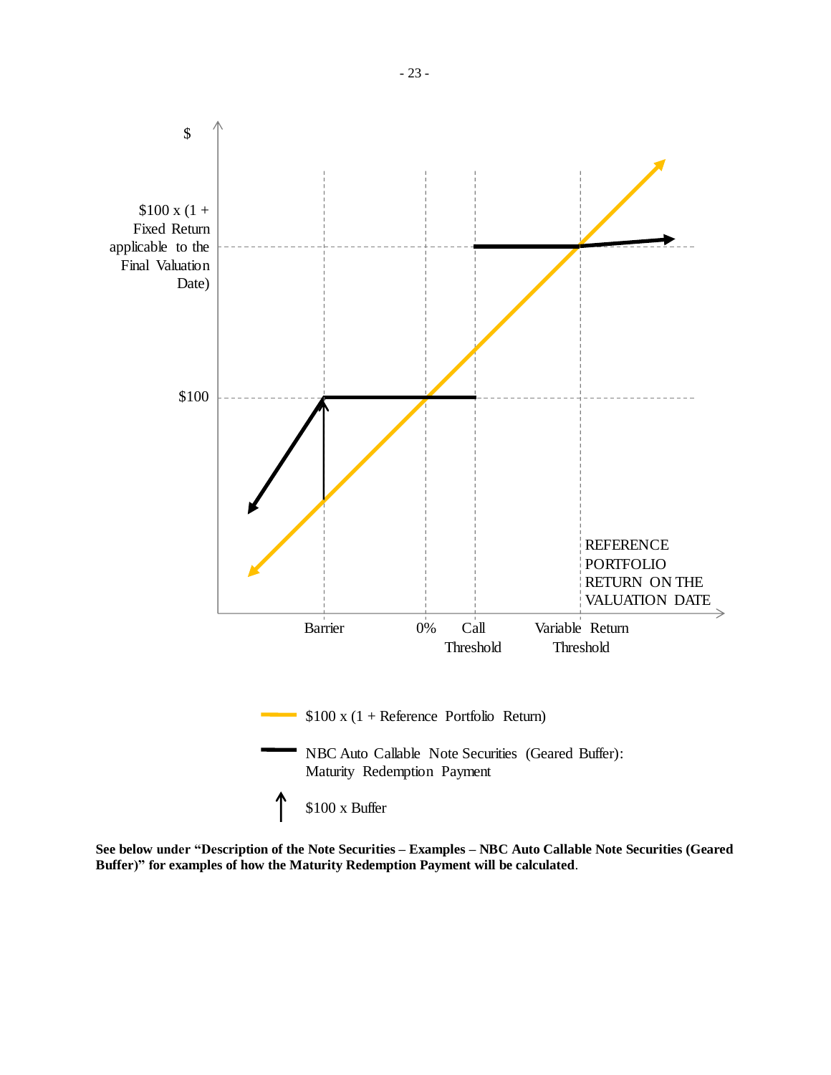

**See below under "Description of the Note Securities – Examples – NBC Auto Callable Note Securities (Geared Buffer)" for examples of how the Maturity Redemption Payment will be calculated**.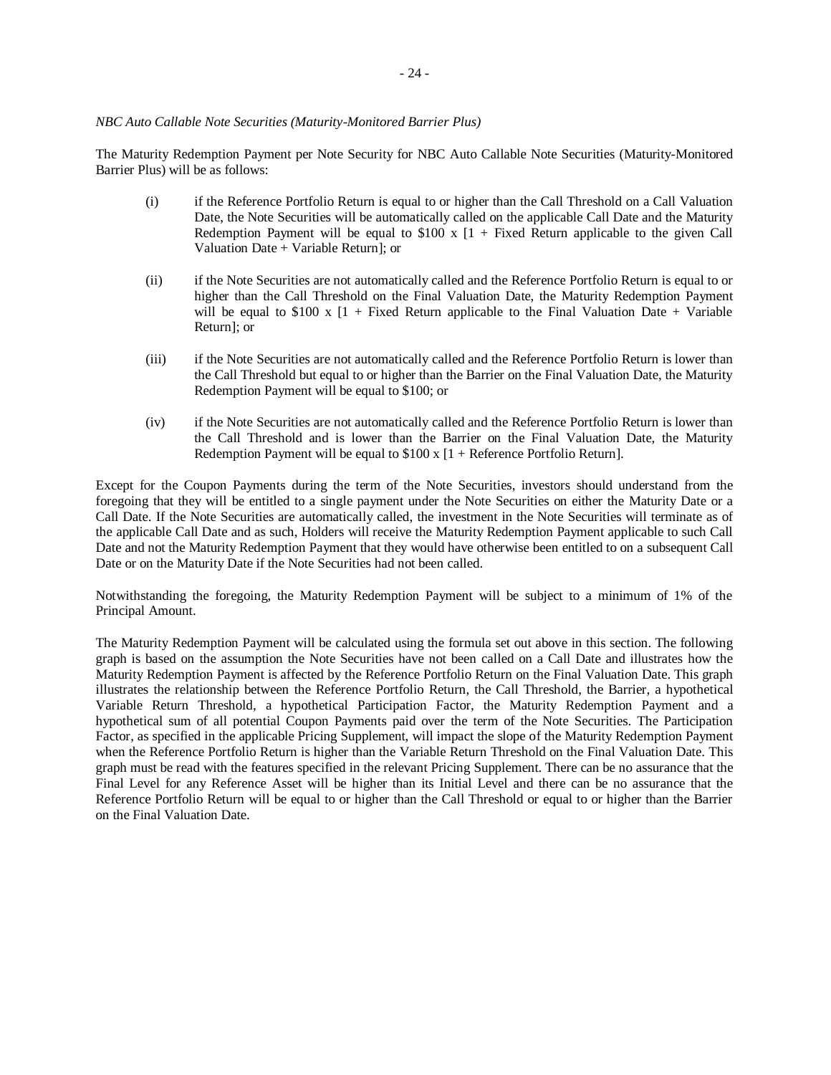# *NBC Auto Callable Note Securities (Maturity-Monitored Barrier Plus)*

The Maturity Redemption Payment per Note Security for NBC Auto Callable Note Securities (Maturity-Monitored Barrier Plus) will be as follows:

- (i) if the Reference Portfolio Return is equal to or higher than the Call Threshold on a Call Valuation Date, the Note Securities will be automatically called on the applicable Call Date and the Maturity Redemption Payment will be equal to  $$100 \times [1 +$  Fixed Return applicable to the given Call Valuation Date + Variable Return]; or
- (ii) if the Note Securities are not automatically called and the Reference Portfolio Return is equal to or higher than the Call Threshold on the Final Valuation Date, the Maturity Redemption Payment will be equal to  $$100 \times [1 +$  Fixed Return applicable to the Final Valuation Date + Variable Return]; or
- (iii) if the Note Securities are not automatically called and the Reference Portfolio Return is lower than the Call Threshold but equal to or higher than the Barrier on the Final Valuation Date, the Maturity Redemption Payment will be equal to \$100; or
- (iv) if the Note Securities are not automatically called and the Reference Portfolio Return is lower than the Call Threshold and is lower than the Barrier on the Final Valuation Date, the Maturity Redemption Payment will be equal to \$100 x [1 + Reference Portfolio Return].

Except for the Coupon Payments during the term of the Note Securities, investors should understand from the foregoing that they will be entitled to a single payment under the Note Securities on either the Maturity Date or a Call Date. If the Note Securities are automatically called, the investment in the Note Securities will terminate as of the applicable Call Date and as such, Holders will receive the Maturity Redemption Payment applicable to such Call Date and not the Maturity Redemption Payment that they would have otherwise been entitled to on a subsequent Call Date or on the Maturity Date if the Note Securities had not been called.

Notwithstanding the foregoing, the Maturity Redemption Payment will be subject to a minimum of 1% of the Principal Amount.

The Maturity Redemption Payment will be calculated using the formula set out above in this section. The following graph is based on the assumption the Note Securities have not been called on a Call Date and illustrates how the Maturity Redemption Payment is affected by the Reference Portfolio Return on the Final Valuation Date. This graph illustrates the relationship between the Reference Portfolio Return, the Call Threshold, the Barrier, a hypothetical Variable Return Threshold, a hypothetical Participation Factor, the Maturity Redemption Payment and a hypothetical sum of all potential Coupon Payments paid over the term of the Note Securities. The Participation Factor, as specified in the applicable Pricing Supplement, will impact the slope of the Maturity Redemption Payment when the Reference Portfolio Return is higher than the Variable Return Threshold on the Final Valuation Date. This graph must be read with the features specified in the relevant Pricing Supplement. There can be no assurance that the Final Level for any Reference Asset will be higher than its Initial Level and there can be no assurance that the Reference Portfolio Return will be equal to or higher than the Call Threshold or equal to or higher than the Barrier on the Final Valuation Date.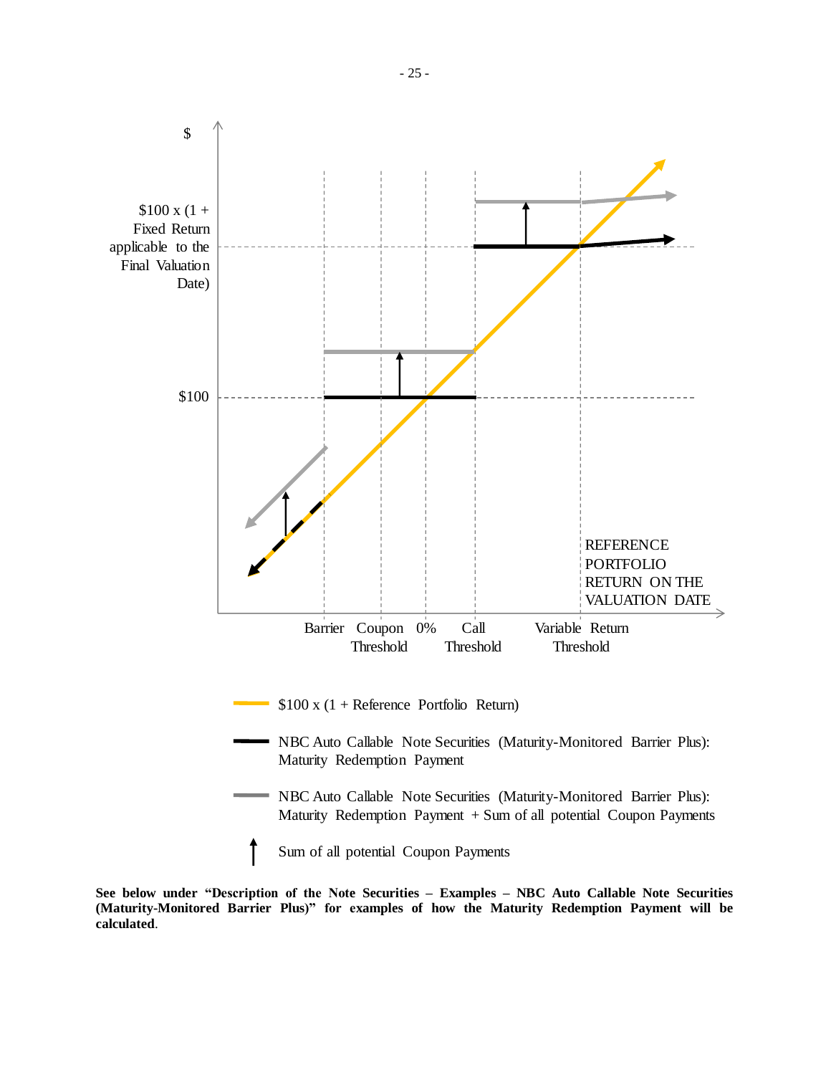

**See below under "Description of the Note Securities – Examples – NBC Auto Callable Note Securities (Maturity-Monitored Barrier Plus)" for examples of how the Maturity Redemption Payment will be calculated**.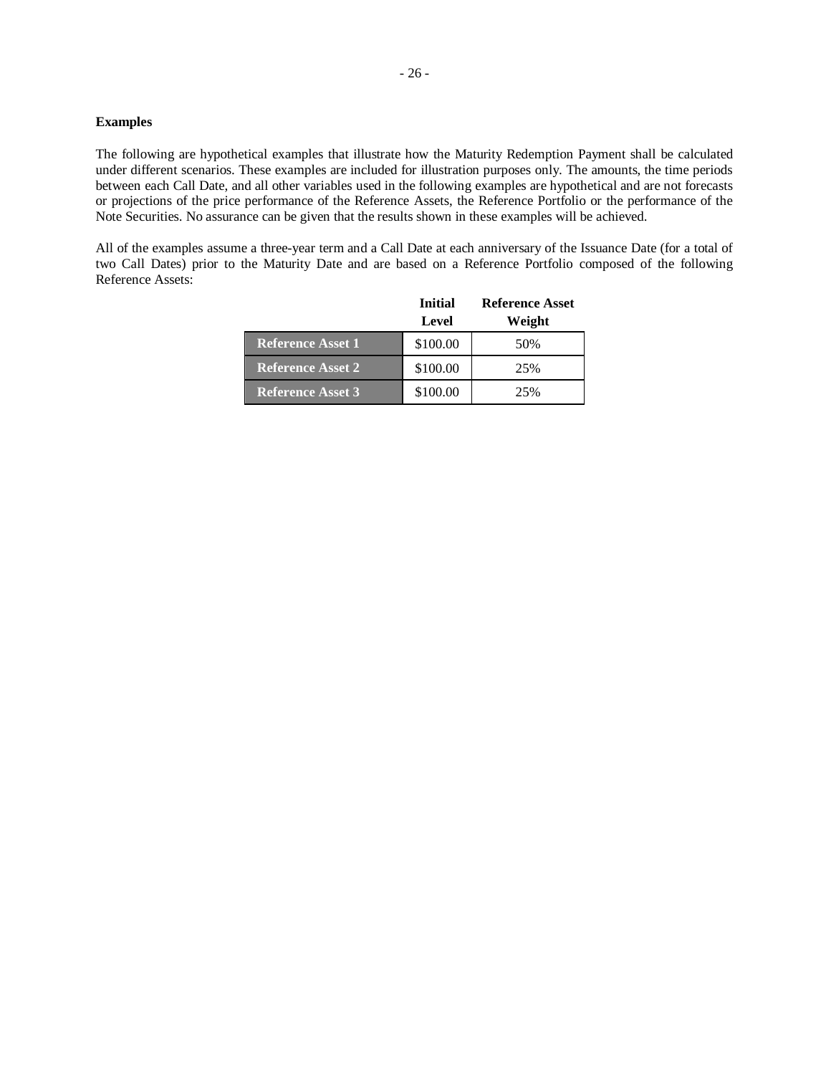# **Examples**

The following are hypothetical examples that illustrate how the Maturity Redemption Payment shall be calculated under different scenarios. These examples are included for illustration purposes only. The amounts, the time periods between each Call Date, and all other variables used in the following examples are hypothetical and are not forecasts or projections of the price performance of the Reference Assets, the Reference Portfolio or the performance of the Note Securities. No assurance can be given that the results shown in these examples will be achieved.

All of the examples assume a three-year term and a Call Date at each anniversary of the Issuance Date (for a total of two Call Dates) prior to the Maturity Date and are based on a Reference Portfolio composed of the following Reference Assets:

|                          | <b>Initial</b><br>Level | <b>Reference Asset</b><br>Weight |
|--------------------------|-------------------------|----------------------------------|
| <b>Reference Asset 1</b> | \$100.00                | 50%                              |
| <b>Reference Asset 2</b> | \$100.00                | 25%                              |
| Reference Asset 3        | \$100.00                | 25%                              |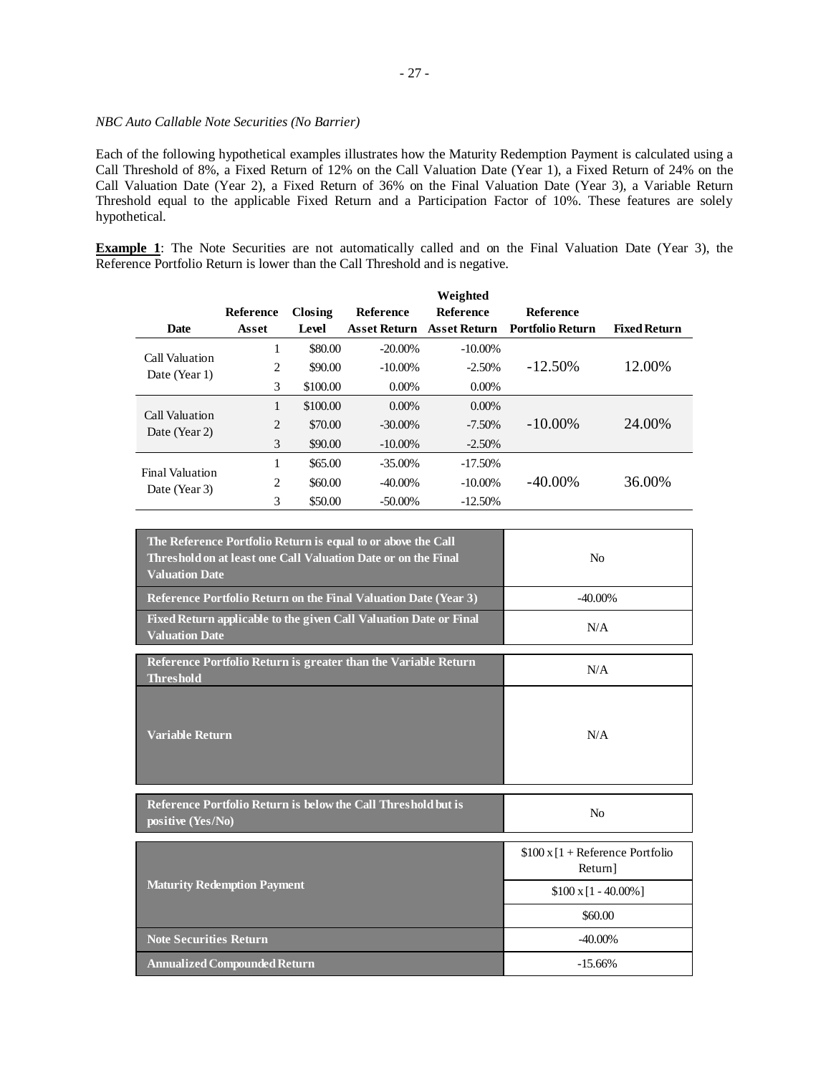# *NBC Auto Callable Note Securities (No Barrier)*

Each of the following hypothetical examples illustrates how the Maturity Redemption Payment is calculated using a Call Threshold of 8%, a Fixed Return of 12% on the Call Valuation Date (Year 1), a Fixed Return of 24% on the Call Valuation Date (Year 2), a Fixed Return of 36% on the Final Valuation Date (Year 3), a Variable Return Threshold equal to the applicable Fixed Return and a Participation Factor of 10%. These features are solely hypothetical.

**Example 1**: The Note Securities are not automatically called and on the Final Valuation Date (Year 3), the Reference Portfolio Return is lower than the Call Threshold and is negative.

|                        |                |          |                     | Weighted            |                         |                     |
|------------------------|----------------|----------|---------------------|---------------------|-------------------------|---------------------|
|                        | Reference      | Closing  | <b>Reference</b>    | <b>Reference</b>    | <b>Reference</b>        |                     |
| <b>Date</b>            | Asset          | Level    | <b>Asset Return</b> | <b>Asset Return</b> | <b>Portfolio Return</b> | <b>Fixed Return</b> |
| Call Valuation         |                | \$80.00  | $-20.00\%$          | $-10.00\%$          |                         |                     |
| Date (Year 1)          | 2              | \$90.00  | $-10.00\%$          | $-2.50%$            | $-12.50\%$              | 12.00%              |
|                        | 3              | \$100.00 | $0.00\%$            | $0.00\%$            |                         |                     |
| Call Valuation         | 1              | \$100.00 | $0.00\%$            | $0.00\%$            |                         |                     |
| Date (Year 2)          | $\overline{2}$ | \$70.00  | $-30.00\%$          | $-7.50\%$           | $-10.00\%$              | 24.00%              |
|                        | 3              | \$90.00  | $-10.00\%$          | $-2.50%$            |                         |                     |
| <b>Final Valuation</b> | 1              | \$65.00  | $-35.00\%$          | $-17.50%$           |                         |                     |
| Date (Year 3)          | 2              | \$60.00  | $-40.00\%$          | $-10.00\%$          | $-40.00\%$              | 36.00%              |
|                        | 3              | \$50.00  | $-50.00\%$          | $-12.50%$           |                         |                     |

| The Reference Portfolio Return is equal to or above the Call<br>Threshold on at least one Call Valuation Date or on the Final<br><b>Valuation Date</b> | No                                               |
|--------------------------------------------------------------------------------------------------------------------------------------------------------|--------------------------------------------------|
| Reference Portfolio Return on the Final Valuation Date (Year 3)                                                                                        | $-40.00\%$                                       |
| Fixed Return applicable to the given Call Valuation Date or Final<br><b>Valuation Date</b>                                                             | N/A                                              |
| Reference Portfolio Return is greater than the Variable Return<br><b>Threshold</b>                                                                     | N/A                                              |
| <b>Variable Return</b>                                                                                                                                 | N/A                                              |
| Reference Portfolio Return is below the Call Threshold but is<br>positive (Yes/No)                                                                     | N <sub>0</sub>                                   |
|                                                                                                                                                        | $$100 \times 1 +$ Reference Portfolio<br>Return] |
| <b>Maturity Redemption Payment</b>                                                                                                                     | $$100 \times [1 - 40.00\%]$                      |
|                                                                                                                                                        | \$60.00                                          |
| <b>Note Securities Return</b>                                                                                                                          | $-40.00\%$                                       |
| <b>Annualized Compounded Return</b>                                                                                                                    | $-15.66%$                                        |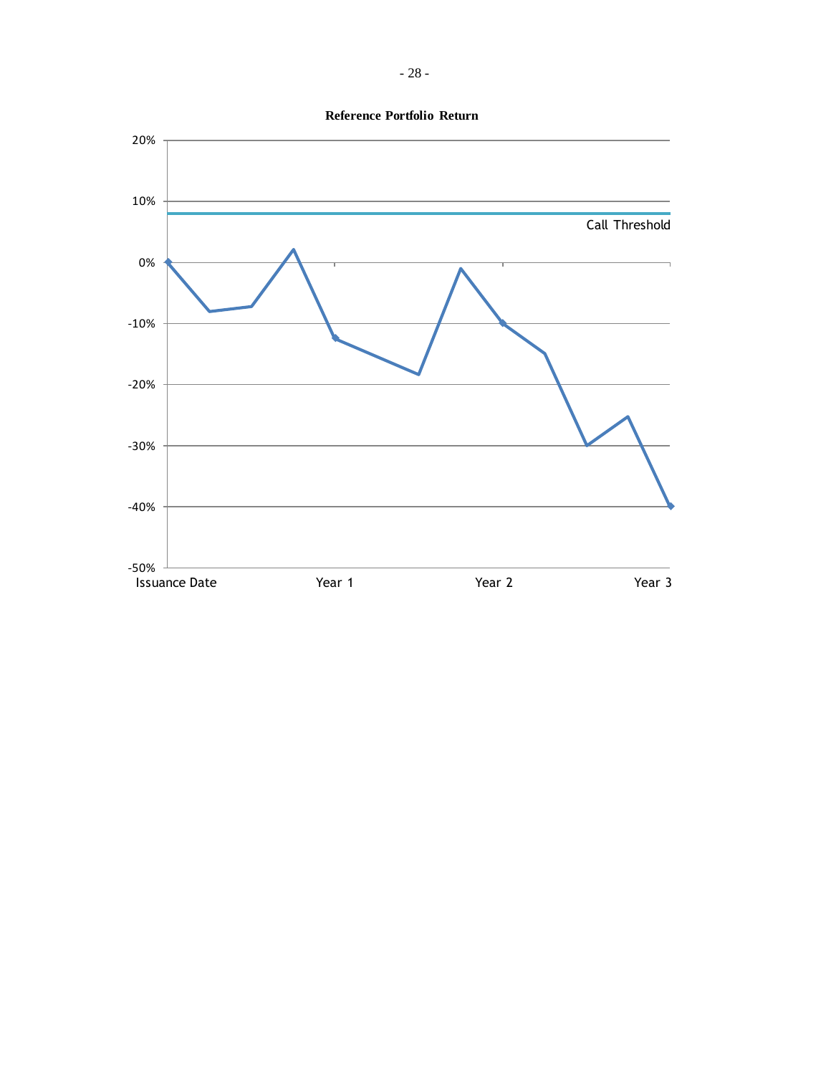

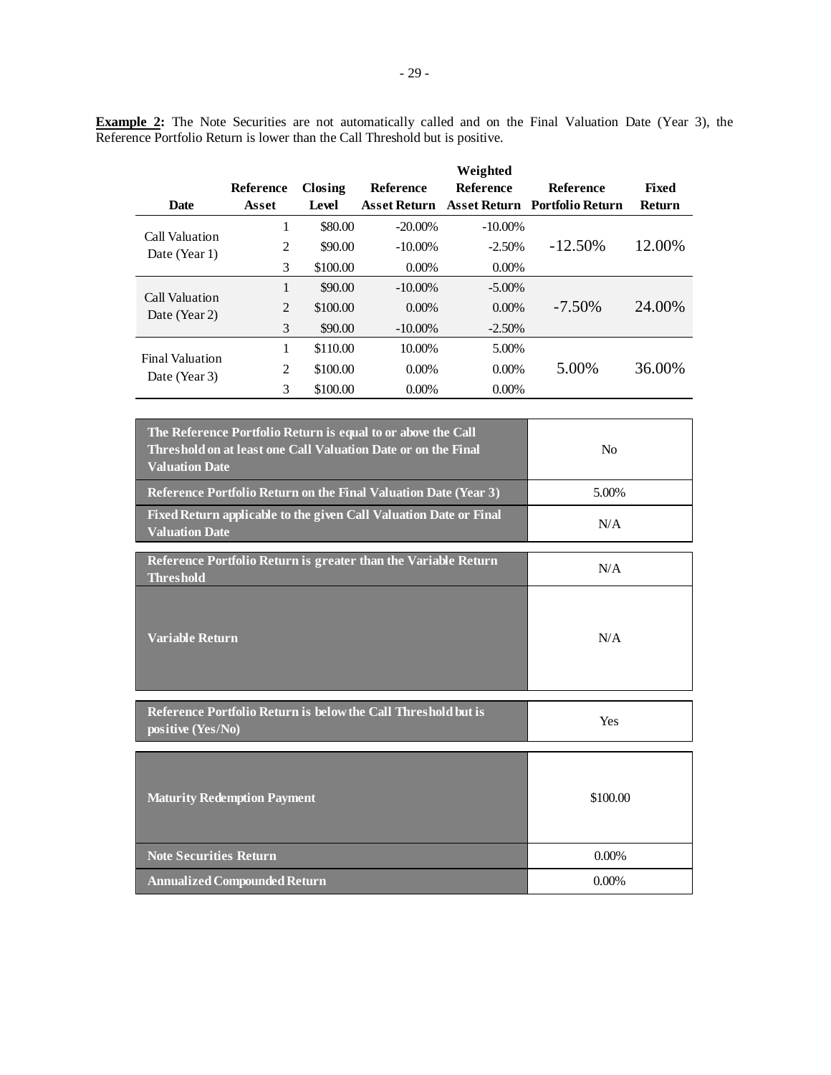**Example 2:** The Note Securities are not automatically called and on the Final Valuation Date (Year 3), the Reference Portfolio Return is lower than the Call Threshold but is positive.

|                        |                |          |                     | Weighted         |                                      |              |
|------------------------|----------------|----------|---------------------|------------------|--------------------------------------|--------------|
|                        | Reference      | Closing  | <b>Reference</b>    | <b>Reference</b> | <b>Reference</b>                     | <b>Fixed</b> |
| <b>Date</b>            | Asset          | Level    | <b>Asset Return</b> |                  | <b>Asset Return Portfolio Return</b> | Return       |
| Call Valuation         | 1              | \$80.00  | $-20.00\%$          | $-10.00\%$       |                                      |              |
| Date (Year 1)          | 2              | \$90.00  | $-10.00\%$          | $-2.50%$         | $-12.50\%$                           | 12.00%       |
|                        | 3              | \$100.00 | $0.00\%$            | $0.00\%$         |                                      |              |
| Call Valuation         | 1              | \$90.00  | $-10.00\%$          | $-5.00\%$        |                                      |              |
| Date (Year 2)          | $\overline{2}$ | \$100.00 | $0.00\%$            | $0.00\%$         | $-7.50\%$                            | 24.00%       |
|                        | 3              | \$90.00  | $-10.00\%$          | $-2.50\%$        |                                      |              |
| <b>Final Valuation</b> | 1              | \$110.00 | 10.00%              | 5.00%            |                                      |              |
| Date (Year 3)          | 2              | \$100.00 | $0.00\%$            | $0.00\%$         | 5.00%                                | 36.00%       |
|                        | 3              | \$100.00 | $0.00\%$            | $0.00\%$         |                                      |              |

| The Reference Portfolio Return is equal to or above the Call<br>Threshold on at least one Call Valuation Date or on the Final<br><b>Valuation Date</b> | N <sub>0</sub> |
|--------------------------------------------------------------------------------------------------------------------------------------------------------|----------------|
| Reference Portfolio Return on the Final Valuation Date (Year 3)                                                                                        | 5.00%          |
| Fixed Return applicable to the given Call Valuation Date or Final<br><b>Valuation Date</b>                                                             | N/A            |
| Reference Portfolio Return is greater than the Variable Return<br>Threshold                                                                            | N/A            |
| <b>Variable Return</b>                                                                                                                                 | N/A            |
| Reference Portfolio Return is below the Call Threshold but is<br>positive (Yes/No)                                                                     | Yes            |
| <b>Maturity Redemption Payment</b>                                                                                                                     | \$100.00       |
| <b>Note Securities Return</b>                                                                                                                          | $0.00\%$       |
| <b>Annualized Compounded Return</b>                                                                                                                    | $0.00\%$       |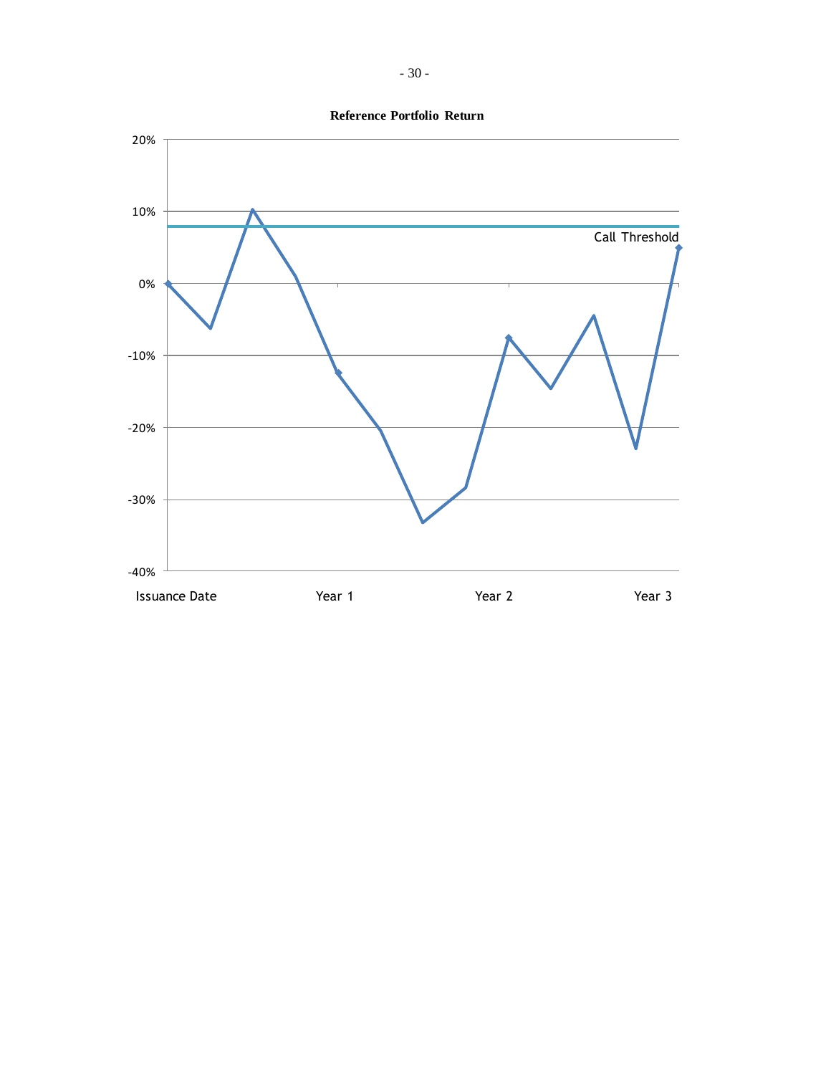

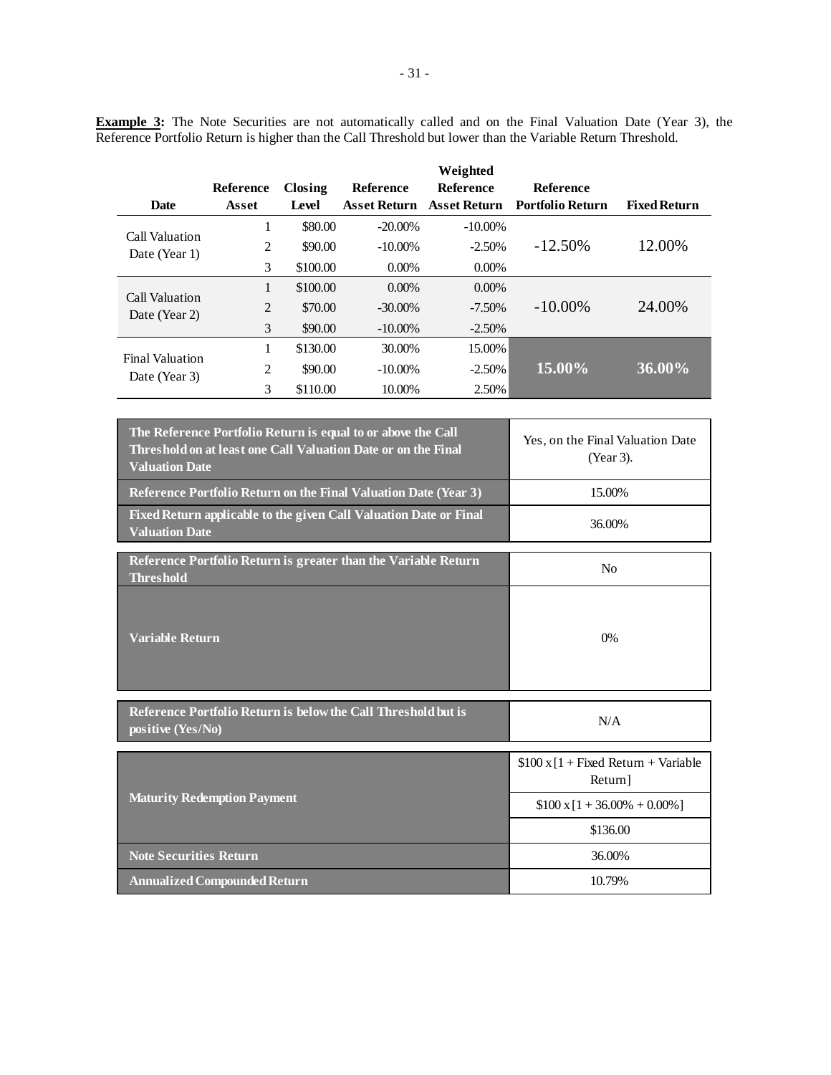**Example 3:** The Note Securities are not automatically called and on the Final Valuation Date (Year 3), the Reference Portfolio Return is higher than the Call Threshold but lower than the Variable Return Threshold.

|                        |                |          |                     | Weighted            |                         |                     |
|------------------------|----------------|----------|---------------------|---------------------|-------------------------|---------------------|
|                        | Reference      | Closing  | Reference           | <b>Reference</b>    | <b>Reference</b>        |                     |
| <b>Date</b>            | Asset          | Level    | <b>Asset Return</b> | <b>Asset Return</b> | <b>Portfolio Return</b> | <b>Fixed Return</b> |
| Call Valuation         | 1              | \$80.00  | $-20.00\%$          | $-10.00\%$          |                         |                     |
| Date (Year 1)          | 2              | \$90.00  | $-10.00\%$          | $-2.50%$            | $-12.50\%$              | 12.00%              |
|                        | 3              | \$100.00 | $0.00\%$            | $0.00\%$            |                         |                     |
| Call Valuation         | 1              | \$100.00 | $0.00\%$            | $0.00\%$            |                         |                     |
| Date (Year 2)          | $\overline{2}$ | \$70.00  | $-30.00\%$          | $-7.50\%$           | $-10.00\%$              | 24.00%              |
|                        | 3              | \$90.00  | $-10.00\%$          | $-2.50%$            |                         |                     |
| <b>Final Valuation</b> | 1              | \$130.00 | 30.00%              | 15.00%              |                         |                     |
| Date (Year 3)          | 2              | \$90.00  | $-10.00\%$          | $-2.50\%$           | 15.00%                  | 36.00%              |
|                        | 3              | \$110.00 | 10.00%              | 2.50%               |                         |                     |

| The Reference Portfolio Return is equal to or above the Call<br>Threshold on at least one Call Valuation Date or on the Final<br><b>Valuation Date</b> | Yes, on the Final Valuation Date<br>(Year 3).        |
|--------------------------------------------------------------------------------------------------------------------------------------------------------|------------------------------------------------------|
| Reference Portfolio Return on the Final Valuation Date (Year 3)                                                                                        | 15.00%                                               |
| Fixed Return applicable to the given Call Valuation Date or Final<br><b>Valuation Date</b>                                                             | 36.00%                                               |
| Reference Portfolio Return is greater than the Variable Return<br><b>Threshold</b>                                                                     | No                                                   |
| <b>Variable Return</b>                                                                                                                                 | 0%                                                   |
| Reference Portfolio Return is below the Call Threshold but is<br>positive (Yes/No)                                                                     | N/A                                                  |
|                                                                                                                                                        | $$100 \times 1 +$ Fixed Return + Variable<br>Return] |
| <b>Maturity Redemption Payment</b>                                                                                                                     | $$100 \times 1 + 36.00\% + 0.00\%]$                  |
|                                                                                                                                                        | \$136.00                                             |
| <b>Note Securities Return</b>                                                                                                                          | 36.00%                                               |
| <b>Annualized Compounded Return</b>                                                                                                                    | 10.79%                                               |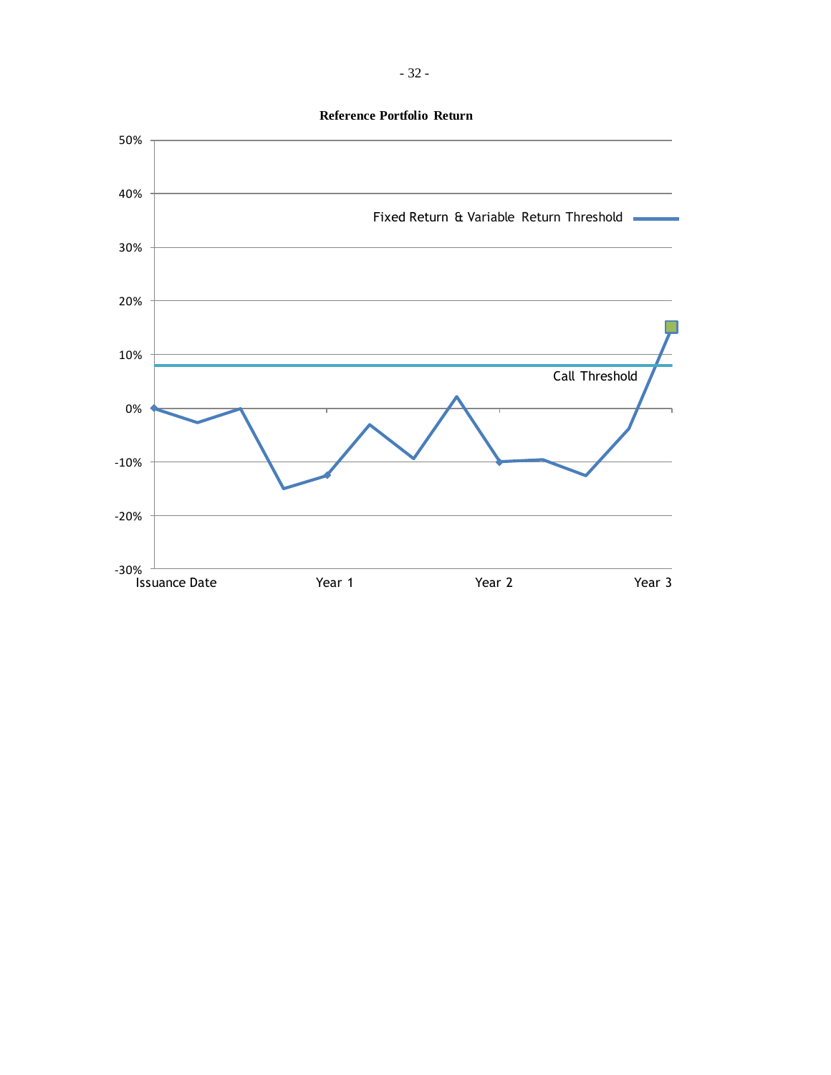**Reference Portfolio Return**

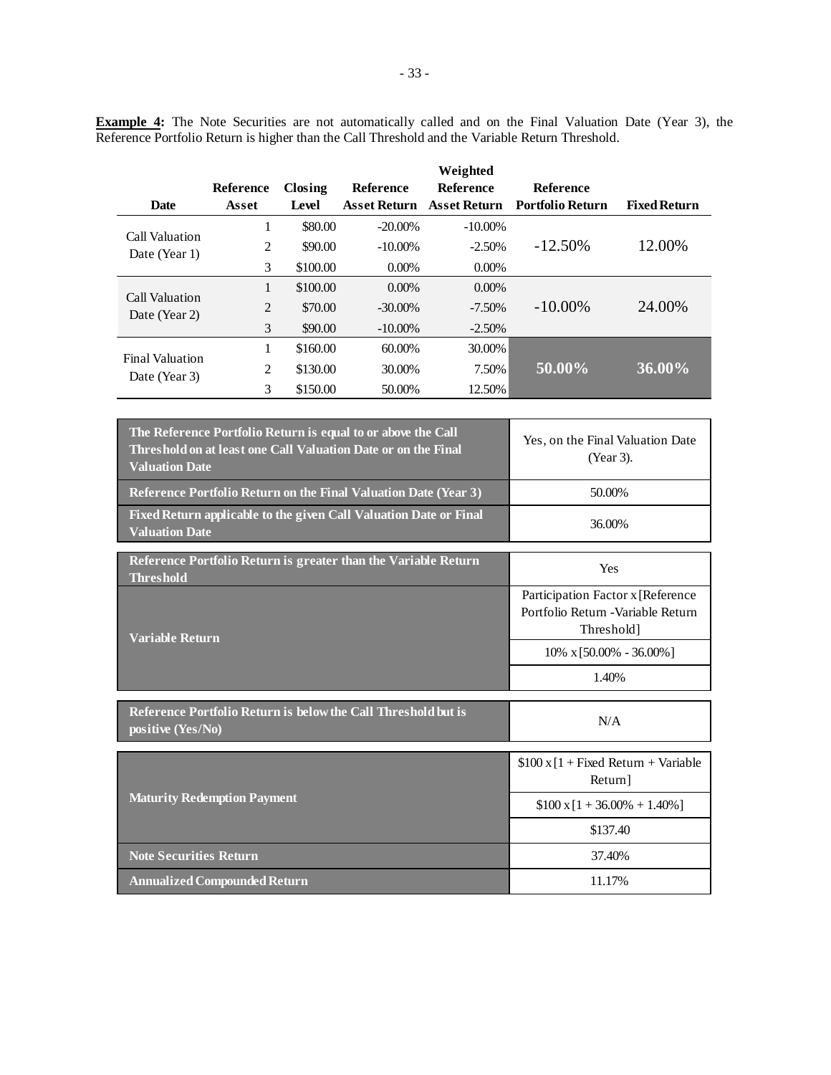**Example 4:** The Note Securities are not automatically called and on the Final Valuation Date (Year 3), the Reference Portfolio Return is higher than the Call Threshold and the Variable Return Threshold.

|                        |           |          |                     | Weighted            |                         |                     |
|------------------------|-----------|----------|---------------------|---------------------|-------------------------|---------------------|
|                        | Reference | Closing  | Reference           | <b>Reference</b>    | <b>Reference</b>        |                     |
| <b>Date</b>            | Asset     | Level    | <b>Asset Return</b> | <b>Asset Return</b> | <b>Portfolio Return</b> | <b>Fixed Return</b> |
| Call Valuation         | 1         | \$80.00  | $-20.00\%$          | $-10.00\%$          |                         |                     |
| Date (Year 1)          | 2         | \$90.00  | $-10.00\%$          | $-2.50%$            | $-12.50\%$              | 12.00%              |
|                        | 3         | \$100.00 | $0.00\%$            | $0.00\%$            |                         |                     |
| Call Valuation         | 1         | \$100.00 | $0.00\%$            | $0.00\%$            |                         |                     |
| Date (Year 2)          | 2         | \$70.00  | $-30.00\%$          | $-7.50\%$           | $-10.00\%$              | 24.00%              |
|                        | 3         | \$90.00  | $-10.00\%$          | $-2.50\%$           |                         |                     |
| <b>Final Valuation</b> | 1         | \$160.00 | 60.00%              | 30.00%              |                         |                     |
| Date (Year 3)          | 2         | \$130.00 | 30.00%              | 7.50%               | 50.00%                  | $36.00\%$           |
|                        | 3         | \$150.00 | 50.00%              | 12.50%              |                         |                     |

| The Reference Portfolio Return is equal to or above the Call<br>Threshold on at least one Call Valuation Date or on the Final<br><b>Valuation Date</b> | Yes, on the Final Valuation Date<br>(Year 3). |
|--------------------------------------------------------------------------------------------------------------------------------------------------------|-----------------------------------------------|
| <b>Reference Portfolio Return on the Final Valuation Date (Year 3)</b>                                                                                 | 50.00%                                        |
| <b>Fixed Return applicable to the given Call Valuation Date or Final</b><br><b>Valuation Date</b>                                                      | 36.00%                                        |

| Reference Portfolio Return is greater than the Variable Return<br><b>Threshold</b> | Yes                                                                                    |  |
|------------------------------------------------------------------------------------|----------------------------------------------------------------------------------------|--|
| <b>Variable Return</b>                                                             | Participation Factor x [Reference]<br>Portfolio Return - Variable Return<br>Threshold] |  |
|                                                                                    | $10\% \times 50.00\% - 36.00\%$                                                        |  |
|                                                                                    | 1.40%                                                                                  |  |
| Reference Portfolio Return is below the Call Threshold but is                      |                                                                                        |  |
| positive (Yes/No)                                                                  | N/A                                                                                    |  |

|                                     | $$100 \times [1 + Fixed Return + Variable]$<br>Return] |
|-------------------------------------|--------------------------------------------------------|
| <b>Maturity Redemption Payment</b>  | $$100 \times 1 + 36.00\% + 1.40\%]$                    |
|                                     | \$137.40                                               |
| <b>Note Securities Return</b>       | 37.40%                                                 |
| <b>Annualized Compounded Return</b> | 11.17%                                                 |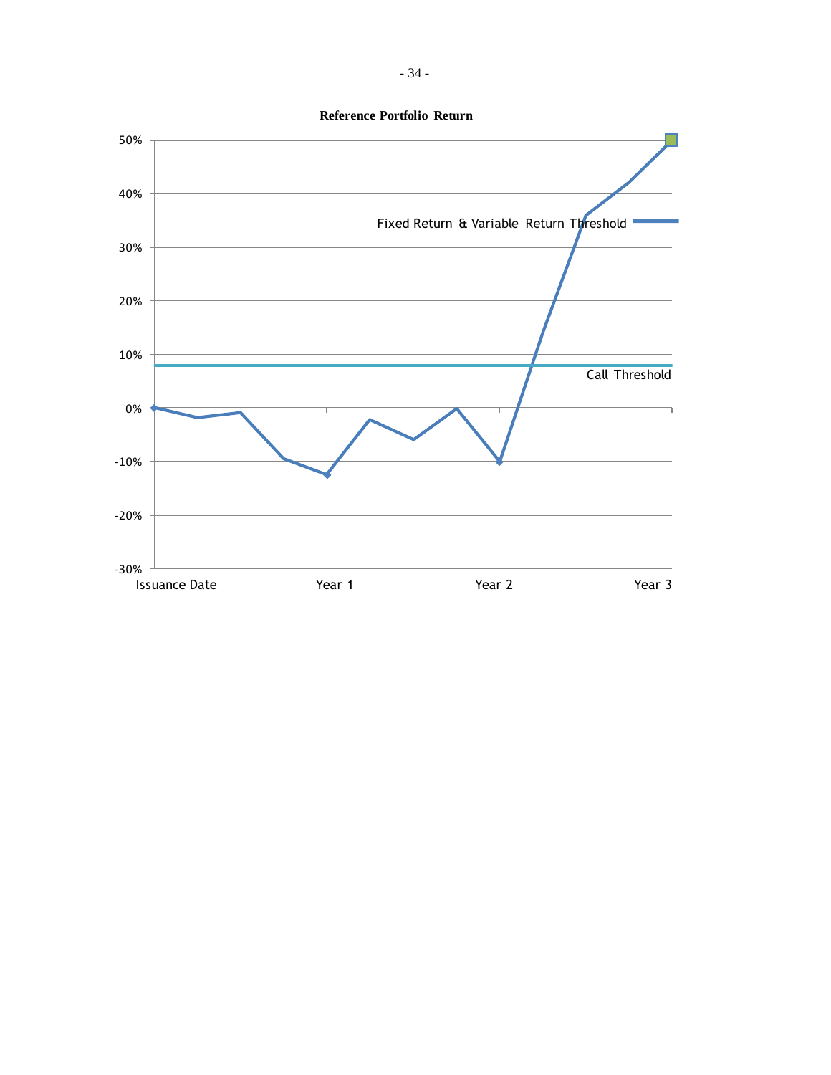

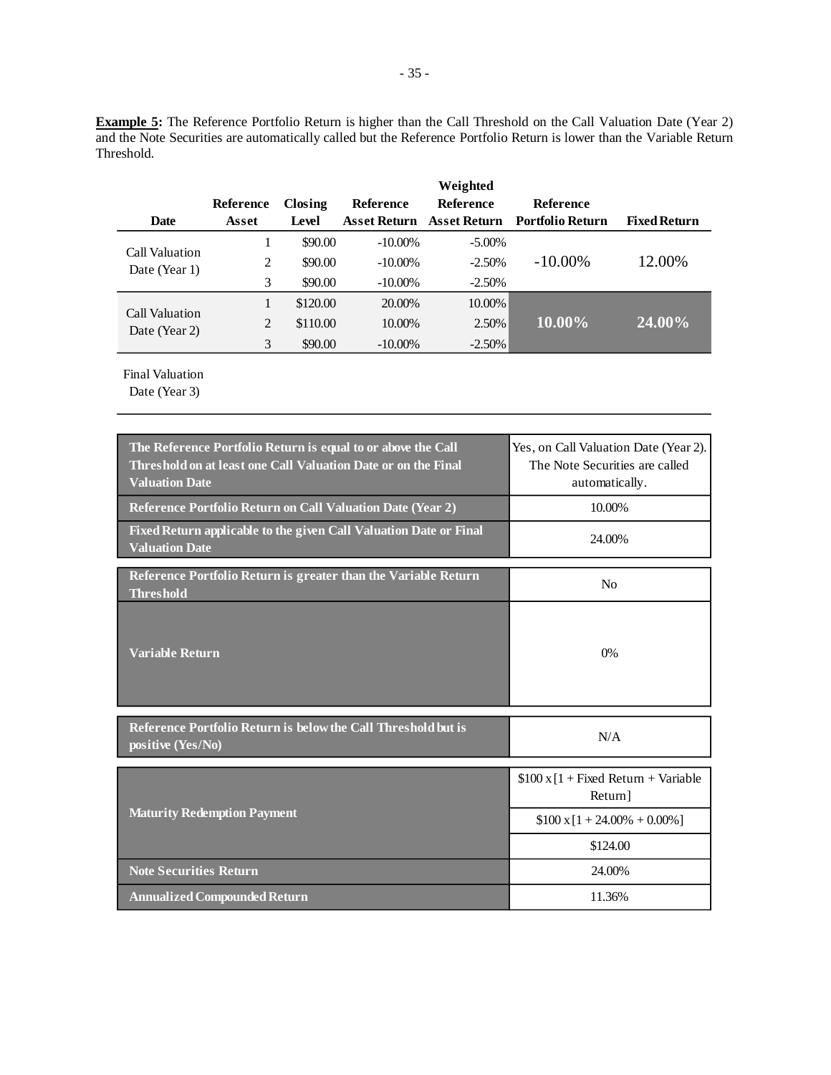**Example** 5: The Reference Portfolio Return is higher than the Call Threshold on the Call Valuation Date (Year 2) and the Note Securities are automatically called but the Reference Portfolio Return is lower than the Variable Return Threshold.

|                                 |           |          |                     | Weighted            |                         |                     |
|---------------------------------|-----------|----------|---------------------|---------------------|-------------------------|---------------------|
|                                 | Reference | Closing  | <b>Reference</b>    | <b>Reference</b>    | Reference               |                     |
| <b>Date</b>                     | Asset     | Level    | <b>Asset Return</b> | <b>Asset Return</b> | <b>Portfolio Return</b> | <b>Fixed Return</b> |
| Call Valuation<br>Date (Year 1) |           | \$90.00  | $-10.00\%$          | $-5.00\%$           |                         |                     |
|                                 | 2         | \$90.00  | $-10.00\%$          | $-2.50%$            | $-10.00\%$              | 12.00%              |
|                                 | 3         | \$90.00  | $-10.00\%$          | $-2.50%$            |                         |                     |
| Call Valuation<br>Date (Year 2) |           | \$120.00 | 20.00%              | 10.00%              |                         |                     |
|                                 | 2         | \$110.00 | 10.00%              | 2.50%               | $10.00\%$               | $(24.00\%)$         |
|                                 | 3         | \$90.00  | $-10.00\%$          | $-2.50%$            |                         |                     |

Final Valuation

| The Reference Portfolio Return is equal to or above the Call<br>Threshold on at least one Call Valuation Date or on the Final<br><b>Valuation Date</b> | Yes, on Call Valuation Date (Year 2).<br>The Note Securities are called<br>automatically. |
|--------------------------------------------------------------------------------------------------------------------------------------------------------|-------------------------------------------------------------------------------------------|
| Reference Portfolio Return on Call Valuation Date (Year 2)                                                                                             | 10.00%                                                                                    |
| Fixed Return applicable to the given Call Valuation Date or Final<br><b>Valuation Date</b>                                                             | 24.00%                                                                                    |
| Reference Portfolio Return is greater than the Variable Return<br><b>Threshold</b>                                                                     | N <sub>0</sub>                                                                            |
| <b>Variable Return</b>                                                                                                                                 | 0%                                                                                        |
| Reference Portfolio Return is below the Call Threshold but is<br>positive (Yes/No)                                                                     | N/A                                                                                       |
|                                                                                                                                                        | $$100 \times 1 + Fixed Return + Variable$<br>Return]                                      |
| <b>Maturity Redemption Payment</b>                                                                                                                     | $$100 \times [1 + 24.00\% + 0.00\%]$                                                      |
|                                                                                                                                                        | \$124.00                                                                                  |
| <b>Note Securities Return</b>                                                                                                                          | 24.00%                                                                                    |
| <b>Annualized Compounded Return</b>                                                                                                                    | 11.36%                                                                                    |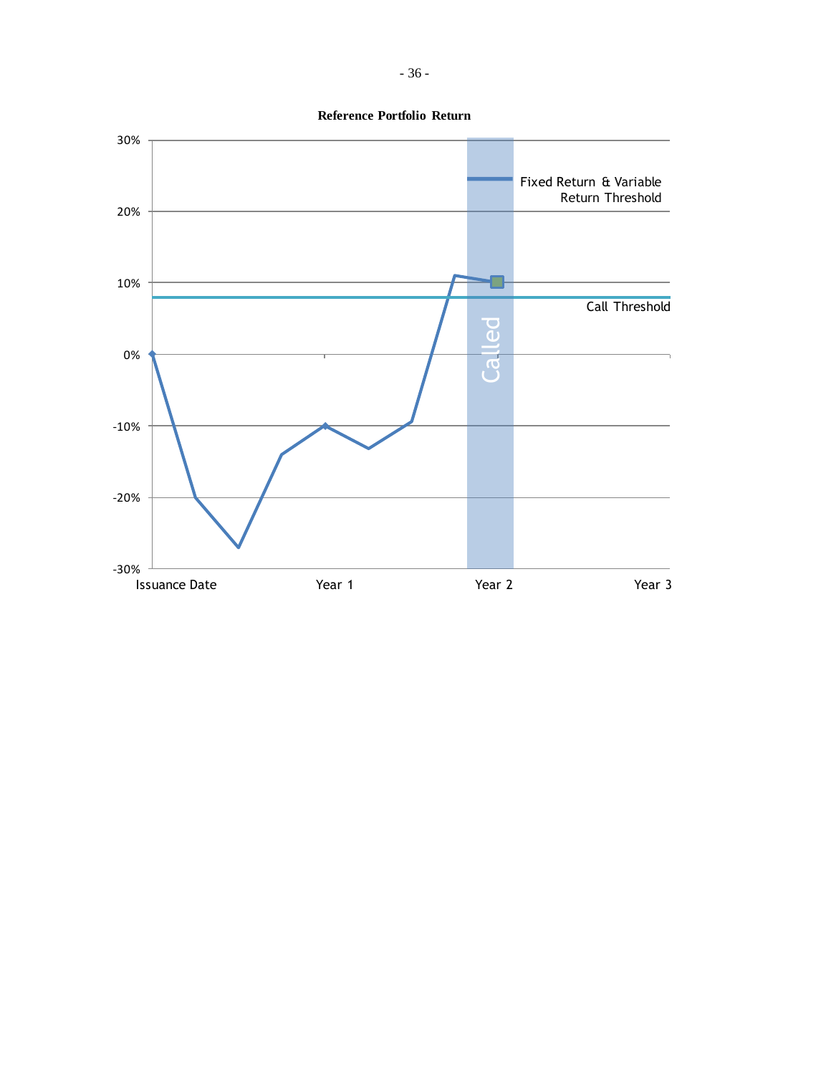

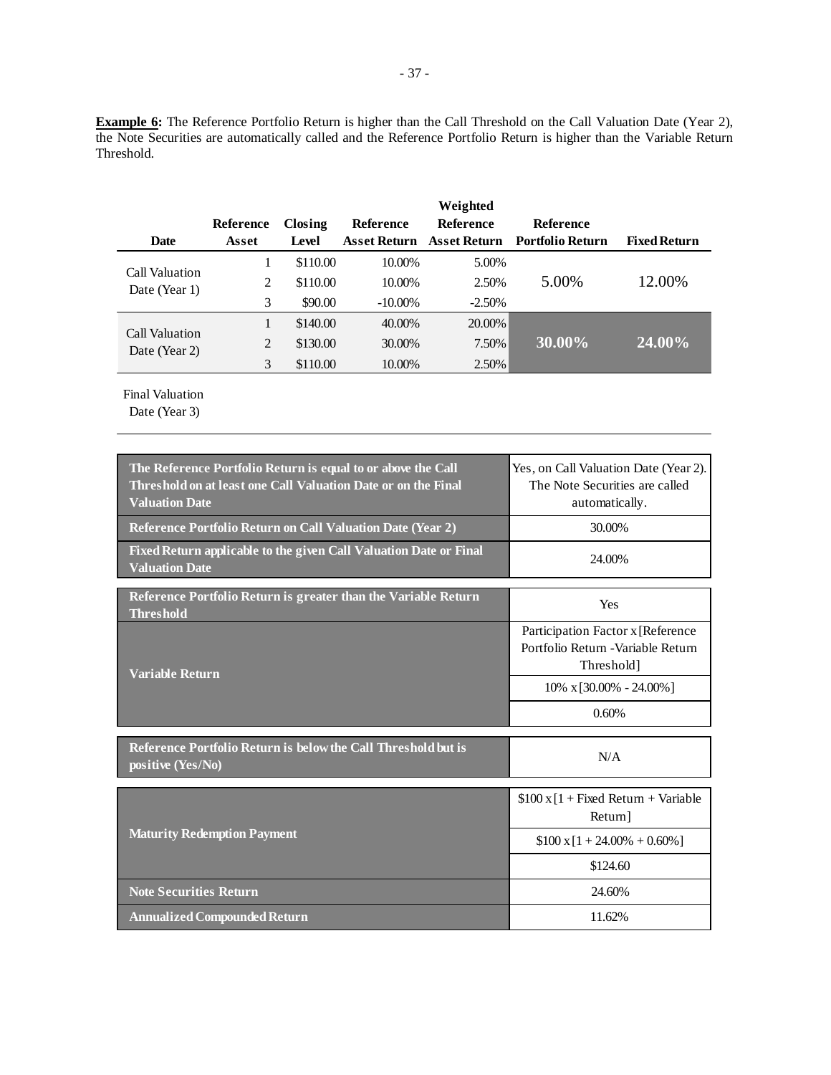**Example 6:** The Reference Portfolio Return is higher than the Call Threshold on the Call Valuation Date (Year 2), the Note Securities are automatically called and the Reference Portfolio Return is higher than the Variable Return Threshold.

|                                 |                |          |                     | Weighted         |                               |                     |
|---------------------------------|----------------|----------|---------------------|------------------|-------------------------------|---------------------|
|                                 | Reference      | Closing  | <b>Reference</b>    | <b>Reference</b> | <b>Reference</b>              |                     |
| <b>Date</b>                     | Asset          | Level    | <b>Asset Return</b> |                  | Asset Return Portfolio Return | <b>Fixed Return</b> |
| Call Valuation<br>Date (Year 1) |                | \$110.00 | 10.00%              | 5.00%            |                               |                     |
|                                 | 2              | \$110.00 | 10.00%              | 2.50%            | 5.00%                         | 12.00%              |
|                                 | 3              | \$90.00  | $-10.00\%$          | $-2.50%$         |                               |                     |
|                                 |                | \$140.00 | 40.00%              | 20.00%           |                               |                     |
| Call Valuation<br>Date (Year 2) | $\overline{2}$ | \$130.00 | 30.00%              | 7.50%            | 30.00%                        | 24.00%              |
|                                 | 3              | \$110.00 | 10.00%              | 2.50%            |                               |                     |

Final Valuation

| The Reference Portfolio Return is equal to or above the Call<br>Threshold on at least one Call Valuation Date or on the Final<br><b>Valuation Date</b> | Yes, on Call Valuation Date (Year 2).<br>The Note Securities are called<br>automatically. |  |
|--------------------------------------------------------------------------------------------------------------------------------------------------------|-------------------------------------------------------------------------------------------|--|
| <b>Reference Portfolio Return on Call Valuation Date (Year 2)</b>                                                                                      | 30.00%                                                                                    |  |
| Fixed Return applicable to the given Call Valuation Date or Final<br><b>Valuation Date</b>                                                             | 24.00%                                                                                    |  |
| Reference Portfolio Return is greater than the Variable Return<br><b>Threshold</b>                                                                     | Yes                                                                                       |  |
| <b>Variable Return</b>                                                                                                                                 | Participation Factor x [Reference<br>Portfolio Return - Variable Return<br>Threshold]     |  |
|                                                                                                                                                        | $10\% \times [30.00\% - 24.00\%]$                                                         |  |
|                                                                                                                                                        | 0.60%                                                                                     |  |
| Reference Portfolio Return is below the Call Threshold but is<br>positive (Yes/No)                                                                     | N/A                                                                                       |  |
|                                                                                                                                                        | $$100 \times 1 +$ Fixed Return + Variable<br>Return]                                      |  |
| <b>Maturity Redemption Payment</b>                                                                                                                     | $$100 \times 1 + 24.00\% + 0.60\%]$                                                       |  |
|                                                                                                                                                        | \$124.60                                                                                  |  |
| <b>Note Securities Return</b>                                                                                                                          | 24.60%                                                                                    |  |
| <b>Annualized Compounded Return</b>                                                                                                                    | 11.62%                                                                                    |  |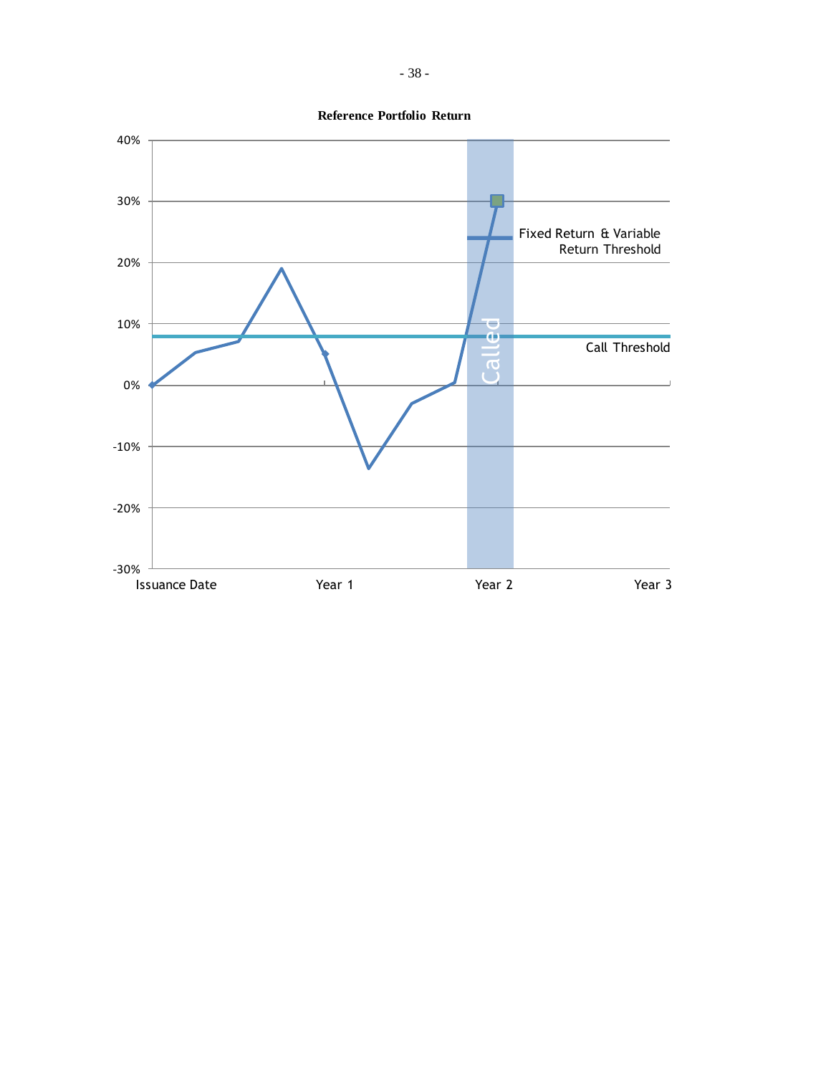

**Reference Portfolio Return**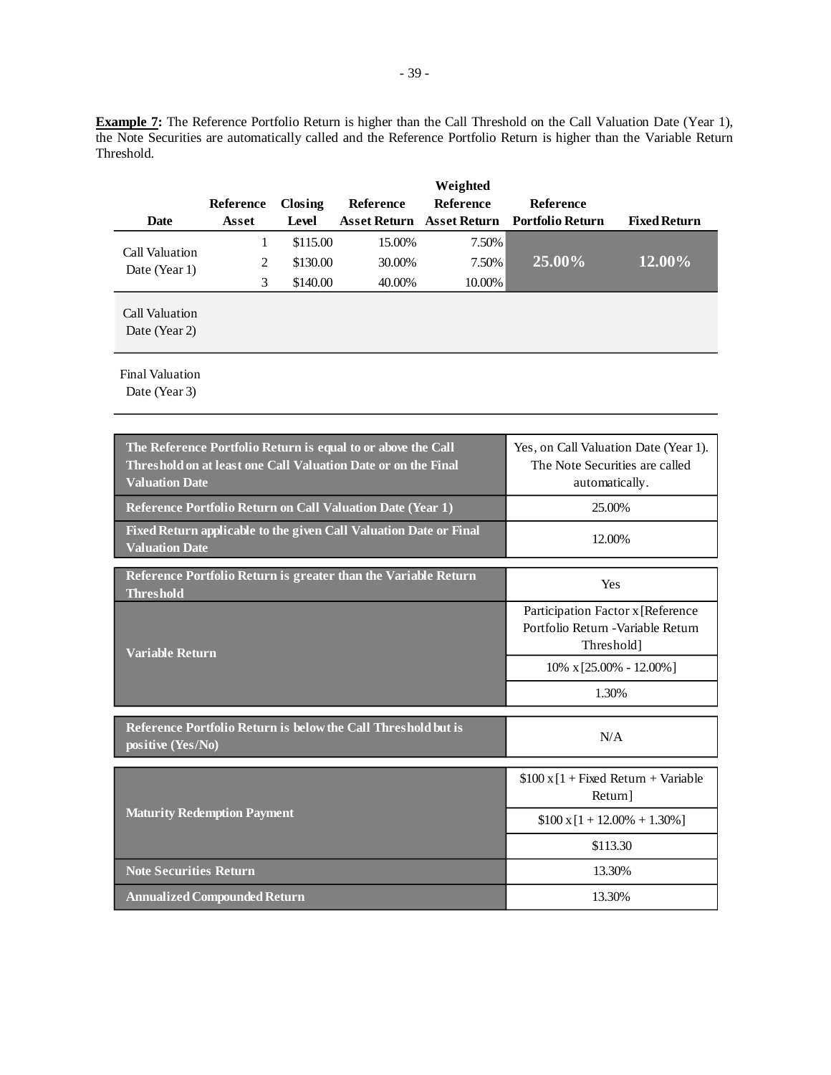**Example 7:** The Reference Portfolio Return is higher than the Call Threshold on the Call Valuation Date (Year 1), the Note Securities are automatically called and the Reference Portfolio Return is higher than the Variable Return Threshold.

| <b>Date</b>                     | <b>Reference</b><br>Asset | Closing<br>Level | <b>Reference</b> | Weighted<br><b>Reference</b> | <b>Reference</b><br>Asset Return Asset Return Portfolio Return | <b>Fixed Return</b> |
|---------------------------------|---------------------------|------------------|------------------|------------------------------|----------------------------------------------------------------|---------------------|
|                                 |                           | \$115.00         | 15.00%           | 7.50%                        |                                                                |                     |
| Call Valuation<br>Date (Year 1) | 2                         | \$130.00         | 30.00%           | 7.50%                        | $25.00\%$                                                      | 12.00%              |
|                                 | 3                         | \$140.00         | 40.00%           | 10.00%                       |                                                                |                     |
| Call Valuation<br>Date (Year 2) |                           |                  |                  |                              |                                                                |                     |

Final Valuation

| The Reference Portfolio Return is equal to or above the Call<br>Threshold on at least one Call Valuation Date or on the Final<br><b>Valuation Date</b> | Yes, on Call Valuation Date (Year 1).<br>The Note Securities are called<br>automatically. |  |
|--------------------------------------------------------------------------------------------------------------------------------------------------------|-------------------------------------------------------------------------------------------|--|
| Reference Portfolio Return on Call Valuation Date (Year 1)                                                                                             | 25.00%                                                                                    |  |
| Fixed Return applicable to the given Call Valuation Date or Final<br><b>Valuation Date</b>                                                             | 12.00%                                                                                    |  |
| Reference Portfolio Return is greater than the Variable Return<br><b>Threshold</b>                                                                     | Yes                                                                                       |  |
| <b>Variable Return</b>                                                                                                                                 | Participation Factor x [Reference<br>Portfolio Return - Variable Return<br>Threshold]     |  |
|                                                                                                                                                        | $10\% \times [25.00\% - 12.00\%]$                                                         |  |
|                                                                                                                                                        | 1.30%                                                                                     |  |
| Reference Portfolio Return is below the Call Threshold but is<br>positive (Yes/No)                                                                     | N/A                                                                                       |  |
|                                                                                                                                                        | $$100 \times 1 +$ Fixed Return + Variable<br>Return]                                      |  |
| <b>Maturity Redemption Payment</b>                                                                                                                     | $$100 \times [1 + 12.00\% + 1.30\%]$                                                      |  |
|                                                                                                                                                        | \$113.30                                                                                  |  |
| <b>Note Securities Return</b>                                                                                                                          | 13.30%                                                                                    |  |
| <b>Annualized Compounded Return</b>                                                                                                                    | 13.30%                                                                                    |  |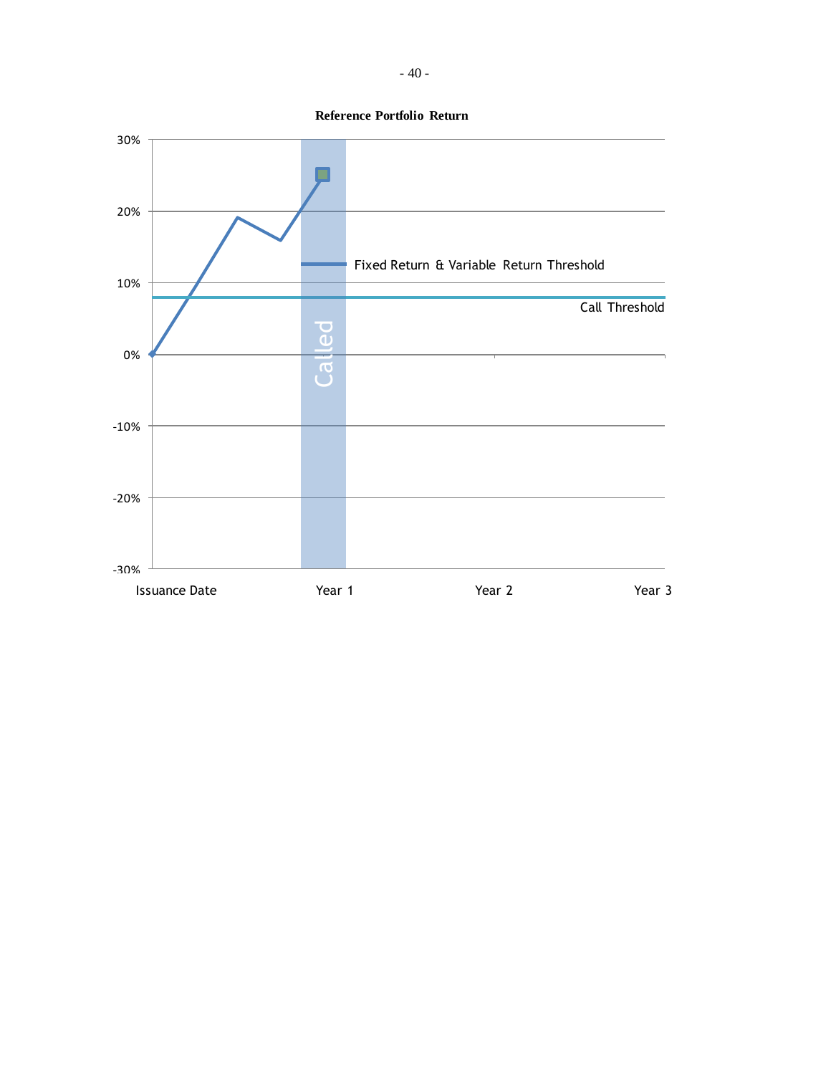**Reference Portfolio Return**

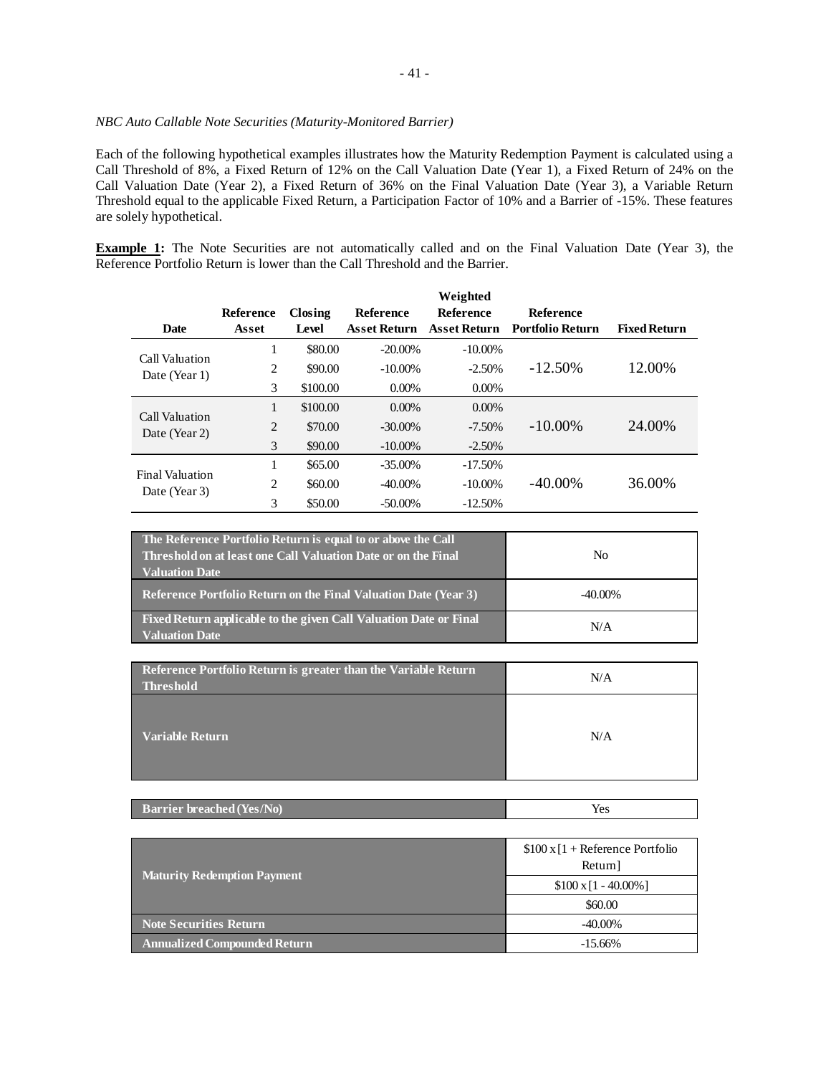## *NBC Auto Callable Note Securities (Maturity-Monitored Barrier)*

Each of the following hypothetical examples illustrates how the Maturity Redemption Payment is calculated using a Call Threshold of 8%, a Fixed Return of 12% on the Call Valuation Date (Year 1), a Fixed Return of 24% on the Call Valuation Date (Year 2), a Fixed Return of 36% on the Final Valuation Date (Year 3), a Variable Return Threshold equal to the applicable Fixed Return, a Participation Factor of 10% and a Barrier of -15%. These features are solely hypothetical.

**Example 1:** The Note Securities are not automatically called and on the Final Valuation Date (Year 3), the Reference Portfolio Return is lower than the Call Threshold and the Barrier.

|                                         |           |          |                     | Weighted            |                         |                     |
|-----------------------------------------|-----------|----------|---------------------|---------------------|-------------------------|---------------------|
|                                         | Reference | Closing  | <b>Reference</b>    | <b>Reference</b>    | <b>Reference</b>        |                     |
| <b>Date</b>                             | Asset     | Level    | <b>Asset Return</b> | <b>Asset Return</b> | <b>Portfolio Return</b> | <b>Fixed Return</b> |
| Call Valuation                          | 1         | \$80.00  | $-20.00\%$          | $-10.00\%$          |                         |                     |
| Date (Year 1)                           | 2         | \$90.00  | $-10.00\%$          | $-2.50%$            | $-12.50\%$              | 12.00%              |
|                                         | 3         | \$100.00 | $0.00\%$            | $0.00\%$            |                         |                     |
|                                         | 1         | \$100.00 | $0.00\%$            | $0.00\%$            |                         |                     |
| Call Valuation<br>Date (Year 2)         | 2         | \$70.00  | $-30.00\%$          | $-7.50\%$           | $-10.00\%$              | 24.00%              |
|                                         | 3         | \$90.00  | $-10.00\%$          | $-2.50\%$           |                         |                     |
| <b>Final Valuation</b><br>Date (Year 3) |           | \$65.00  | $-35.00\%$          | $-17.50%$           |                         |                     |
|                                         | 2         | \$60.00  | $-40.00\%$          | $-10.00\%$          | $-40.00\%$              | 36.00%              |
|                                         | 3         | \$50.00  | $-50.00\%$          | $-12.50%$           |                         |                     |

| The Reference Portfolio Return is equal to or above the Call<br>Threshold on at least one Call Valuation Date or on the Final<br><b>Valuation Date</b> | No         |
|--------------------------------------------------------------------------------------------------------------------------------------------------------|------------|
| <b>Reference Portfolio Return on the Final Valuation Date (Year 3)</b>                                                                                 | $-40.00\%$ |
| Fixed Return applicable to the given Call Valuation Date or Final<br><b>Valuation Date</b>                                                             | N/A        |

| Reference Portfolio Return is greater than the Variable Return<br><b>Threshold</b> | N/A |
|------------------------------------------------------------------------------------|-----|
| <b>Variable Return</b>                                                             | N/A |

| <b>Barrier breached (Yes/No)</b> | Yes |
|----------------------------------|-----|
|----------------------------------|-----|

|                                     | $$100 \times 1 +$ Reference Portfolio<br>Return] |  |
|-------------------------------------|--------------------------------------------------|--|
| <b>Maturity Redemption Payment</b>  | $$100 \times 11 - 40.00\%$ ]                     |  |
|                                     | \$60.00                                          |  |
| <b>Note Securities Return</b>       | $-40.00\%$                                       |  |
| <b>Annualized Compounded Return</b> | $-15.66\%$                                       |  |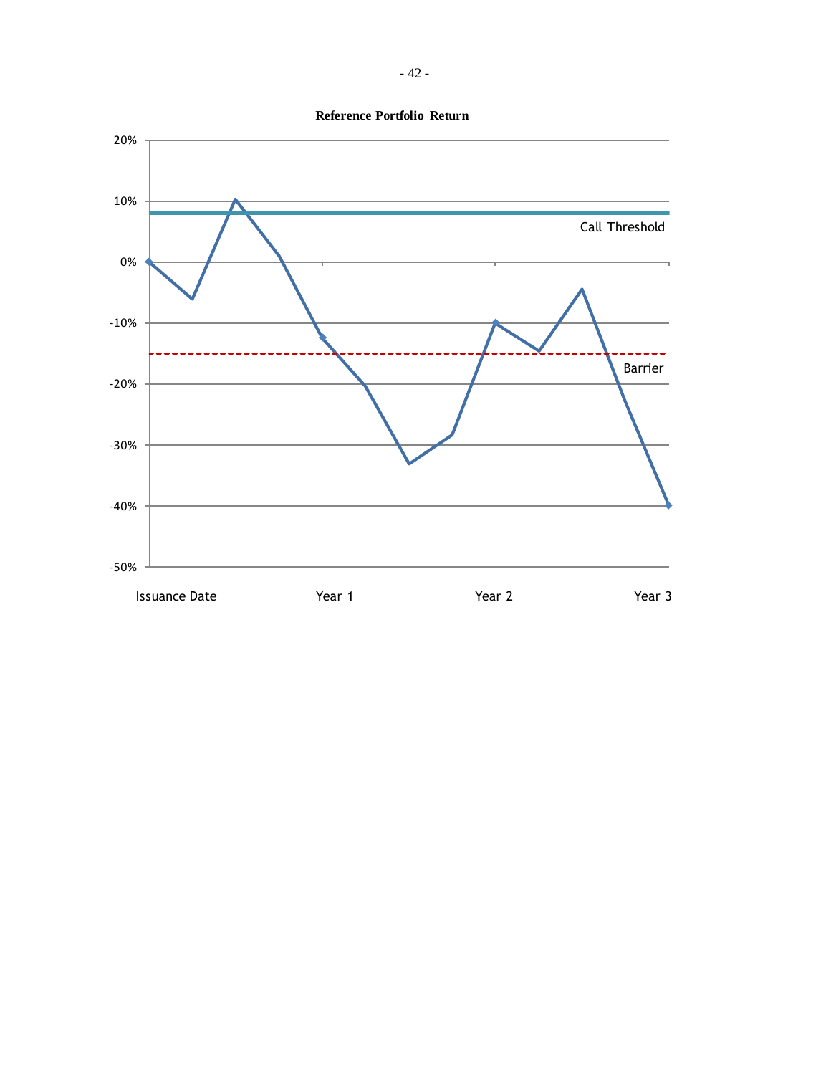

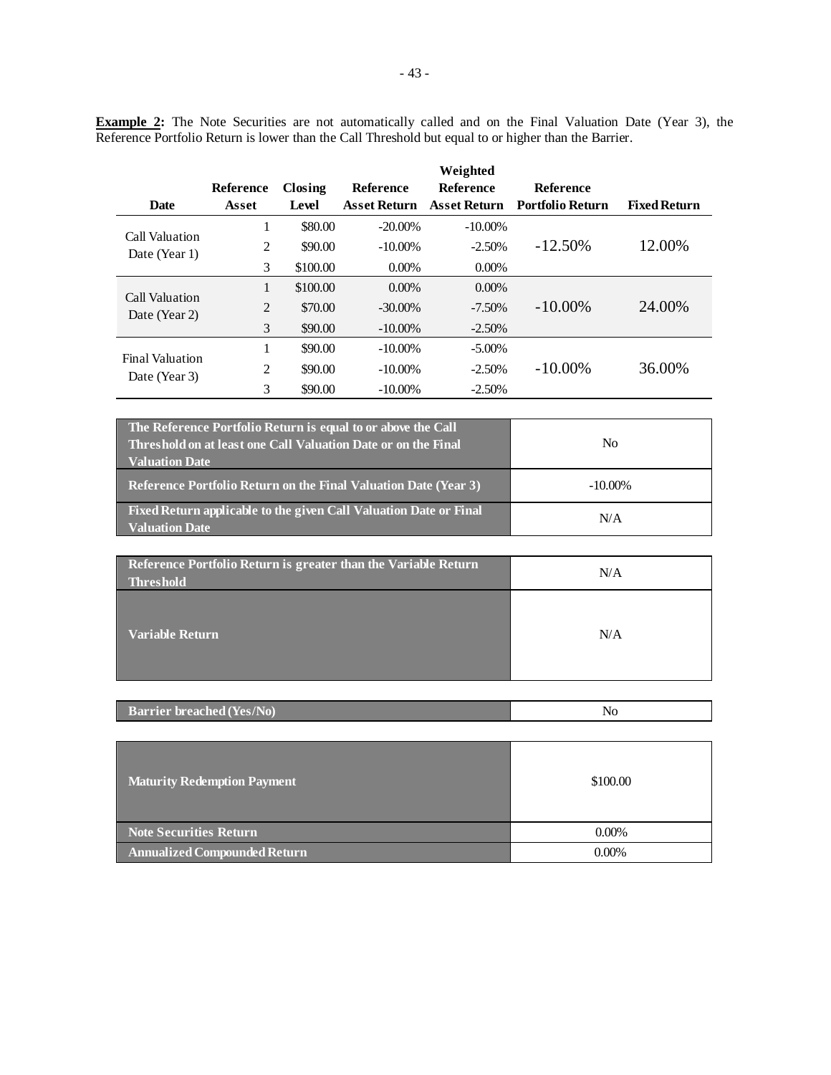**Example 2:** The Note Securities are not automatically called and on the Final Valuation Date (Year 3), the Reference Portfolio Return is lower than the Call Threshold but equal to or higher than the Barrier.

|                                         |                  |          |                     | Weighted            |                         |                     |
|-----------------------------------------|------------------|----------|---------------------|---------------------|-------------------------|---------------------|
|                                         | <b>Reference</b> | Closing  | <b>Reference</b>    | <b>Reference</b>    | <b>Reference</b>        |                     |
| Date                                    | Asset            | Level    | <b>Asset Return</b> | <b>Asset Return</b> | <b>Portfolio Return</b> | <b>Fixed Return</b> |
| Call Valuation                          | 1                | \$80.00  | $-20.00\%$          | $-10.00\%$          |                         |                     |
| Date (Year 1)                           | 2                | \$90.00  | $-10.00\%$          | $-2.50%$            | $-12.50\%$              | 12.00%              |
|                                         | 3                | \$100.00 | $0.00\%$            | $0.00\%$            |                         |                     |
|                                         | 1                | \$100.00 | $0.00\%$            | $0.00\%$            |                         |                     |
| Call Valuation<br>Date (Year 2)         | $\overline{2}$   | \$70.00  | $-30.00\%$          | $-7.50\%$           | $-10.00\%$              | 24.00%              |
|                                         | 3                | \$90.00  | $-10.00\%$          | $-2.50%$            |                         |                     |
| <b>Final Valuation</b><br>Date (Year 3) | 1                | \$90.00  | $-10.00\%$          | $-5.00\%$           |                         |                     |
|                                         | $\overline{2}$   | \$90.00  | $-10.00\%$          | $-2.50%$            | $-10.00\%$              | 36.00%              |
|                                         | 3                | \$90.00  | $-10.00\%$          | $-2.50%$            |                         |                     |

| The Reference Portfolio Return is equal to or above the Call<br>Threshold on at least one Call Valuation Date or on the Final<br><b>Valuation Date</b> | No         |
|--------------------------------------------------------------------------------------------------------------------------------------------------------|------------|
| <b>Reference Portfolio Return on the Final Valuation Date (Year 3)</b>                                                                                 | $-10.00\%$ |
| Fixed Return applicable to the given Call Valuation Date or Final<br><b>Valuation Date</b>                                                             | N/A        |

| Reference Portfolio Return is greater than the Variable Return<br><b>Threshold</b> | N/A |
|------------------------------------------------------------------------------------|-----|
| <b>Variable Return</b>                                                             | N/A |

| <b>Barrier breached (Yes/No)</b> | N |
|----------------------------------|---|
|                                  |   |

| <b>Maturity Redemption Payment</b>  | \$100.00 |
|-------------------------------------|----------|
| Note Securities Return              | $0.00\%$ |
| <b>Annualized Compounded Return</b> | $0.00\%$ |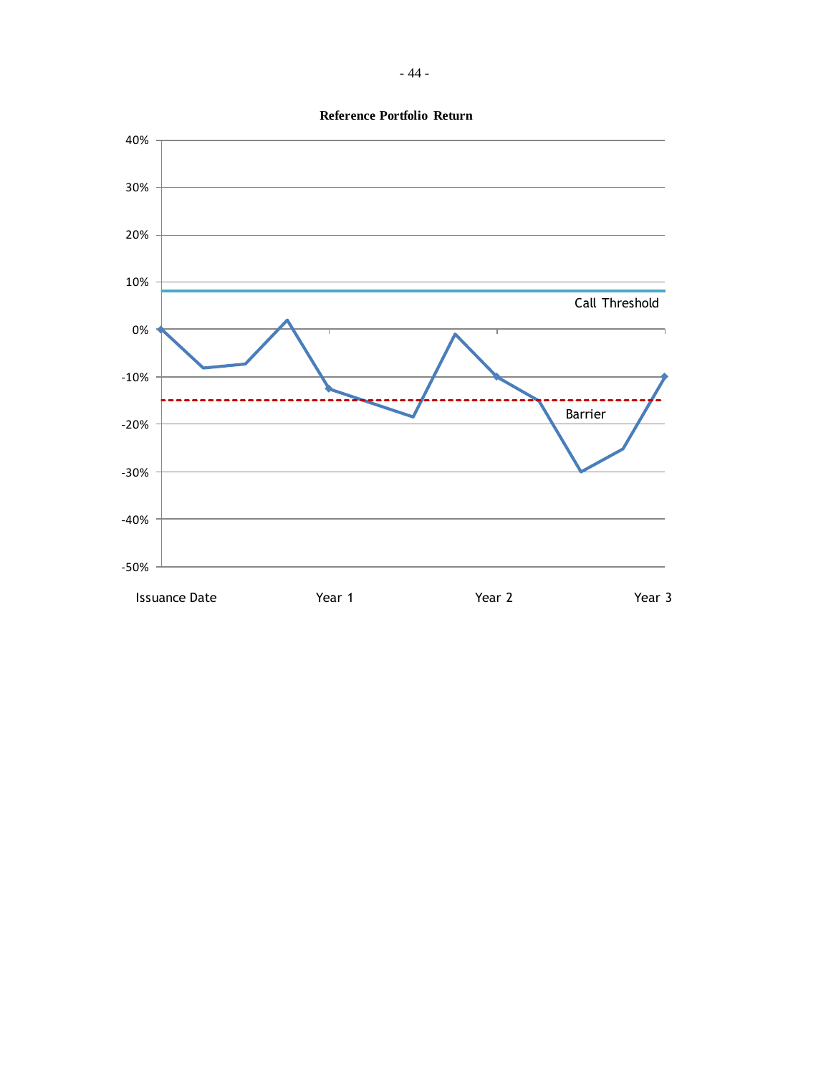

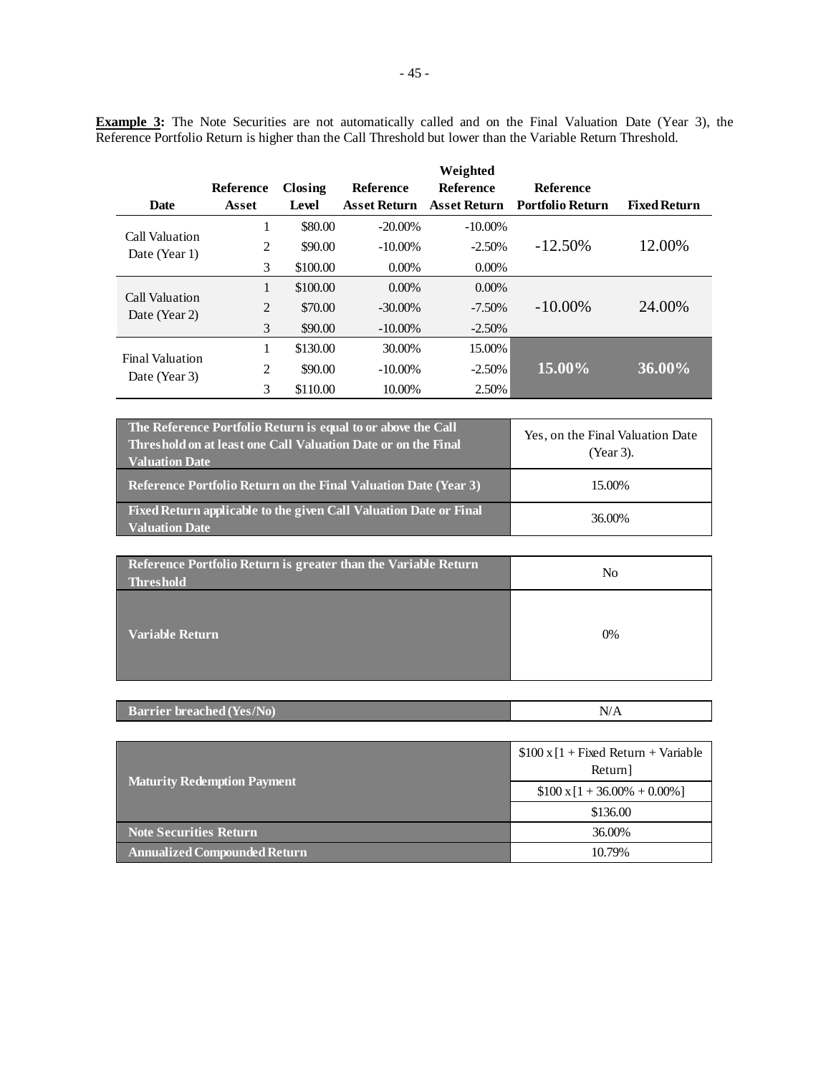**Example 3:** The Note Securities are not automatically called and on the Final Valuation Date (Year 3), the Reference Portfolio Return is higher than the Call Threshold but lower than the Variable Return Threshold.

|                        |              |          |                     | Weighted            |                         |                     |
|------------------------|--------------|----------|---------------------|---------------------|-------------------------|---------------------|
|                        | Reference    | Closing  | Reference           | <b>Reference</b>    | <b>Reference</b>        |                     |
| Date                   | Asset        | Level    | <b>Asset Return</b> | <b>Asset Return</b> | <b>Portfolio Return</b> | <b>Fixed Return</b> |
| Call Valuation         | 1            | \$80.00  | $-20.00\%$          | $-10.00\%$          |                         |                     |
| Date (Year 1)          | 2            | \$90.00  | $-10.00\%$          | $-2.50%$            | $-12.50\%$              | 12.00%              |
|                        | 3            | \$100.00 | $0.00\%$            | $0.00\%$            |                         |                     |
| Call Valuation         | $\mathbf{1}$ | \$100.00 | $0.00\%$            | $0.00\%$            |                         |                     |
| Date (Year 2)          | 2            | \$70.00  | $-30.00\%$          | $-7.50\%$           | $-10.00\%$              | 24.00%              |
|                        | 3            | \$90.00  | $-10.00\%$          | $-2.50%$            |                         |                     |
| <b>Final Valuation</b> | 1            | \$130.00 | 30.00%              | 15.00%              |                         |                     |
| Date (Year 3)          | 2            | \$90.00  | $-10.00\%$          | $-2.50%$            | 15.00%                  | 36.00%              |
|                        | 3            | \$110.00 | 10.00%              | 2.50%               |                         |                     |

| The Reference Portfolio Return is equal to or above the Call<br>Threshold on at least one Call Valuation Date or on the Final<br><b>Valuation Date</b> | Yes, on the Final Valuation Date<br>(Year 3). |
|--------------------------------------------------------------------------------------------------------------------------------------------------------|-----------------------------------------------|
| <b>Reference Portfolio Return on the Final Valuation Date (Year 3)</b>                                                                                 | 15.00%                                        |
| Fixed Return applicable to the given Call Valuation Date or Final<br><b>Valuation Date</b>                                                             | 36,00%                                        |

| Reference Portfolio Return is greater than the Variable Return<br>Threshold | No |
|-----------------------------------------------------------------------------|----|
| Variable Return                                                             | 0% |

| <b>Barrier breached (Yes/No)</b> |  |
|----------------------------------|--|
|                                  |  |

|                                     | $$100 \times [1 + Fixed Return + Variable]$<br>Return] |  |
|-------------------------------------|--------------------------------------------------------|--|
| <b>Maturity Redemption Payment</b>  | $$100 \times 1 + 36.00\% + 0.00\%]$                    |  |
|                                     | \$136.00                                               |  |
| <b>Note Securities Return</b>       | 36,00%                                                 |  |
| <b>Annualized Compounded Return</b> | 10.79%                                                 |  |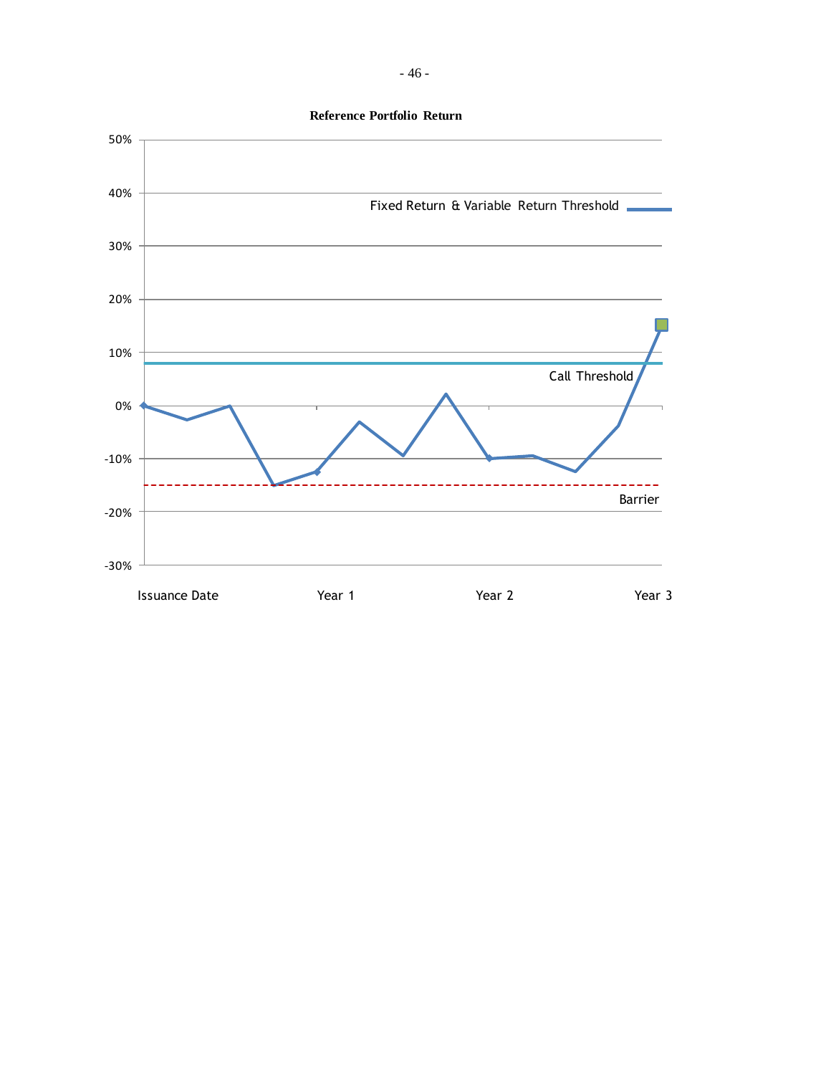

- 46 -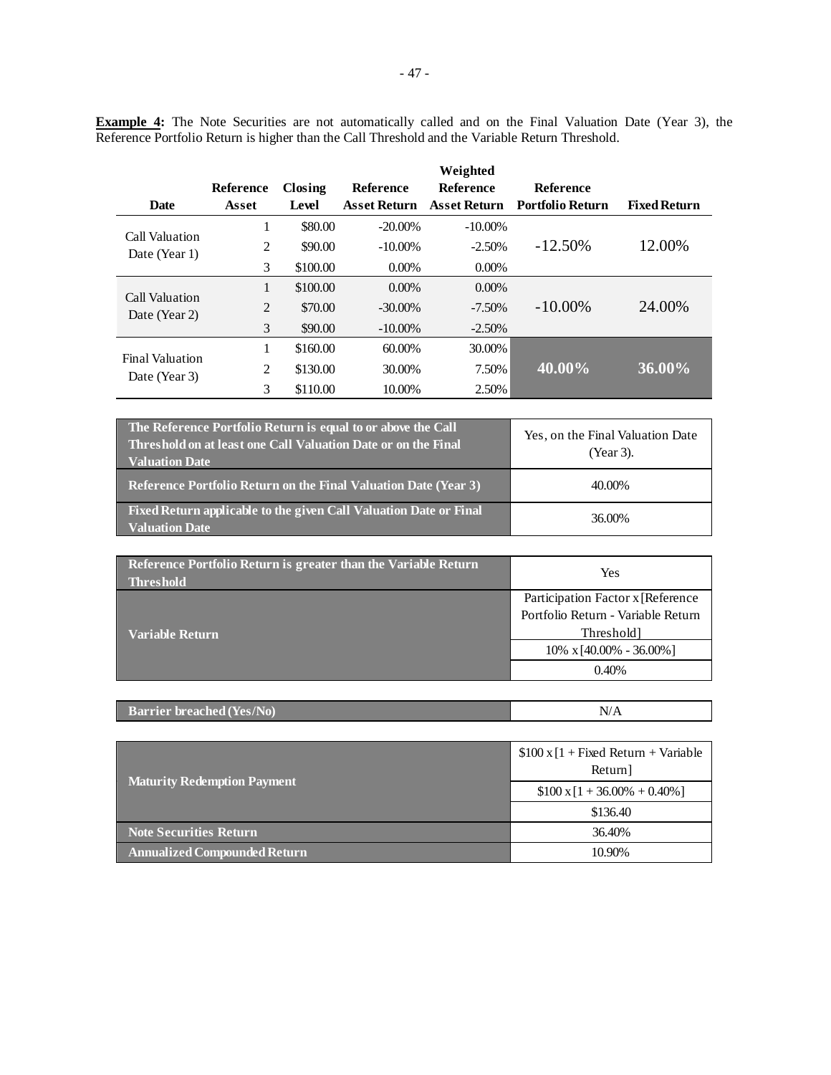**Example 4:** The Note Securities are not automatically called and on the Final Valuation Date (Year 3), the Reference Portfolio Return is higher than the Call Threshold and the Variable Return Threshold.

|                        |           |          |                     | Weighted            |                         |                     |
|------------------------|-----------|----------|---------------------|---------------------|-------------------------|---------------------|
|                        | Reference | Closing  | <b>Reference</b>    | <b>Reference</b>    | <b>Reference</b>        |                     |
| <b>Date</b>            | Asset     | Level    | <b>Asset Return</b> | <b>Asset Return</b> | <b>Portfolio Return</b> | <b>Fixed Return</b> |
| Call Valuation         | 1         | \$80.00  | $-20.00\%$          | $-10.00\%$          |                         |                     |
| Date (Year 1)          | 2         | \$90.00  | $-10.00\%$          | $-2.50%$            | $-12.50\%$              | 12.00%              |
|                        | 3         | \$100.00 | $0.00\%$            | $0.00\%$            |                         |                     |
| Call Valuation         | 1         | \$100.00 | $0.00\%$            | $0.00\%$            |                         |                     |
| Date (Year 2)          | 2         | \$70.00  | $-30.00\%$          | $-7.50\%$           | $-10.00\%$              | 24.00%              |
|                        | 3         | \$90.00  | $-10.00\%$          | $-2.50\%$           |                         |                     |
| <b>Final Valuation</b> | 1         | \$160.00 | 60.00%              | 30.00%              |                         |                     |
| Date (Year 3)          | 2         | \$130.00 | 30.00%              | 7.50%               | 40.00%                  | 36.00%              |
|                        | 3         | \$110.00 | 10.00%              | 2.50%               |                         |                     |

| The Reference Portfolio Return is equal to or above the Call<br>Threshold on at least one Call Valuation Date or on the Final<br><b>Valuation Date</b> | Yes, on the Final Valuation Date<br>(Year 3). |
|--------------------------------------------------------------------------------------------------------------------------------------------------------|-----------------------------------------------|
| Reference Portfolio Return on the Final Valuation Date (Year 3)                                                                                        | 40.00%                                        |
| Fixed Return applicable to the given Call Valuation Date or Final<br><b>Valuation Date</b>                                                             | 36.00%                                        |

| Reference Portfolio Return is greater than the Variable Return<br><b>Threshold</b> | Yes                                |  |
|------------------------------------------------------------------------------------|------------------------------------|--|
|                                                                                    | Participation Factor x [Reference  |  |
|                                                                                    | Portfolio Return - Variable Return |  |
| Variable Return                                                                    | Threshold]                         |  |
|                                                                                    | $10\% \times [40.00\% - 36.00\%]$  |  |
|                                                                                    | 0.40%                              |  |

| <b>Barrier breached (Yes/No)</b> |  |
|----------------------------------|--|
|                                  |  |

|                                     | $$100 \times [1 + Fixed Return + Variable]$<br>Return] |
|-------------------------------------|--------------------------------------------------------|
| <b>Maturity Redemption Payment</b>  | $$100 \times 1 + 36.00\% + 0.40\%]$                    |
|                                     | \$136.40                                               |
| <b>Note Securities Return</b>       | 36.40%                                                 |
| <b>Annualized Compounded Return</b> | 10.90%                                                 |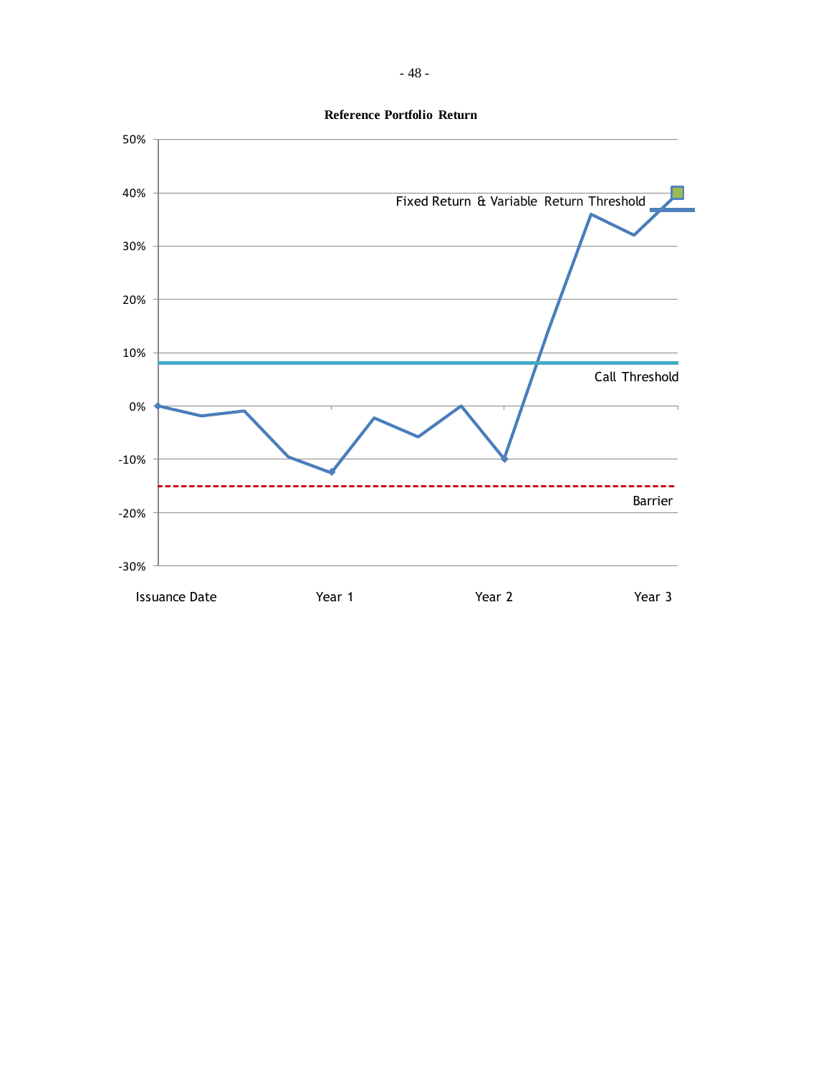

**Reference Portfolio Return**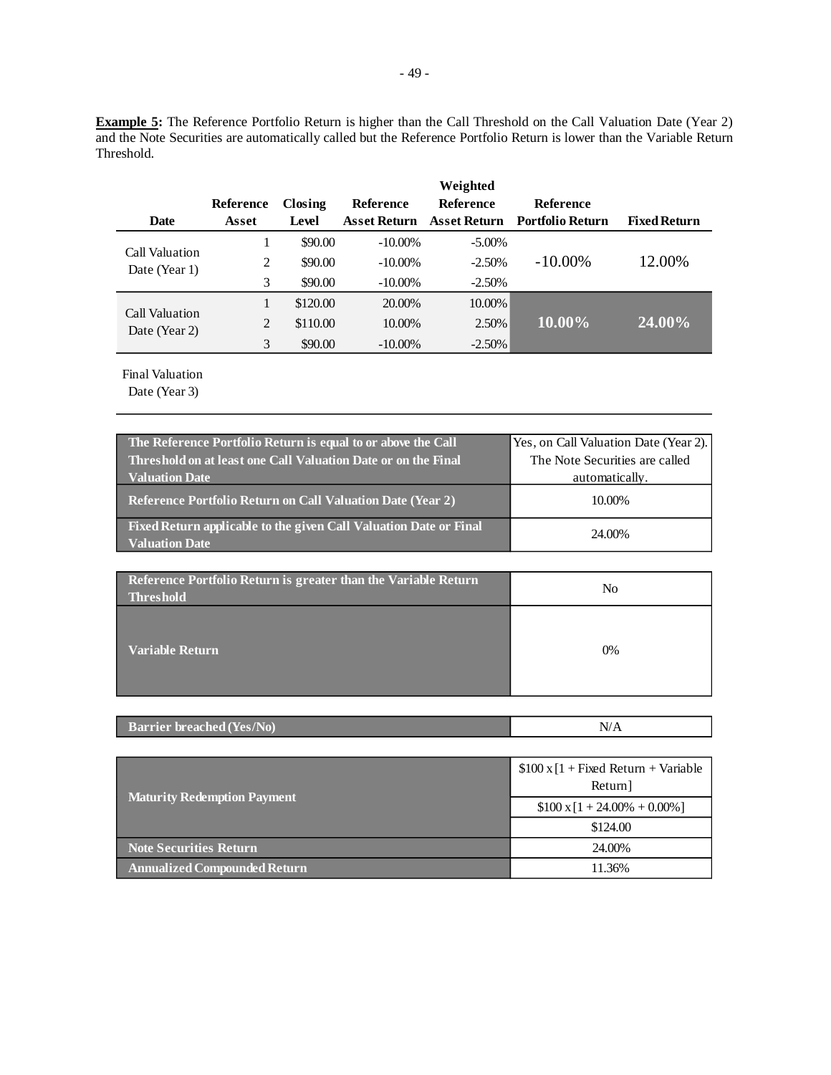**Example 5:** The Reference Portfolio Return is higher than the Call Threshold on the Call Valuation Date (Year 2) and the Note Securities are automatically called but the Reference Portfolio Return is lower than the Variable Return Threshold.

| <b>Date</b>    | Reference<br>Asset | Closing<br>Level | <b>Reference</b><br><b>Asset Return</b> | Weighted<br><b>Reference</b><br>Asset Return | <b>Reference</b><br><b>Portfolio Return</b> | <b>Fixed Return</b> |
|----------------|--------------------|------------------|-----------------------------------------|----------------------------------------------|---------------------------------------------|---------------------|
| Call Valuation |                    | \$90.00          | $-10.00\%$                              | $-5.00\%$                                    |                                             |                     |
| Date (Year 1)  | 2                  | \$90.00          | $-10.00\%$                              | $-2.50%$                                     | $-10.00\%$                                  | 12.00%              |
|                | 3                  | \$90.00          | $-10.00\%$                              | $-2.50%$                                     |                                             |                     |
| Call Valuation |                    | \$120.00         | 20.00%                                  | 10.00%                                       |                                             |                     |
| Date (Year 2)  | 2                  | \$110.00         | 10.00%                                  | 2.50%                                        | 10.00%                                      | 24.00%              |
|                | 3                  | \$90.00          | $-10.00\%$                              | $-2.50\%$                                    |                                             |                     |

Final Valuation

| The Reference Portfolio Return is equal to or above the Call<br>Threshold on at least one Call Valuation Date or on the Final | Yes, on Call Valuation Date (Year 2).<br>The Note Securities are called |
|-------------------------------------------------------------------------------------------------------------------------------|-------------------------------------------------------------------------|
| <b>Valuation Date</b>                                                                                                         | automatically.                                                          |
| <b>Reference Portfolio Return on Call Valuation Date (Year 2)</b>                                                             | 10.00%                                                                  |
| Fixed Return applicable to the given Call Valuation Date or Final<br><b>Valuation Date</b>                                    | 24.00%                                                                  |

| Reference Portfolio Return is greater than the Variable Return<br><b>Threshold</b> | No |
|------------------------------------------------------------------------------------|----|
| <b>Variable Return</b>                                                             | 0% |

|--|

|                                     | $$100 \times [1 + Fixed Return + Variable]$<br>Return] |
|-------------------------------------|--------------------------------------------------------|
| <b>Maturity Redemption Payment</b>  | $$100 \times 1 + 24.00\% + 0.00\%]$                    |
|                                     | \$124.00                                               |
| <b>Note Securities Return</b>       | 24.00%                                                 |
| <b>Annualized Compounded Return</b> | 11.36%                                                 |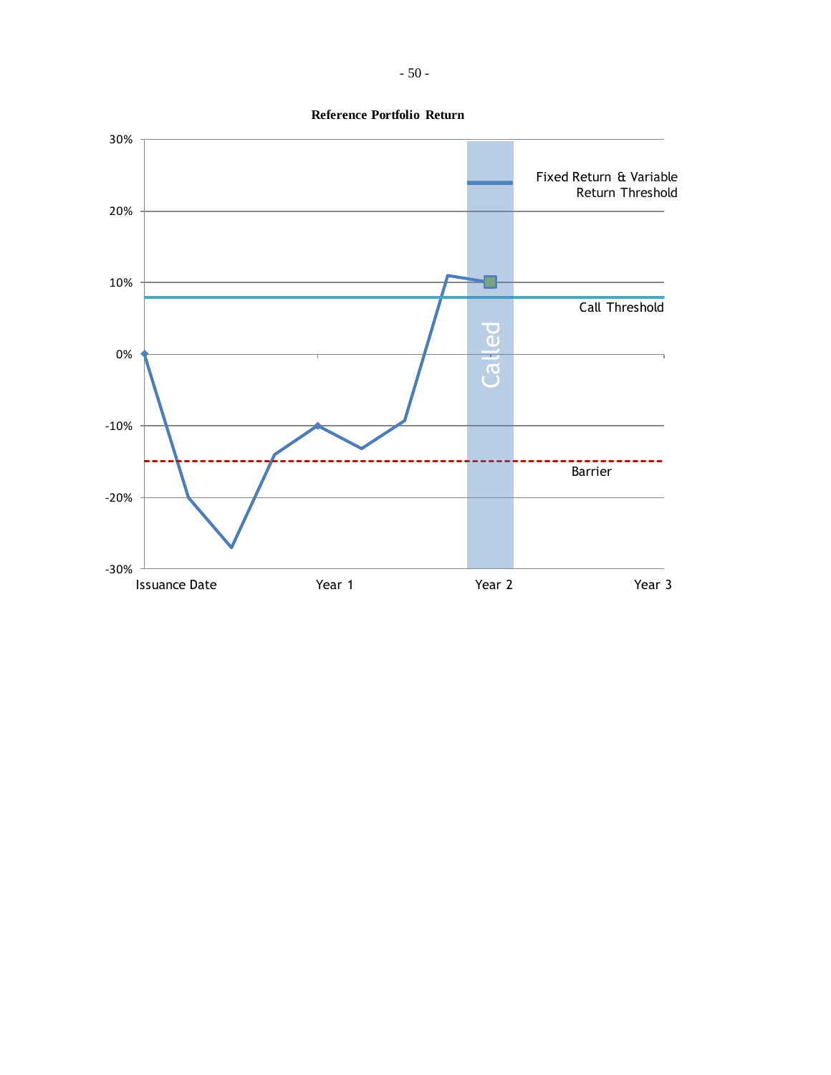

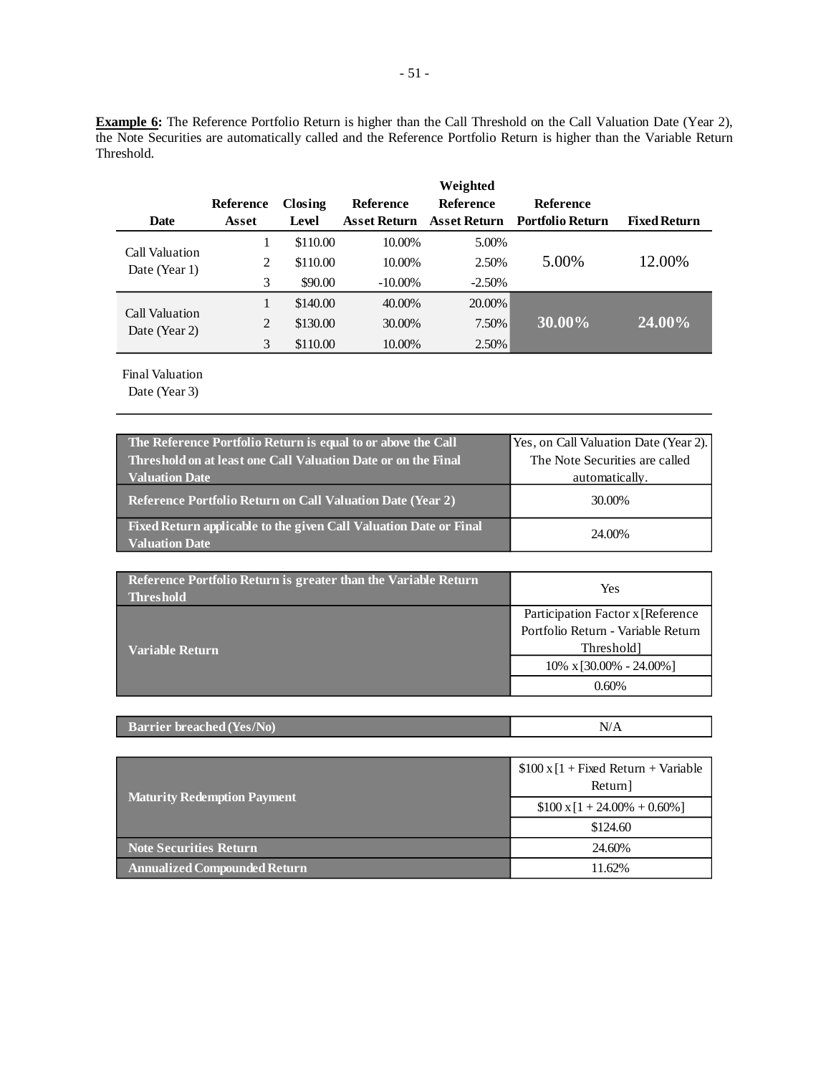**Example 6:** The Reference Portfolio Return is higher than the Call Threshold on the Call Valuation Date (Year 2), the Note Securities are automatically called and the Reference Portfolio Return is higher than the Variable Return Threshold.

|                                 |           |          |                     | Weighted         |                         |                     |
|---------------------------------|-----------|----------|---------------------|------------------|-------------------------|---------------------|
|                                 | Reference | Closing  | Reference           | <b>Reference</b> | <b>Reference</b>        |                     |
| <b>Date</b>                     | Asset     | Level    | <b>Asset Return</b> | Asset Return     | <b>Portfolio Return</b> | <b>Fixed Return</b> |
|                                 |           | \$110.00 | 10.00%              | 5.00%            |                         |                     |
| Call Valuation<br>Date (Year 1) | 2         | \$110.00 | 10.00%              | 2.50%            | 5.00%                   | 12.00%              |
|                                 | 3         | \$90.00  | $-10.00\%$          | $-2.50%$         |                         |                     |
| Call Valuation                  |           | \$140.00 | 40.00%              | 20.00%           |                         |                     |
| Date (Year 2)                   | 2         | \$130.00 | 30.00%              | 7.50%            | 30.00%                  | 24.00%              |
|                                 | 3         | \$110.00 | 10.00%              | 2.50%            |                         |                     |

Final Valuation

| The Reference Portfolio Return is equal to or above the Call                               | Yes, on Call Valuation Date (Year 2). |
|--------------------------------------------------------------------------------------------|---------------------------------------|
| Threshold on at least one Call Valuation Date or on the Final                              | The Note Securities are called        |
| <b>Valuation Date</b>                                                                      | automatically.                        |
| <b>Reference Portfolio Return on Call Valuation Date (Year 2)</b>                          | 30.00%                                |
| Fixed Return applicable to the given Call Valuation Date or Final<br><b>Valuation Date</b> | 24.00%                                |

| Reference Portfolio Return is greater than the Variable Return<br><b>Threshold</b> | Yes                                |
|------------------------------------------------------------------------------------|------------------------------------|
|                                                                                    | Participation Factor x [Reference] |
|                                                                                    | Portfolio Return - Variable Return |
| <b>Variable Return</b>                                                             | Threshold                          |
|                                                                                    | $10\% \times [30.00\% - 24.00\%]$  |
|                                                                                    | 0.60%                              |

| <b>Barrier breached (Yes/No)</b> | N<br>$\cdots$ |
|----------------------------------|---------------|
|----------------------------------|---------------|

|                                     | $$100 \times [1 + Fixed Return + Variable]$<br>Return] |
|-------------------------------------|--------------------------------------------------------|
| <b>Maturity Redemption Payment</b>  | $$100 \times 1 + 24.00\% + 0.60\%]$                    |
|                                     | \$124.60                                               |
| <b>Note Securities Return</b>       | 24.60%                                                 |
| <b>Annualized Compounded Return</b> | 11.62%                                                 |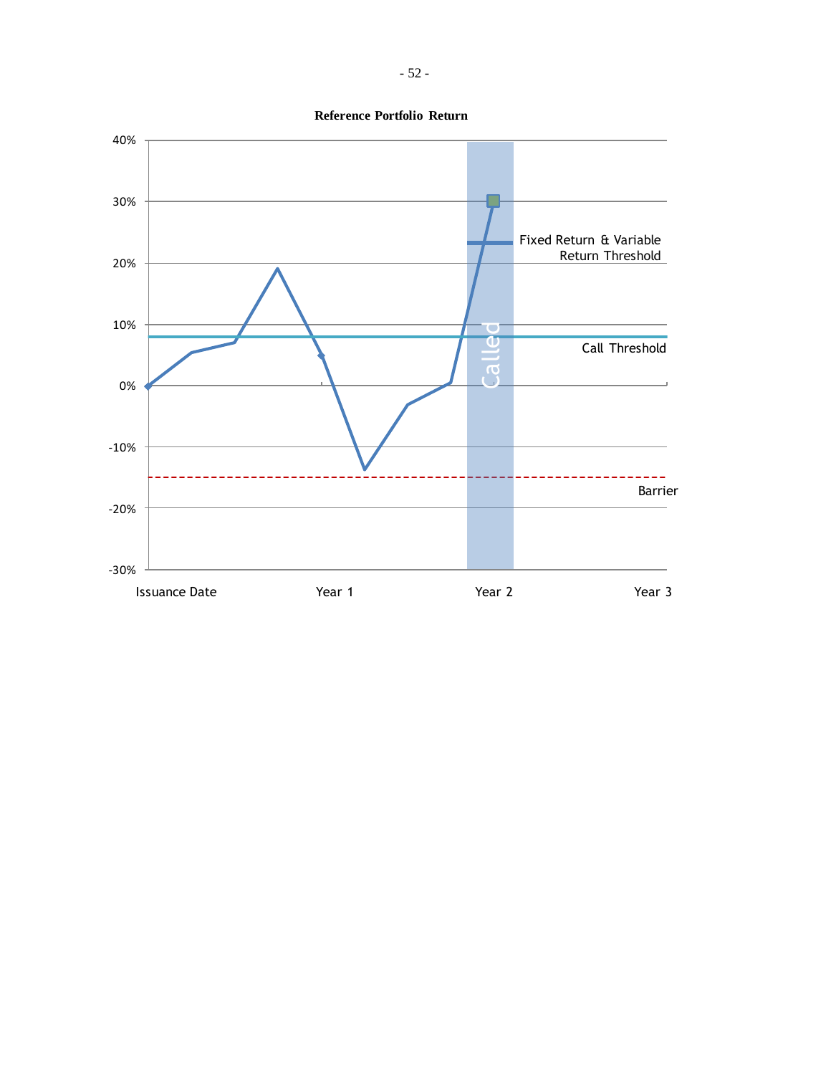

**Reference Portfolio Return**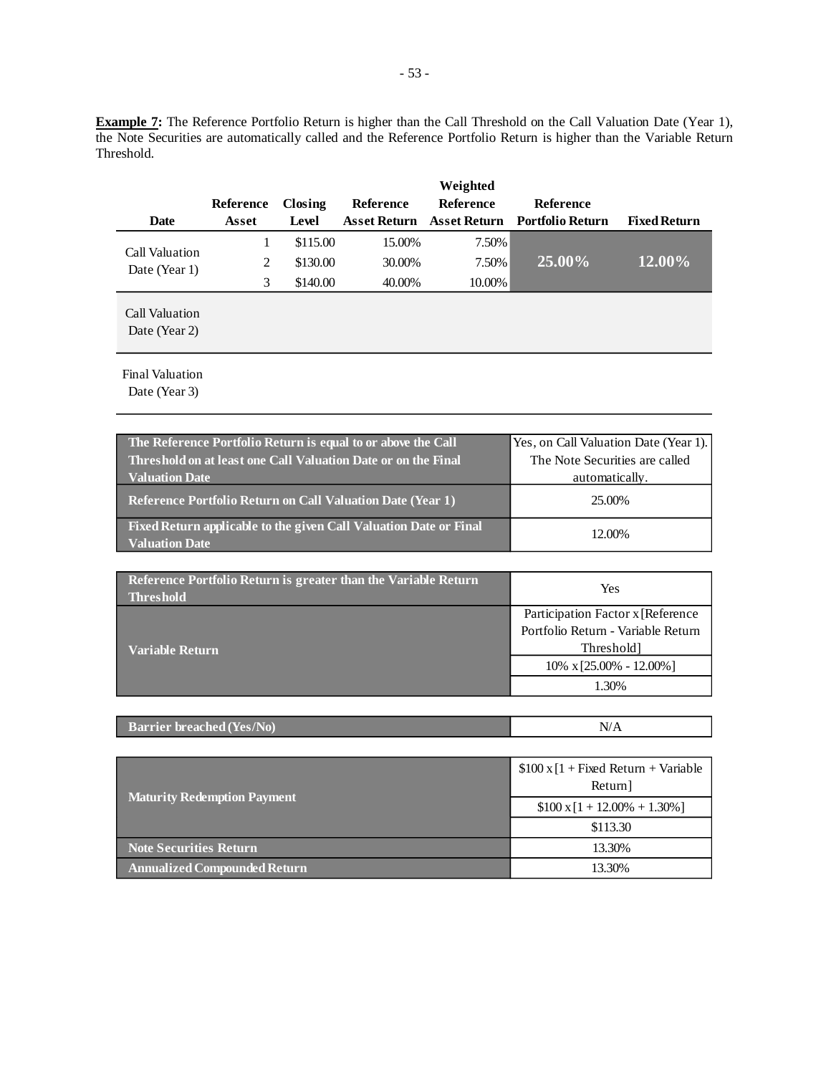**Example 7:** The Reference Portfolio Return is higher than the Call Threshold on the Call Valuation Date (Year 1), the Note Securities are automatically called and the Reference Portfolio Return is higher than the Variable Return Threshold.

| <b>Date</b>                     | Reference<br>Asset | Closing<br>Level | <b>Reference</b> | Weighted<br><b>Reference</b> | <b>Reference</b><br>Asset Return Asset Return Portfolio Return | <b>Fixed Return</b> |
|---------------------------------|--------------------|------------------|------------------|------------------------------|----------------------------------------------------------------|---------------------|
|                                 |                    | \$115.00         | 15.00%           | 7.50%                        |                                                                |                     |
| Call Valuation<br>Date (Year 1) | $\overline{c}$     | \$130.00         | 30.00%           | 7.50%                        | 25.00%                                                         | 12.00%              |
|                                 | 3                  | \$140.00         | 40.00%           | 10.00%                       |                                                                |                     |
| Call Valuation<br>Date (Year 2) |                    |                  |                  |                              |                                                                |                     |

Final Valuation

| The Reference Portfolio Return is equal to or above the Call<br>Threshold on at least one Call Valuation Date or on the Final | Yes, on Call Valuation Date (Year 1).<br>The Note Securities are called |
|-------------------------------------------------------------------------------------------------------------------------------|-------------------------------------------------------------------------|
| <b>Valuation Date</b>                                                                                                         | automatically.                                                          |
| <b>Reference Portfolio Return on Call Valuation Date (Year 1)</b>                                                             | 25.00%                                                                  |
| Fixed Return applicable to the given Call Valuation Date or Final<br><b>Valuation Date</b>                                    | 12.00%                                                                  |

| Reference Portfolio Return is greater than the Variable Return<br><b>Threshold</b> | Yes                                |  |  |
|------------------------------------------------------------------------------------|------------------------------------|--|--|
|                                                                                    | Participation Factor x [Reference] |  |  |
|                                                                                    | Portfolio Return - Variable Return |  |  |
| <b>Variable Return</b>                                                             | Threshold]                         |  |  |
|                                                                                    | $10\% \times [25.00\% - 12.00\%]$  |  |  |
|                                                                                    | 1.30%                              |  |  |

| <b>Barrier breached (Yes/No)</b> | N<br>$\cdot$ $\cdot$ $\Gamma$ $\sim$ |
|----------------------------------|--------------------------------------|
|----------------------------------|--------------------------------------|

|                                    | $$100 \times [1 + Fixed Return + Variable]$<br>Return] |  |
|------------------------------------|--------------------------------------------------------|--|
| <b>Maturity Redemption Payment</b> | $$100 \times 1 + 12.00\% + 1.30\%]$                    |  |
|                                    | \$113.30                                               |  |
| <b>Note Securities Return</b>      | 13.30%                                                 |  |
| Annualized Compounded Return       | 13.30%                                                 |  |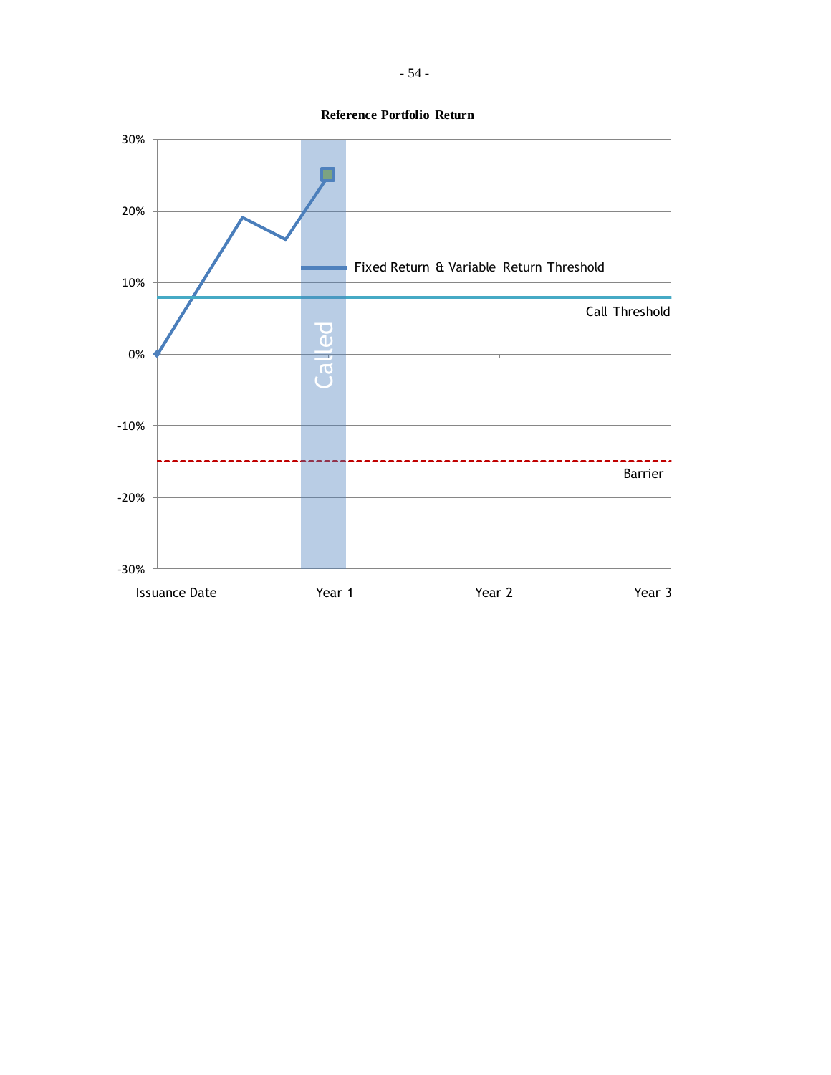**Reference Portfolio Return**

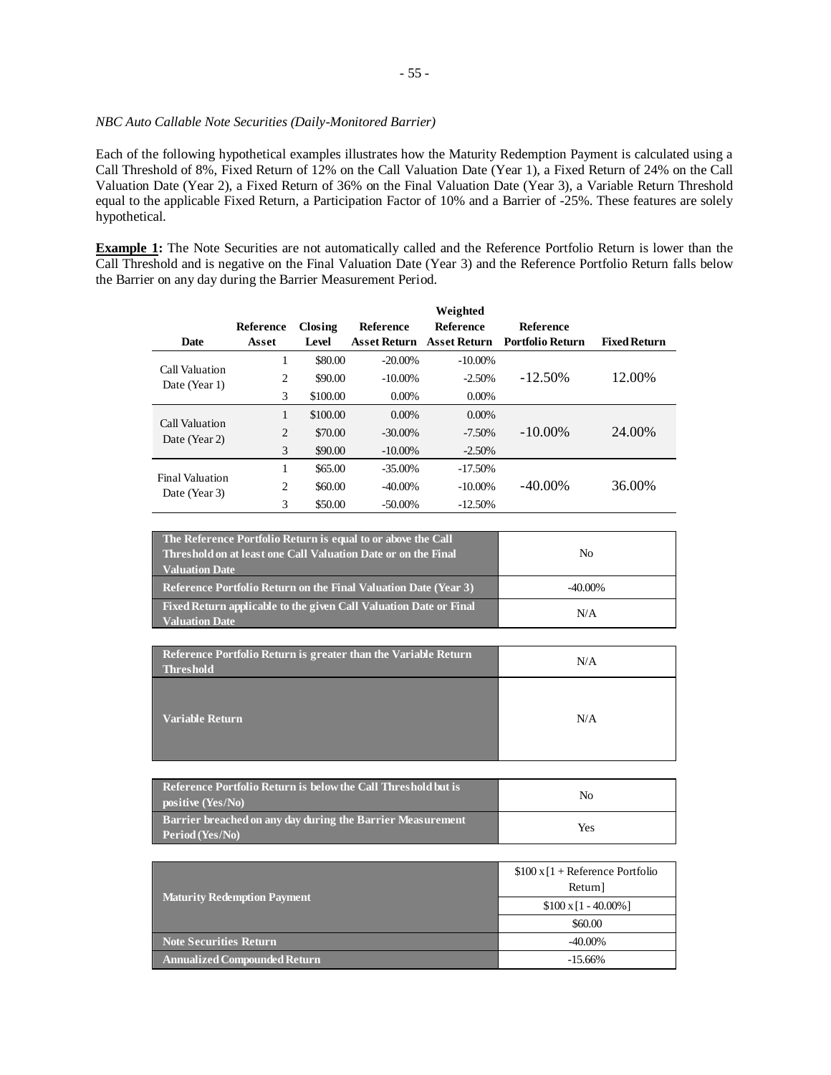## *NBC Auto Callable Note Securities (Daily-Monitored Barrier)*

Each of the following hypothetical examples illustrates how the Maturity Redemption Payment is calculated using a Call Threshold of 8%, Fixed Return of 12% on the Call Valuation Date (Year 1), a Fixed Return of 24% on the Call Valuation Date (Year 2), a Fixed Return of 36% on the Final Valuation Date (Year 3), a Variable Return Threshold equal to the applicable Fixed Return, a Participation Factor of 10% and a Barrier of -25%. These features are solely hypothetical.

**Example 1:** The Note Securities are not automatically called and the Reference Portfolio Return is lower than the Call Threshold and is negative on the Final Valuation Date (Year 3) and the Reference Portfolio Return falls below the Barrier on any day during the Barrier Measurement Period.

|                                         |                  |          |                  | Weighted            |                         |                     |
|-----------------------------------------|------------------|----------|------------------|---------------------|-------------------------|---------------------|
|                                         | <b>Reference</b> | Closing  | <b>Reference</b> | <b>Reference</b>    | <b>Reference</b>        |                     |
| <b>Date</b>                             | Asset            | Level    | Asset Return     | <b>Asset Return</b> | <b>Portfolio Return</b> | <b>Fixed Return</b> |
| Call Valuation                          | 1                | \$80.00  | $-20.00\%$       | $-10.00\%$          |                         |                     |
| Date (Year 1)                           | 2                | \$90.00  | $-10.00\%$       | $-2.50%$            | $-12.50\%$              | 12.00%              |
|                                         | 3                | \$100.00 | $0.00\%$         | $0.00\%$            |                         |                     |
| Call Valuation<br>Date (Year 2)         | 1                | \$100.00 | $0.00\%$         | $0.00\%$            |                         |                     |
|                                         | $\overline{2}$   | \$70.00  | $-30.00\%$       | $-7.50\%$           | $-10.00\%$              | 24.00%              |
|                                         | 3                | \$90.00  | $-10.00\%$       | $-2.50%$            |                         |                     |
| <b>Final Valuation</b><br>Date (Year 3) | 1                | \$65.00  | $-35.00\%$       | $-17.50%$           |                         |                     |
|                                         | 2                | \$60.00  | $-40.00\%$       | $-10.00\%$          | $-40.00\%$              | 36.00%              |
|                                         | 3                | \$50.00  | $-50.00\%$       | $-12.50%$           |                         |                     |

| The Reference Portfolio Return is equal to or above the Call<br>Threshold on at least one Call Valuation Date or on the Final<br><b>Valuation Date</b> | No         |
|--------------------------------------------------------------------------------------------------------------------------------------------------------|------------|
| <b>Reference Portfolio Return on the Final Valuation Date (Year 3)</b>                                                                                 | $-40.00\%$ |
| Fixed Return applicable to the given Call Valuation Date or Final<br>Valuation Date                                                                    | N/A        |

| Reference Portfolio Return is greater than the Variable Return<br><b>Threshold</b> | N/A |
|------------------------------------------------------------------------------------|-----|
| <b>Variable Return</b>                                                             | N/A |

| Reference Portfolio Return is below the Call Threshold but is<br>positive $(Yes/No)$                | No  |
|-----------------------------------------------------------------------------------------------------|-----|
| <b>Barrier breached on any day during the Barrier Measurement</b><br>$\blacksquare$ Period (Yes/No) | Yes |

|                                     | $$100 \times 1 +$ Reference Portfolio<br>Return] |  |
|-------------------------------------|--------------------------------------------------|--|
| <b>Maturity Redemption Payment</b>  | $$100 \times 11 - 40.00\%$ ]                     |  |
|                                     | \$60.00                                          |  |
| <b>Note Securities Return</b>       | $-40.00\%$                                       |  |
| <b>Annualized Compounded Return</b> | $-15.66\%$                                       |  |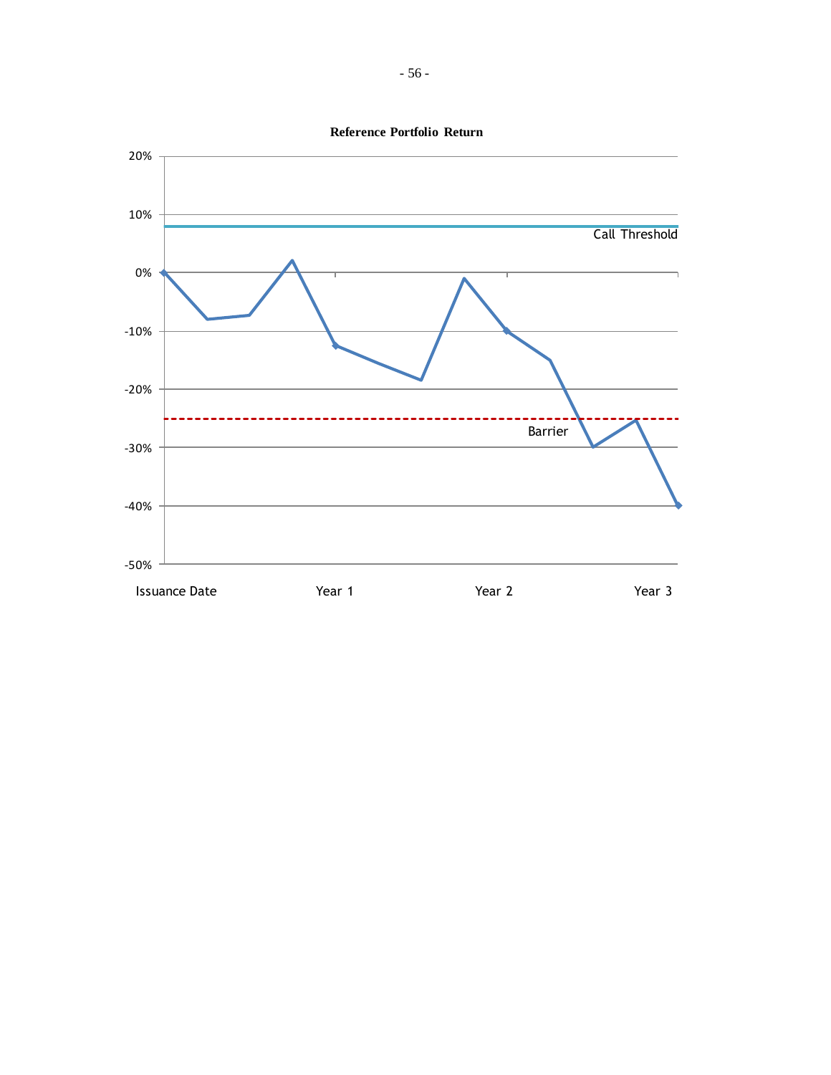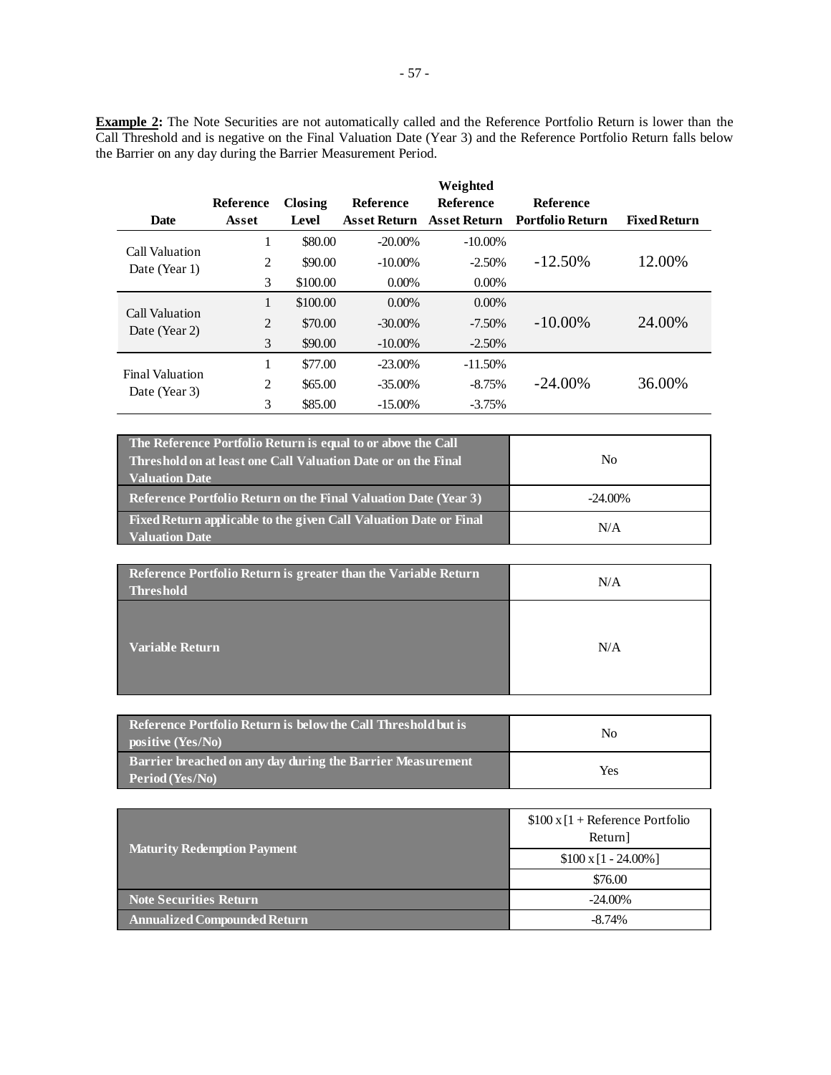**Example 2:** The Note Securities are not automatically called and the Reference Portfolio Return is lower than the Call Threshold and is negative on the Final Valuation Date (Year 3) and the Reference Portfolio Return falls below the Barrier on any day during the Barrier Measurement Period.

|                                         |                  |          |                     | Weighted            |                  |                     |
|-----------------------------------------|------------------|----------|---------------------|---------------------|------------------|---------------------|
|                                         | <b>Reference</b> | Closing  | <b>Reference</b>    | <b>Reference</b>    | <b>Reference</b> |                     |
| Date                                    | Asset            | Level    | <b>Asset Return</b> | <b>Asset Return</b> | Portfolio Return | <b>Fixed Return</b> |
|                                         | 1                | \$80.00  | $-20.00\%$          | $-10.00\%$          |                  |                     |
| Call Valuation<br>Date (Year 1)         | 2                | \$90.00  | $-10.00\%$          | $-2.50\%$           | $-12.50\%$       | 12.00%              |
|                                         | 3                | \$100.00 | $0.00\%$            | $0.00\%$            |                  |                     |
| Call Valuation<br>Date (Year 2)         | 1                | \$100.00 | $0.00\%$            | $0.00\%$            |                  |                     |
|                                         | 2                | \$70.00  | $-30.00\%$          | $-7.50\%$           | $-10.00\%$       | 24.00%              |
|                                         | 3                | \$90.00  | $-10.00\%$          | $-2.50\%$           |                  |                     |
| <b>Final Valuation</b><br>Date (Year 3) | 1                | \$77.00  | $-23.00\%$          | $-11.50\%$          |                  |                     |
|                                         | 2                | \$65.00  | $-35.00\%$          | $-8.75%$            | $-24.00\%$       | 36.00%              |
|                                         | 3                | \$85.00  | $-15.00\%$          | $-3.75%$            |                  |                     |

| The Reference Portfolio Return is equal to or above the Call<br><b>Threshold on at least one Call Valuation Date or on the Final</b><br><b>Valuation Date</b> | No         |  |
|---------------------------------------------------------------------------------------------------------------------------------------------------------------|------------|--|
| <b>Reference Portfolio Return on the Final Valuation Date (Year 3)</b>                                                                                        | $-24.00\%$ |  |
| Fixed Return applicable to the given Call Valuation Date or Final<br><b>Valuation Date</b>                                                                    | N/A        |  |

| Reference Portfolio Return is greater than the Variable Return<br><b>Threshold</b> | N/A |
|------------------------------------------------------------------------------------|-----|
| Variable Return                                                                    | N/A |

| Reference Portfolio Return is below the Call Threshold but is<br>positive (Yes/No) | No  |
|------------------------------------------------------------------------------------|-----|
| Barrier breached on any day during the Barrier Measurement<br>Period (Yes/No)      | Yes |

|                                     | $$100 \times [1 + \text{Reference Portfolio}]$<br>Return] |  |
|-------------------------------------|-----------------------------------------------------------|--|
| <b>Maturity Redemption Payment</b>  | $$100 \times 1 - 24.00\%$                                 |  |
|                                     | \$76.00                                                   |  |
| <b>Note Securities Return</b>       | $-24.00\%$                                                |  |
| <b>Annualized Compounded Return</b> | $-8.74%$                                                  |  |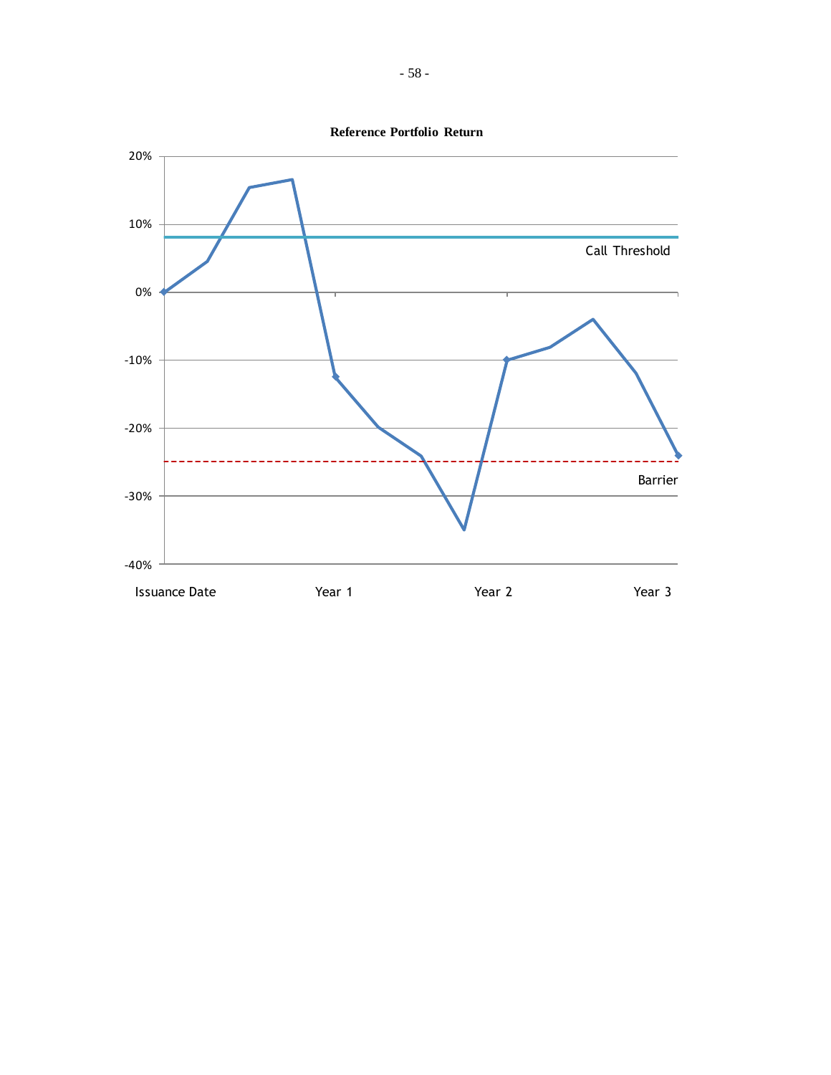**Reference Portfolio Return**

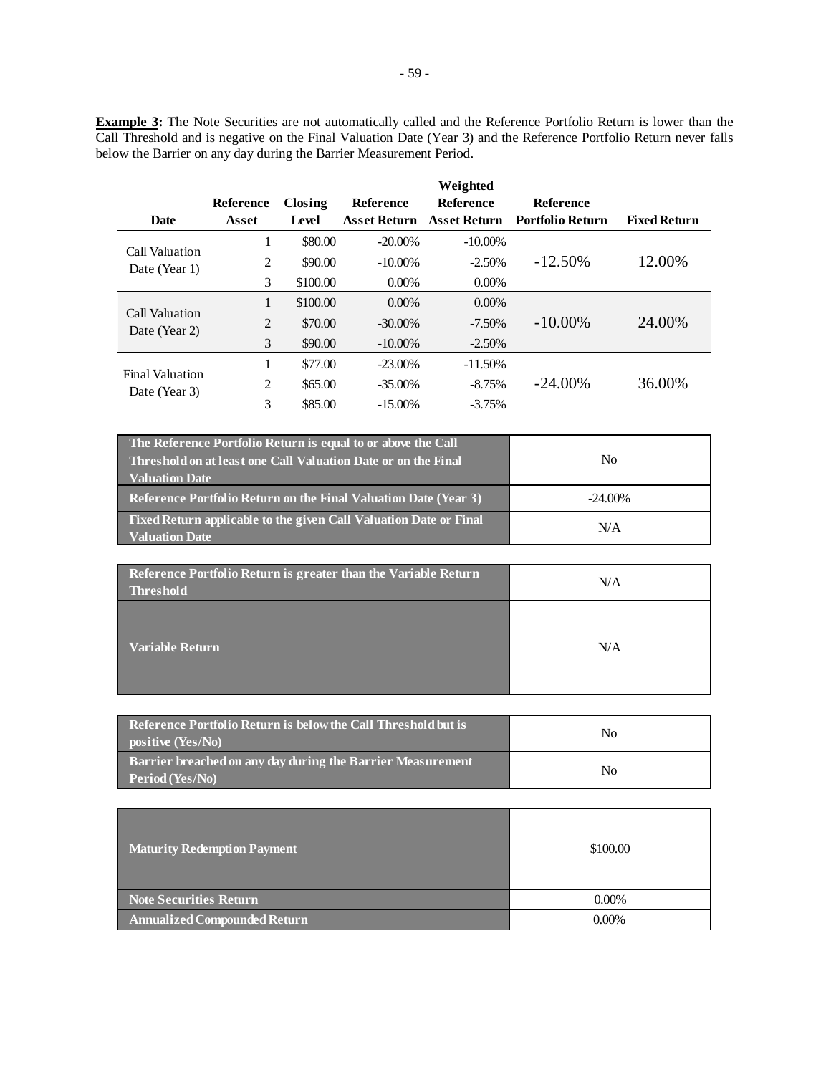**Example 3:** The Note Securities are not automatically called and the Reference Portfolio Return is lower than the Call Threshold and is negative on the Final Valuation Date (Year 3) and the Reference Portfolio Return never falls below the Barrier on any day during the Barrier Measurement Period.

|                        |                  |          |                     | Weighted            |                  |                     |
|------------------------|------------------|----------|---------------------|---------------------|------------------|---------------------|
|                        | <b>Reference</b> | Closing  | <b>Reference</b>    | <b>Reference</b>    | <b>Reference</b> |                     |
| Date                   | Asset            | Level    | <b>Asset Return</b> | <b>Asset Return</b> | Portfolio Return | <b>Fixed Return</b> |
| Call Valuation         | 1                | \$80.00  | $-20.00\%$          | $-10.00\%$          |                  |                     |
| Date (Year 1)          | 2                | \$90.00  | $-10.00\%$          | $-2.50\%$           | $-12.50\%$       | 12.00%              |
|                        | 3                | \$100.00 | $0.00\%$            | $0.00\%$            |                  |                     |
| Call Valuation         | 1                | \$100.00 | $0.00\%$            | $0.00\%$            |                  |                     |
| Date (Year 2)          | 2                | \$70.00  | $-30.00\%$          | $-7.50\%$           | $-10.00\%$       | 24.00%              |
|                        | 3                | \$90.00  | $-10.00\%$          | $-2.50\%$           |                  |                     |
| <b>Final Valuation</b> | 1                | \$77.00  | $-23.00\%$          | $-11.50\%$          |                  |                     |
| Date (Year 3)          | 2                | \$65.00  | $-35.00\%$          | $-8.75%$            | $-24.00\%$       | 36.00%              |
|                        | 3                | \$85.00  | $-15.00\%$          | $-3.75%$            |                  |                     |

| The Reference Portfolio Return is equal to or above the Call<br>Threshold on at least one Call Valuation Date or on the Final<br><b>Valuation Date</b> | No         |
|--------------------------------------------------------------------------------------------------------------------------------------------------------|------------|
| <b>Reference Portfolio Return on the Final Valuation Date (Year 3)</b>                                                                                 | $-24.00\%$ |
| Fixed Return applicable to the given Call Valuation Date or Final<br><b>Valuation Date</b>                                                             | N/A        |

| Reference Portfolio Return is greater than the Variable Return<br><b>Threshold</b> | N/A |
|------------------------------------------------------------------------------------|-----|
| <b>Variable Return</b>                                                             | N/A |

| Reference Portfolio Return is below the Call Threshold but is a<br>positive (Yes/No) | No             |
|--------------------------------------------------------------------------------------|----------------|
| <b>Barrier breached on any day during the Barrier Measurement</b><br>Period (Yes/No) | N <sub>0</sub> |

| <b>Maturity Redemption Payment</b>  | \$100.00 |
|-------------------------------------|----------|
| <b>Note Securities Return</b>       | $0.00\%$ |
| <b>Annualized Compounded Return</b> | $0.00\%$ |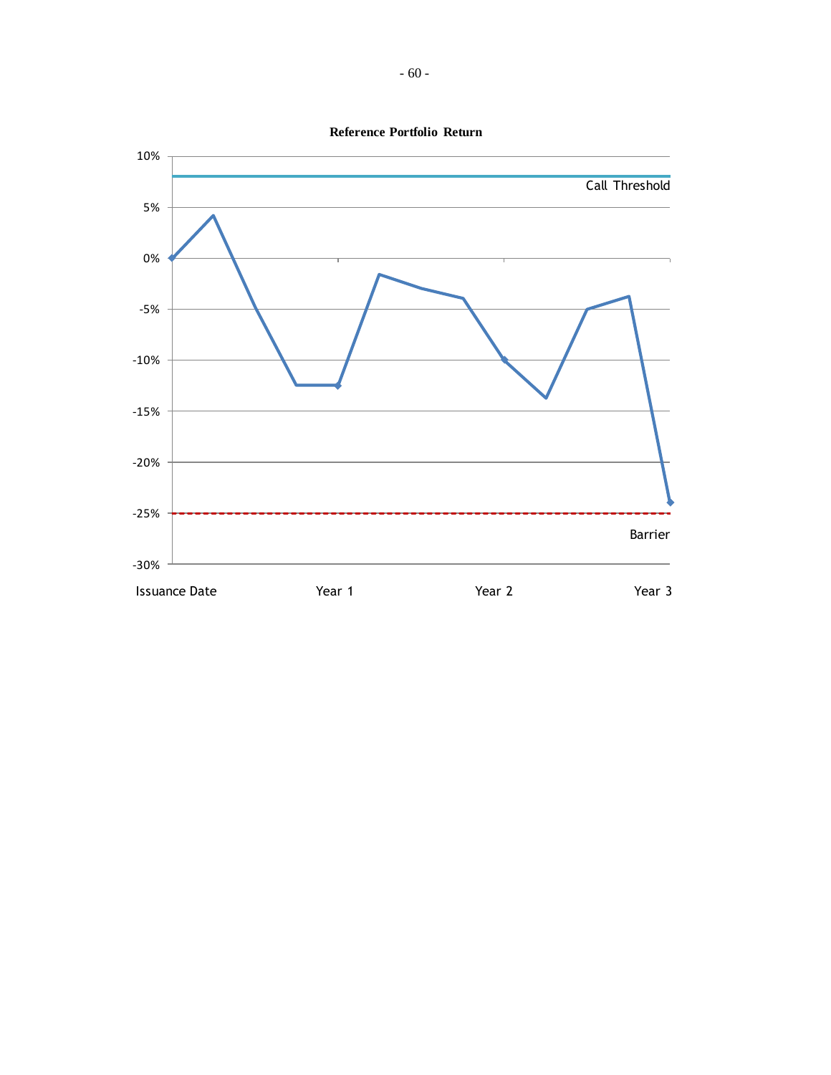

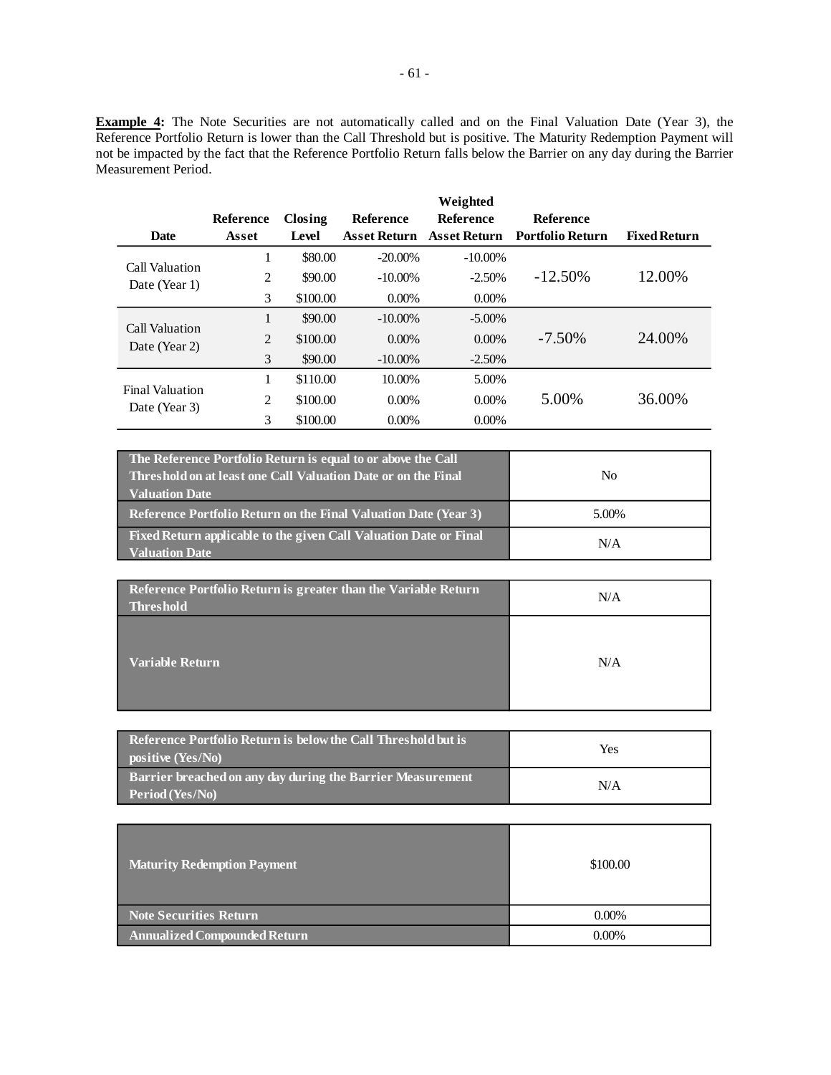**Example 4:** The Note Securities are not automatically called and on the Final Valuation Date (Year 3), the Reference Portfolio Return is lower than the Call Threshold but is positive. The Maturity Redemption Payment will not be impacted by the fact that the Reference Portfolio Return falls below the Barrier on any day during the Barrier Measurement Period.

|                        | Reference | Closing  | <b>Reference</b>    | Weighted<br><b>Reference</b> | <b>Reference</b>        |                     |
|------------------------|-----------|----------|---------------------|------------------------------|-------------------------|---------------------|
| <b>Date</b>            | Asset     | Level    | <b>Asset Return</b> | <b>Asset Return</b>          | <b>Portfolio Return</b> | <b>Fixed Return</b> |
| Call Valuation         | 1         | \$80.00  | $-20.00\%$          | $-10.00\%$                   |                         |                     |
| Date (Year 1)          | 2         | \$90.00  | $-10.00\%$          | $-2.50%$                     | $-12.50\%$              | 12.00%              |
|                        | 3         | \$100.00 | $0.00\%$            | $0.00\%$                     |                         |                     |
| Call Valuation         | 1         | \$90.00  | $-10.00\%$          | $-5.00\%$                    |                         |                     |
| Date (Year 2)          | 2         | \$100.00 | $0.00\%$            | $0.00\%$                     | $-7.50\%$               | 24.00%              |
|                        | 3         | \$90.00  | $-10.00\%$          | $-2.50\%$                    |                         |                     |
| <b>Final Valuation</b> | 1         | \$110.00 | 10.00%              | 5.00%                        |                         |                     |
| Date (Year 3)          | 2         | \$100.00 | $0.00\%$            | $0.00\%$                     | 5.00%                   | 36.00%              |
|                        | 3         | \$100.00 | $0.00\%$            | $0.00\%$                     |                         |                     |

| The Reference Portfolio Return is equal to or above the Call<br><b>Threshold on at least one Call Valuation Date or on the Final</b><br><b>Valuation Date</b> | No    |
|---------------------------------------------------------------------------------------------------------------------------------------------------------------|-------|
| <b>Reference Portfolio Return on the Final Valuation Date (Year 3)</b>                                                                                        | 5.00% |
| Fixed Return applicable to the given Call Valuation Date or Final<br><b>Valuation Date</b>                                                                    | N/A   |

| Reference Portfolio Return is greater than the Variable Return<br><b>Threshold</b> | N/A |
|------------------------------------------------------------------------------------|-----|
| <b>Variable Return</b>                                                             | N/A |

| Reference Portfolio Return is below the Call Threshold but is<br>positive (Yes/No) | Yes |
|------------------------------------------------------------------------------------|-----|
| Barrier breached on any day during the Barrier Measurement<br>Period (Yes/No)      | N/A |

| <b>Maturity Redemption Payment</b>  | \$100.00 |
|-------------------------------------|----------|
| <b>Note Securities Return</b>       | $0.00\%$ |
| <b>Annualized Compounded Return</b> | $0.00\%$ |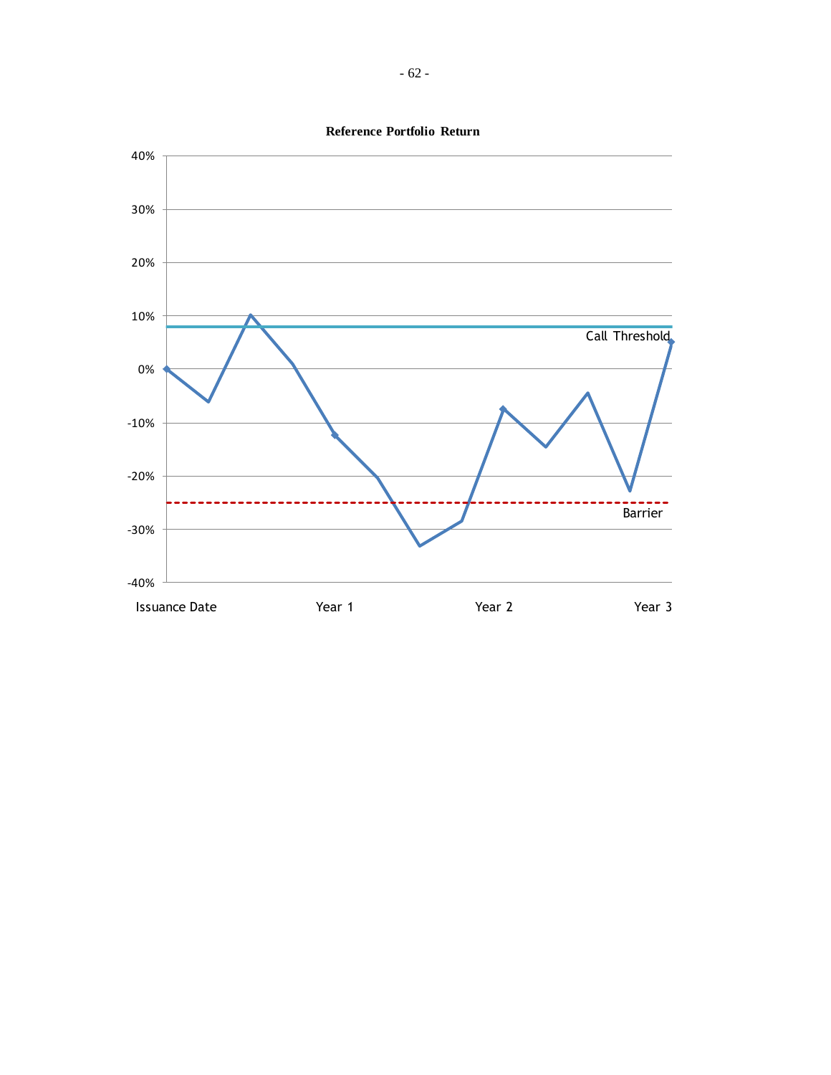

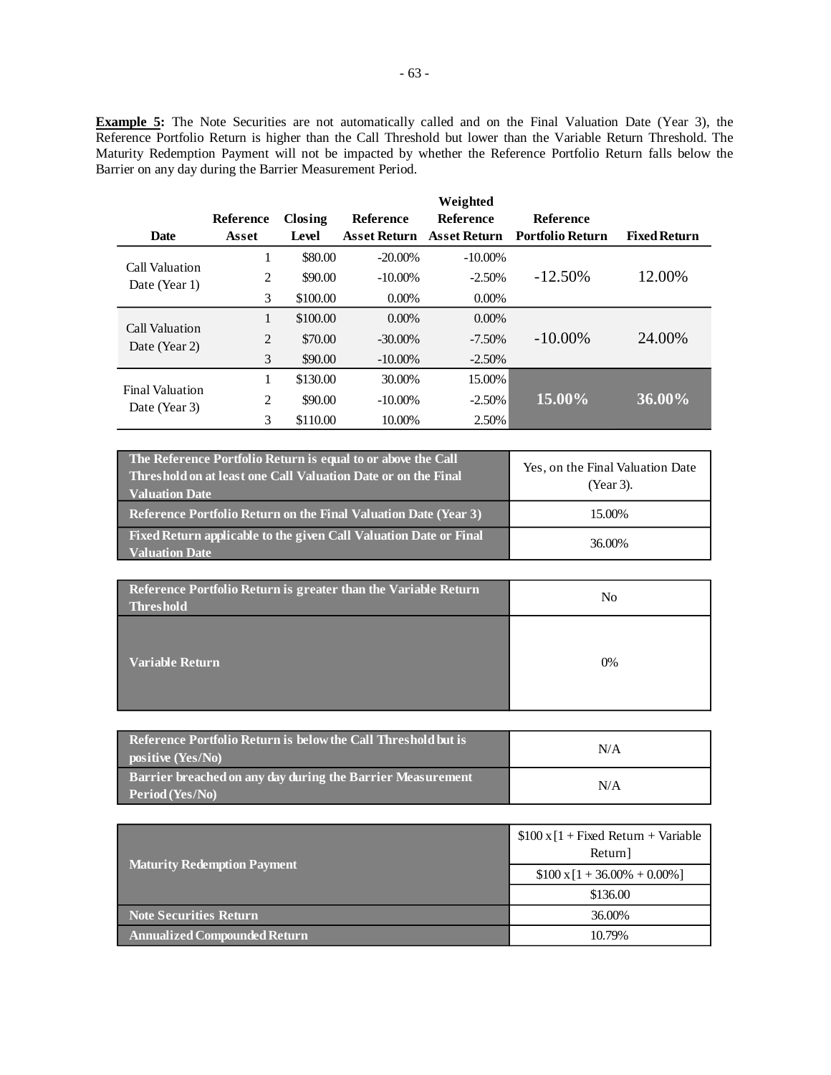**Example 5:** The Note Securities are not automatically called and on the Final Valuation Date (Year 3), the Reference Portfolio Return is higher than the Call Threshold but lower than the Variable Return Threshold. The Maturity Redemption Payment will not be impacted by whether the Reference Portfolio Return falls below the Barrier on any day during the Barrier Measurement Period.

|                                         |           |          |                     | Weighted            |                         |                     |
|-----------------------------------------|-----------|----------|---------------------|---------------------|-------------------------|---------------------|
|                                         | Reference | Closing  | <b>Reference</b>    | <b>Reference</b>    | <b>Reference</b>        |                     |
| <b>Date</b>                             | Asset     | Level    | <b>Asset Return</b> | <b>Asset Return</b> | <b>Portfolio Return</b> | <b>Fixed Return</b> |
|                                         | 1         | \$80.00  | $-20.00\%$          | $-10.00\%$          |                         |                     |
| Call Valuation<br>Date (Year 1)         | 2         | \$90.00  | $-10.00\%$          | $-2.50%$            | $-12.50\%$              | 12.00%              |
|                                         | 3         | \$100.00 | $0.00\%$            | $0.00\%$            |                         |                     |
| Call Valuation<br>Date (Year 2)         | 1         | \$100.00 | $0.00\%$            | $0.00\%$            |                         |                     |
|                                         | 2         | \$70.00  | $-30.00\%$          | $-7.50\%$           | $-10.00\%$              | 24.00%              |
|                                         | 3         | \$90.00  | $-10.00\%$          | $-2.50\%$           |                         |                     |
| <b>Final Valuation</b><br>Date (Year 3) |           | \$130.00 | 30.00%              | 15.00%              |                         |                     |
|                                         | 2         | \$90.00  | $-10.00\%$          | $-2.50%$            | 15.00%                  | 36.00%              |
|                                         | 3         | \$110.00 | 10.00%              | 2.50%               |                         |                     |

| The Reference Portfolio Return is equal to or above the Call<br>Threshold on at least one Call Valuation Date or on the Final<br><b>Valuation Date</b> | Yes, on the Final Valuation Date<br>(Year 3). |
|--------------------------------------------------------------------------------------------------------------------------------------------------------|-----------------------------------------------|
| Reference Portfolio Return on the Final Valuation Date (Year 3)                                                                                        | 15.00%                                        |
| Fixed Return applicable to the given Call Valuation Date or Final<br><b>Valuation Date</b>                                                             | 36.00%                                        |

| Reference Portfolio Return is greater than the Variable Return<br><b>Threshold</b> | No |
|------------------------------------------------------------------------------------|----|
| <b>Variable Return</b>                                                             | 0% |

| Reference Portfolio Return is below the Call Threshold but is<br>positive (Yes/No) | N/A |
|------------------------------------------------------------------------------------|-----|
| Barrier breached on any day during the Barrier Measurement<br>Period (Yes/No)      | N/A |

|                                     | $$100 \times [1 + Fixed Return + Variable]$<br>Return] |  |
|-------------------------------------|--------------------------------------------------------|--|
| <b>Maturity Redemption Payment</b>  | $$100 \times 1 + 36.00\% + 0.00\%]$                    |  |
|                                     | \$136.00                                               |  |
| <b>Note Securities Return</b>       | 36.00%                                                 |  |
| <b>Annualized Compounded Return</b> | 10.79%                                                 |  |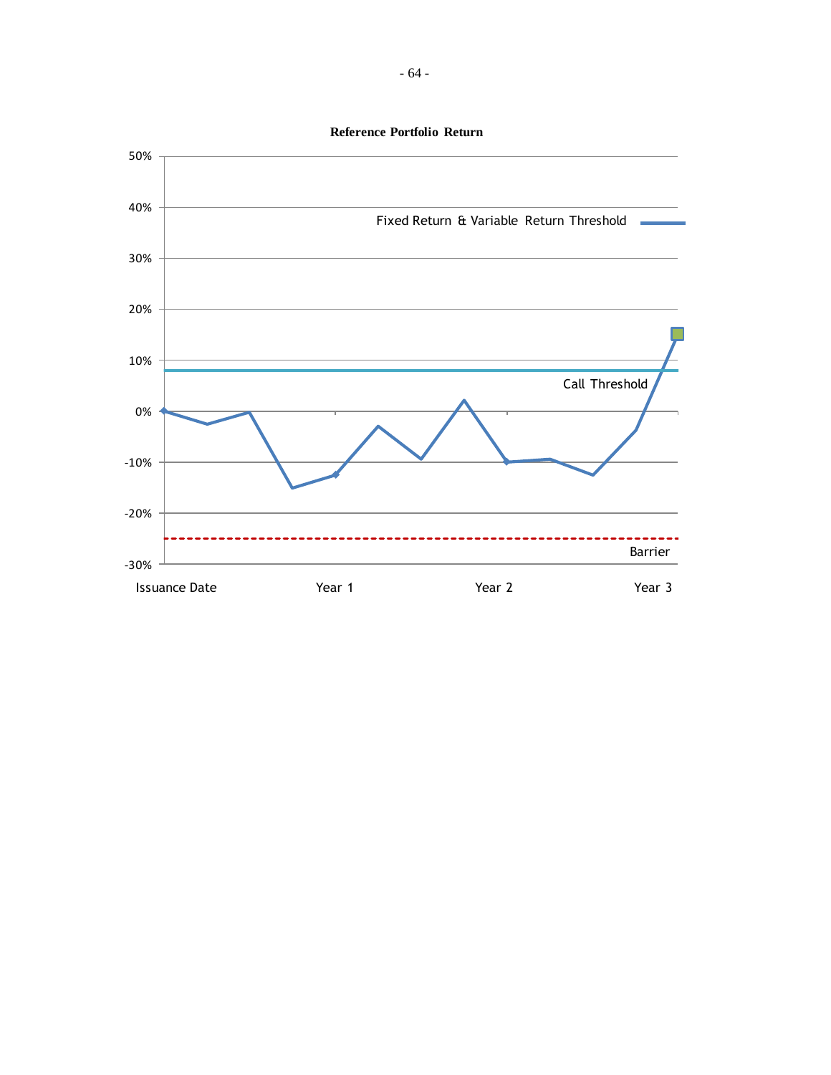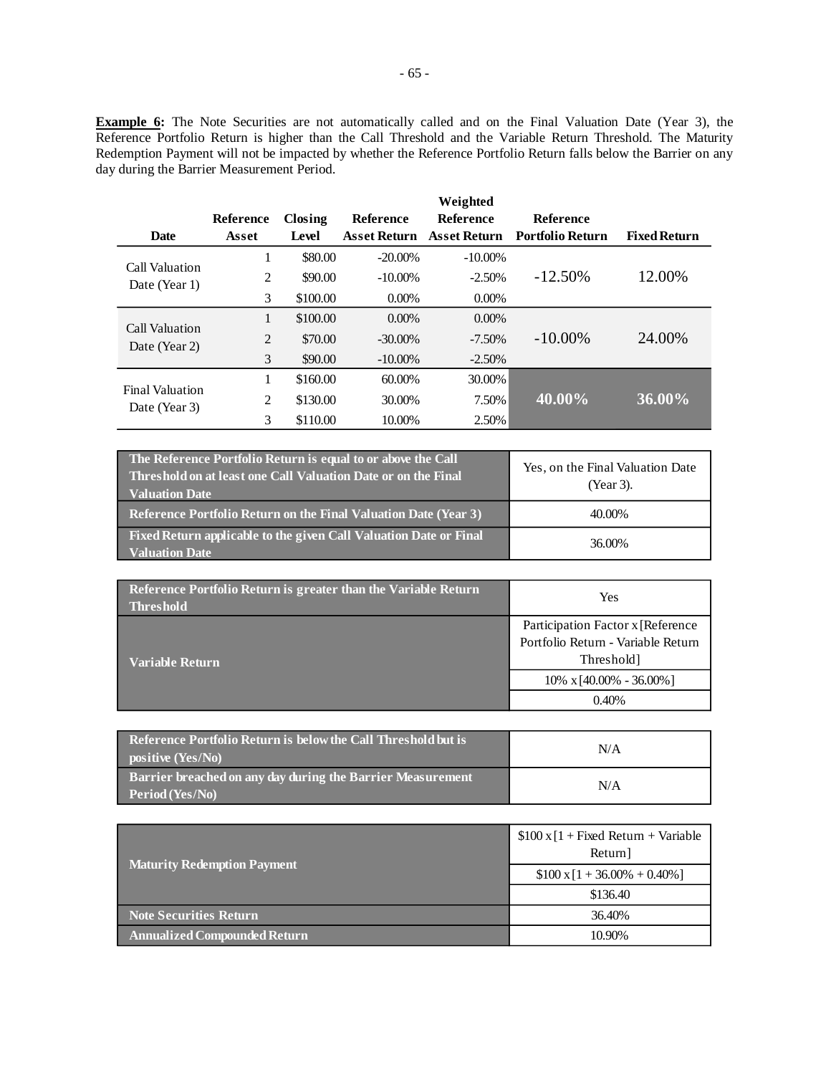**Example 6:** The Note Securities are not automatically called and on the Final Valuation Date (Year 3), the Reference Portfolio Return is higher than the Call Threshold and the Variable Return Threshold. The Maturity Redemption Payment will not be impacted by whether the Reference Portfolio Return falls below the Barrier on any day during the Barrier Measurement Period.

|                                         |           |          |                     | Weighted            |                         |                     |  |
|-----------------------------------------|-----------|----------|---------------------|---------------------|-------------------------|---------------------|--|
|                                         | Reference | Closing  | <b>Reference</b>    | <b>Reference</b>    | <b>Reference</b>        |                     |  |
| <b>Date</b>                             | Asset     | Level    | <b>Asset Return</b> | <b>Asset Return</b> | <b>Portfolio Return</b> | <b>Fixed Return</b> |  |
| Call Valuation<br>Date (Year 1)         | 1         | \$80.00  | $-20.00\%$          | $-10.00\%$          |                         |                     |  |
|                                         | 2         | \$90.00  | $-10.00\%$          | $-2.50%$            | $-12.50\%$              | 12.00%              |  |
|                                         | 3         | \$100.00 | $0.00\%$            | $0.00\%$            |                         |                     |  |
| Call Valuation<br>Date (Year 2)         | 1         | \$100.00 | $0.00\%$            | $0.00\%$            |                         |                     |  |
|                                         | 2         | \$70.00  | $-30.00\%$          | $-7.50\%$           | $-10.00\%$              | 24.00%              |  |
|                                         | 3         | \$90.00  | $-10.00\%$          | $-2.50%$            |                         |                     |  |
| <b>Final Valuation</b><br>Date (Year 3) | 1         | \$160.00 | 60.00%              | 30.00%              |                         |                     |  |
|                                         | 2         | \$130.00 | 30.00%              | 7.50%               | 40.00%                  | 36.00%              |  |
|                                         | 3         | \$110.00 | 10.00%              | 2.50%               |                         |                     |  |

| The Reference Portfolio Return is equal to or above the Call<br>Threshold on at least one Call Valuation Date or on the Final<br><b>Valuation Date</b> | Yes, on the Final Valuation Date<br>(Year 3). |
|--------------------------------------------------------------------------------------------------------------------------------------------------------|-----------------------------------------------|
| <b>Reference Portfolio Return on the Final Valuation Date (Year 3)</b>                                                                                 | 40.00%                                        |
| Fixed Return applicable to the given Call Valuation Date or Final<br><b>Valuation Date</b>                                                             | 36.00%                                        |

| Reference Portfolio Return is greater than the Variable Return<br><b>Threshold</b> | Yes                                                                     |
|------------------------------------------------------------------------------------|-------------------------------------------------------------------------|
|                                                                                    | Participation Factor x [Reference<br>Portfolio Return - Variable Return |
| <b>Variable Return</b>                                                             | Threshold]<br>$10\% \times 40.00\% - 36.00\%$                           |
|                                                                                    | $0.40\%$                                                                |

| Reference Portfolio Return is below the Call Threshold but is<br>positive (Yes/No) | N/A |
|------------------------------------------------------------------------------------|-----|
| Barrier breached on any day during the Barrier Measurement<br>Period (Yes/No)      | N/A |

|                                     | $$100 \times [1 + Fixed Return + Variable]$<br>Return] |  |
|-------------------------------------|--------------------------------------------------------|--|
| <b>Maturity Redemption Payment</b>  | $$100 \times 1 + 36.00\% + 0.40\%]$                    |  |
|                                     | \$136.40                                               |  |
| <b>Note Securities Return</b>       | 36.40%                                                 |  |
| <b>Annualized Compounded Return</b> | 10.90%                                                 |  |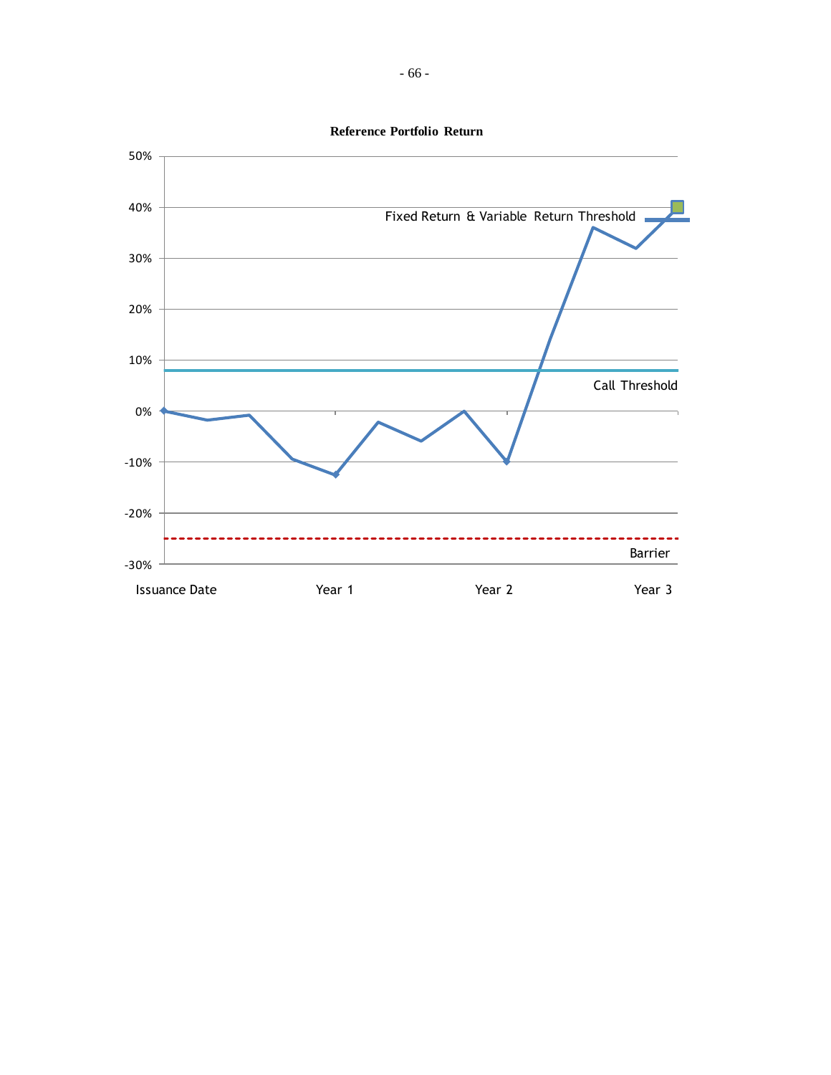

**Reference Portfolio Return**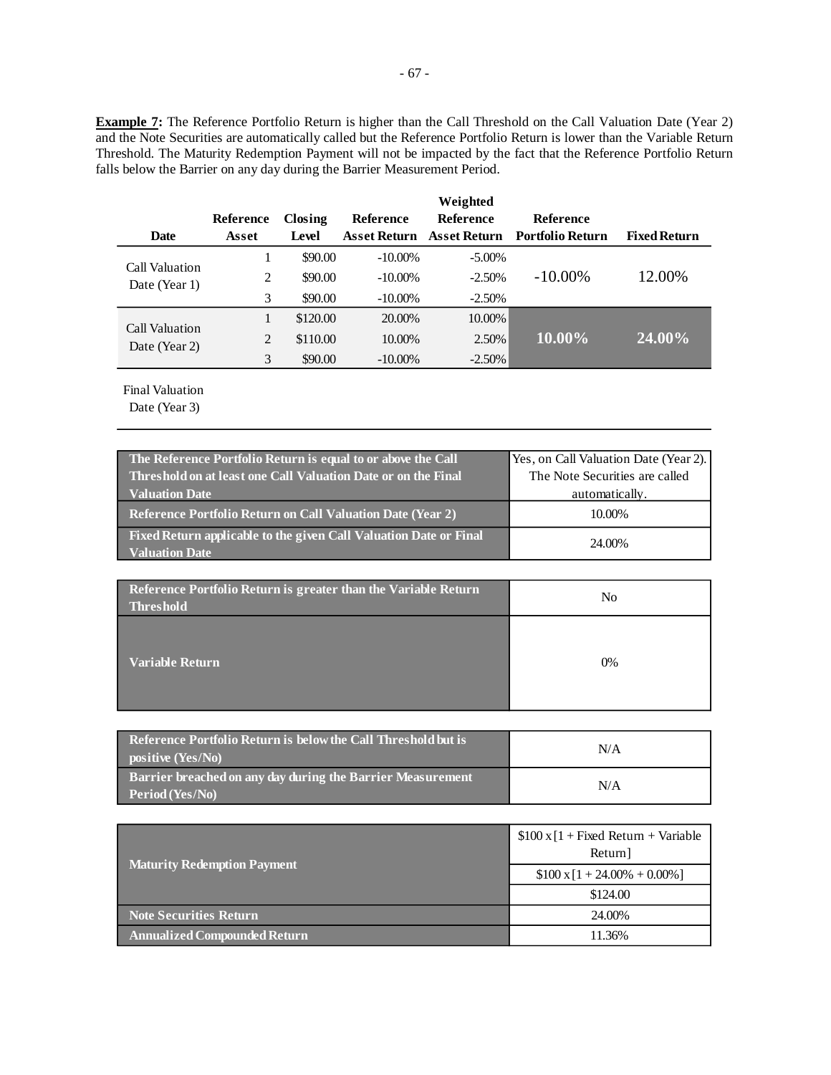**Example 7:** The Reference Portfolio Return is higher than the Call Threshold on the Call Valuation Date (Year 2) and the Note Securities are automatically called but the Reference Portfolio Return is lower than the Variable Return Threshold. The Maturity Redemption Payment will not be impacted by the fact that the Reference Portfolio Return falls below the Barrier on any day during the Barrier Measurement Period.

|                                 |                |          |                     | Weighted         |                         |                     |
|---------------------------------|----------------|----------|---------------------|------------------|-------------------------|---------------------|
|                                 | Reference      | Closing  | Reference           | <b>Reference</b> | <b>Reference</b>        |                     |
| Date                            | Asset          | Level    | <b>Asset Return</b> | Asset Return     | <b>Portfolio Return</b> | <b>Fixed Return</b> |
|                                 |                | \$90.00  | $-10.00\%$          | $-5.00\%$        |                         |                     |
| Call Valuation<br>Date (Year 1) | 2              | \$90.00  | $-10.00\%$          | $-2.50%$         | $-10.00\%$              | 12.00%              |
|                                 | 3              | \$90.00  | $-10.00\%$          | $-2.50%$         |                         |                     |
|                                 |                | \$120.00 | 20.00%              | 10.00%           |                         |                     |
| Call Valuation<br>Date (Year 2) | $\overline{c}$ | \$110.00 | 10.00%              | 2.50%            | 10.00%                  | 24.00%              |
|                                 | 3              | \$90.00  | $-10.00\%$          | $-2.50%$         |                         |                     |

Final Valuation

| The Reference Portfolio Return is equal to or above the Call                               | Yes, on Call Valuation Date (Year 2). |
|--------------------------------------------------------------------------------------------|---------------------------------------|
| <b>Threshold on at least one Call Valuation Date or on the Final</b>                       | The Note Securities are called        |
| <b>Valuation Date</b>                                                                      | automatically.                        |
| <b>Reference Portfolio Return on Call Valuation Date (Year 2)</b>                          | 10.00%                                |
| Fixed Return applicable to the given Call Valuation Date or Final<br><b>Valuation Date</b> | 24.00%                                |

| Reference Portfolio Return is greater than the Variable Return<br><b>Threshold</b> | No |
|------------------------------------------------------------------------------------|----|
| <b>Variable Return</b>                                                             | 0% |

| Reference Portfolio Return is below the Call Threshold but is<br>positive (Yes/No) | N/A |
|------------------------------------------------------------------------------------|-----|
| Barrier breached on any day during the Barrier Measurement<br>Period (Yes/No)      | N/A |

|                                     | $$100 \times [1 + Fixed Return + Variable]$<br>Return] |
|-------------------------------------|--------------------------------------------------------|
| <b>Maturity Redemption Payment</b>  | $$100 \times 1 + 24.00\% + 0.00\%]$                    |
|                                     | \$124.00                                               |
| <b>Note Securities Return</b>       | 24.00%                                                 |
| <b>Annualized Compounded Return</b> | 11.36%                                                 |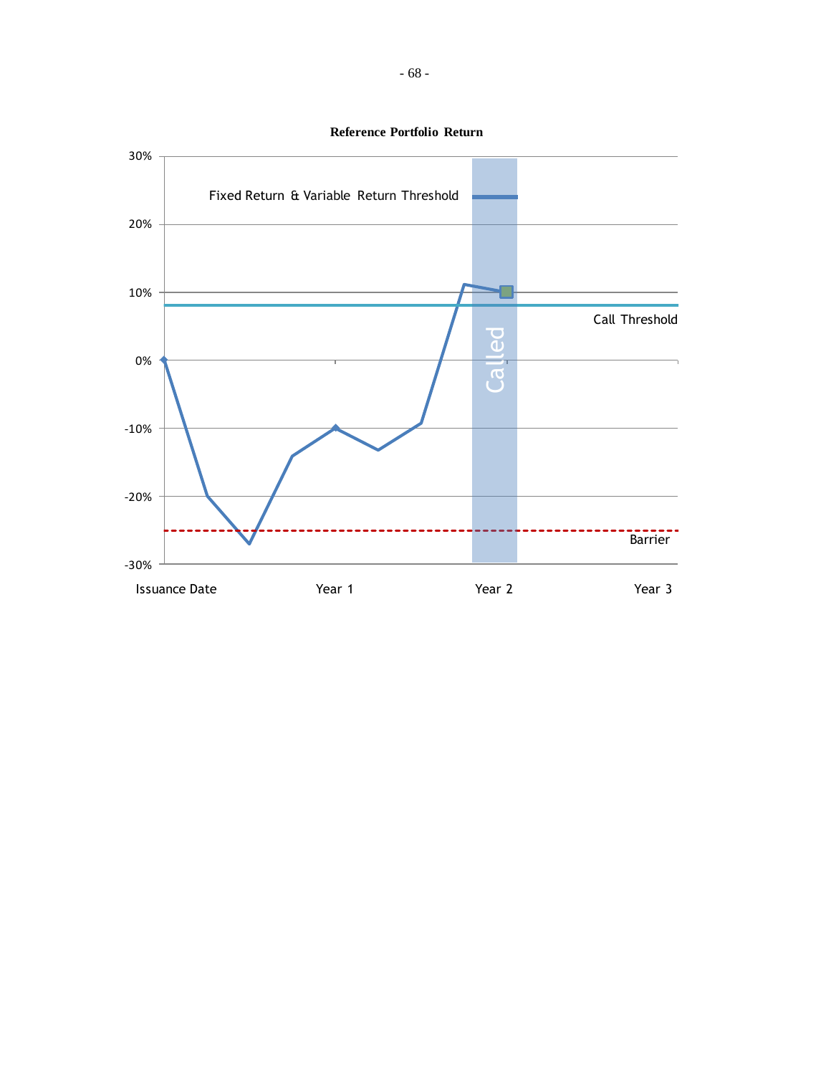

**Reference Portfolio Return**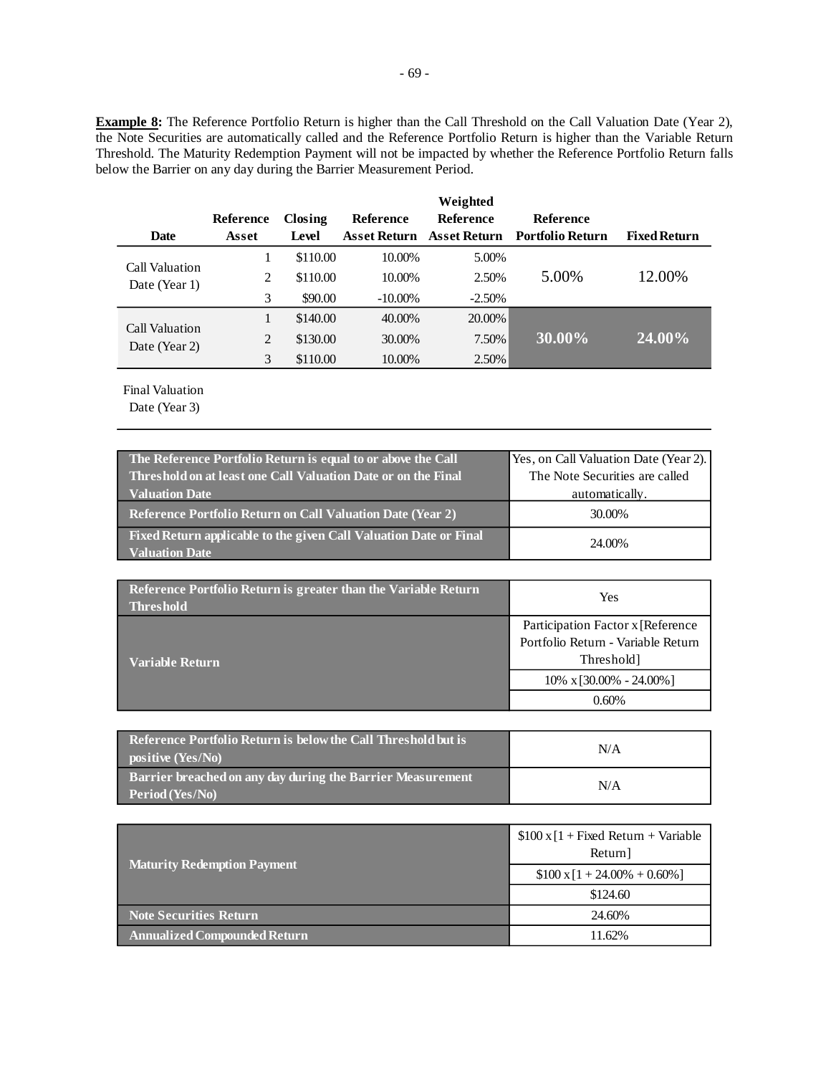**Example 8:** The Reference Portfolio Return is higher than the Call Threshold on the Call Valuation Date (Year 2), the Note Securities are automatically called and the Reference Portfolio Return is higher than the Variable Return Threshold. The Maturity Redemption Payment will not be impacted by whether the Reference Portfolio Return falls below the Barrier on any day during the Barrier Measurement Period.

|                                 |           |          |                     | Weighted         |                         |                     |
|---------------------------------|-----------|----------|---------------------|------------------|-------------------------|---------------------|
|                                 | Reference | Closing  | <b>Reference</b>    | <b>Reference</b> | <b>Reference</b>        |                     |
| <b>Date</b>                     | Asset     | Level    | <b>Asset Return</b> | Asset Return     | <b>Portfolio Return</b> | <b>Fixed Return</b> |
|                                 |           | \$110.00 | 10.00%              | 5.00%            |                         |                     |
| Call Valuation<br>Date (Year 1) | 2         | \$110.00 | 10.00%              | 2.50%            | 5.00%                   | 12.00%              |
|                                 | 3         | \$90.00  | $-10.00\%$          | $-2.50%$         |                         |                     |
|                                 |           | \$140.00 | 40.00%              | 20.00%           |                         |                     |
| Call Valuation<br>Date (Year 2) | 2         | \$130.00 | 30.00%              | 7.50%            | 30.00%                  | 24.00%              |
|                                 | 3         | \$110.00 | 10.00%              | 2.50%            |                         |                     |

Final Valuation

| The Reference Portfolio Return is equal to or above the Call                               | Yes, on Call Valuation Date (Year 2). |
|--------------------------------------------------------------------------------------------|---------------------------------------|
| <b>Threshold on at least one Call Valuation Date or on the Final</b>                       | The Note Securities are called        |
| <b>Valuation Date</b>                                                                      | automatically.                        |
| <b>Reference Portfolio Return on Call Valuation Date (Year 2)</b>                          | 30.00%                                |
| Fixed Return applicable to the given Call Valuation Date or Final<br><b>Valuation Date</b> | 24.00%                                |

| Reference Portfolio Return is greater than the Variable Return<br><b>Threshold</b> | Yes                                |
|------------------------------------------------------------------------------------|------------------------------------|
|                                                                                    | Participation Factor x [Reference] |
|                                                                                    | Portfolio Return - Variable Return |
| <b>Variable Return</b>                                                             | Threshold]                         |
|                                                                                    | $10\% \times 30.00\% - 24.00\%$    |
|                                                                                    | 0.60%                              |

| Reference Portfolio Return is below the Call Threshold but is<br>positive (Yes/No) | N/A |
|------------------------------------------------------------------------------------|-----|
| Barrier breached on any day during the Barrier Measurement<br>Period (Yes/No)      | N/A |

|                                     | $$100 \times [1 + Fixed Return + Variable]$<br>Return] |
|-------------------------------------|--------------------------------------------------------|
| <b>Maturity Redemption Payment</b>  | $$100 \times [1 + 24.00\% + 0.60\%]$                   |
|                                     | \$124.60                                               |
| <b>Note Securities Return</b>       | 24.60%                                                 |
| <b>Annualized Compounded Return</b> | 11.62%                                                 |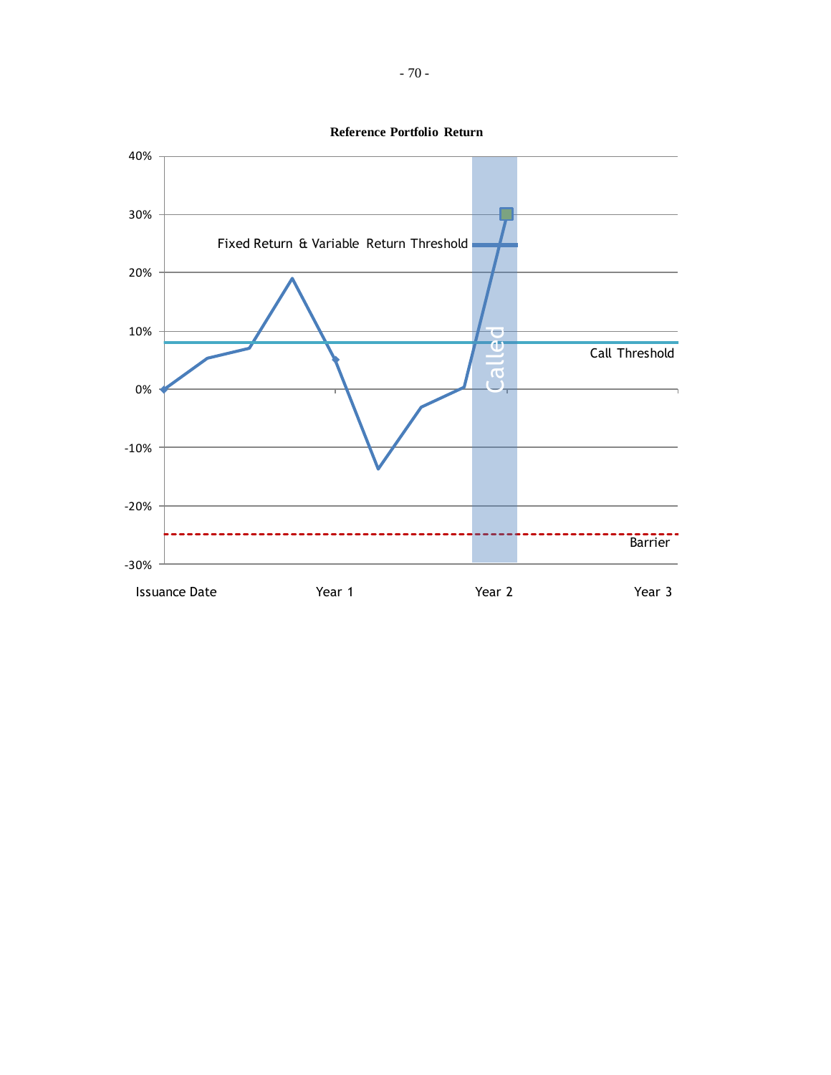

**Reference Portfolio Return**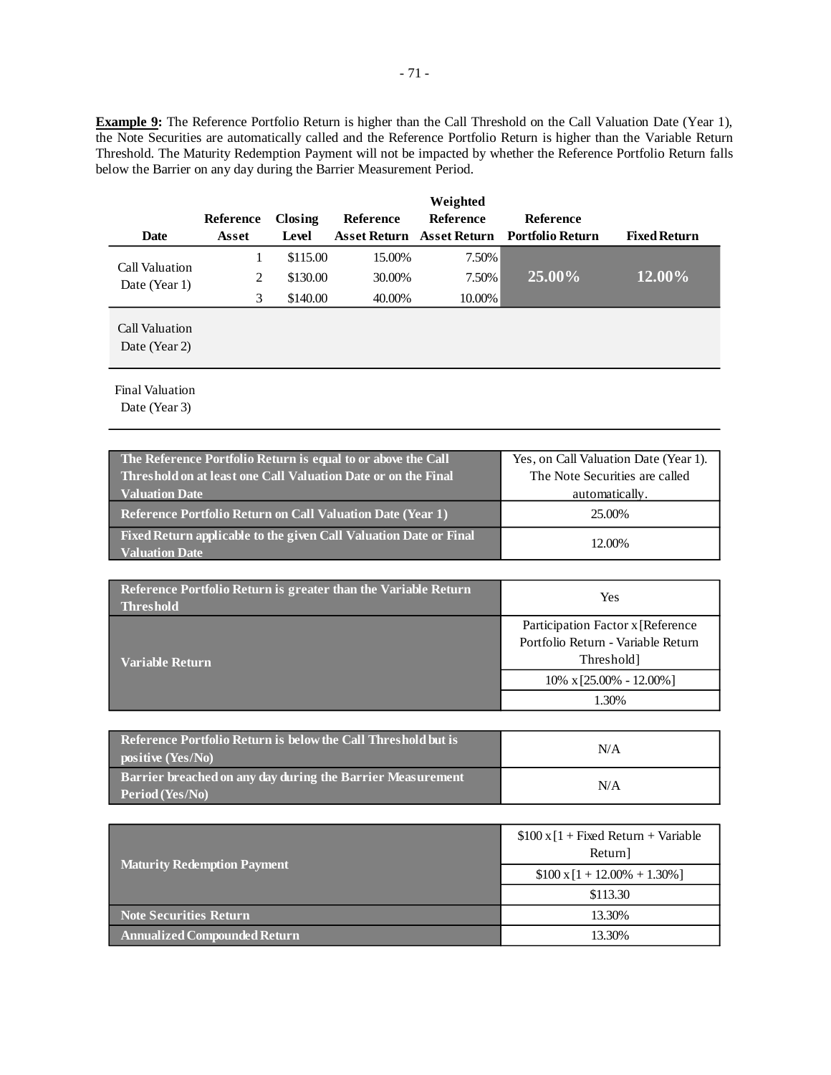**Example 9:** The Reference Portfolio Return is higher than the Call Threshold on the Call Valuation Date (Year 1), the Note Securities are automatically called and the Reference Portfolio Return is higher than the Variable Return Threshold. The Maturity Redemption Payment will not be impacted by whether the Reference Portfolio Return falls below the Barrier on any day during the Barrier Measurement Period.

| <b>Date</b>                     | Reference<br>Asset | Closing<br>Level | <b>Reference</b> | Weighted<br><b>Reference</b> | <b>Reference</b><br>Asset Return Asset Return Portfolio Return | <b>Fixed Return</b> |
|---------------------------------|--------------------|------------------|------------------|------------------------------|----------------------------------------------------------------|---------------------|
|                                 |                    |                  |                  |                              |                                                                |                     |
| <b>Call Valuation</b>           | $\mathbf{I}$       | \$115.00         | 15.00%           | 7.50%                        |                                                                |                     |
| Date (Year 1)                   | 2                  | \$130.00         | 30.00%           | 7.50%                        | 25.00%                                                         | 12.00%              |
|                                 | 3                  | \$140.00         | 40.00%           | 10.00%                       |                                                                |                     |
| Call Valuation<br>Date (Year 2) |                    |                  |                  |                              |                                                                |                     |

Final Valuation

| The Reference Portfolio Return is equal to or above the Call                               | Yes, on Call Valuation Date (Year 1). |
|--------------------------------------------------------------------------------------------|---------------------------------------|
| Threshold on at least one Call Valuation Date or on the Final                              | The Note Securities are called        |
| <b>Valuation Date</b>                                                                      | automatically.                        |
| <b>Reference Portfolio Return on Call Valuation Date (Year 1)</b>                          | 25.00%                                |
| Fixed Return applicable to the given Call Valuation Date or Final<br><b>Valuation Date</b> | 12.00%                                |

| Reference Portfolio Return is greater than the Variable Return<br><b>Threshold</b> | Yes                                                                      |  |  |
|------------------------------------------------------------------------------------|--------------------------------------------------------------------------|--|--|
|                                                                                    | Participation Factor x [Reference]<br>Portfolio Return - Variable Return |  |  |
| Variable Return                                                                    | Threshold]                                                               |  |  |
|                                                                                    | $10\% \times [25.00\% - 12.00\%]$                                        |  |  |
|                                                                                    | 1.30%                                                                    |  |  |

| <b>Reference Portfolio Return is below the Call Threshold but is</b><br>positive $(Yes/No)$ | N/A |
|---------------------------------------------------------------------------------------------|-----|
| Barrier breached on any day during the Barrier Measurement<br>Period (Yes/No)               | N/A |

|                                     | $$100 \times [1 + Fixed Return + Variable]$<br>Return] |  |
|-------------------------------------|--------------------------------------------------------|--|
| <b>Maturity Redemption Payment</b>  | $$100 \times [1 + 12.00\% + 1.30\%]$                   |  |
|                                     | \$113.30                                               |  |
| <b>Note Securities Return</b>       | 13.30%                                                 |  |
| <b>Annualized Compounded Return</b> | 13.30%                                                 |  |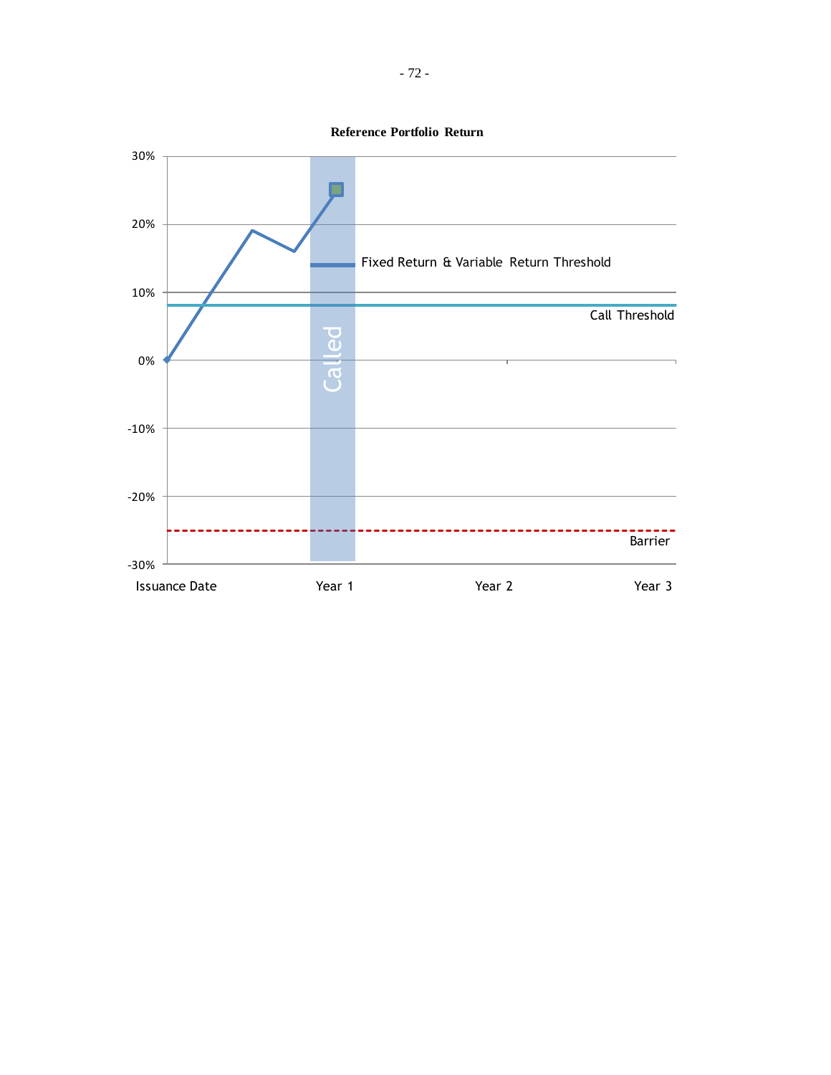**Reference Portfolio Return**

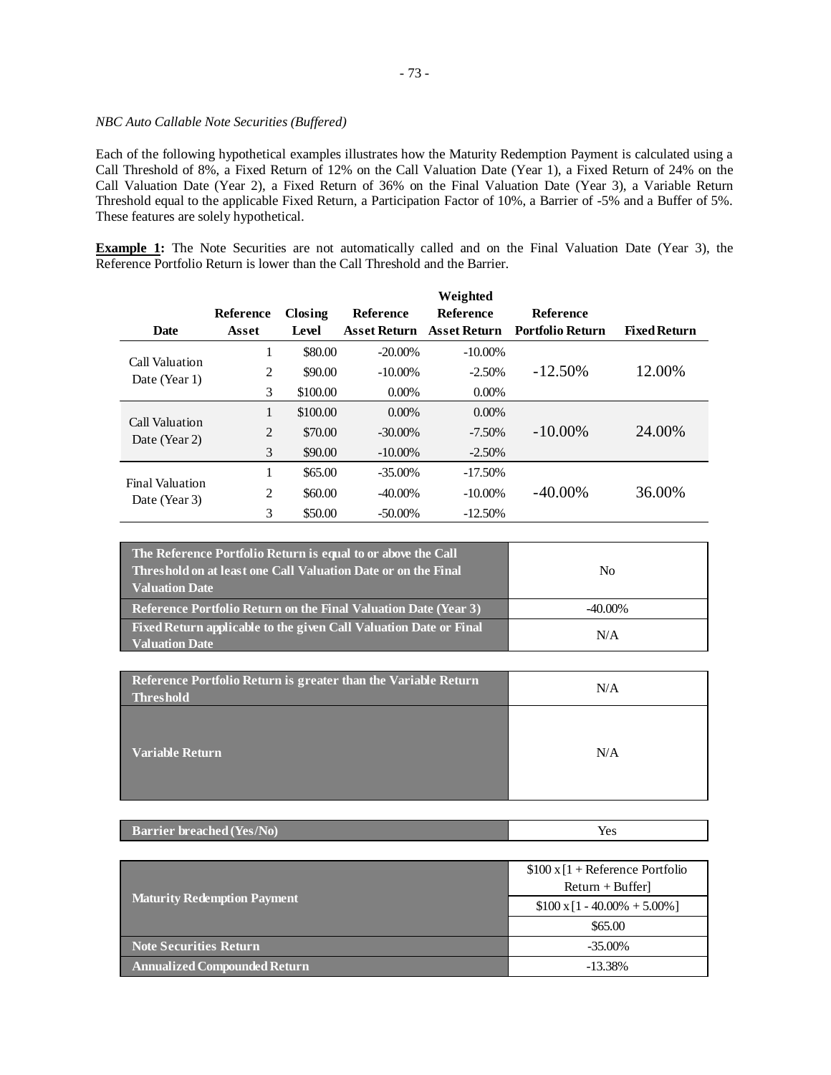## *NBC Auto Callable Note Securities (Buffered)*

Each of the following hypothetical examples illustrates how the Maturity Redemption Payment is calculated using a Call Threshold of 8%, a Fixed Return of 12% on the Call Valuation Date (Year 1), a Fixed Return of 24% on the Call Valuation Date (Year 2), a Fixed Return of 36% on the Final Valuation Date (Year 3), a Variable Return Threshold equal to the applicable Fixed Return, a Participation Factor of 10%, a Barrier of -5% and a Buffer of 5%. These features are solely hypothetical.

**Example 1:** The Note Securities are not automatically called and on the Final Valuation Date (Year 3), the Reference Portfolio Return is lower than the Call Threshold and the Barrier.

|                                         |           |          |                     | Weighted            |                         |                     |
|-----------------------------------------|-----------|----------|---------------------|---------------------|-------------------------|---------------------|
|                                         | Reference | Closing  | Reference           | <b>Reference</b>    | <b>Reference</b>        |                     |
| <b>Date</b>                             | Asset     | Level    | <b>Asset Return</b> | <b>Asset Return</b> | <b>Portfolio Return</b> | <b>Fixed Return</b> |
| Call Valuation                          | 1         | \$80.00  | $-20.00\%$          | $-10.00\%$          |                         |                     |
| Date (Year 1)                           | 2         | \$90.00  | $-10.00\%$          | $-2.50%$            | $-12.50\%$              | 12.00%              |
|                                         | 3         | \$100.00 | $0.00\%$            | $0.00\%$            |                         |                     |
| Call Valuation<br>Date (Year 2)         | 1         | \$100.00 | $0.00\%$            | $0.00\%$            |                         |                     |
|                                         | 2         | \$70.00  | $-30.00\%$          | $-7.50%$            | $-10.00\%$              | 24.00%              |
|                                         | 3         | \$90.00  | $-10.00\%$          | $-2.50\%$           |                         |                     |
| <b>Final Valuation</b><br>Date (Year 3) | 1         | \$65.00  | $-35.00\%$          | $-17.50%$           |                         |                     |
|                                         | 2         | \$60.00  | $-40.00\%$          | $-10.00\%$          | $-40.00\%$              | 36.00%              |
|                                         | 3         | \$50.00  | $-50.00\%$          | $-12.50%$           |                         |                     |

| The Reference Portfolio Return is equal to or above the Call<br>Threshold on at least one Call Valuation Date or on the Final<br><b>Valuation Date</b> | No         |  |
|--------------------------------------------------------------------------------------------------------------------------------------------------------|------------|--|
| <b>Reference Portfolio Return on the Final Valuation Date (Year 3)</b>                                                                                 | $-40.00\%$ |  |
| Fixed Return applicable to the given Call Valuation Date or Final<br><b>Valuation Date</b>                                                             | N/A        |  |

| Reference Portfolio Return is greater than the Variable Return<br><b>Threshold</b> | N/A |
|------------------------------------------------------------------------------------|-----|
| Variable Return                                                                    | N/A |

| <b>Barrier breached (Yes/No)</b> | Yes |
|----------------------------------|-----|
|                                  |     |

|                                     | $$100 \times 1 +$ Reference Portfolio<br>$Return + Buffer$ |
|-------------------------------------|------------------------------------------------------------|
| <b>Maturity Redemption Payment</b>  | $$100 \times 11 - 40.00\% + 5.00\%]$                       |
|                                     | \$65.00                                                    |
| <b>Note Securities Return</b>       | $-35.00\%$                                                 |
| <b>Annualized Compounded Return</b> | $-13.38%$                                                  |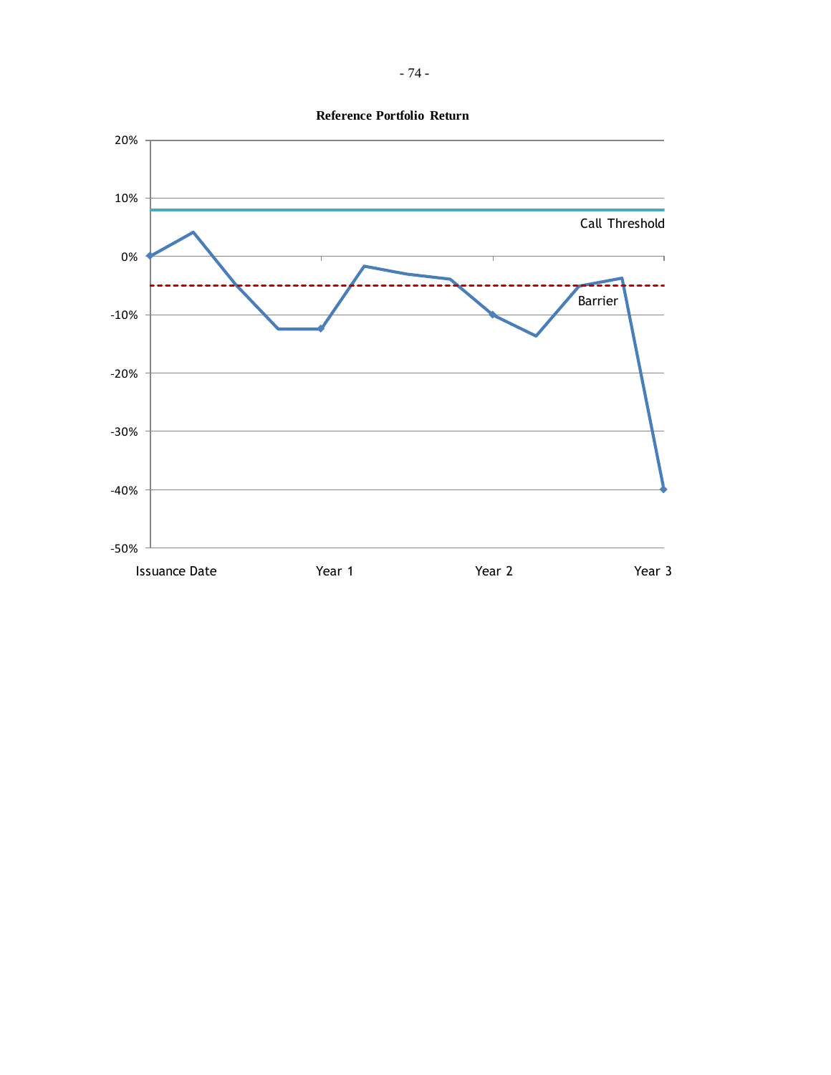

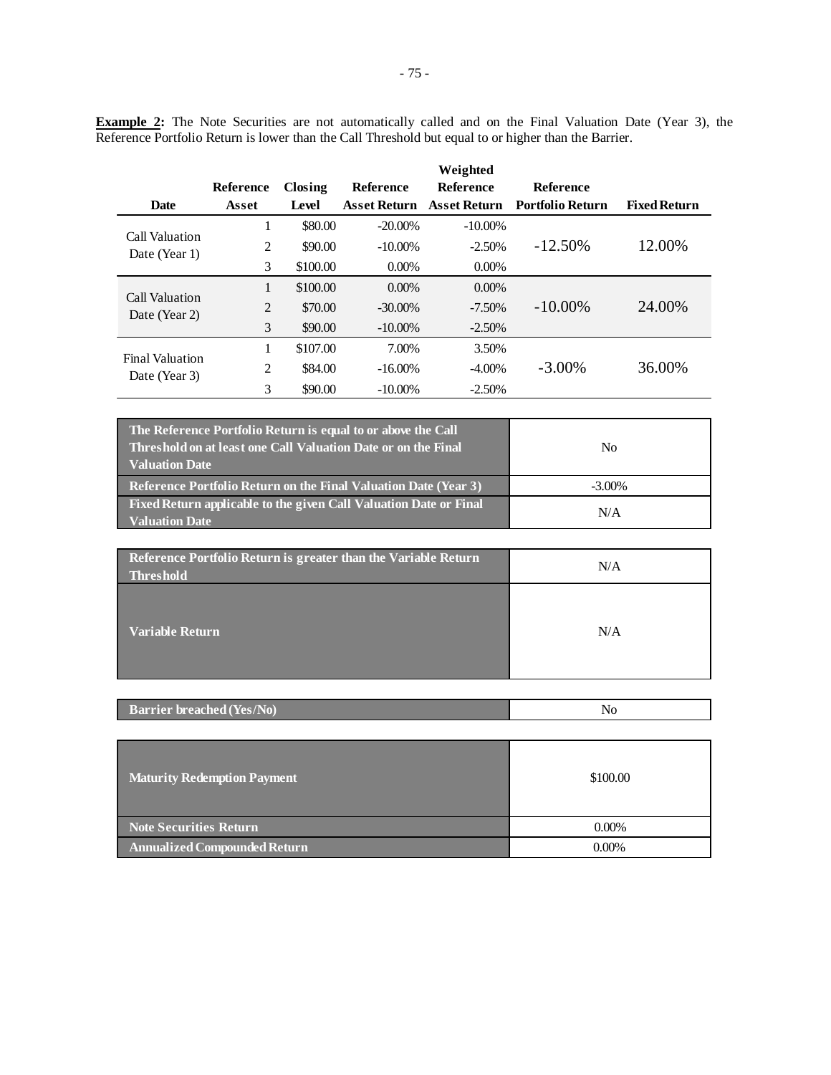| <b>Date</b>                             | Reference<br>Asset | Closing<br>Level | Reference<br>Asset Return | Weighted<br><b>Reference</b><br>Asset Return | <b>Reference</b><br><b>Portfolio Return</b> | <b>Fixed Return</b> |
|-----------------------------------------|--------------------|------------------|---------------------------|----------------------------------------------|---------------------------------------------|---------------------|
|                                         |                    |                  |                           |                                              |                                             |                     |
|                                         | 1                  | \$80.00          | $-20.00\%$                | $-10.00\%$                                   |                                             |                     |
| Call Valuation<br>Date (Year 1)         | 2                  | \$90.00          | $-10.00\%$                | $-2.50%$                                     | $-12.50\%$                                  | 12.00%              |
|                                         | 3                  | \$100.00         | $0.00\%$                  | $0.00\%$                                     |                                             |                     |
| Call Valuation<br>Date (Year 2)         | 1                  | \$100.00         | $0.00\%$                  | $0.00\%$                                     |                                             |                     |
|                                         | $\overline{2}$     | \$70.00          | $-30.00\%$                | $-7.50\%$                                    | $-10.00\%$                                  | 24.00%              |
|                                         | 3                  | \$90.00          | $-10.00\%$                | $-2.50%$                                     |                                             |                     |
| <b>Final Valuation</b><br>Date (Year 3) |                    | \$107.00         | 7.00%                     | 3.50%                                        |                                             |                     |
|                                         | $\overline{c}$     | \$84.00          | $-16.00\%$                | $-4.00\%$                                    | $-3.00\%$                                   | 36.00%              |

**Example 2:** The Note Securities are not automatically called and on the Final Valuation Date (Year 3), the Reference Portfolio Return is lower than the Call Threshold but equal to or higher than the Barrier.

| The Reference Portfolio Return is equal to or above the Call<br>Threshold on at least one Call Valuation Date or on the Final<br><b>Valuation Date</b> | No        |
|--------------------------------------------------------------------------------------------------------------------------------------------------------|-----------|
| <b>Reference Portfolio Return on the Final Valuation Date (Year 3)</b>                                                                                 | $-3.00\%$ |
| Fixed Return applicable to the given Call Valuation Date or Final<br><b>Valuation Date</b>                                                             | N/A       |

3 \$90.00 -10.00% -2.50%

| Reference Portfolio Return is greater than the Variable Return<br><b>Threshold</b> | N/A |
|------------------------------------------------------------------------------------|-----|
| <b>Variable Return</b>                                                             | N/A |

| <b>Barrier breached (Yes/No)</b><br>ຳບ |
|----------------------------------------|
|----------------------------------------|

| Maturity Redemption Payment         | \$100.00 |
|-------------------------------------|----------|
| Note Securities Return              | $0.00\%$ |
| <b>Annualized Compounded Return</b> | $0.00\%$ |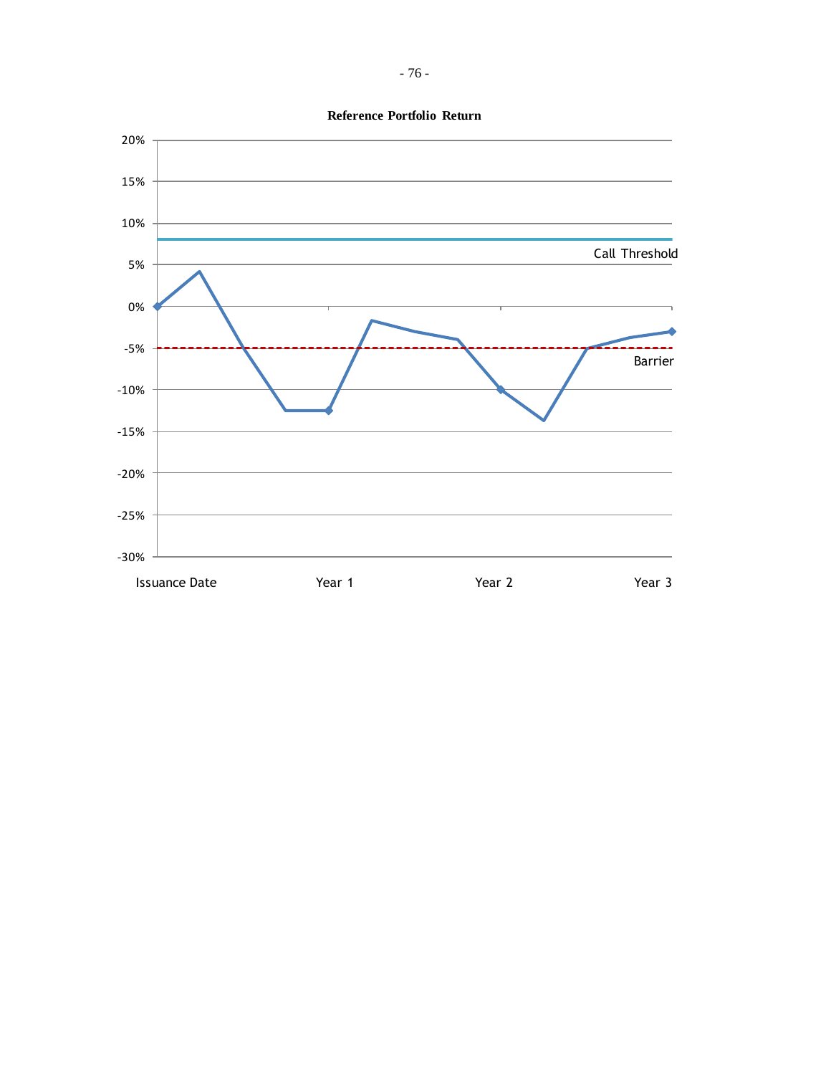

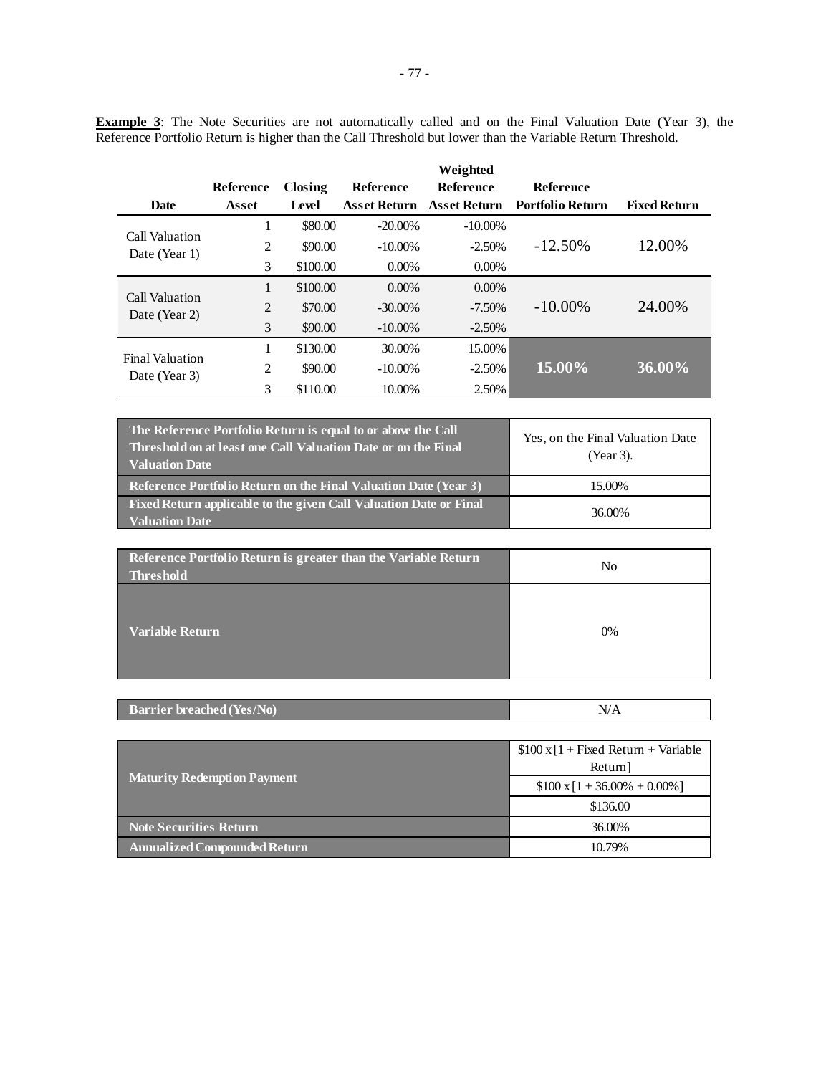| <b>Date</b>                             | Reference<br>Asset | Closing<br>Level | <b>Reference</b><br>Asset Return | Weighted<br><b>Reference</b> | Reference<br>Asset Return Portfolio Return | <b>Fixed Return</b> |
|-----------------------------------------|--------------------|------------------|----------------------------------|------------------------------|--------------------------------------------|---------------------|
| Call Valuation<br>Date (Year 1)         | -                  | \$80.00          | $-20.00\%$                       | $-10.00\%$                   |                                            |                     |
|                                         | 2                  | \$90.00          | $-10.00\%$                       | $-2.50\%$                    | $-12.50\%$                                 | 12.00%              |
|                                         | 3                  | \$100.00         | $0.00\%$                         | $0.00\%$                     |                                            |                     |
| Call Valuation<br>Date (Year 2)         |                    | \$100.00         | $0.00\%$                         | $0.00\%$                     |                                            |                     |
|                                         | $\overline{2}$     | \$70.00          | $-30.00\%$                       | $-7.50\%$                    | $-10.00\%$                                 | 24.00%              |
|                                         | 3                  | \$90.00          | $-10.00\%$                       | $-2.50\%$                    |                                            |                     |
| <b>Final Valuation</b><br>Date (Year 3) | 1                  | \$130.00         | 30.00%                           | 15.00%                       |                                            |                     |
|                                         | 2                  | \$90.00          | $-10.00\%$                       | $-2.50\%$                    | 15.00%                                     | 36.00%              |
|                                         | 3                  | \$110.00         | 10.00%                           | 2.50%                        |                                            |                     |

**Example 3**: The Note Securities are not automatically called and on the Final Valuation Date (Year 3), the Reference Portfolio Return is higher than the Call Threshold but lower than the Variable Return Threshold.

| The Reference Portfolio Return is equal to or above the Call<br>Threshold on at least one Call Valuation Date or on the Final<br><b>Valuation Date</b> | Yes, on the Final Valuation Date<br>(Year 3). |
|--------------------------------------------------------------------------------------------------------------------------------------------------------|-----------------------------------------------|
| Reference Portfolio Return on the Final Valuation Date (Year 3)                                                                                        | 15.00%                                        |
| Fixed Return applicable to the given Call Valuation Date or Final<br><b>Valuation Date</b>                                                             | 36.00%                                        |

| Reference Portfolio Return is greater than the Variable Return<br><b>Threshold</b> | No |
|------------------------------------------------------------------------------------|----|
| Variable Return                                                                    | 0% |

|  | <b>Barrier breached (Yes/No)</b> | N/r |
|--|----------------------------------|-----|
|--|----------------------------------|-----|

|                                     | $$100 \times [1 + Fixed Return + Variable]$ |
|-------------------------------------|---------------------------------------------|
|                                     | Return]                                     |
| <b>Maturity Redemption Payment</b>  | $$100 \times 1 + 36.00\% + 0.00\%]$         |
|                                     | \$136.00                                    |
| Note Securities Return              | 36.00%                                      |
| <b>Annualized Compounded Return</b> | 10.79%                                      |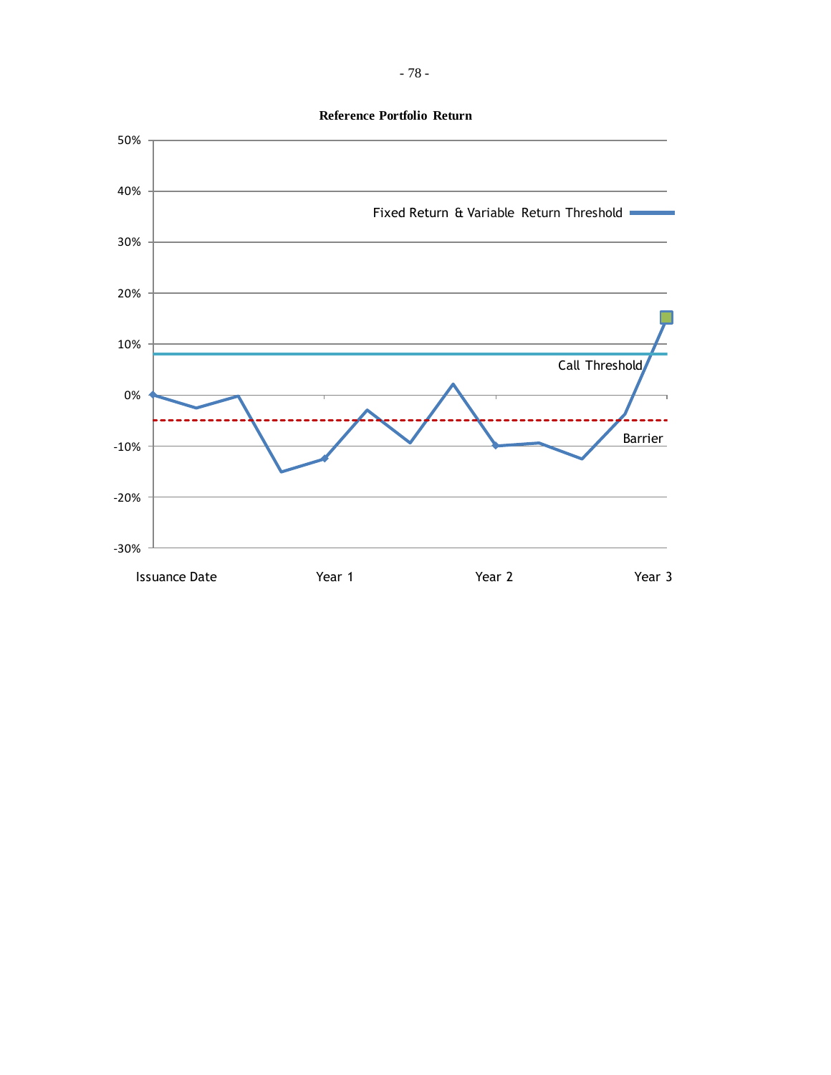**Reference Portfolio Return**

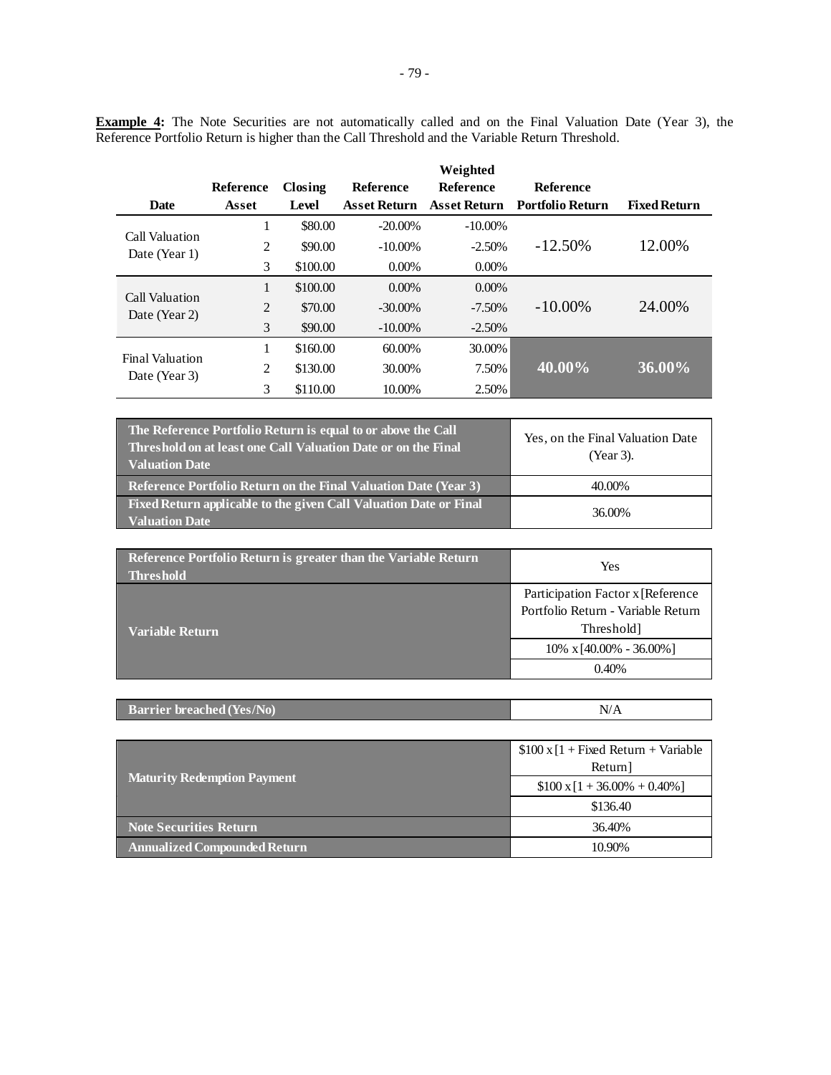**Example 4:** The Note Securities are not automatically called and on the Final Valuation Date (Year 3), the Reference Portfolio Return is higher than the Call Threshold and the Variable Return Threshold.

|                                         |                  |          |                     | Weighted            |                         |                     |
|-----------------------------------------|------------------|----------|---------------------|---------------------|-------------------------|---------------------|
|                                         | <b>Reference</b> | Closing  | <b>Reference</b>    | <b>Reference</b>    | <b>Reference</b>        |                     |
| <b>Date</b>                             | Asset            | Level    | <b>Asset Return</b> | <b>Asset Return</b> | <b>Portfolio Return</b> | <b>Fixed Return</b> |
| Call Valuation                          | 1                | \$80.00  | $-20.00\%$          | $-10.00\%$          |                         |                     |
| Date (Year 1)                           | 2                | \$90.00  | $-10.00\%$          | $-2.50%$            | $-12.50\%$              | 12.00%              |
|                                         | 3                | \$100.00 | $0.00\%$            | $0.00\%$            |                         |                     |
| Call Valuation                          | 1                | \$100.00 | $0.00\%$            | $0.00\%$            |                         |                     |
| Date (Year 2)                           | $\overline{2}$   | \$70.00  | $-30.00\%$          | $-7.50\%$           | $-10.00\%$              | 24.00%              |
|                                         | 3                | \$90.00  | $-10.00\%$          | $-2.50%$            |                         |                     |
|                                         | 1                | \$160.00 | 60.00%              | 30.00%              |                         |                     |
| <b>Final Valuation</b><br>Date (Year 3) | 2                | \$130.00 | 30.00%              | 7.50%               | 40.00%                  | 36.00%              |
|                                         | 3                | \$110.00 | 10.00%              | 2.50%               |                         |                     |

| The Reference Portfolio Return is equal to or above the Call<br><b>Threshold on at least one Call Valuation Date or on the Final</b><br><b>Valuation Date</b> | Yes, on the Final Valuation Date<br>(Year 3). |
|---------------------------------------------------------------------------------------------------------------------------------------------------------------|-----------------------------------------------|
| <b>Reference Portfolio Return on the Final Valuation Date (Year 3)</b>                                                                                        | 40.00%                                        |
| Fixed Return applicable to the given Call Valuation Date or Final<br><b>Valuation Date</b>                                                                    | 36.00%                                        |

| Reference Portfolio Return is greater than the Variable Return<br><b>Threshold</b> | Yes                                                                                    |  |
|------------------------------------------------------------------------------------|----------------------------------------------------------------------------------------|--|
| Variable Return                                                                    | Participation Factor x [Reference]<br>Portfolio Return - Variable Return<br>Threshold] |  |
|                                                                                    | $10\% \times 40.00\% - 36.00\%$                                                        |  |
|                                                                                    | 0.40%                                                                                  |  |

| <b>Barrier breached (Yes/No)</b> |  |
|----------------------------------|--|
|                                  |  |

|                                    | $$100 \times 1 +$ Fixed Return + Variable |  |
|------------------------------------|-------------------------------------------|--|
|                                    | Return]                                   |  |
| <b>Maturity Redemption Payment</b> | $$100 \times 1 + 36.00\% + 0.40\%]$       |  |
|                                    | \$136.40                                  |  |
| <b>Note Securities Return</b>      | 36.40%                                    |  |
| Annualized Compounded Return       | 10.90%                                    |  |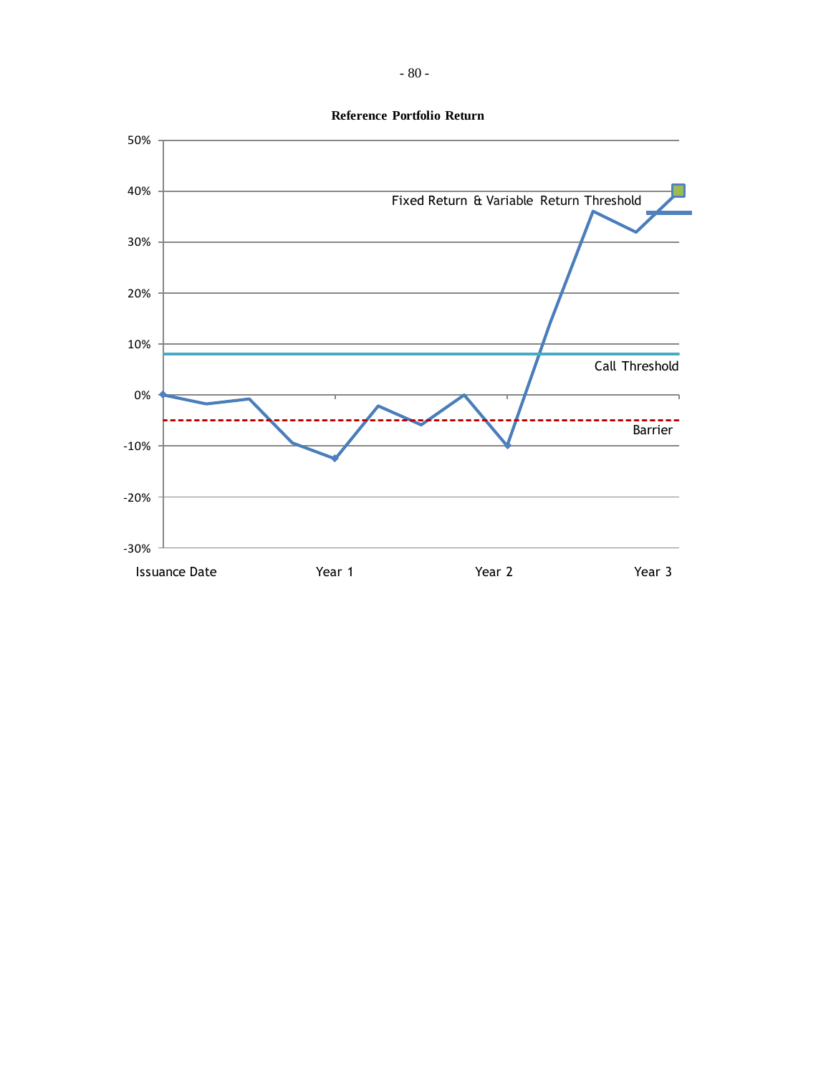

**Reference Portfolio Return**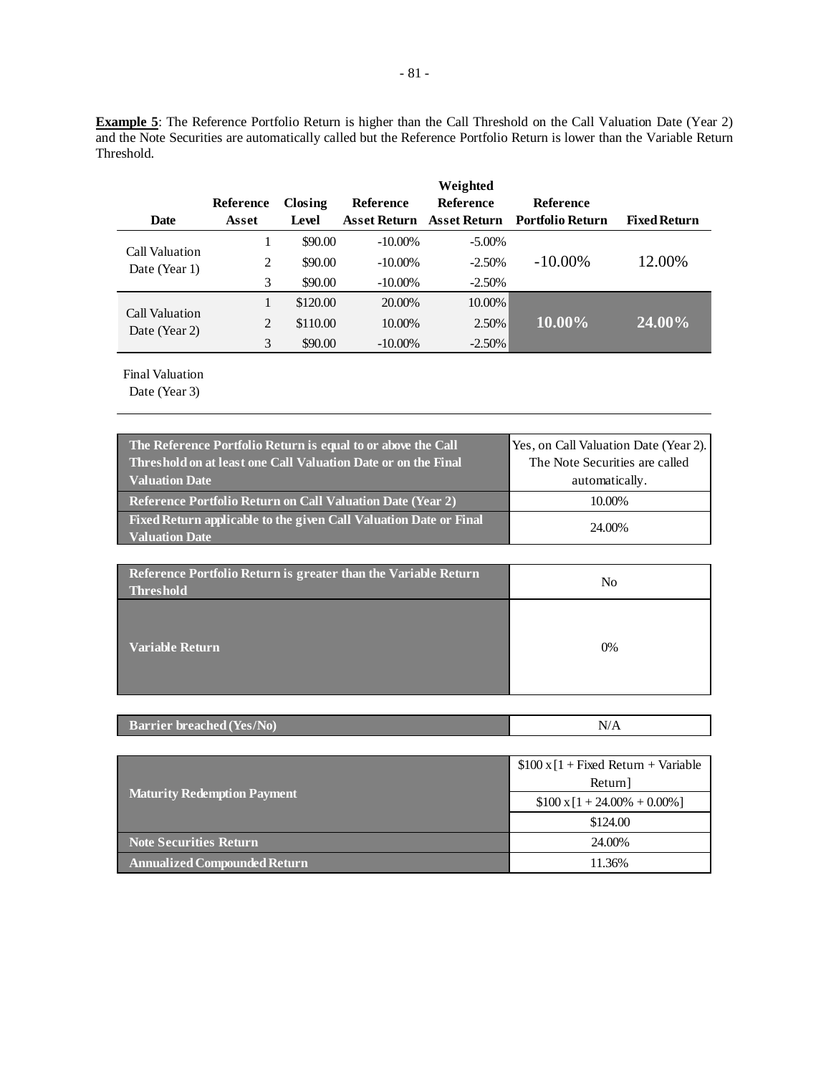**Example 5**: The Reference Portfolio Return is higher than the Call Threshold on the Call Valuation Date (Year 2) and the Note Securities are automatically called but the Reference Portfolio Return is lower than the Variable Return Threshold.

|                                 |           |          |                  | Weighted            |                         |                     |
|---------------------------------|-----------|----------|------------------|---------------------|-------------------------|---------------------|
|                                 | Reference | Closing  | <b>Reference</b> | <b>Reference</b>    | <b>Reference</b>        |                     |
| <b>Date</b>                     | Asset     | Level    | Asset Return     | <b>Asset Return</b> | <b>Portfolio Return</b> | <b>Fixed Return</b> |
|                                 |           | \$90.00  | $-10.00\%$       | $-5.00\%$           |                         |                     |
| Call Valuation<br>Date (Year 1) | 2         | \$90.00  | $-10.00\%$       | $-2.50%$            | $-10.00\%$              | 12.00%              |
|                                 | 3         | \$90.00  | $-10.00\%$       | $-2.50%$            |                         |                     |
| Call Valuation                  |           | \$120.00 | 20.00%           | 10.00%              |                         |                     |
| Date (Year 2)                   | 2         | \$110.00 | 10.00%           | 2.50%               | 10.00%                  | 24.00%              |
|                                 | 3         | \$90.00  | $-10.00\%$       | $-2.50\%$           |                         |                     |

Final Valuation

| The Reference Portfolio Return is equal to or above the Call<br>Threshold on at least one Call Valuation Date or on the Final<br><b>Valuation Date</b> | Yes, on Call Valuation Date (Year 2).<br>The Note Securities are called<br>automatically. |
|--------------------------------------------------------------------------------------------------------------------------------------------------------|-------------------------------------------------------------------------------------------|
| <b>Reference Portfolio Return on Call Valuation Date (Year 2)</b>                                                                                      | 10.00%                                                                                    |
| Fixed Return applicable to the given Call Valuation Date or Final<br><b>Valuation Date</b>                                                             | 24.00%                                                                                    |

| Reference Portfolio Return is greater than the Variable Return<br><b>Threshold</b> | No |
|------------------------------------------------------------------------------------|----|
| <b>Variable Return</b>                                                             | 0% |

|--|

|                                     | $$100 \times [1 + Fixed Return + Variable]$ |
|-------------------------------------|---------------------------------------------|
| <b>Maturity Redemption Payment</b>  | Return]                                     |
|                                     | $$100 \times 1 + 24.00\% + 0.00\%]$         |
|                                     | \$124.00                                    |
| <b>Note Securities Return</b>       | 24.00%                                      |
| <b>Annualized Compounded Return</b> | 11.36%                                      |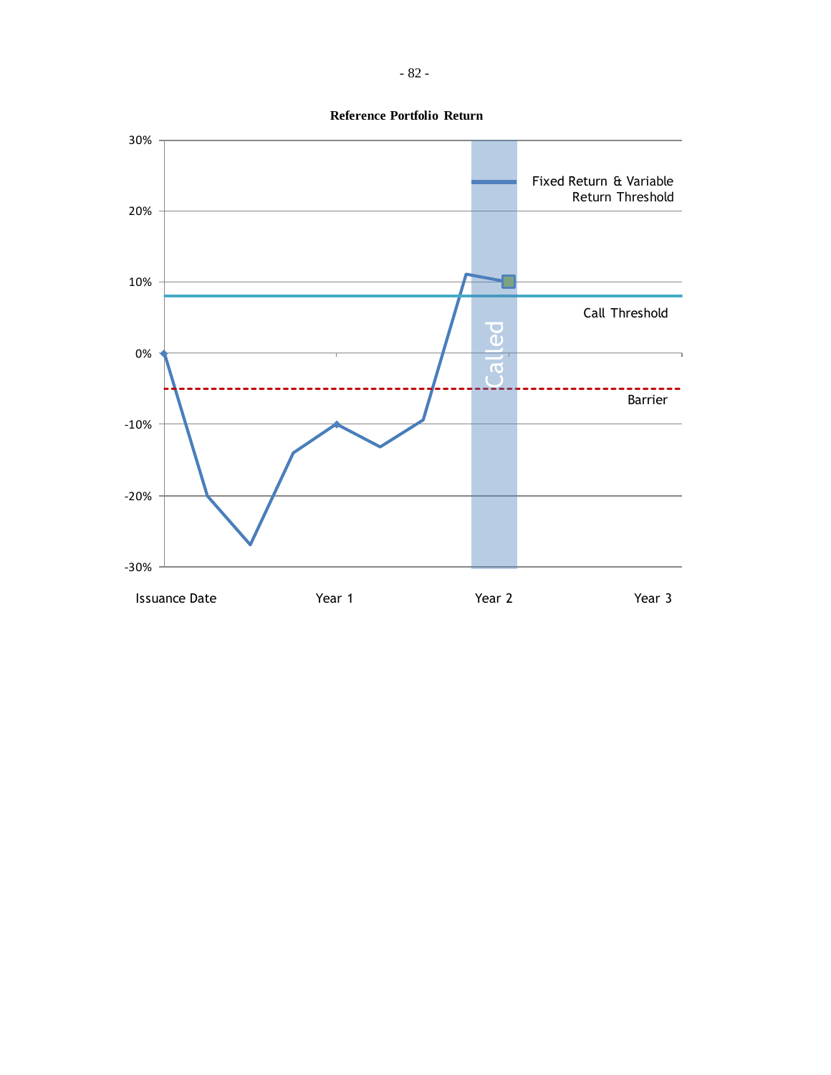

- 82 -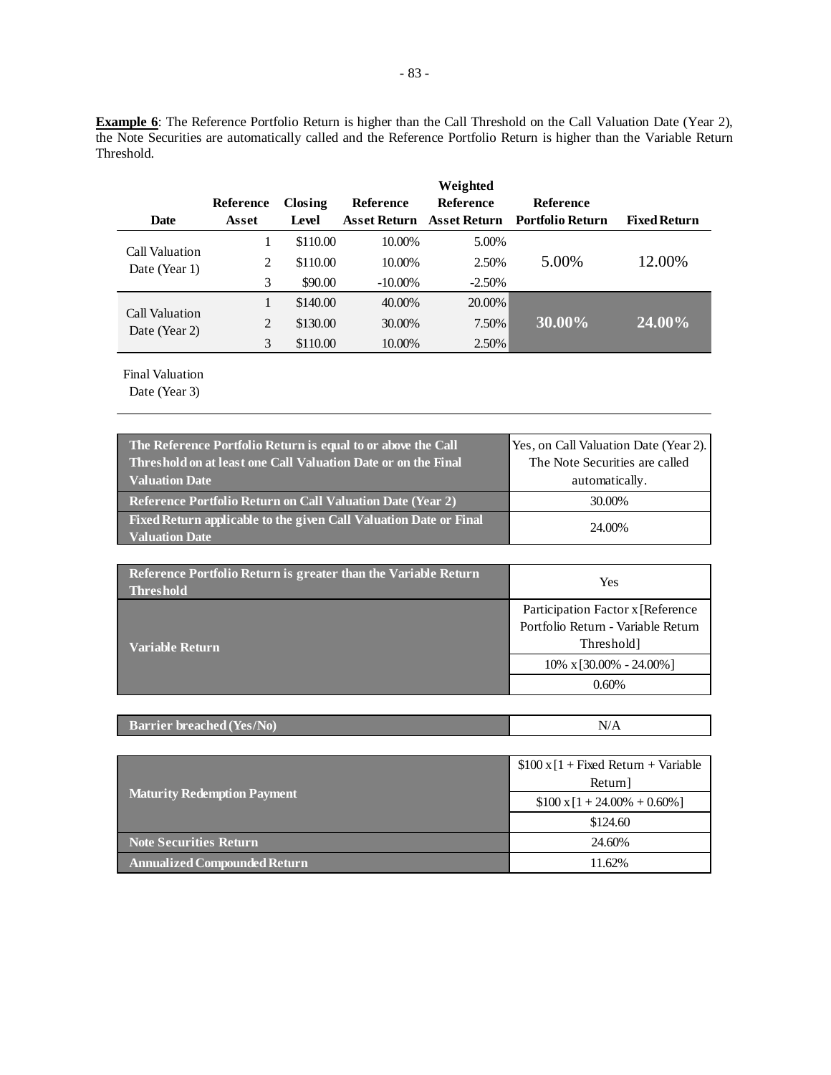**Example 6**: The Reference Portfolio Return is higher than the Call Threshold on the Call Valuation Date (Year 2), the Note Securities are automatically called and the Reference Portfolio Return is higher than the Variable Return Threshold.

|                                 |           |          |                     | Weighted            |                         |                     |
|---------------------------------|-----------|----------|---------------------|---------------------|-------------------------|---------------------|
|                                 | Reference | Closing  | <b>Reference</b>    | <b>Reference</b>    | <b>Reference</b>        |                     |
| <b>Date</b>                     | Asset     | Level    | <b>Asset Return</b> | <b>Asset Return</b> | <b>Portfolio Return</b> | <b>Fixed Return</b> |
|                                 |           | \$110.00 | 10.00%              | 5.00%               |                         |                     |
| Call Valuation<br>Date (Year 1) | 2         | \$110.00 | 10.00%              | 2.50%               | 5.00%                   | 12.00%              |
|                                 | 3         | \$90.00  | $-10.00\%$          | $-2.50%$            |                         |                     |
| Call Valuation                  |           | \$140.00 | 40.00%              | 20.00%              |                         |                     |
| Date (Year 2)                   | 2         | \$130.00 | 30.00%              | 7.50%               | $30.00\%$               | $(24.00\%)$         |
|                                 | 3         | \$110.00 | 10.00%              | 2.50%               |                         |                     |

Final Valuation

| The Reference Portfolio Return is equal to or above the Call<br>Threshold on at least one Call Valuation Date or on the Final | Yes, on Call Valuation Date (Year 2).<br>The Note Securities are called |
|-------------------------------------------------------------------------------------------------------------------------------|-------------------------------------------------------------------------|
| <b>Valuation Date</b>                                                                                                         | automatically.                                                          |
| Reference Portfolio Return on Call Valuation Date (Year 2)                                                                    | 30.00%                                                                  |
| Fixed Return applicable to the given Call Valuation Date or Final<br><b>Valuation Date</b>                                    | 24.00%                                                                  |

| Reference Portfolio Return is greater than the Variable Return<br><b>Threshold</b> | Yes                                                                                    |  |
|------------------------------------------------------------------------------------|----------------------------------------------------------------------------------------|--|
| Variable Return                                                                    | Participation Factor x [Reference]<br>Portfolio Return - Variable Return<br>Threshold] |  |
|                                                                                    | $10\% \times 30.00\% - 24.00\%$                                                        |  |
|                                                                                    | 0.60%                                                                                  |  |

|--|

|                                     | $$100 \times [1 + Fixed Return + Variable]$ |
|-------------------------------------|---------------------------------------------|
|                                     | Return]                                     |
| <b>Maturity Redemption Payment</b>  | $$100 \times 1 + 24.00\% + 0.60\%]$         |
|                                     | \$124.60                                    |
| Note Securities Return              | 24.60%                                      |
| <b>Annualized Compounded Return</b> | 11.62%                                      |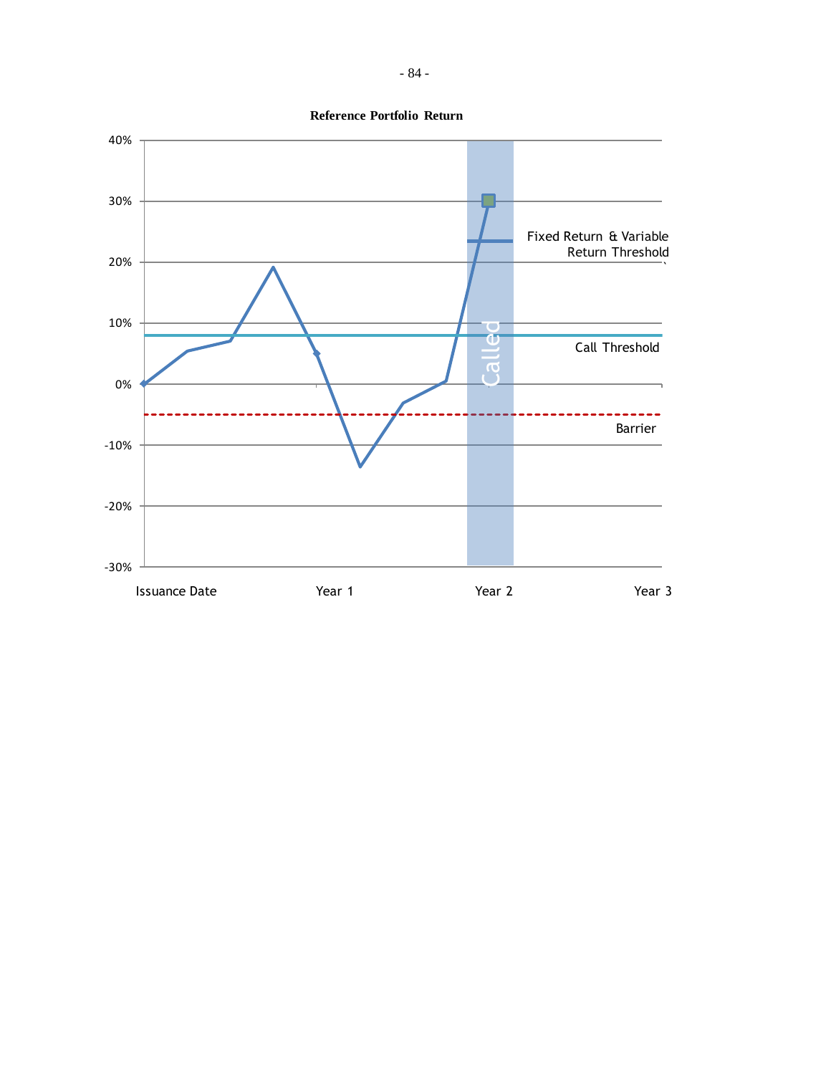

- 84 -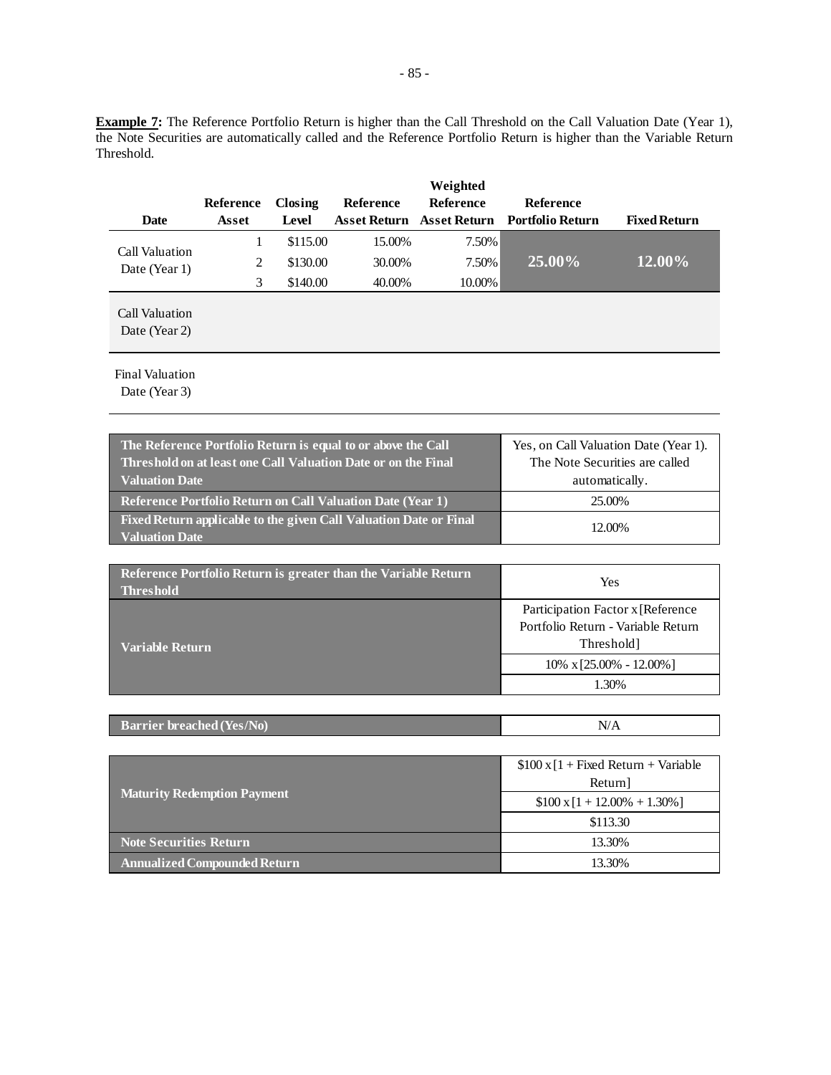**Example 7:** The Reference Portfolio Return is higher than the Call Threshold on the Call Valuation Date (Year 1), the Note Securities are automatically called and the Reference Portfolio Return is higher than the Variable Return Threshold.

| <b>Date</b>                     | <b>Reference</b><br>Asset | Closing<br>Level | <b>Reference</b> | Weighted<br><b>Reference</b> | <b>Reference</b><br>Asset Return Asset Return Portfolio Return | <b>Fixed Return</b> |
|---------------------------------|---------------------------|------------------|------------------|------------------------------|----------------------------------------------------------------|---------------------|
|                                 | 1                         | \$115.00         | 15.00%           | 7.50%                        |                                                                |                     |
| Call Valuation<br>Date (Year 1) | 2                         | \$130.00         | 30.00%           | 7.50%                        | 25.00%                                                         | 12.00%              |
|                                 | 3                         | \$140.00         | 40.00%           | 10.00%                       |                                                                |                     |
| Call Valuation<br>Date (Year 2) |                           |                  |                  |                              |                                                                |                     |

Final Valuation

| The Reference Portfolio Return is equal to or above the Call<br>Threshold on at least one Call Valuation Date or on the Final<br><b>Valuation Date</b> | Yes, on Call Valuation Date (Year 1).<br>The Note Securities are called<br>automatically. |
|--------------------------------------------------------------------------------------------------------------------------------------------------------|-------------------------------------------------------------------------------------------|
| Reference Portfolio Return on Call Valuation Date (Year 1)                                                                                             | 25.00%                                                                                    |
| Fixed Return applicable to the given Call Valuation Date or Final<br><b>Valuation Date</b>                                                             | 12.00%                                                                                    |

| Reference Portfolio Return is greater than the Variable Return<br><b>Threshold</b> | Yes                                                                                    |  |  |
|------------------------------------------------------------------------------------|----------------------------------------------------------------------------------------|--|--|
| Variable Return                                                                    | Participation Factor x [Reference]<br>Portfolio Return - Variable Return<br>Threshold] |  |  |
|                                                                                    | $10\% \times 25.00\% - 12.00\%$                                                        |  |  |
|                                                                                    | 1.30%                                                                                  |  |  |

| <b>Barrier breached (Yes/No)</b> | $N^{\prime}$ |
|----------------------------------|--------------|
|----------------------------------|--------------|

|                                    | $$100 \times [1 + Fixed Return + Variable]$ |  |
|------------------------------------|---------------------------------------------|--|
|                                    | Return]                                     |  |
| <b>Maturity Redemption Payment</b> | $$100 \times 1 + 12.00\% + 1.30\%]$         |  |
|                                    | \$113.30                                    |  |
| <b>Note Securities Return</b>      | 13.30%                                      |  |
| Annualized Compounded Return       | 13.30%                                      |  |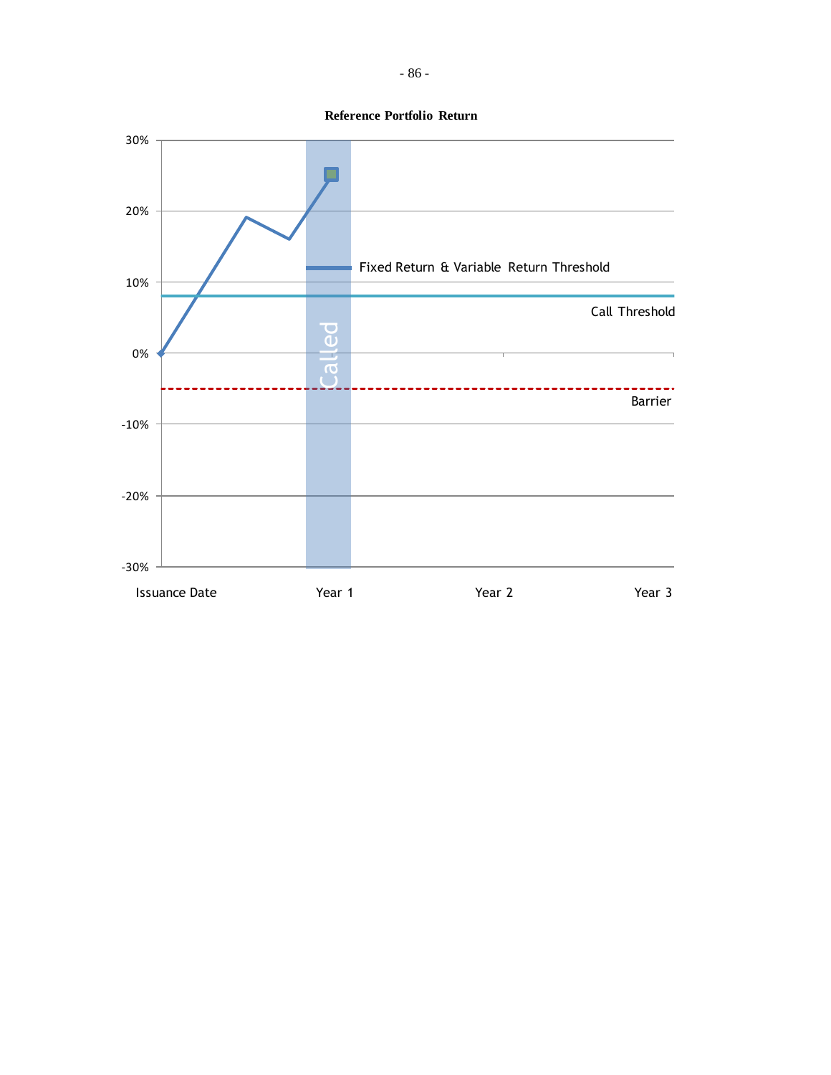

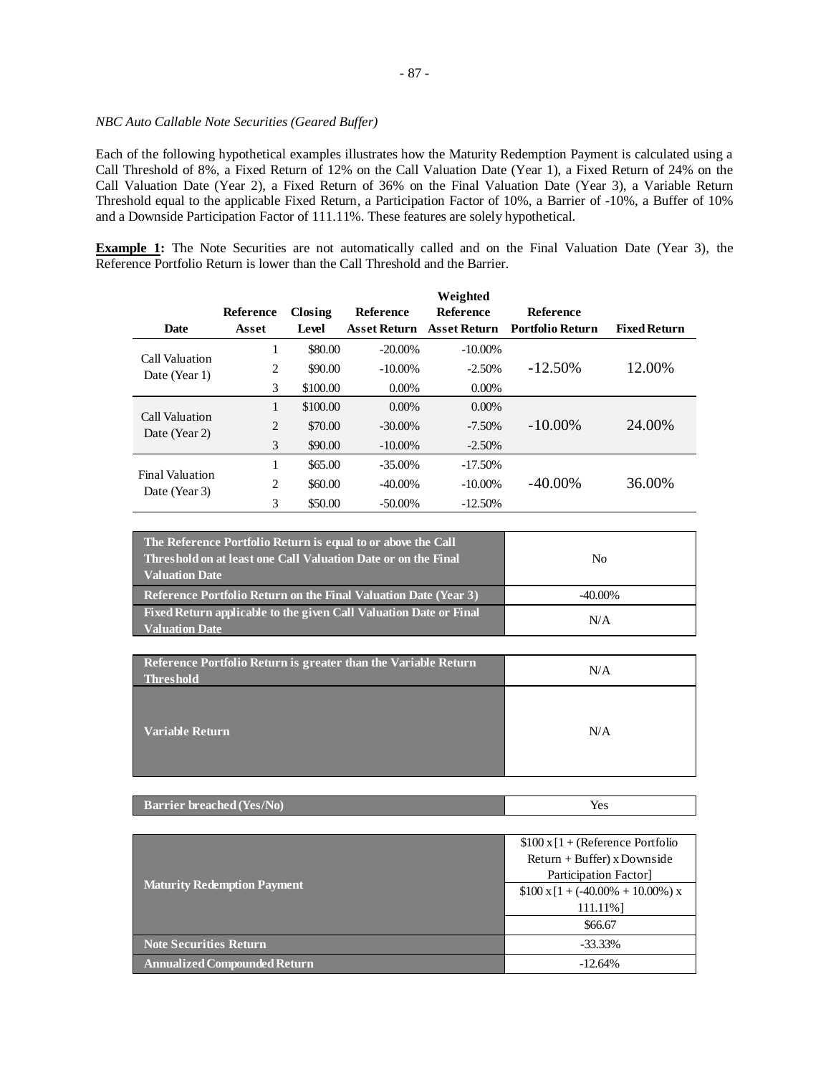## *NBC Auto Callable Note Securities (Geared Buffer)*

Each of the following hypothetical examples illustrates how the Maturity Redemption Payment is calculated using a Call Threshold of 8%, a Fixed Return of 12% on the Call Valuation Date (Year 1), a Fixed Return of 24% on the Call Valuation Date (Year 2), a Fixed Return of 36% on the Final Valuation Date (Year 3), a Variable Return Threshold equal to the applicable Fixed Return, a Participation Factor of 10%, a Barrier of -10%, a Buffer of 10% and a Downside Participation Factor of 111.11%. These features are solely hypothetical.

**Example 1:** The Note Securities are not automatically called and on the Final Valuation Date (Year 3), the Reference Portfolio Return is lower than the Call Threshold and the Barrier.

|                        |                  |          |                     | Weighted            |                         |                     |
|------------------------|------------------|----------|---------------------|---------------------|-------------------------|---------------------|
|                        | <b>Reference</b> | Closing  | Reference           | <b>Reference</b>    | <b>Reference</b>        |                     |
| <b>Date</b>            | Asset            | Level    | <b>Asset Return</b> | <b>Asset Return</b> | <b>Portfolio Return</b> | <b>Fixed Return</b> |
| Call Valuation         | 1                | \$80.00  | $-20.00\%$          | $-10.00\%$          |                         |                     |
| Date (Year 1)          | 2                | \$90.00  | $-10.00\%$          | $-2.50%$            | $-12.50\%$              | 12.00%              |
|                        | 3                | \$100.00 | $0.00\%$            | $0.00\%$            |                         |                     |
| Call Valuation         | 1                | \$100.00 | $0.00\%$            | $0.00\%$            |                         |                     |
| Date (Year 2)          | 2                | \$70.00  | $-30.00\%$          | $-7.50\%$           | $-10.00\%$              | 24.00%              |
|                        | 3                | \$90.00  | $-10.00\%$          | $-2.50\%$           |                         |                     |
| <b>Final Valuation</b> |                  | \$65.00  | $-35.00\%$          | $-17.50%$           |                         |                     |
| Date (Year 3)          | 2                | \$60.00  | $-40.00\%$          | $-10.00\%$          | $-40.00\%$              | 36.00%              |
|                        | 3                | \$50.00  | $-50.00\%$          | $-12.50%$           |                         |                     |

| The Reference Portfolio Return is equal to or above the Call<br>Threshold on at least one Call Valuation Date or on the Final<br><b>Valuation Date</b> | No         |
|--------------------------------------------------------------------------------------------------------------------------------------------------------|------------|
| <b>Reference Portfolio Return on the Final Valuation Date (Year 3)</b>                                                                                 | $-40.00\%$ |
| Fixed Return applicable to the given Call Valuation Date or Final<br>Valuation Date                                                                    | N/A        |

| Reference Portfolio Return is greater than the Variable Return<br><b>Threshold</b> | N/A |
|------------------------------------------------------------------------------------|-----|
| <b>Variable Return</b>                                                             | N/A |

| <b>Barrier breached (Yes/No)</b> |  |
|----------------------------------|--|
|                                  |  |

|                                     | $$100 \times 1 + (Reference Portfolio$          |  |
|-------------------------------------|-------------------------------------------------|--|
| <b>Maturity Redemption Payment</b>  | $Return + Buffer)$ x Downside                   |  |
|                                     | Participation Factor                            |  |
|                                     | $$100 \times 11 + (-40.00\% + 10.00\% ) \times$ |  |
|                                     | 111.11%                                         |  |
|                                     | \$66.67                                         |  |
| <b>Note Securities Return</b>       | $-33.33\%$                                      |  |
| <b>Annualized Compounded Return</b> | $-12.64%$                                       |  |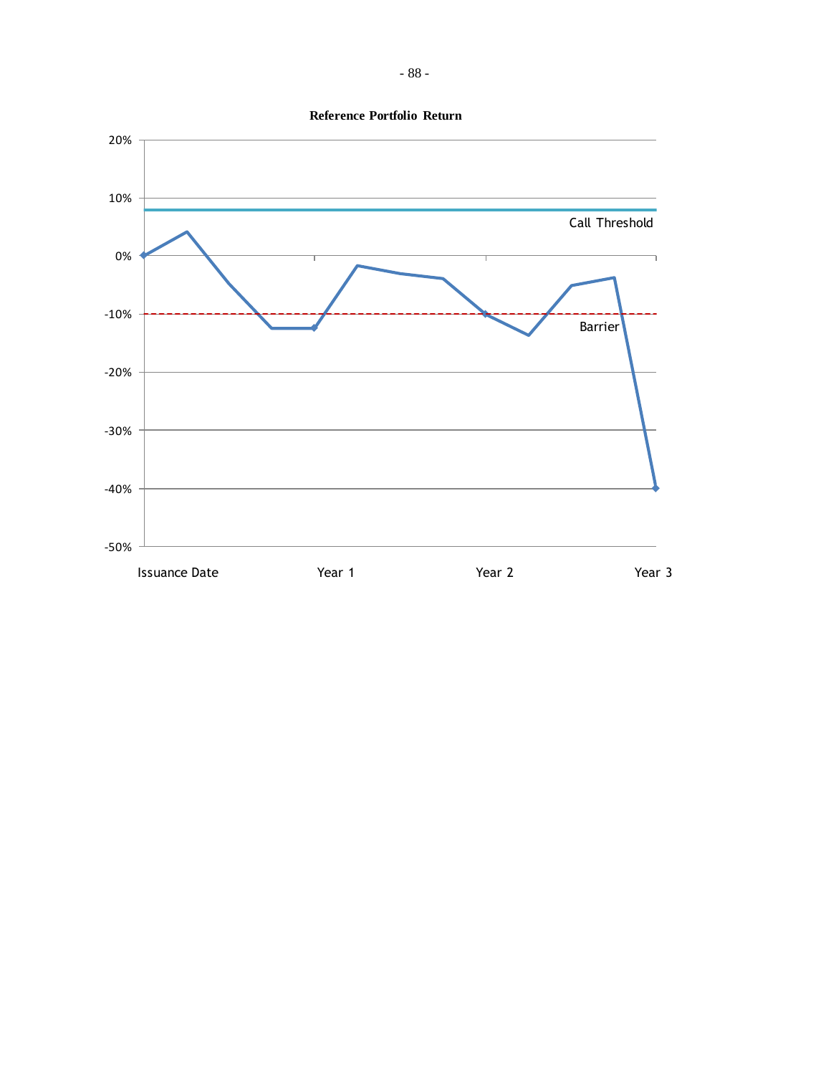

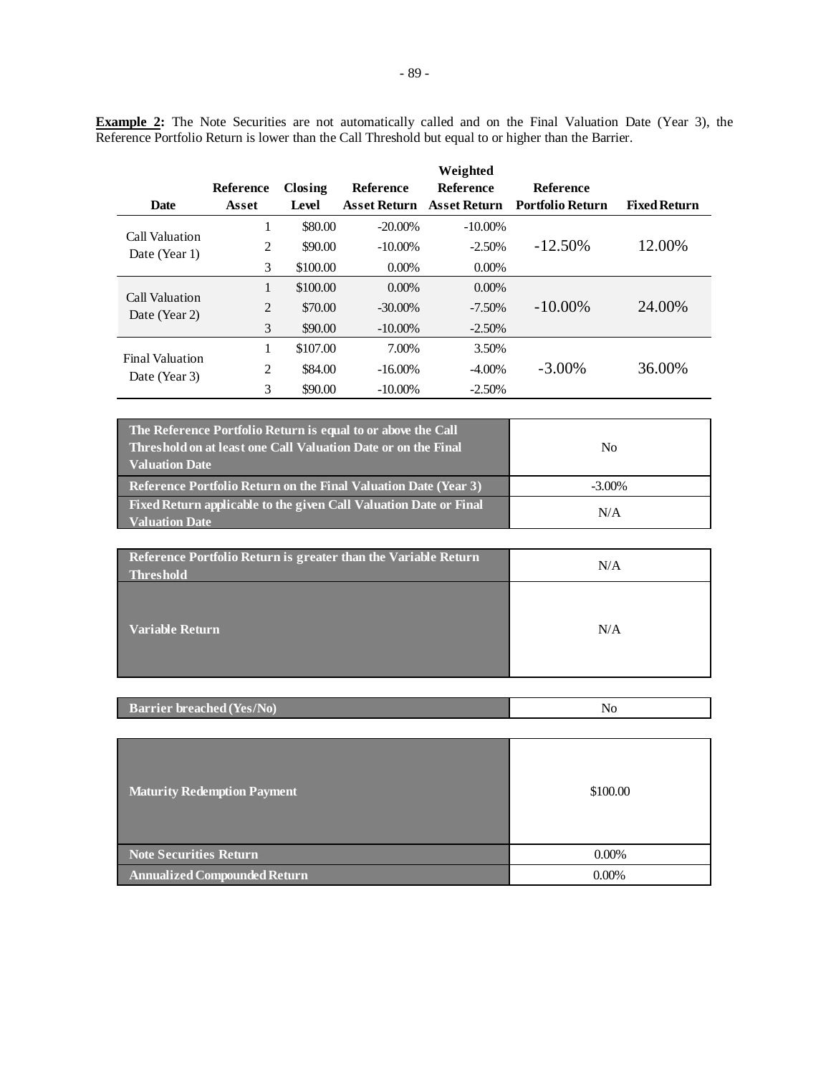**Example 2:** The Note Securities are not automatically called and on the Final Valuation Date (Year 3), the Reference Portfolio Return is lower than the Call Threshold but equal to or higher than the Barrier.

|                        |                |          |                     | Weighted            |                         |                     |
|------------------------|----------------|----------|---------------------|---------------------|-------------------------|---------------------|
|                        | Reference      | Closing  | <b>Reference</b>    | <b>Reference</b>    | <b>Reference</b>        |                     |
| <b>Date</b>            | Asset          | Level    | <b>Asset Return</b> | <b>Asset Return</b> | <b>Portfolio Return</b> | <b>Fixed Return</b> |
| Call Valuation         | л.             | \$80.00  | $-20.00\%$          | $-10.00\%$          |                         |                     |
| Date (Year 1)          | 2              | \$90.00  | $-10.00\%$          | $-2.50%$            | $-12.50\%$              | 12.00%              |
|                        | 3              | \$100.00 | $0.00\%$            | $0.00\%$            |                         |                     |
| Call Valuation         | 1              | \$100.00 | $0.00\%$            | $0.00\%$            |                         |                     |
| Date (Year 2)          | $\overline{2}$ | \$70.00  | $-30.00\%$          | $-7.50\%$           | $-10.00\%$              | 24.00%              |
|                        | 3              | \$90.00  | $-10.00\%$          | $-2.50%$            |                         |                     |
| <b>Final Valuation</b> |                | \$107.00 | 7.00%               | 3.50%               |                         |                     |
| Date (Year 3)          | 2              | \$84.00  | $-16.00\%$          | $-4.00\%$           | $-3.00\%$               | 36.00%              |
|                        | 3              | \$90.00  | $-10.00\%$          | $-2.50%$            |                         |                     |

| The Reference Portfolio Return is equal to or above the Call<br>Threshold on at least one Call Valuation Date or on the Final<br><b>Valuation Date</b> | No        |
|--------------------------------------------------------------------------------------------------------------------------------------------------------|-----------|
| <b>Reference Portfolio Return on the Final Valuation Date (Year 3)</b>                                                                                 | $-3.00\%$ |
| Fixed Return applicable to the given Call Valuation Date or Final<br><b>Valuation Date</b>                                                             | N/A       |

| Reference Portfolio Return is greater than the Variable Return<br><b>Threshold</b> | N/A |
|------------------------------------------------------------------------------------|-----|
| <b>Variable Return</b>                                                             | N/A |

| <b>Barrier breached (Yes/No)</b> |  |
|----------------------------------|--|
|                                  |  |

| <b>Maturity Redemption Payment</b>  | \$100.00 |
|-------------------------------------|----------|
| <b>Note Securities Return</b>       | $0.00\%$ |
| <b>Annualized Compounded Return</b> | $0.00\%$ |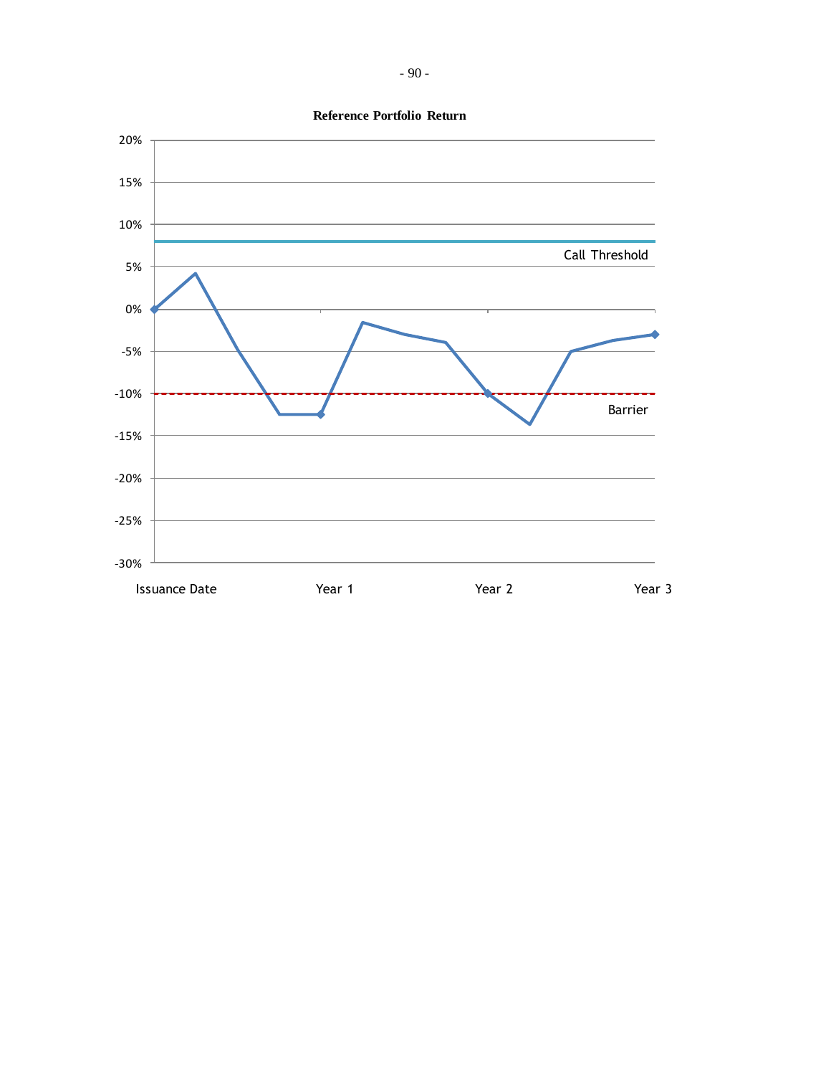

**Reference Portfolio Return**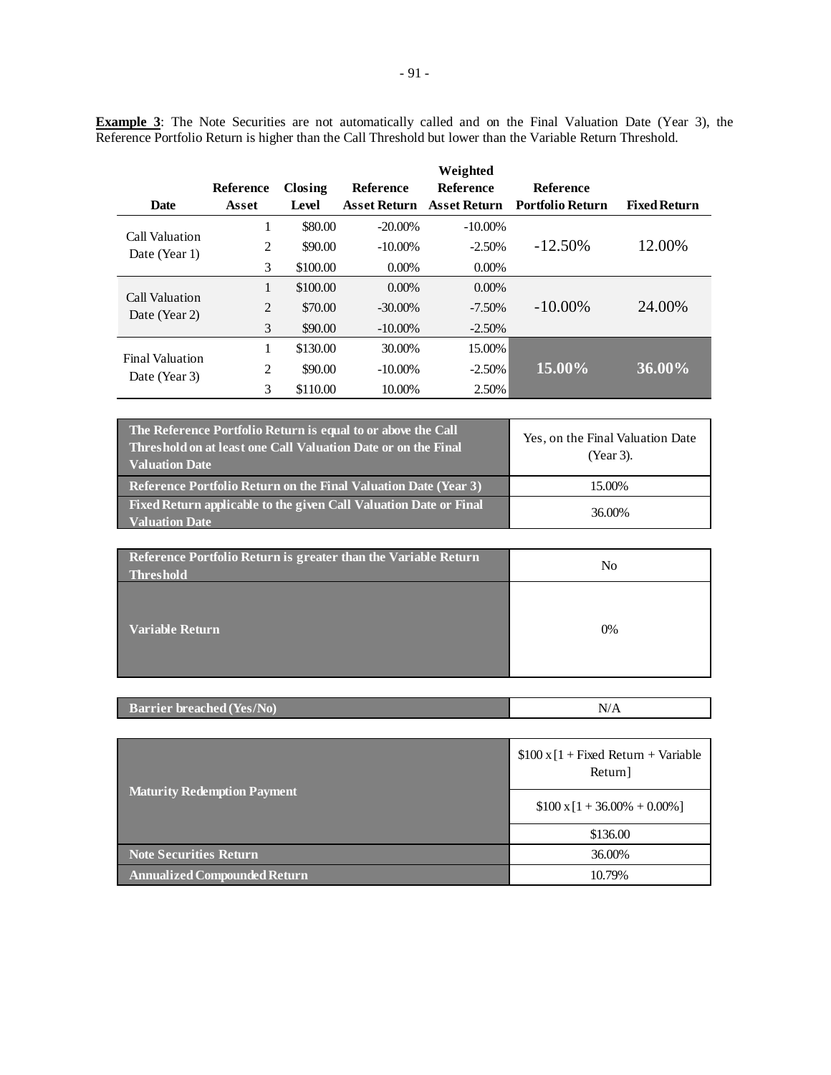**Example 3**: The Note Securities are not automatically called and on the Final Valuation Date (Year 3), the Reference Portfolio Return is higher than the Call Threshold but lower than the Variable Return Threshold.

|                        |                |          |                     | Weighted            |                         |                     |
|------------------------|----------------|----------|---------------------|---------------------|-------------------------|---------------------|
|                        | Reference      | Closing  | Reference           | <b>Reference</b>    | <b>Reference</b>        |                     |
| <b>Date</b>            | Asset          | Level    | <b>Asset Return</b> | <b>Asset Return</b> | <b>Portfolio Return</b> | <b>Fixed Return</b> |
| Call Valuation         | 1              | \$80.00  | $-20.00\%$          | $-10.00\%$          |                         |                     |
| Date (Year 1)          | 2              | \$90.00  | $-10.00\%$          | $-2.50%$            | $-12.50\%$              | 12.00%              |
|                        | 3              | \$100.00 | $0.00\%$            | $0.00\%$            |                         |                     |
| Call Valuation         | 1              | \$100.00 | $0.00\%$            | $0.00\%$            |                         |                     |
| Date (Year 2)          | $\overline{2}$ | \$70.00  | $-30.00\%$          | $-7.50\%$           | $-10.00\%$              | 24.00%              |
|                        | 3              | \$90.00  | $-10.00\%$          | $-2.50\%$           |                         |                     |
| <b>Final Valuation</b> | 1              | \$130.00 | 30.00%              | 15.00%              |                         |                     |
| Date (Year 3)          | 2              | \$90.00  | $-10.00\%$          | $-2.50\%$           | 15.00%                  | 36.00%              |
|                        | 3              | \$110.00 | 10.00%              | 2.50%               |                         |                     |

| The Reference Portfolio Return is equal to or above the Call<br>Threshold on at least one Call Valuation Date <u>or on the Final</u><br><b>Valuation Date</b> | Yes, on the Final Valuation Date<br>(Year 3). |
|---------------------------------------------------------------------------------------------------------------------------------------------------------------|-----------------------------------------------|
| <b>Reference Portfolio Return on the Final Valuation Date (Year 3)</b>                                                                                        | 15.00%                                        |
| Fixed Return applicable to the given Call Valuation Date or Final<br><b>Valuation Date</b>                                                                    | 36.00%                                        |

| <b>Reference Portfolio Return is greater than the Variable Return</b><br><b>Threshold</b> | No |
|-------------------------------------------------------------------------------------------|----|
| <b>Variable Return</b>                                                                    | 0% |

| <b>Barrier breached (Yes/No)</b><br>N/ |
|----------------------------------------|
|----------------------------------------|

|                                     | $$100 \times [1 + Fixed Return + Variable]$<br>Return] |  |
|-------------------------------------|--------------------------------------------------------|--|
| <b>Maturity Redemption Payment</b>  | $$100 \times 1 + 36.00\% + 0.00\%]$                    |  |
|                                     | \$136.00                                               |  |
| <b>Note Securities Return</b>       | 36.00%                                                 |  |
| <b>Annualized Compounded Return</b> | 10.79%                                                 |  |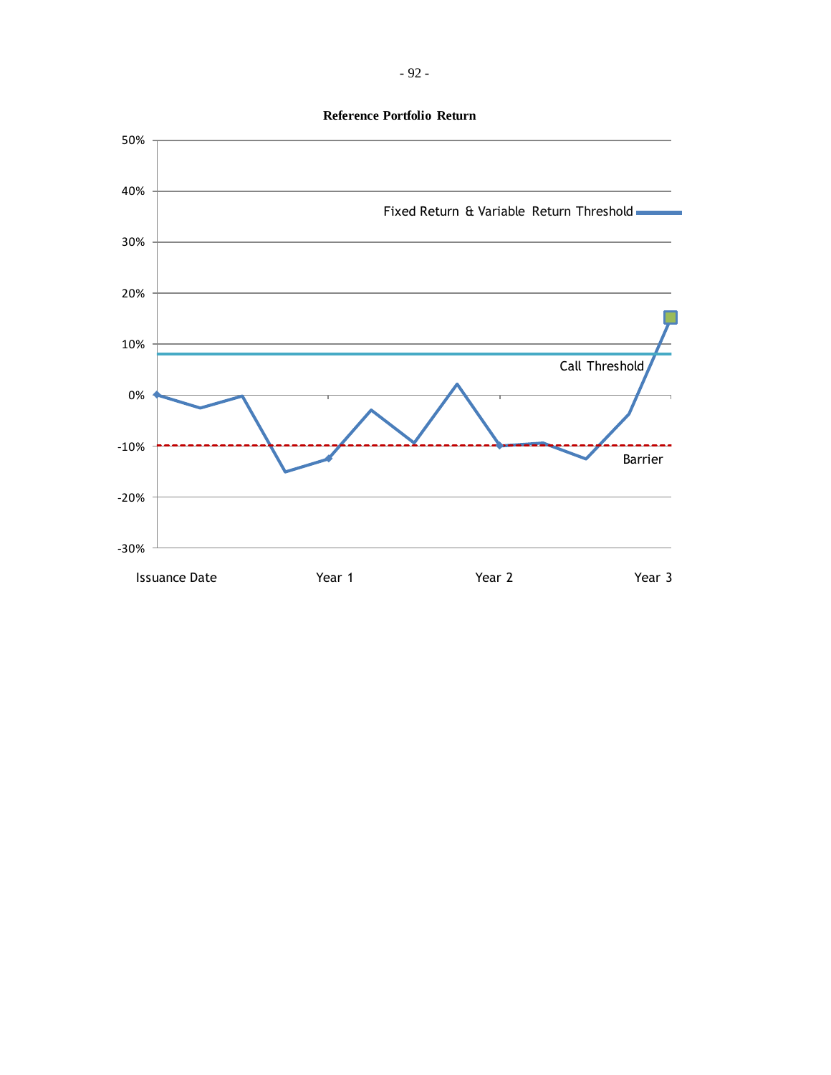**Reference Portfolio Return**

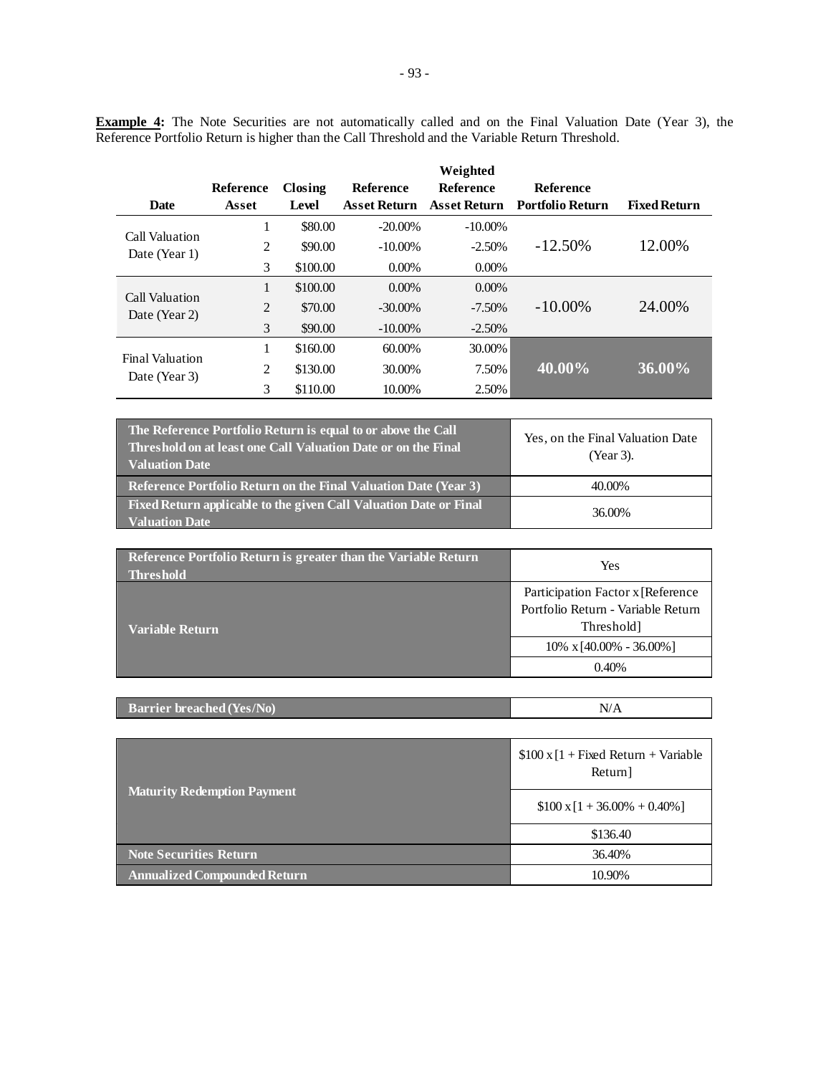**Example 4:** The Note Securities are not automatically called and on the Final Valuation Date (Year 3), the Reference Portfolio Return is higher than the Call Threshold and the Variable Return Threshold.

|                        |              |          |                     | Weighted            |                         |                     |
|------------------------|--------------|----------|---------------------|---------------------|-------------------------|---------------------|
|                        | Reference    | Closing  | <b>Reference</b>    | <b>Reference</b>    | Reference               |                     |
| <b>Date</b>            | Asset        | Level    | <b>Asset Return</b> | <b>Asset Return</b> | <b>Portfolio Return</b> | <b>Fixed Return</b> |
| Call Valuation         | 1            | \$80.00  | $-20.00\%$          | $-10.00\%$          |                         |                     |
| Date (Year 1)          | 2            | \$90.00  | $-10.00\%$          | $-2.50%$            | $-12.50\%$              | 12.00%              |
|                        | 3            | \$100.00 | $0.00\%$            | $0.00\%$            |                         |                     |
| Call Valuation         | $\mathbf{1}$ | \$100.00 | $0.00\%$            | $0.00\%$            |                         |                     |
| Date (Year 2)          | 2            | \$70.00  | $-30.00\%$          | $-7.50\%$           | $-10.00\%$              | 24.00%              |
|                        | 3            | \$90.00  | $-10.00\%$          | $-2.50%$            |                         |                     |
| <b>Final Valuation</b> | 1            | \$160.00 | 60.00%              | 30.00%              |                         |                     |
| Date (Year 3)          | 2            | \$130.00 | 30.00%              | 7.50%               | 40.00%                  | 36.00%              |
|                        | 3            | \$110.00 | 10.00%              | 2.50%               |                         |                     |

| The Reference Portfolio Return is equal to or above the Call<br>Threshold on at least one Call Valuation Date or on the Final<br><b>Valuation Date</b> | Yes, on the Final Valuation Date<br>(Year 3). |
|--------------------------------------------------------------------------------------------------------------------------------------------------------|-----------------------------------------------|
| <b>Reference Portfolio Return on the Final Valuation Date (Year 3)</b>                                                                                 | 40.00%                                        |
| Fixed Return applicable to the given Call Valuation Date or Final<br><b>Valuation Date</b>                                                             | 36.00%                                        |

| Reference Portfolio Return is greater than the Variable Return<br><b>Threshold</b> | Yes                                                                                    |  |
|------------------------------------------------------------------------------------|----------------------------------------------------------------------------------------|--|
| Variable Return                                                                    | Participation Factor x [Reference]<br>Portfolio Return - Variable Return<br>Threshold] |  |
|                                                                                    | $10\% \times [40.00\% - 36.00\%]$                                                      |  |
|                                                                                    | 0.40%                                                                                  |  |

| TN <sub>0</sub><br><b>Barrier breached (Yes/No.</b> |  |
|-----------------------------------------------------|--|
|                                                     |  |

|                                     | $$100 \times [1 + Fixed Return + Variable]$<br>Return] |  |
|-------------------------------------|--------------------------------------------------------|--|
| <b>Maturity Redemption Payment</b>  | $$100 \times 1 + 36.00\% + 0.40\%]$                    |  |
|                                     | \$136.40                                               |  |
| <b>Note Securities Return</b>       | 36.40%                                                 |  |
| <b>Annualized Compounded Return</b> | 10.90%                                                 |  |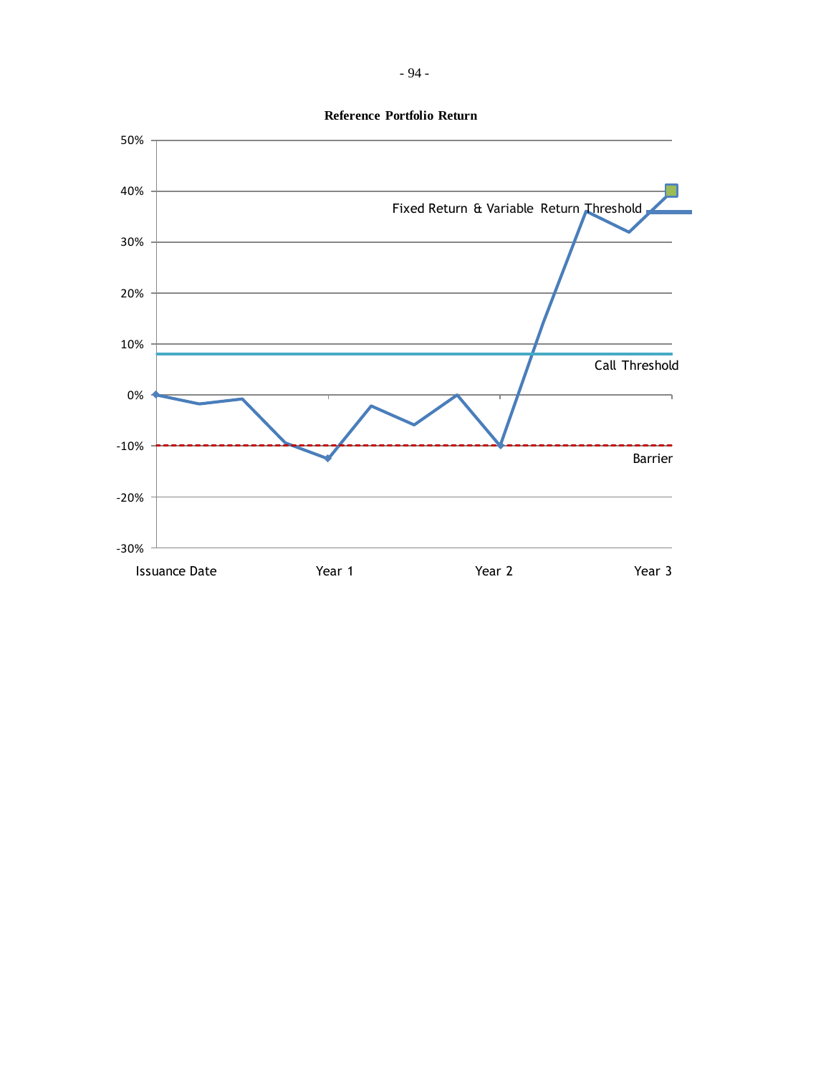

**Reference Portfolio Return**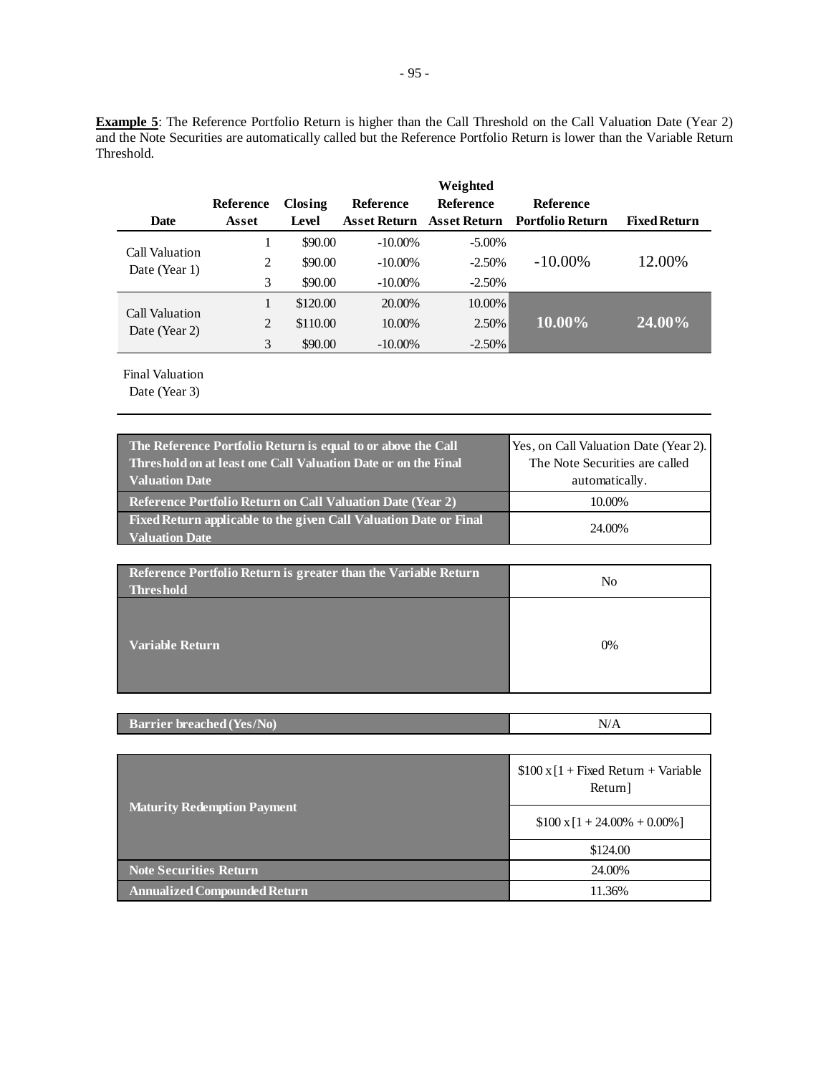**Example 5**: The Reference Portfolio Return is higher than the Call Threshold on the Call Valuation Date (Year 2) and the Note Securities are automatically called but the Reference Portfolio Return is lower than the Variable Return Threshold.

|                                 |           |          |                     | Weighted            |                         |                     |
|---------------------------------|-----------|----------|---------------------|---------------------|-------------------------|---------------------|
|                                 | Reference | Closing  | <b>Reference</b>    | <b>Reference</b>    | <b>Reference</b>        |                     |
| <b>Date</b>                     | Asset     | Level    | <b>Asset Return</b> | <b>Asset Return</b> | <b>Portfolio Return</b> | <b>Fixed Return</b> |
| Call Valuation                  |           | \$90.00  | $-10.00\%$          | $-5.00\%$           |                         |                     |
| Date (Year 1)                   | 2         | \$90.00  | $-10.00\%$          | $-2.50%$            | $-10.00\%$              | 12.00%              |
|                                 | 3         | \$90.00  | $-10.00\%$          | $-2.50%$            |                         |                     |
|                                 |           | \$120.00 | 20.00%              | 10.00%              |                         |                     |
| Call Valuation<br>Date (Year 2) | 2         | \$110.00 | 10.00%              | 2.50%               | $10.00\%$               | 24.00%              |
|                                 | 3         | \$90.00  | $-10.00\%$          | $-2.50\%$           |                         |                     |

Final Valuation

| The Reference Portfolio Return is equal to or above the Call<br>Threshold on at least one Call Valuation Date or on the Final<br><b>Valuation Date</b> | Yes, on Call Valuation Date (Year 2).<br>The Note Securities are called<br>automatically. |
|--------------------------------------------------------------------------------------------------------------------------------------------------------|-------------------------------------------------------------------------------------------|
| <b>Reference Portfolio Return on Call Valuation Date (Year 2)</b>                                                                                      | 10.00%                                                                                    |
| Fixed Return applicable to the given Call Valuation Date or Final<br><b>Valuation Date</b>                                                             | 24.00%                                                                                    |

| Reference Portfolio Return is greater than the Variable Return<br><b>Threshold</b> | No |
|------------------------------------------------------------------------------------|----|
| <b>Variable Return</b>                                                             | 0% |

| <b>Barrier breached (Yes/No)</b> | N/A |
|----------------------------------|-----|
|                                  |     |

|                                     | $$100 \times [1 + Fixed Return + Variable]$<br>Return] |
|-------------------------------------|--------------------------------------------------------|
| <b>Maturity Redemption Payment</b>  | $$100 \times [1 + 24.00\% + 0.00\%]$                   |
|                                     | \$124.00                                               |
| Note Securities Return              | 24.00%                                                 |
| <b>Annualized Compounded Return</b> | 11.36%                                                 |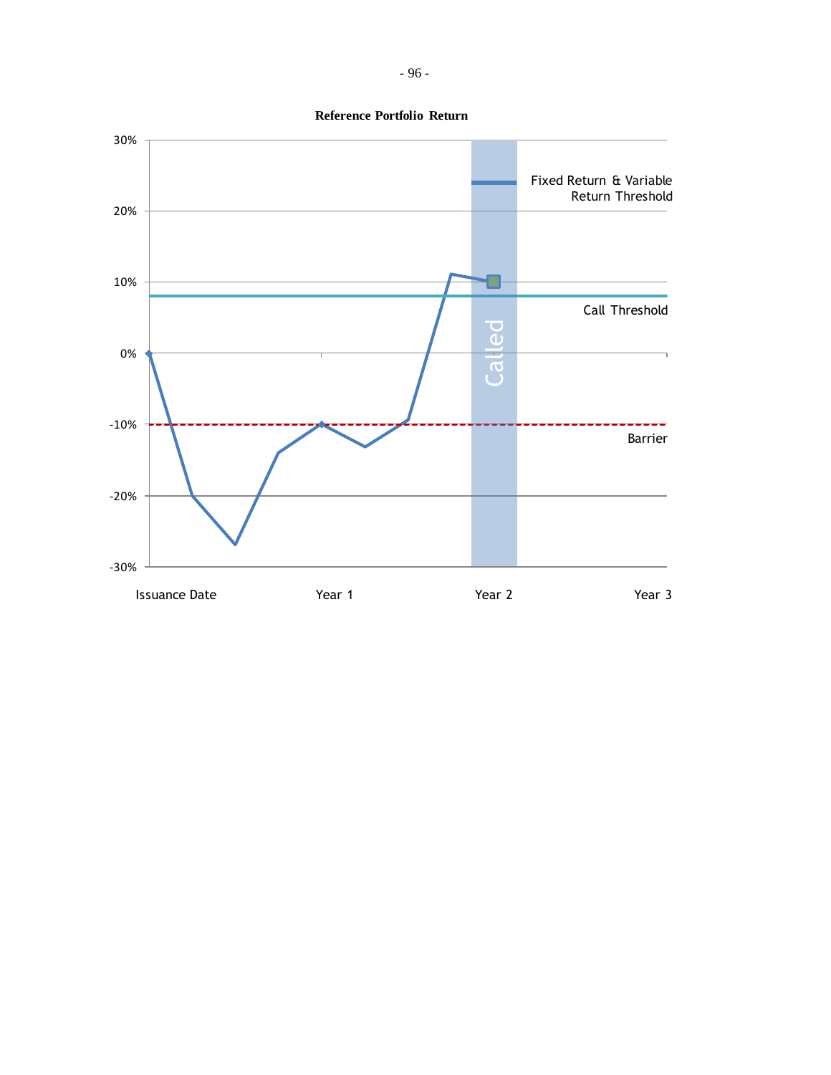

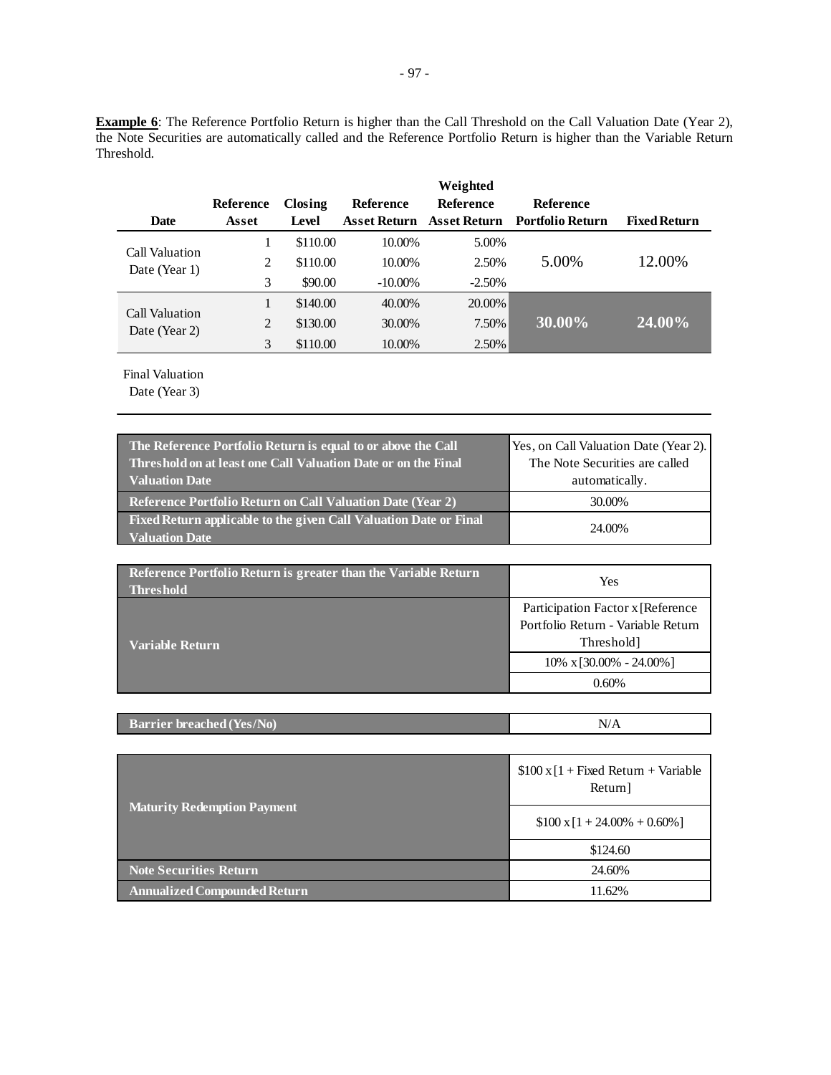**Example 6**: The Reference Portfolio Return is higher than the Call Threshold on the Call Valuation Date (Year 2), the Note Securities are automatically called and the Reference Portfolio Return is higher than the Variable Return Threshold.

|                                 |           |          |                     | Weighted         |                         |                     |
|---------------------------------|-----------|----------|---------------------|------------------|-------------------------|---------------------|
|                                 | Reference | Closing  | <b>Reference</b>    | <b>Reference</b> | <b>Reference</b>        |                     |
| <b>Date</b>                     | Asset     | Level    | <b>Asset Return</b> | Asset Return     | <b>Portfolio Return</b> | <b>Fixed Return</b> |
| Call Valuation                  |           | \$110.00 | 10.00%              | 5.00%            |                         |                     |
| Date (Year 1)                   | 2         | \$110.00 | 10.00%              | 2.50%            | 5.00%                   | 12.00%              |
|                                 | 3         | \$90.00  | $-10.00\%$          | $-2.50%$         |                         |                     |
|                                 |           | \$140.00 | 40.00%              | 20.00%           |                         |                     |
| Call Valuation<br>Date (Year 2) | 2         | \$130.00 | 30.00%              | 7.50%            | 30.00%                  | 24.00%              |
|                                 | 3         | \$110.00 | 10.00%              | 2.50%            |                         |                     |

Final Valuation

| The Reference Portfolio Return is equal to or above the Call<br>Threshold on at least one Call Valuation Date or on the Final<br><b>Valuation Date</b> | Yes, on Call Valuation Date (Year 2).<br>The Note Securities are called<br>automatically. |
|--------------------------------------------------------------------------------------------------------------------------------------------------------|-------------------------------------------------------------------------------------------|
| <b>Reference Portfolio Return on Call Valuation Date (Year 2)</b>                                                                                      | 30.00%                                                                                    |
| Fixed Return applicable to the given Call Valuation Date or Final<br><b>Valuation Date</b>                                                             | 24.00%                                                                                    |

| Reference Portfolio Return is greater than the Variable Return<br><b>Threshold</b> | Yes                                                                                                |
|------------------------------------------------------------------------------------|----------------------------------------------------------------------------------------------------|
| <b>Variable Return</b>                                                             | Participation Factor x [Reference]<br>Portfolio Return - Variable Return<br>Threshold <sub>1</sub> |
|                                                                                    | $10\% \times 30.00\% - 24.00\%$                                                                    |
|                                                                                    | 0.60%                                                                                              |

| <b>Barrier breached (Yes/No)</b><br>N/A |
|-----------------------------------------|
|-----------------------------------------|

|                                     | $$100 \times [1 + Fixed Return + Variable]$<br>Return] |  |
|-------------------------------------|--------------------------------------------------------|--|
| <b>Maturity Redemption Payment</b>  | $$100 \times 1 + 24.00\% + 0.60\%]$                    |  |
|                                     | \$124.60                                               |  |
| <b>Note Securities Return</b>       | 24.60%                                                 |  |
| <b>Annualized Compounded Return</b> | 11.62%                                                 |  |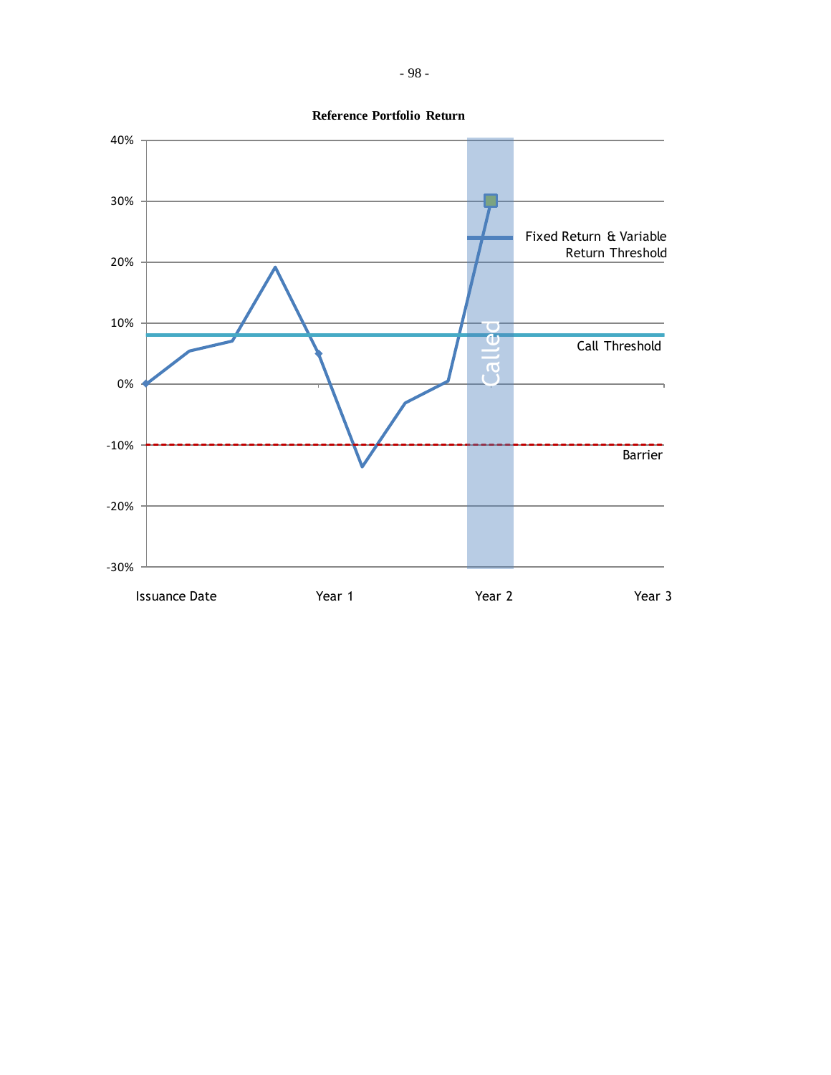

- 98 -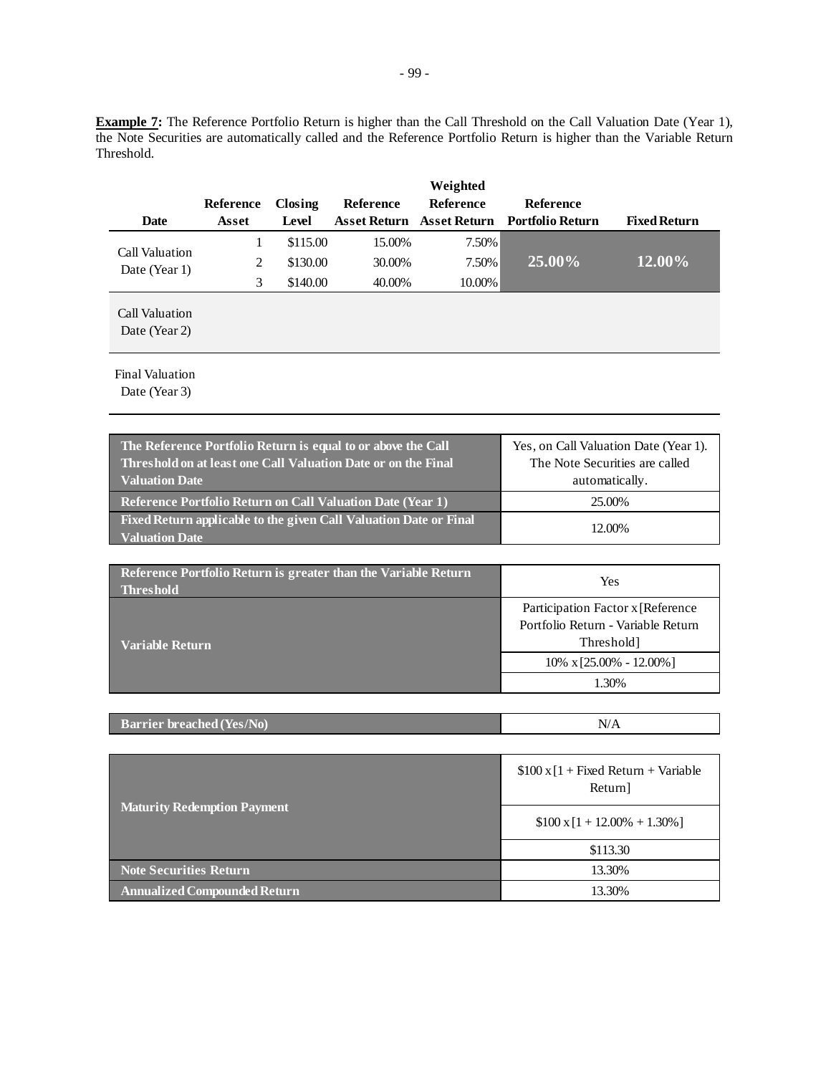**Example 7:** The Reference Portfolio Return is higher than the Call Threshold on the Call Valuation Date (Year 1), the Note Securities are automatically called and the Reference Portfolio Return is higher than the Variable Return Threshold.

| <b>Date</b>                     | Reference<br>Asset | Closing<br>Level | <b>Reference</b> | Weighted<br><b>Reference</b> | <b>Reference</b><br>Asset Return Asset Return Portfolio Return | <b>Fixed Return</b> |
|---------------------------------|--------------------|------------------|------------------|------------------------------|----------------------------------------------------------------|---------------------|
| Call Valuation                  | 1                  | \$115.00         | 15.00%           | 7.50%                        |                                                                |                     |
| Date (Year 1)                   | 2                  | \$130.00         | 30.00%           | 7.50%                        | 25.00%                                                         | 12.00%              |
|                                 | 3                  | \$140.00         | 40.00%           | 10.00%                       |                                                                |                     |
| Call Valuation<br>Date (Year 2) |                    |                  |                  |                              |                                                                |                     |

Final Valuation

| The Reference Portfolio Return is equal to or above the Call<br>Threshold on at least one Call Valuation Date or on the Final | Yes, on Call Valuation Date (Year 1).<br>The Note Securities are called |
|-------------------------------------------------------------------------------------------------------------------------------|-------------------------------------------------------------------------|
| Valuation Date                                                                                                                | automatically.                                                          |
| <b>Reference Portfolio Return on Call Valuation Date (Year 1)</b>                                                             | 25.00%                                                                  |
| Fixed Return applicable to the given Call Valuation Date or Final<br><b>Valuation Date</b>                                    | 12.00%                                                                  |

| Reference Portfolio Return is greater than the Variable Return<br><b>Threshold</b> | Yes                                                                                               |  |
|------------------------------------------------------------------------------------|---------------------------------------------------------------------------------------------------|--|
| Variable Return                                                                    | Participation Factor x [Reference<br>Portfolio Return - Variable Return<br>Threshold <sup>1</sup> |  |
|                                                                                    | $10\% \times [25.00\% - 12.00\%]$                                                                 |  |
|                                                                                    | .30%                                                                                              |  |

| <b>Barrier breached (Yes/No)</b> | N/A |
|----------------------------------|-----|
|                                  |     |

|                                     | $$100 \times [1 + Fixed Return + Variable]$<br>Return] |  |
|-------------------------------------|--------------------------------------------------------|--|
| <b>Maturity Redemption Payment</b>  | $$100 \times [1 + 12.00\% + 1.30\%]$                   |  |
|                                     | \$113.30                                               |  |
| <b>Note Securities Return</b>       | 13.30%                                                 |  |
| <b>Annualized Compounded Return</b> | 13.30%                                                 |  |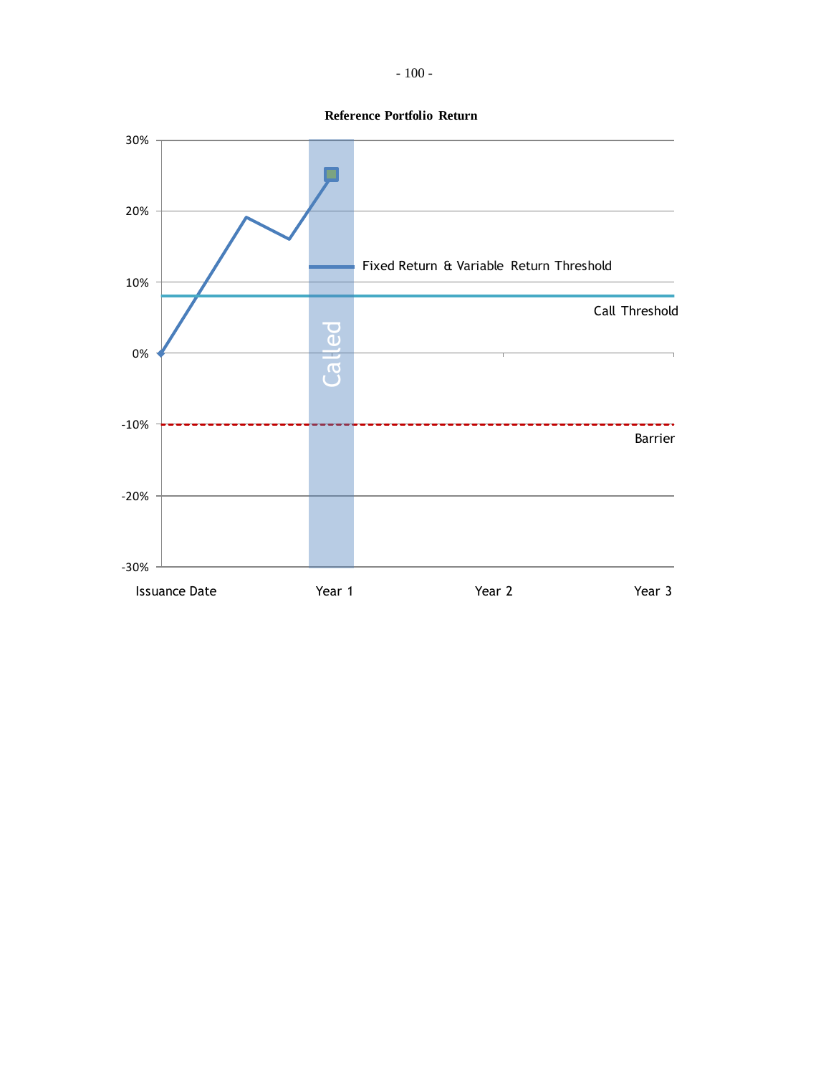- 100 -

**Reference Portfolio Return**

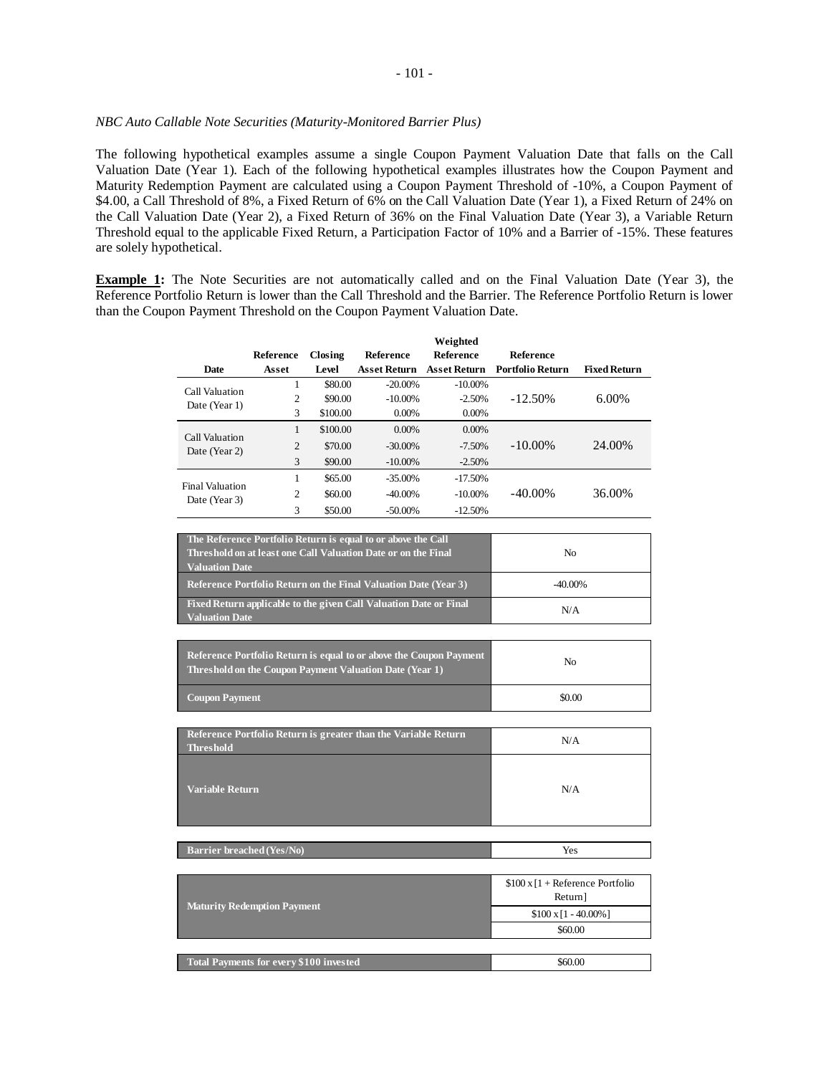## *NBC Auto Callable Note Securities (Maturity-Monitored Barrier Plus)*

The following hypothetical examples assume a single Coupon Payment Valuation Date that falls on the Call Valuation Date (Year 1). Each of the following hypothetical examples illustrates how the Coupon Payment and Maturity Redemption Payment are calculated using a Coupon Payment Threshold of -10%, a Coupon Payment of \$4.00, a Call Threshold of 8%, a Fixed Return of 6% on the Call Valuation Date (Year 1), a Fixed Return of 24% on the Call Valuation Date (Year 2), a Fixed Return of 36% on the Final Valuation Date (Year 3), a Variable Return Threshold equal to the applicable Fixed Return, a Participation Factor of 10% and a Barrier of -15%. These features are solely hypothetical.

**Example 1:** The Note Securities are not automatically called and on the Final Valuation Date (Year 3), the Reference Portfolio Return is lower than the Call Threshold and the Barrier. The Reference Portfolio Return is lower than the Coupon Payment Threshold on the Coupon Payment Valuation Date.

|                                                |                  |          |                                                                    | Weighted            |                                       |                     |
|------------------------------------------------|------------------|----------|--------------------------------------------------------------------|---------------------|---------------------------------------|---------------------|
|                                                | <b>Reference</b> | Closing  | <b>Reference</b>                                                   | <b>Reference</b>    | Reference                             |                     |
| <b>Date</b>                                    | Asset            | Level    | <b>Asset Return</b>                                                | <b>Asset Return</b> | <b>Portfolio Return</b>               | <b>Fixed Return</b> |
| Call Valuation                                 | $\mathbf{1}$     | \$80.00  | $-20.00\%$                                                         | $-10.00\%$          |                                       |                     |
| Date (Year 1)                                  | $\overline{c}$   | \$90.00  | $-10.00\%$                                                         | $-2.50%$            | $-12.50%$                             | 6.00%               |
|                                                | 3                | \$100.00 | 0.00%                                                              | 0.00%               |                                       |                     |
| Call Valuation                                 | $\mathbf{1}$     | \$100.00 | 0.00%                                                              | 0.00%               |                                       |                     |
| Date (Year 2)                                  | $\overline{c}$   | \$70.00  | $-30.00\%$                                                         | $-7.50%$            | $-10.00\%$                            | 24.00%              |
|                                                | 3                | \$90.00  | $-10.00\%$                                                         | $-2.50%$            |                                       |                     |
| <b>Final Valuation</b>                         | $\mathbf{1}$     | \$65.00  | $-35.00\%$                                                         | $-17.50%$           |                                       |                     |
| Date (Year 3)                                  | $\overline{c}$   | \$60.00  | $-40.00\%$                                                         | $-10.00\%$          | -40.00%                               | 36.00%              |
|                                                | 3                | \$50.00  | $-50.00\%$                                                         | $-12.50%$           |                                       |                     |
|                                                |                  |          |                                                                    |                     |                                       |                     |
|                                                |                  |          | The Reference Portfolio Return is equal to or above the Call       |                     |                                       |                     |
|                                                |                  |          | Threshold on at least one Call Valuation Date or on the Final      |                     | N <sub>0</sub>                        |                     |
| <b>Valuation Date</b>                          |                  |          |                                                                    |                     |                                       |                     |
|                                                |                  |          | Reference Portfolio Return on the Final Valuation Date (Year 3)    |                     | $-40.00\%$                            |                     |
| <b>Valuation Date</b>                          |                  |          | Fixed Return applicable to the given Call Valuation Date or Final  |                     | N/A                                   |                     |
|                                                |                  |          |                                                                    |                     |                                       |                     |
|                                                |                  |          |                                                                    |                     |                                       |                     |
|                                                |                  |          | Reference Portfolio Return is equal to or above the Coupon Payment |                     | N <sub>0</sub>                        |                     |
|                                                |                  |          | Threshold on the Coupon Payment Valuation Date (Year 1)            |                     |                                       |                     |
| <b>Coupon Payment</b>                          |                  |          |                                                                    |                     | \$0.00                                |                     |
|                                                |                  |          |                                                                    |                     |                                       |                     |
|                                                |                  |          |                                                                    |                     |                                       |                     |
| <b>Threshold</b>                               |                  |          | Reference Portfolio Return is greater than the Variable Return     |                     | N/A                                   |                     |
|                                                |                  |          |                                                                    |                     |                                       |                     |
|                                                |                  |          |                                                                    |                     |                                       |                     |
| <b>Variable Return</b>                         |                  |          |                                                                    |                     | N/A                                   |                     |
|                                                |                  |          |                                                                    |                     |                                       |                     |
|                                                |                  |          |                                                                    |                     |                                       |                     |
|                                                |                  |          |                                                                    |                     |                                       |                     |
| <b>Barrier breached (Yes/No)</b>               |                  |          |                                                                    |                     | Yes                                   |                     |
|                                                |                  |          |                                                                    |                     |                                       |                     |
|                                                |                  |          |                                                                    |                     | $$100 \times 1 +$ Reference Portfolio |                     |
|                                                |                  |          |                                                                    |                     | Return]                               |                     |
| <b>Maturity Redemption Payment</b>             |                  |          |                                                                    |                     | $$100 \times 1 - 40.00\%]$            |                     |
|                                                |                  |          |                                                                    | \$60.00             |                                       |                     |
|                                                |                  |          |                                                                    |                     |                                       |                     |
| <b>Total Payments for every \$100 invested</b> |                  |          |                                                                    |                     | \$60.00                               |                     |
|                                                |                  |          |                                                                    |                     |                                       |                     |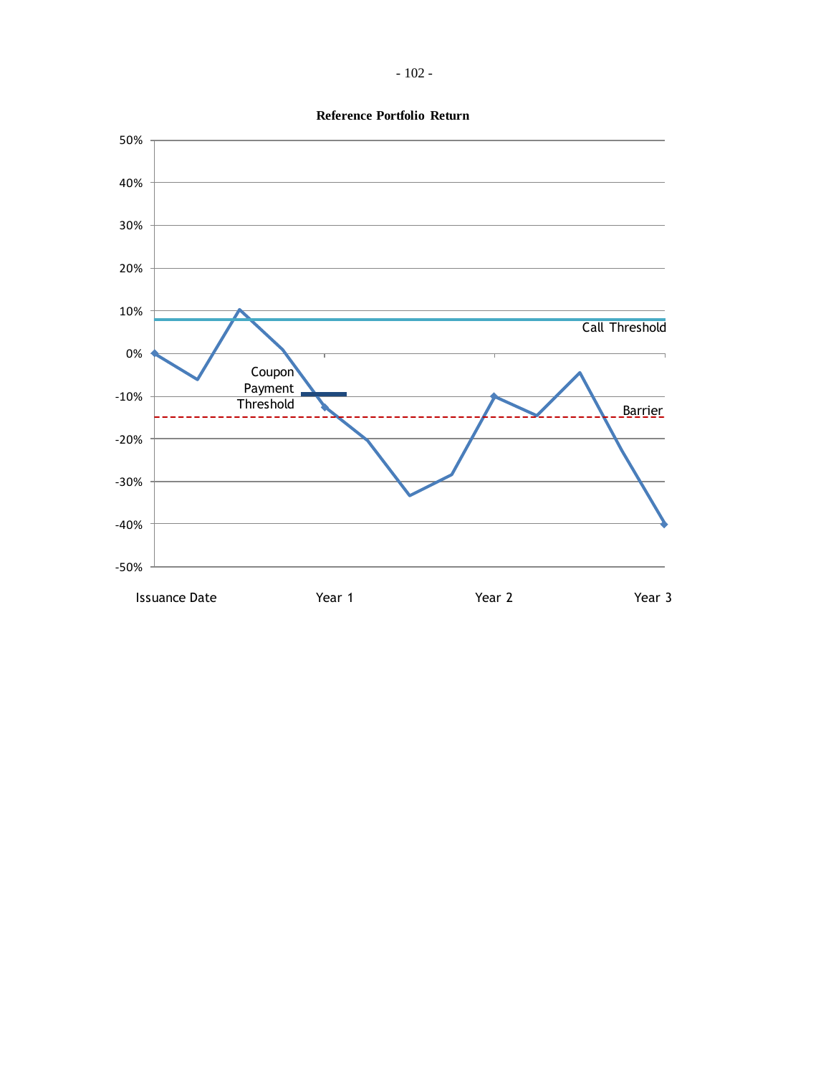**Reference Portfolio Return**

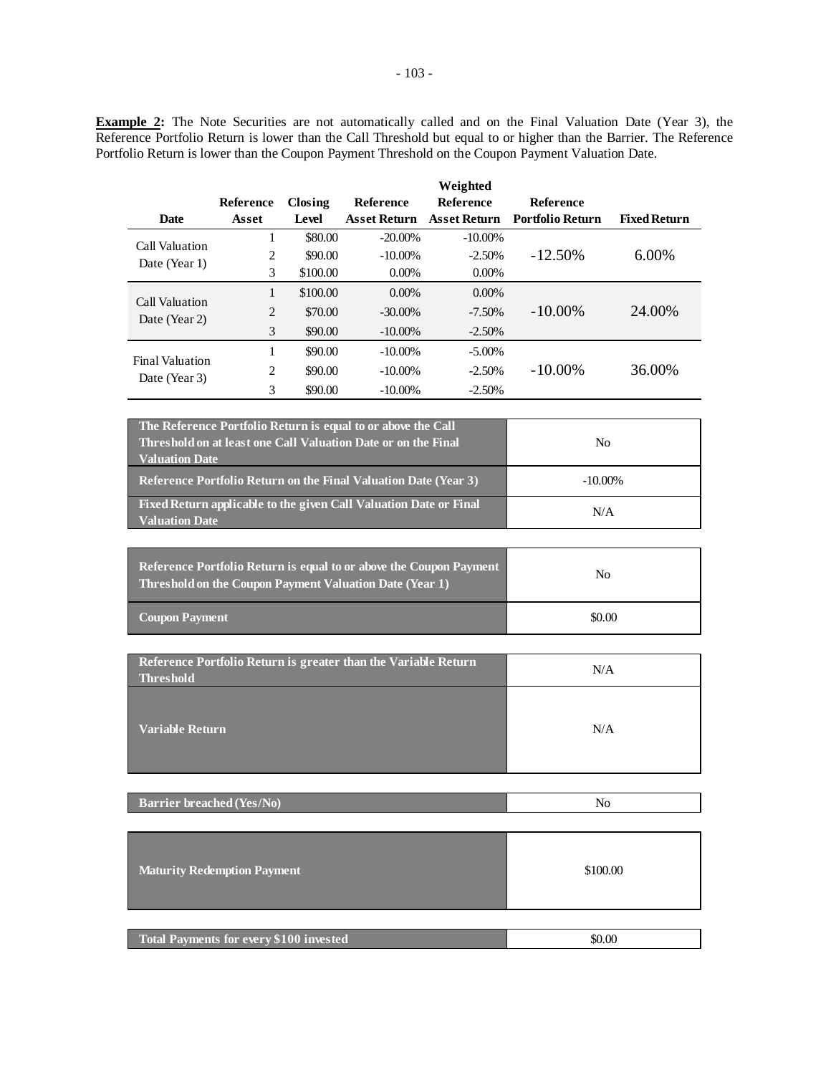**Example 2:** The Note Securities are not automatically called and on the Final Valuation Date (Year 3), the Reference Portfolio Return is lower than the Call Threshold but equal to or higher than the Barrier. The Reference Portfolio Return is lower than the Coupon Payment Threshold on the Coupon Payment Valuation Date.

|                                         |                  |          |                     | Weighted            |                         |                     |
|-----------------------------------------|------------------|----------|---------------------|---------------------|-------------------------|---------------------|
|                                         | <b>Reference</b> | Closing  | <b>Reference</b>    | Reference           | <b>Reference</b>        |                     |
| <b>Date</b>                             | Asset            | Level    | <b>Asset Return</b> | <b>Asset Return</b> | <b>Portfolio Return</b> | <b>Fixed Return</b> |
| Call Valuation                          |                  | \$80.00  | $-20.00\%$          | $-10.00\%$          |                         |                     |
|                                         | 2                | \$90.00  | $-10.00\%$          | $-2.50%$            | $-12.50\%$              | 6.00%               |
| Date (Year 1)                           | 3                | \$100.00 | $0.00\%$            | $0.00\%$            |                         |                     |
|                                         | 1                | \$100.00 | $0.00\%$            | $0.00\%$            |                         |                     |
| Call Valuation<br>Date (Year 2)         | 2                | \$70.00  | $-30.00\%$          | $-7.50\%$           | $-10.00\%$              | 24.00%              |
|                                         | 3                | \$90.00  | $-10.00\%$          | $-2.50%$            |                         |                     |
| <b>Final Valuation</b><br>Date (Year 3) | 1                | \$90.00  | $-10.00\%$          | $-5.00\%$           |                         |                     |
|                                         | 2                | \$90.00  | $-10.00\%$          | $-2.50%$            | $-10.00\%$              | 36.00%              |
|                                         | 3                | \$90.00  | $-10.00\%$          | $-2.50%$            |                         |                     |
|                                         |                  |          |                     |                     |                         |                     |

| The Reference Portfolio Return is equal to or above the Call<br>Threshold on at least one Call Valuation Date or on the Final<br><b>Valuation Date</b> | N <sub>0</sub> |
|--------------------------------------------------------------------------------------------------------------------------------------------------------|----------------|
| <b>Reference Portfolio Return on the Final Valuation Date (Year 3)</b>                                                                                 | $-10.00\%$     |
| Fixed Return applicable to the given Call Valuation Date or Final<br><b>Valuation Date</b>                                                             | N/A            |

| <b>Reference Portfolio Return is equal to or above the Coupon Payment</b><br>Threshold on the Coupon Payment Valuation Date (Year 1) | No     |
|--------------------------------------------------------------------------------------------------------------------------------------|--------|
| <b>Coupon Payment</b>                                                                                                                | \$0.00 |

| Reference Portfolio Return is greater than the Variable Return<br><b>Threshold</b> | N/A |
|------------------------------------------------------------------------------------|-----|
| <b>Variable Return</b>                                                             | N/A |

| <b>Maturity Redemption Payment</b>      | \$100.00 |
|-----------------------------------------|----------|
|                                         |          |
| Total Payments for every \$100 invested | \$0.00   |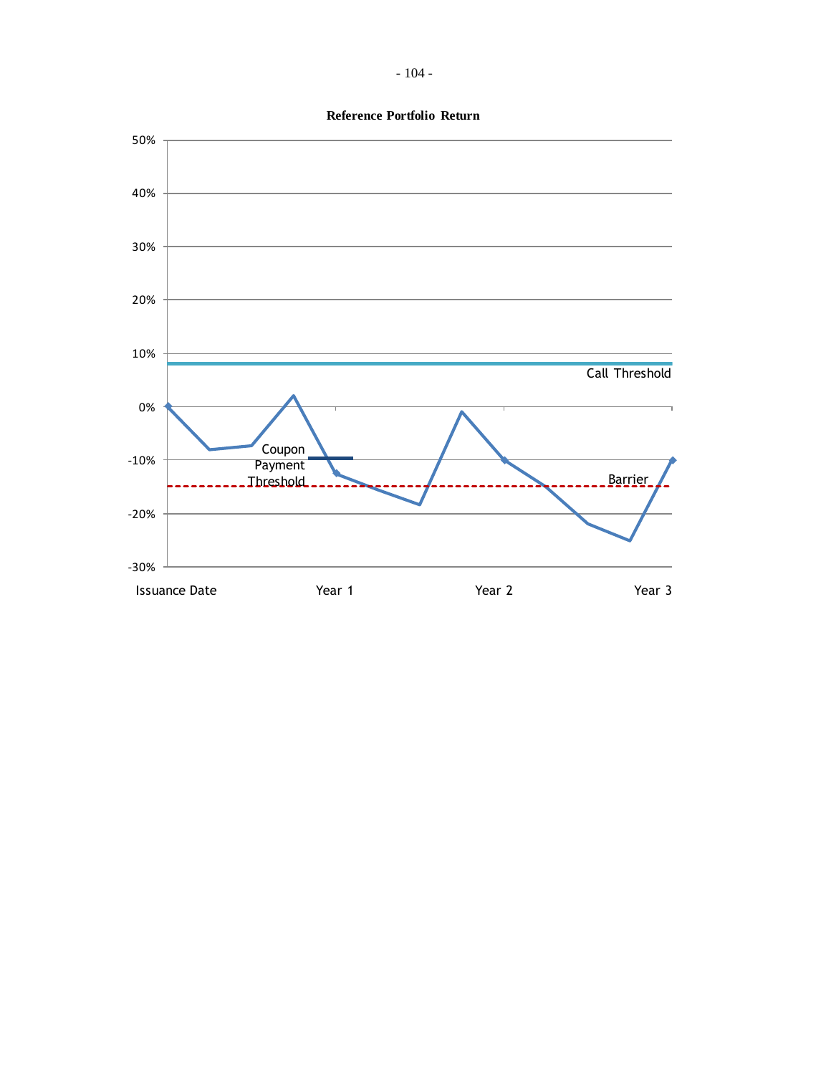**Reference Portfolio Return**

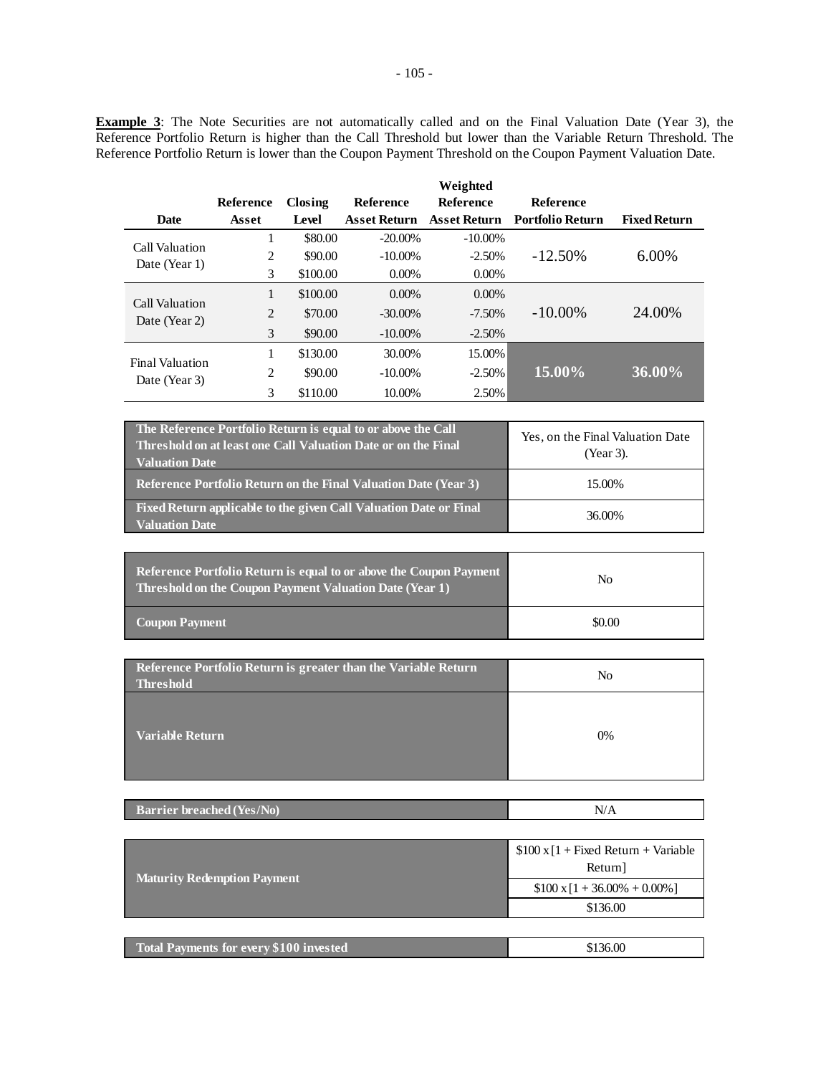**Example 3**: The Note Securities are not automatically called and on the Final Valuation Date (Year 3), the Reference Portfolio Return is higher than the Call Threshold but lower than the Variable Return Threshold. The Reference Portfolio Return is lower than the Coupon Payment Threshold on the Coupon Payment Valuation Date.

|                                         |                  |          |                     | Weighted            |                         |                     |
|-----------------------------------------|------------------|----------|---------------------|---------------------|-------------------------|---------------------|
|                                         | <b>Reference</b> | Closing  | Reference           | Reference           | Reference               |                     |
| Date                                    | Asset            | Level    | <b>Asset Return</b> | <b>Asset Return</b> | <b>Portfolio Return</b> | <b>Fixed Return</b> |
| Call Valuation                          |                  | \$80.00  | $-20.00\%$          | $-10.00\%$          |                         |                     |
| Date (Year 1)                           | 2                | \$90.00  | $-10.00\%$          | $-2.50%$            | $-12.50\%$              | $6.00\%$            |
|                                         | 3                | \$100.00 | $0.00\%$            | $0.00\%$            |                         |                     |
| Call Valuation<br>Date (Year 2)         | 1                | \$100.00 | $0.00\%$            | $0.00\%$            |                         |                     |
|                                         | 2                | \$70.00  | $-30.00\%$          | $-7.50\%$           | $-10.00\%$              | 24.00%              |
|                                         | 3                | \$90.00  | $-10.00\%$          | $-2.50%$            |                         |                     |
| <b>Final Valuation</b><br>Date (Year 3) |                  | \$130.00 | 30.00%              | 15.00%              |                         |                     |
|                                         | 2                | \$90.00  | $-10.00\%$          | $-2.50%$            | 15.00%                  | 36.00%              |
|                                         | 3                | \$110.00 | 10.00%              | 2.50%               |                         |                     |

| The Reference Portfolio Return is equal to or above the Call<br>Threshold on at least one Call Valuation Date or on the Final<br><b>Valuation Date</b> | Yes, on the Final Valuation Date<br>(Year 3). |  |
|--------------------------------------------------------------------------------------------------------------------------------------------------------|-----------------------------------------------|--|
| Reference Portfolio Return on the Final Valuation Date (Year 3)                                                                                        | 15.00%                                        |  |
| Fixed Return applicable to the given Call Valuation Date or Final<br><b>Valuation Date</b>                                                             | 36.00%                                        |  |

| Reference Portfolio Return is equal to or above the Coupon Payment<br>Threshold on the Coupon Payment Valuation Date (Year 1) | No     |
|-------------------------------------------------------------------------------------------------------------------------------|--------|
| <b>Coupon Payment</b>                                                                                                         | \$0.00 |

| Reference Portfolio Return is greater than the Variable Return<br><b>Threshold</b> | No    |
|------------------------------------------------------------------------------------|-------|
| Variable Return                                                                    | $0\%$ |

|--|

| <b>Maturity Redemption Payment</b>             | $$100 \times [1 + Fixed Return + Variable]$<br>Return] |
|------------------------------------------------|--------------------------------------------------------|
|                                                | $$100 \times 1 + 36.00\% + 0.00\%]$                    |
|                                                | \$136.00                                               |
|                                                |                                                        |
| <b>Total Payments for every \$100 invested</b> | \$136.00                                               |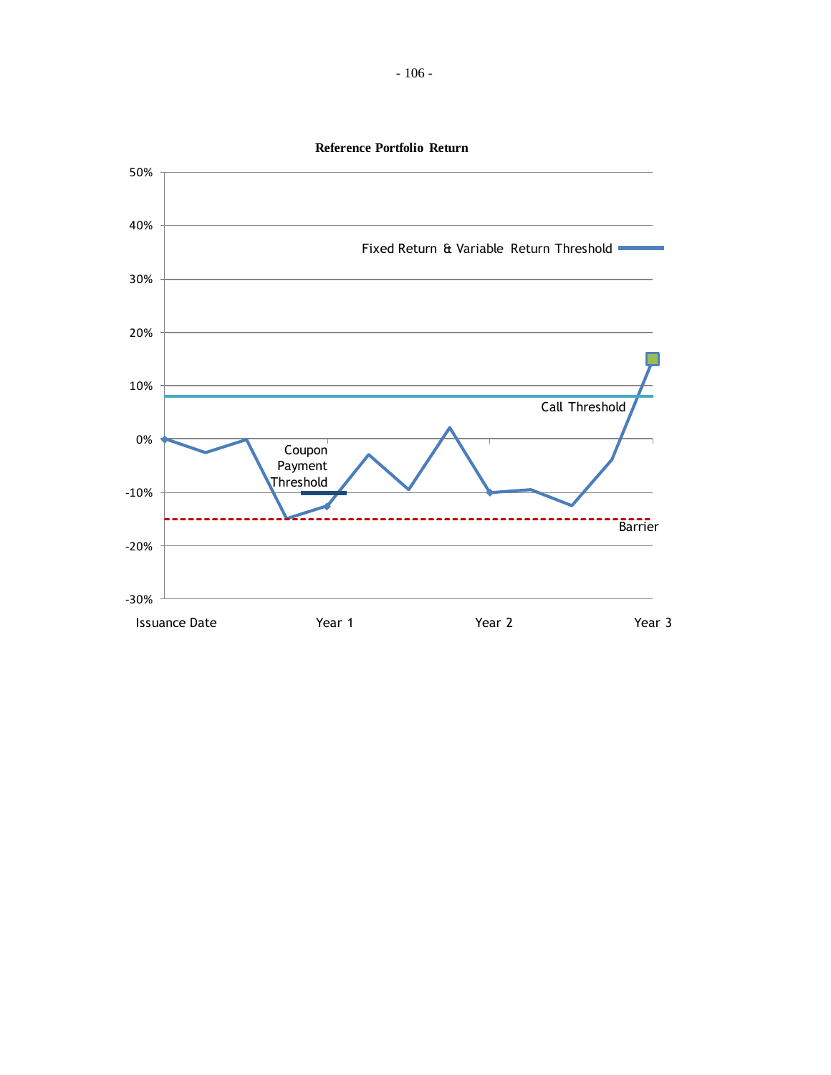

**Reference Portfolio Return**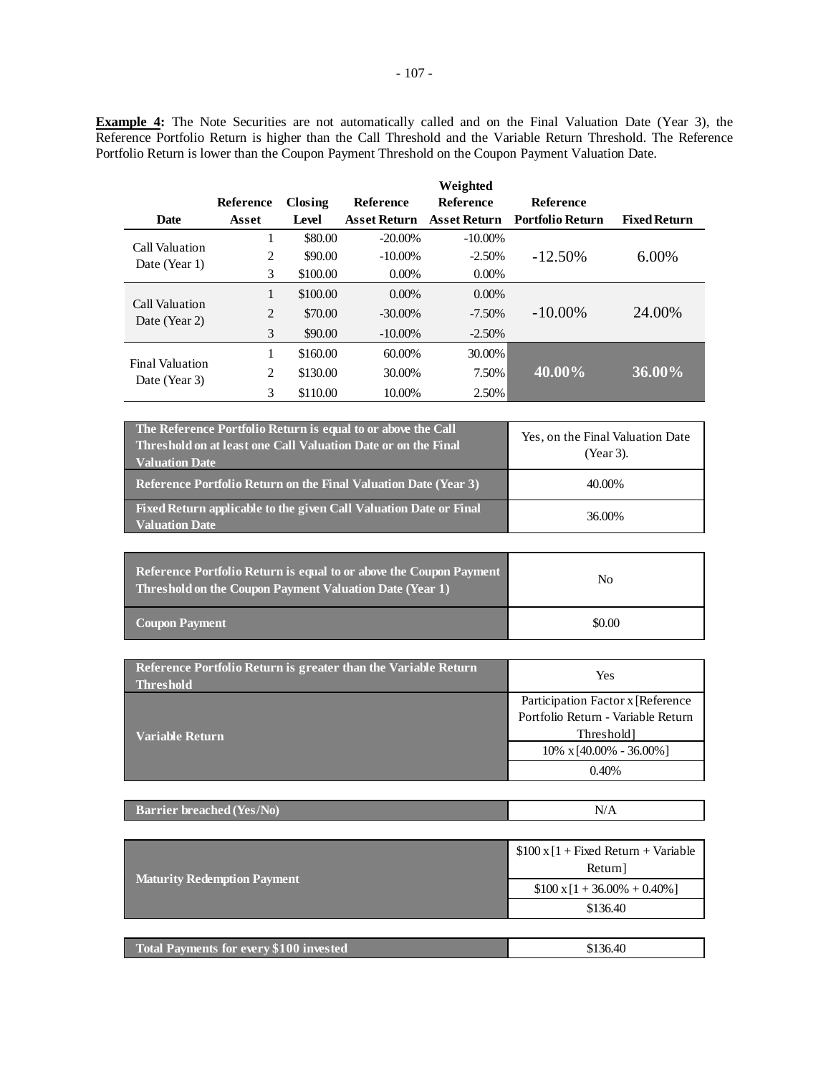**Example 4:** The Note Securities are not automatically called and on the Final Valuation Date (Year 3), the Reference Portfolio Return is higher than the Call Threshold and the Variable Return Threshold. The Reference Portfolio Return is lower than the Coupon Payment Threshold on the Coupon Payment Valuation Date.

|                                         |                  |          |                     | Weighted            |                         |                     |
|-----------------------------------------|------------------|----------|---------------------|---------------------|-------------------------|---------------------|
|                                         | <b>Reference</b> | Closing  | <b>Reference</b>    | <b>Reference</b>    | Reference               |                     |
| Date                                    | Asset            | Level    | <b>Asset Return</b> | <b>Asset Return</b> | <b>Portfolio Return</b> | <b>Fixed Return</b> |
|                                         | 1                | \$80.00  | $-20.00\%$          | $-10.00\%$          |                         |                     |
| Call Valuation<br>Date (Year 1)         | 2                | \$90.00  | $-10.00\%$          | $-2.50%$            | $-12.50\%$              | $6.00\%$            |
|                                         | 3                | \$100.00 | $0.00\%$            | $0.00\%$            |                         |                     |
| Call Valuation<br>Date (Year 2)         |                  | \$100.00 | $0.00\%$            | $0.00\%$            |                         |                     |
|                                         | 2                | \$70.00  | $-30.00\%$          | $-7.50\%$           | $-10.00\%$              | 24.00%              |
|                                         | 3                | \$90.00  | $-10.00\%$          | $-2.50\%$           |                         |                     |
| <b>Final Valuation</b><br>Date (Year 3) |                  | \$160.00 | 60.00%              | 30.00%              |                         |                     |
|                                         | 2                | \$130.00 | 30.00%              | 7.50%               | 40.00%                  | 36.00%              |
|                                         | 3                | \$110.00 | 10.00%              | 2.50%               |                         |                     |

| The Reference Portfolio Return is equal to or above the Call<br>Threshold on at least one Call Valuation Date or on the Final<br><b>Valuation Date</b> | Yes, on the Final Valuation Date<br>(Year 3). |
|--------------------------------------------------------------------------------------------------------------------------------------------------------|-----------------------------------------------|
| <b>Reference Portfolio Return on the Final Valuation Date (Year 3)</b>                                                                                 | 40.00%                                        |
| Fixed Return applicable to the given Call Valuation Date or Final<br><b>Valuation Date</b>                                                             | 36.00%                                        |

| <b>Reference Portfolio Return is equal to or above the Coupon Payment</b><br>Threshold on the Coupon Payment Valuation Date (Year 1) | No     |
|--------------------------------------------------------------------------------------------------------------------------------------|--------|
| Coupon Payment                                                                                                                       | \$0.00 |

| Reference Portfolio Return is greater than the Variable Return<br><b>Threshold</b> | Yes                                |
|------------------------------------------------------------------------------------|------------------------------------|
|                                                                                    | Participation Factor x [Reference] |
|                                                                                    | Portfolio Return - Variable Return |
| Variable Return .                                                                  | <b>Threshold</b>                   |
|                                                                                    | $10\% \times [40.00\% - 36.00\%]$  |
|                                                                                    | 0.40%                              |

| <b>Barrier breached (Yes/No)</b> | N/A |
|----------------------------------|-----|
|----------------------------------|-----|

|                                                | $$100 \times [1 + Fixed Return + Variable]$<br>Return] |
|------------------------------------------------|--------------------------------------------------------|
| <b>Maturity Redemption Payment</b>             | $$100 \times 1 + 36.00\% + 0.40\%]$                    |
|                                                | \$136.40                                               |
|                                                |                                                        |
| <b>Total Payments for every \$100 invested</b> | \$136.40                                               |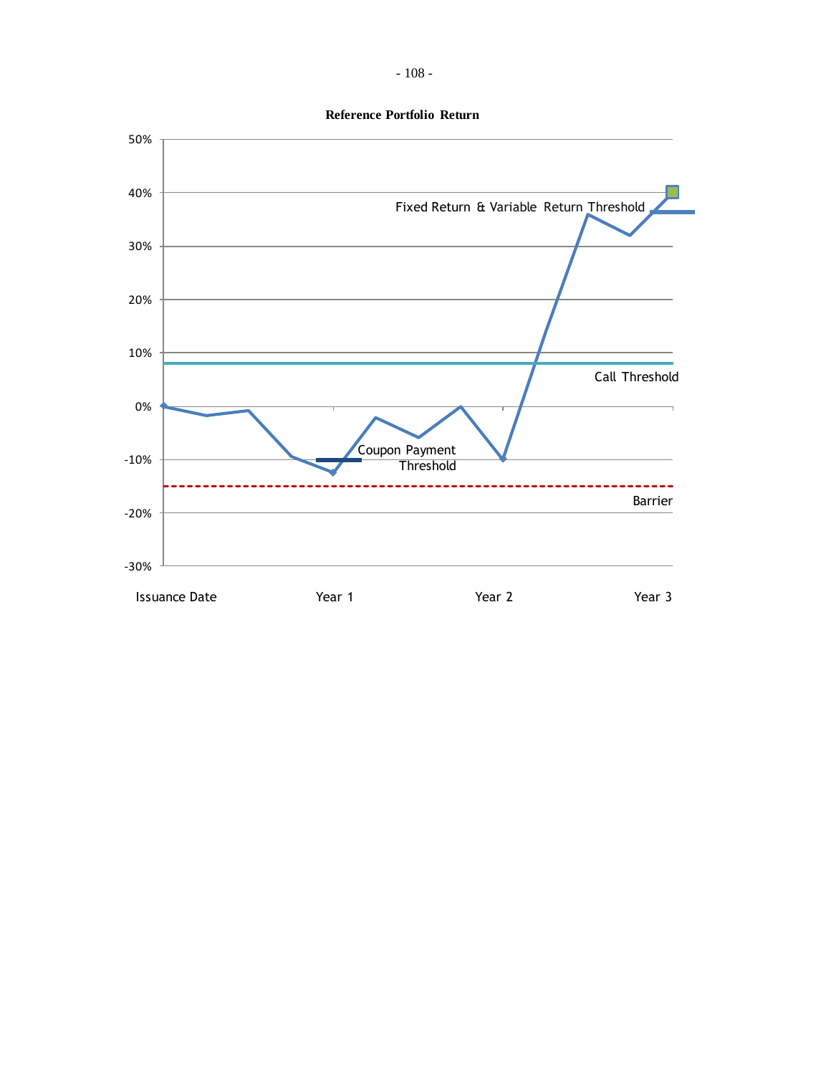

**Reference Portfolio Return**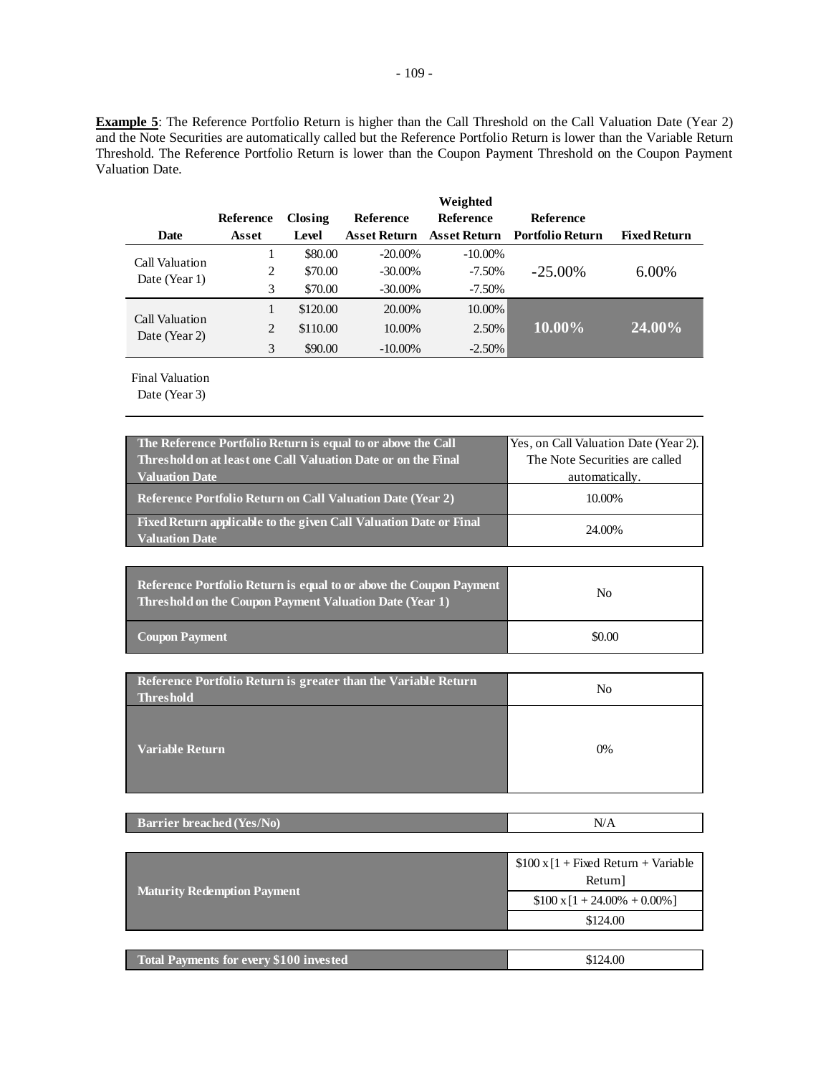**Example 5**: The Reference Portfolio Return is higher than the Call Threshold on the Call Valuation Date (Year 2) and the Note Securities are automatically called but the Reference Portfolio Return is lower than the Variable Return Threshold. The Reference Portfolio Return is lower than the Coupon Payment Threshold on the Coupon Payment Valuation Date.

|                                 |                |          |              | Weighted         |                         |                     |
|---------------------------------|----------------|----------|--------------|------------------|-------------------------|---------------------|
|                                 | Reference      | Closing  | Reference    | <b>Reference</b> | Reference               |                     |
| Date                            | Asset          | Level    | Asset Return | Asset Return     | <b>Portfolio Return</b> | <b>Fixed Return</b> |
| Call Valuation                  |                | \$80.00  | $-20.00\%$   | $-10.00\%$       |                         |                     |
| Date (Year 1)                   | 2              | \$70.00  | $-30.00\%$   | $-7.50\%$        | $-25.00\%$              | 6.00%               |
|                                 | 3              | \$70.00  | $-30.00\%$   | $-7.50\%$        |                         |                     |
|                                 |                | \$120.00 | 20.00%       | 10.00%           |                         |                     |
| Call Valuation<br>Date (Year 2) | $\overline{2}$ | \$110.00 | 10.00%       | 2.50%            | 10.00%                  | 24.00%              |
|                                 | 3              | \$90.00  | $-10.00\%$   | $-2.50\%$        |                         |                     |

Final Valuation

Date (Year 3)

| The Reference Portfolio Return is equal to or above the Call                               | Yes, on Call Valuation Date (Year 2). |
|--------------------------------------------------------------------------------------------|---------------------------------------|
| Threshold on at least one Call Valuation Date or on the Final                              | The Note Securities are called        |
| <b>Valuation Date</b>                                                                      | automatically.                        |
| <b>Reference Portfolio Return on Call Valuation Date (Year 2)</b>                          | 10.00%                                |
| Fixed Return applicable to the given Call Valuation Date or Final<br><b>Valuation Date</b> | 24.00%                                |

| <b>Reference Portfolio Return is equal to or above the Coupon Payment</b><br>Threshold on the Coupon Payment Valuation Date (Year 1) | No     |
|--------------------------------------------------------------------------------------------------------------------------------------|--------|
| <b>Coupon Payment</b>                                                                                                                | \$0.00 |

| Reference Portfolio Return is greater than the Variable Return<br><b>Threshold</b> | No |
|------------------------------------------------------------------------------------|----|
| <b>Variable Return</b>                                                             | 0% |

| <b>Barrier breached (Yes/No)</b><br>N/A |  |
|-----------------------------------------|--|
|-----------------------------------------|--|

|                                                | $$100 \times [1 + Fixed Return + Variable]$<br>Return] |
|------------------------------------------------|--------------------------------------------------------|
| <b>Maturity Redemption Payment</b>             | $$100 \times 1 + 24.00\% + 0.00\%]$                    |
|                                                | \$124.00                                               |
|                                                |                                                        |
| <b>Total Payments for every \$100 invested</b> | \$124.00                                               |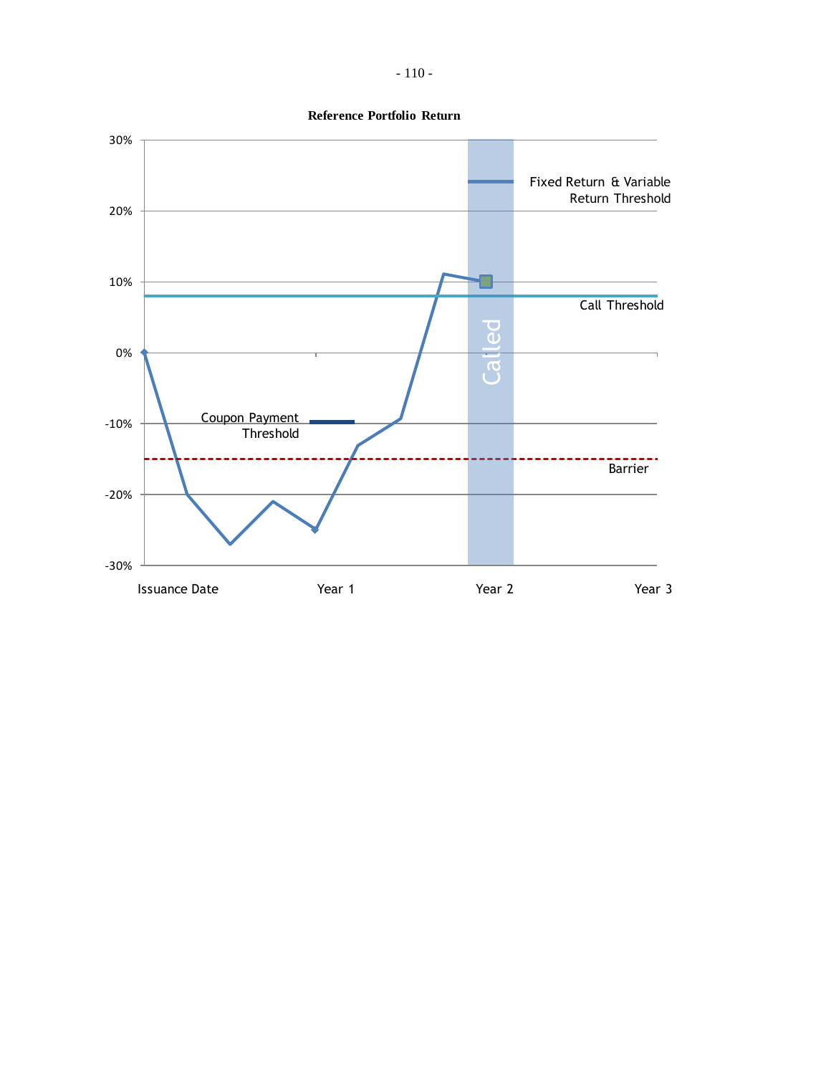

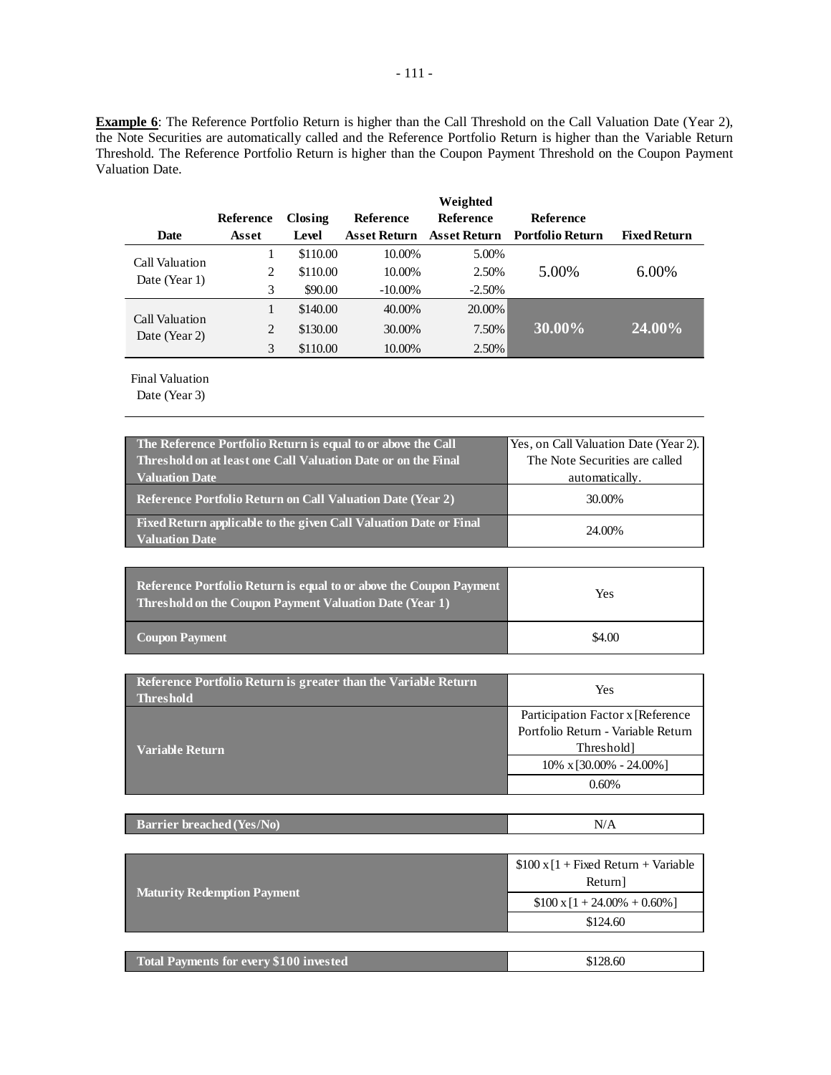**Example 6**: The Reference Portfolio Return is higher than the Call Threshold on the Call Valuation Date (Year 2), the Note Securities are automatically called and the Reference Portfolio Return is higher than the Variable Return Threshold. The Reference Portfolio Return is higher than the Coupon Payment Threshold on the Coupon Payment Valuation Date.

|                                 |           |          |                  | Weighted     |                    |                     |
|---------------------------------|-----------|----------|------------------|--------------|--------------------|---------------------|
|                                 | Reference | Closing  | <b>Reference</b> | Reference    | <b>Reference</b>   |                     |
| <b>Date</b>                     | Asset     | Level    | Asset Return     | Asset Return | - Portfolio Return | <b>Fixed Return</b> |
| Call Valuation                  |           | \$110.00 | 10.00%           | 5.00%        |                    |                     |
| Date (Year 1)                   | 2         | \$110.00 | 10.00%           | 2.50%        | 5.00%              | 6.00%               |
|                                 | 3         | \$90.00  | $-10.00\%$       | $-2.50%$     |                    |                     |
|                                 |           | \$140.00 | 40.00%           | 20.00%       |                    |                     |
| Call Valuation<br>Date (Year 2) | 2         | \$130.00 | 30.00%           | 7.50%        | 30.00%             | 24.00%              |
|                                 |           | \$110.00 | 10.00%           | 2.50%        |                    |                     |

Final Valuation

Date (Year 3)

| The Reference Portfolio Return is equal to or above the Call                               | Yes, on Call Valuation Date (Year 2). |
|--------------------------------------------------------------------------------------------|---------------------------------------|
| Threshold on at least one Call Valuation Date or on the Final                              | The Note Securities are called        |
| <b>Valuation Date</b>                                                                      | automatically.                        |
| <b>Reference Portfolio Return on Call Valuation Date (Year 2)</b>                          | 30.00%                                |
| Fixed Return applicable to the given Call Valuation Date or Final<br><b>Valuation Date</b> | 24.00%                                |

| Reference Portfolio Return is equal to or above the Coupon Payment<br>Threshold on the Coupon Payment Valuation Date (Year 1) | Yes    |  |
|-------------------------------------------------------------------------------------------------------------------------------|--------|--|
| <b>Coupon Payment</b>                                                                                                         | \$4.00 |  |

| Reference Portfolio Return is greater than the Variable Return<br><b>Threshold</b> | Yes                                |  |
|------------------------------------------------------------------------------------|------------------------------------|--|
|                                                                                    | Participation Factor x [Reference] |  |
|                                                                                    | Portfolio Return - Variable Return |  |
| Variable Return                                                                    | Threshold                          |  |
|                                                                                    | $10\% \times 30.00\% - 24.00\%$    |  |
|                                                                                    | 0.60%                              |  |

| <b>Barrier breached (Yes/No)</b> | N/A |
|----------------------------------|-----|
|----------------------------------|-----|

|                                                | $$100 \times [1 + Fixed Return + Variable]$<br>Return] |
|------------------------------------------------|--------------------------------------------------------|
| <b>Maturity Redemption Payment</b>             | $$100 \times 1 + 24.00\% + 0.60\%]$                    |
|                                                | \$124.60                                               |
|                                                |                                                        |
| <b>Total Payments for every \$100 invested</b> | \$128.60                                               |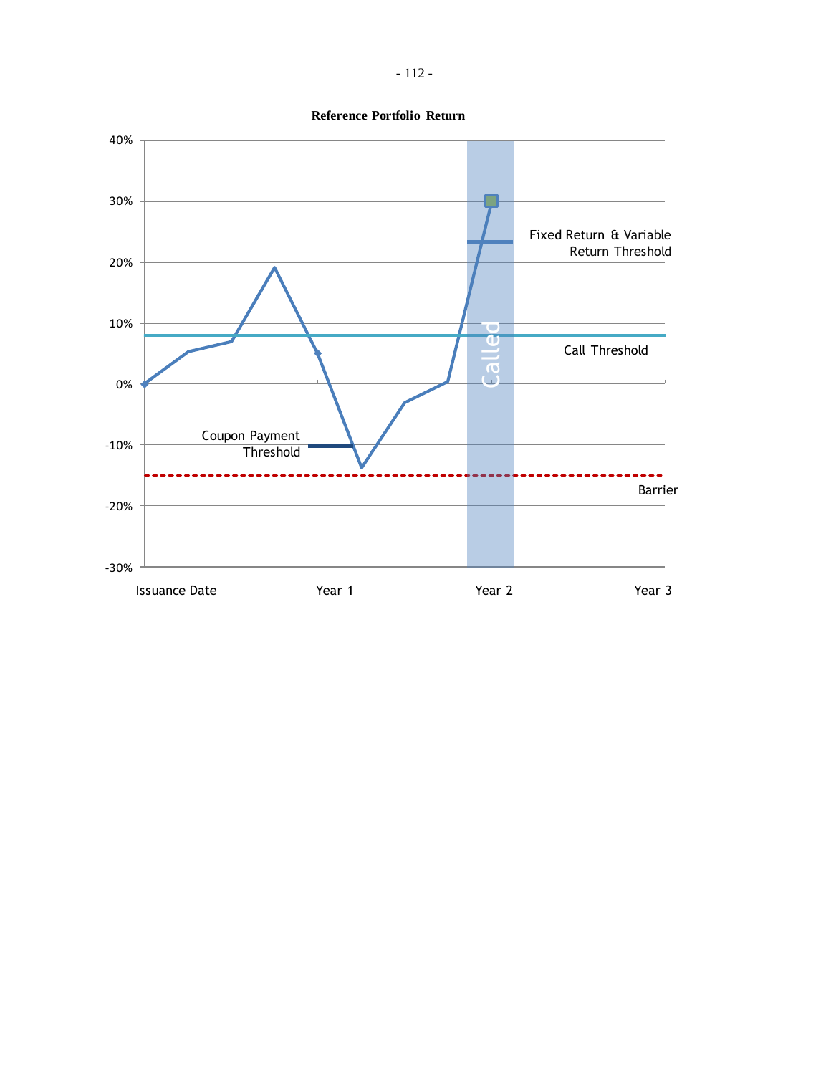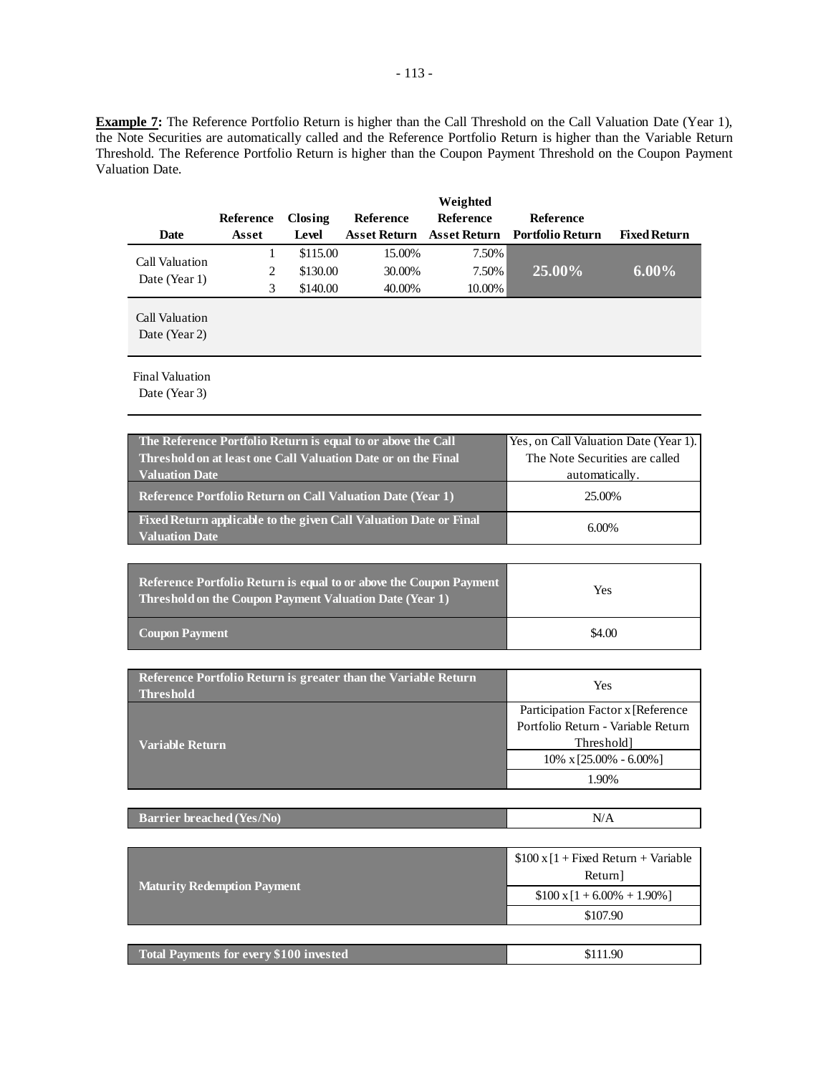**Example 7:** The Reference Portfolio Return is higher than the Call Threshold on the Call Valuation Date (Year 1), the Note Securities are automatically called and the Reference Portfolio Return is higher than the Variable Return Threshold. The Reference Portfolio Return is higher than the Coupon Payment Threshold on the Coupon Payment Valuation Date.

|                                 |           |          |                     | Weighted         |                               |                     |
|---------------------------------|-----------|----------|---------------------|------------------|-------------------------------|---------------------|
|                                 | Reference | Closing  | <b>Reference</b>    | <b>Reference</b> | <b>Reference</b>              |                     |
| Date                            | Asset     | Level    | <b>Asset Return</b> |                  | Asset Return Portfolio Return | <b>Fixed Return</b> |
| Call Valuation                  |           | \$115.00 | 15.00%              | 7.50%            |                               |                     |
| Date (Year 1)                   | 2         | \$130.00 | 30.00%              | 7.50%            | 25.00%                        | $6.00\%$            |
|                                 | 3         | \$140.00 | 40.00%              | 10.00%           |                               |                     |
| Call Valuation<br>Date (Year 2) |           |          |                     |                  |                               |                     |
| <b>Final Valuation</b>          |           |          |                     |                  |                               |                     |

Date (Year 3)

| The Reference Portfolio Return is equal to or above the Call                               | Yes, on Call Valuation Date (Year 1). |
|--------------------------------------------------------------------------------------------|---------------------------------------|
| Threshold on at least one Call Valuation Date or on the Final                              | The Note Securities are called        |
| <b>Valuation Date</b>                                                                      | automatically.                        |
| <b>Reference Portfolio Return on Call Valuation Date (Year 1)</b>                          | 25.00%                                |
| Fixed Return applicable to the given Call Valuation Date or Final<br><b>Valuation Date</b> | $6.00\%$                              |

| <b>Reference Portfolio Return is equal to or above the Coupon Payment</b><br>Threshold on the Coupon Payment Valuation Date (Year 1) | Yes    |  |
|--------------------------------------------------------------------------------------------------------------------------------------|--------|--|
| <b>Coupon Payment</b>                                                                                                                | \$4.00 |  |

| Reference Portfolio Return is greater than the Variable Return<br><b>Threshold</b> | Yes                                |
|------------------------------------------------------------------------------------|------------------------------------|
|                                                                                    | Participation Factor x [Reference  |
|                                                                                    | Portfolio Return - Variable Return |
| <b>Variable Return</b>                                                             | Threshold]                         |
|                                                                                    | $10\% \times [25.00\% - 6.00\%]$   |
|                                                                                    | 1.90%                              |

| <b>Barrier breached (Yes/No)</b> | N/A |
|----------------------------------|-----|
|                                  |     |

|                                         | $$100 \times 1 +$ Fixed Return + Variable<br>Return] |
|-----------------------------------------|------------------------------------------------------|
| <b>Maturity Redemption Payment</b>      | $$100 \times 1 + 6.00\% + 1.90\%]$                   |
|                                         | \$107.90                                             |
|                                         |                                                      |
| Total Payments for every \$100 invested | \$111.90                                             |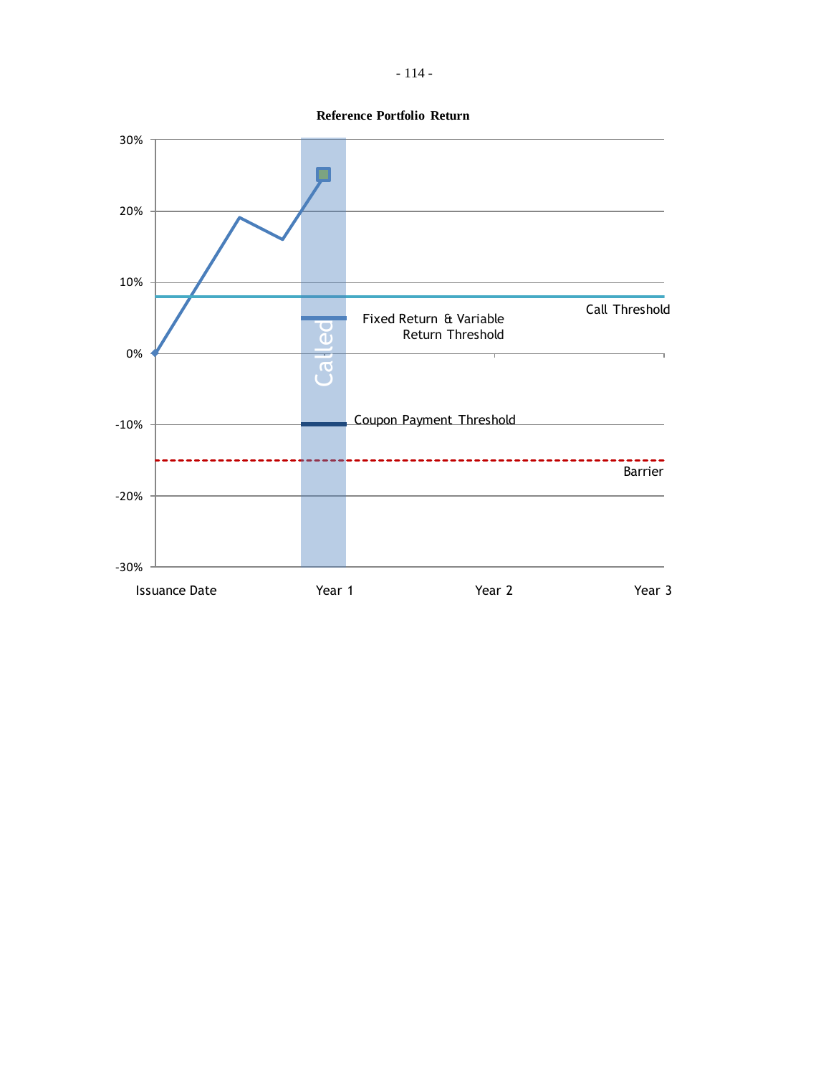- 114 -



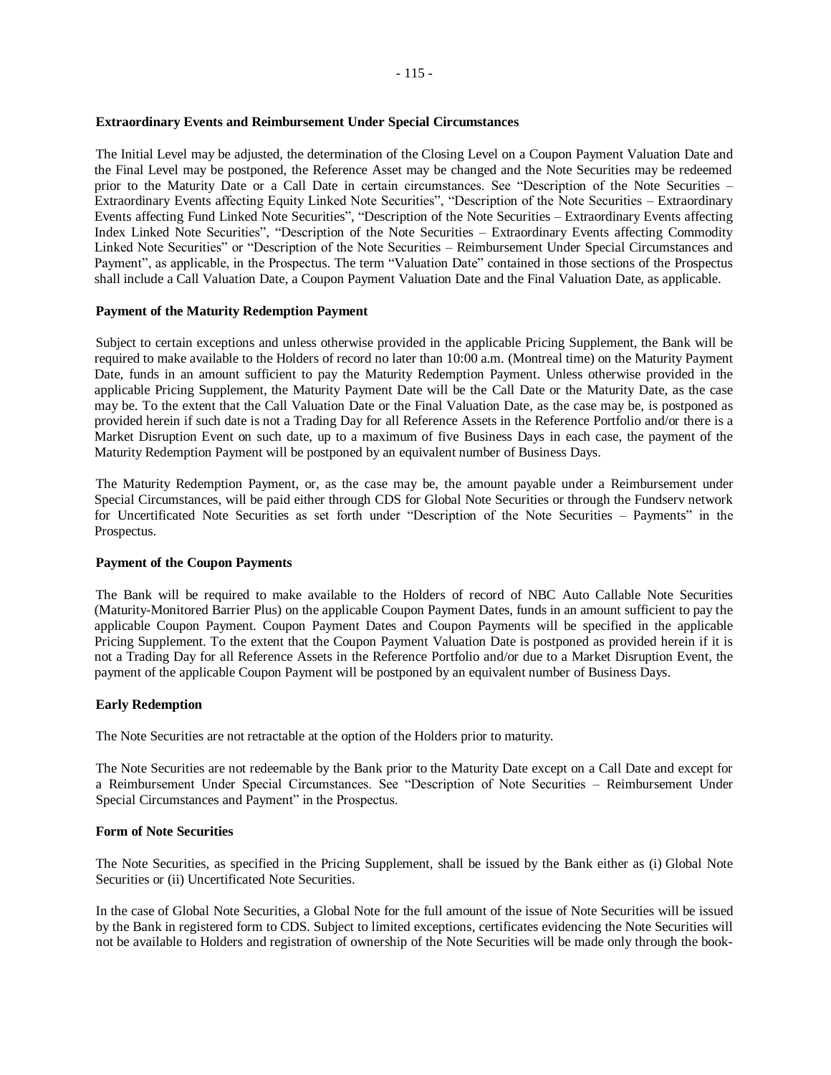# **Extraordinary Events and Reimbursement Under Special Circumstances**

The Initial Level may be adjusted, the determination of the Closing Level on a Coupon Payment Valuation Date and the Final Level may be postponed, the Reference Asset may be changed and the Note Securities may be redeemed prior to the Maturity Date or a Call Date in certain circumstances. See "Description of the Note Securities – Extraordinary Events affecting Equity Linked Note Securities", "Description of the Note Securities – Extraordinary Events affecting Fund Linked Note Securities", "Description of the Note Securities – Extraordinary Events affecting Index Linked Note Securities", "Description of the Note Securities – Extraordinary Events affecting Commodity Linked Note Securities" or "Description of the Note Securities – Reimbursement Under Special Circumstances and Payment", as applicable, in the Prospectus. The term "Valuation Date" contained in those sections of the Prospectus shall include a Call Valuation Date, a Coupon Payment Valuation Date and the Final Valuation Date, as applicable.

# **Payment of the Maturity Redemption Payment**

Subject to certain exceptions and unless otherwise provided in the applicable Pricing Supplement, the Bank will be required to make available to the Holders of record no later than 10:00 a.m. (Montreal time) on the Maturity Payment Date, funds in an amount sufficient to pay the Maturity Redemption Payment. Unless otherwise provided in the applicable Pricing Supplement, the Maturity Payment Date will be the Call Date or the Maturity Date, as the case may be. To the extent that the Call Valuation Date or the Final Valuation Date, as the case may be, is postponed as provided herein if such date is not a Trading Day for all Reference Assets in the Reference Portfolio and/or there is a Market Disruption Event on such date, up to a maximum of five Business Days in each case, the payment of the Maturity Redemption Payment will be postponed by an equivalent number of Business Days.

The Maturity Redemption Payment, or, as the case may be, the amount payable under a Reimbursement under Special Circumstances, will be paid either through CDS for Global Note Securities or through the Fundserv network for Uncertificated Note Securities as set forth under "Description of the Note Securities – Payments" in the Prospectus.

## **Payment of the Coupon Payments**

The Bank will be required to make available to the Holders of record of NBC Auto Callable Note Securities (Maturity-Monitored Barrier Plus) on the applicable Coupon Payment Dates, funds in an amount sufficient to pay the applicable Coupon Payment. Coupon Payment Dates and Coupon Payments will be specified in the applicable Pricing Supplement. To the extent that the Coupon Payment Valuation Date is postponed as provided herein if it is not a Trading Day for all Reference Assets in the Reference Portfolio and/or due to a Market Disruption Event, the payment of the applicable Coupon Payment will be postponed by an equivalent number of Business Days.

# **Early Redemption**

The Note Securities are not retractable at the option of the Holders prior to maturity.

The Note Securities are not redeemable by the Bank prior to the Maturity Date except on a Call Date and except for a Reimbursement Under Special Circumstances. See "Description of Note Securities – Reimbursement Under Special Circumstances and Payment" in the Prospectus.

## **Form of Note Securities**

The Note Securities, as specified in the Pricing Supplement, shall be issued by the Bank either as (i) Global Note Securities or (ii) Uncertificated Note Securities.

In the case of Global Note Securities, a Global Note for the full amount of the issue of Note Securities will be issued by the Bank in registered form to CDS. Subject to limited exceptions, certificates evidencing the Note Securities will not be available to Holders and registration of ownership of the Note Securities will be made only through the book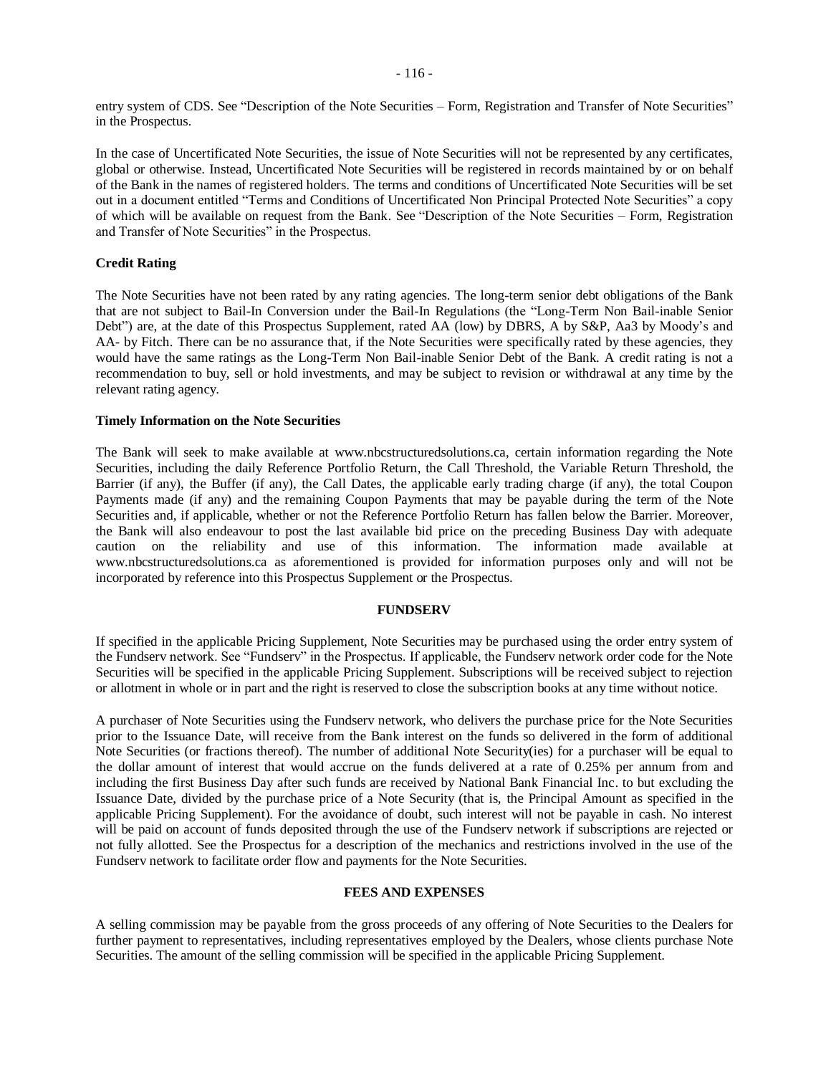entry system of CDS. See "Description of the Note Securities – Form, Registration and Transfer of Note Securities" in the Prospectus.

In the case of Uncertificated Note Securities, the issue of Note Securities will not be represented by any certificates, global or otherwise. Instead, Uncertificated Note Securities will be registered in records maintained by or on behalf of the Bank in the names of registered holders. The terms and conditions of Uncertificated Note Securities will be set out in a document entitled "Terms and Conditions of Uncertificated Non Principal Protected Note Securities" a copy of which will be available on request from the Bank. See "Description of the Note Securities – Form, Registration and Transfer of Note Securities" in the Prospectus.

# **Credit Rating**

The Note Securities have not been rated by any rating agencies. The long-term senior debt obligations of the Bank that are not subject to Bail-In Conversion under the Bail-In Regulations (the "Long-Term Non Bail-inable Senior Debt") are, at the date of this Prospectus Supplement, rated AA (low) by DBRS, A by S&P, Aa3 by Moody's and AA- by Fitch. There can be no assurance that, if the Note Securities were specifically rated by these agencies, they would have the same ratings as the Long-Term Non Bail-inable Senior Debt of the Bank. A credit rating is not a recommendation to buy, sell or hold investments, and may be subject to revision or withdrawal at any time by the relevant rating agency.

## **Timely Information on the Note Securities**

The Bank will seek to make available at www.nbcstructuredsolutions.ca, certain information regarding the Note Securities, including the daily Reference Portfolio Return, the Call Threshold, the Variable Return Threshold, the Barrier (if any), the Buffer (if any), the Call Dates, the applicable early trading charge (if any), the total Coupon Payments made (if any) and the remaining Coupon Payments that may be payable during the term of the Note Securities and, if applicable, whether or not the Reference Portfolio Return has fallen below the Barrier. Moreover, the Bank will also endeavour to post the last available bid price on the preceding Business Day with adequate caution on the reliability and use of this information. The information made available at www.nbcstructuredsolutions.ca as aforementioned is provided for information purposes only and will not be incorporated by reference into this Prospectus Supplement or the Prospectus.

#### **FUNDSERV**

If specified in the applicable Pricing Supplement, Note Securities may be purchased using the order entry system of the Fundserv network. See "Fundserv" in the Prospectus. If applicable, the Fundserv network order code for the Note Securities will be specified in the applicable Pricing Supplement. Subscriptions will be received subject to rejection or allotment in whole or in part and the right is reserved to close the subscription books at any time without notice.

A purchaser of Note Securities using the Fundserv network, who delivers the purchase price for the Note Securities prior to the Issuance Date, will receive from the Bank interest on the funds so delivered in the form of additional Note Securities (or fractions thereof). The number of additional Note Security(ies) for a purchaser will be equal to the dollar amount of interest that would accrue on the funds delivered at a rate of 0.25% per annum from and including the first Business Day after such funds are received by National Bank Financial Inc. to but excluding the Issuance Date, divided by the purchase price of a Note Security (that is, the Principal Amount as specified in the applicable Pricing Supplement). For the avoidance of doubt, such interest will not be payable in cash. No interest will be paid on account of funds deposited through the use of the Fundserv network if subscriptions are rejected or not fully allotted. See the Prospectus for a description of the mechanics and restrictions involved in the use of the Fundserv network to facilitate order flow and payments for the Note Securities.

#### **FEES AND EXPENSES**

A selling commission may be payable from the gross proceeds of any offering of Note Securities to the Dealers for further payment to representatives, including representatives employed by the Dealers, whose clients purchase Note Securities. The amount of the selling commission will be specified in the applicable Pricing Supplement.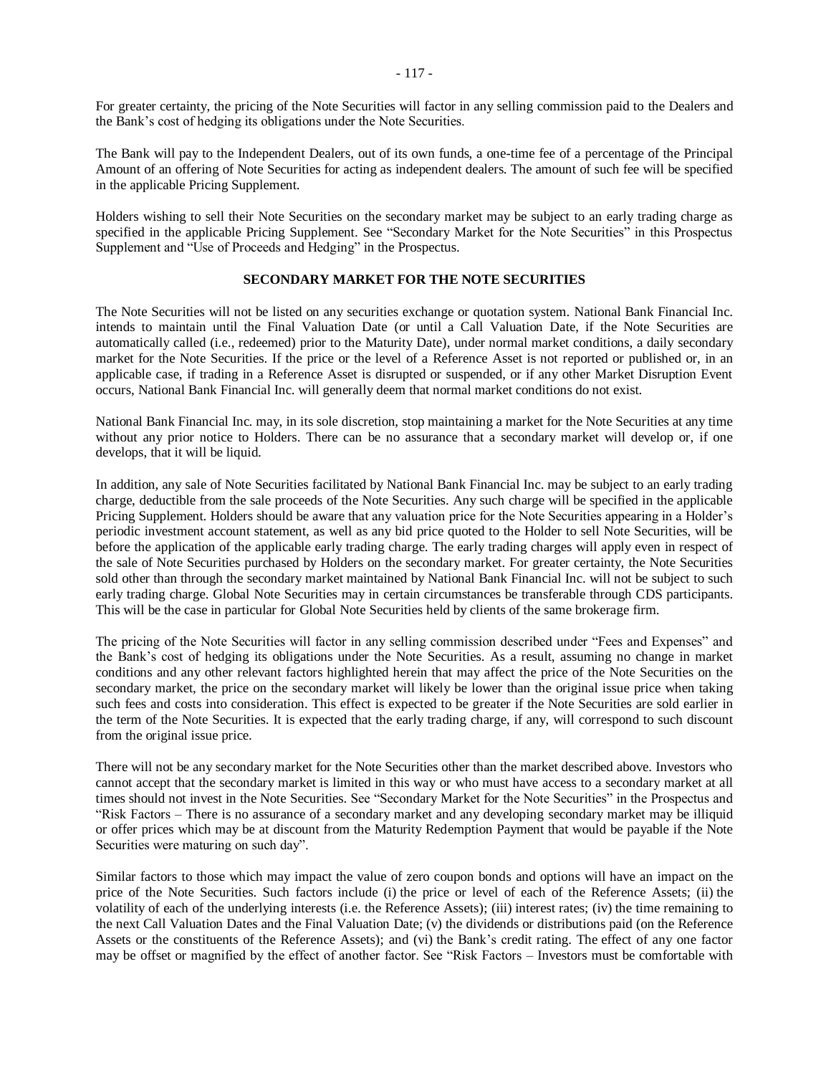For greater certainty, the pricing of the Note Securities will factor in any selling commission paid to the Dealers and the Bank's cost of hedging its obligations under the Note Securities.

The Bank will pay to the Independent Dealers, out of its own funds, a one-time fee of a percentage of the Principal Amount of an offering of Note Securities for acting as independent dealers. The amount of such fee will be specified in the applicable Pricing Supplement.

Holders wishing to sell their Note Securities on the secondary market may be subject to an early trading charge as specified in the applicable Pricing Supplement. See "Secondary Market for the Note Securities" in this Prospectus Supplement and "Use of Proceeds and Hedging" in the Prospectus.

# **SECONDARY MARKET FOR THE NOTE SECURITIES**

The Note Securities will not be listed on any securities exchange or quotation system. National Bank Financial Inc. intends to maintain until the Final Valuation Date (or until a Call Valuation Date, if the Note Securities are automatically called (i.e., redeemed) prior to the Maturity Date), under normal market conditions, a daily secondary market for the Note Securities. If the price or the level of a Reference Asset is not reported or published or, in an applicable case, if trading in a Reference Asset is disrupted or suspended, or if any other Market Disruption Event occurs, National Bank Financial Inc. will generally deem that normal market conditions do not exist.

National Bank Financial Inc. may, in its sole discretion, stop maintaining a market for the Note Securities at any time without any prior notice to Holders. There can be no assurance that a secondary market will develop or, if one develops, that it will be liquid.

In addition, any sale of Note Securities facilitated by National Bank Financial Inc. may be subject to an early trading charge, deductible from the sale proceeds of the Note Securities. Any such charge will be specified in the applicable Pricing Supplement. Holders should be aware that any valuation price for the Note Securities appearing in a Holder's periodic investment account statement, as well as any bid price quoted to the Holder to sell Note Securities, will be before the application of the applicable early trading charge. The early trading charges will apply even in respect of the sale of Note Securities purchased by Holders on the secondary market. For greater certainty, the Note Securities sold other than through the secondary market maintained by National Bank Financial Inc. will not be subject to such early trading charge. Global Note Securities may in certain circumstances be transferable through CDS participants. This will be the case in particular for Global Note Securities held by clients of the same brokerage firm.

The pricing of the Note Securities will factor in any selling commission described under "Fees and Expenses" and the Bank's cost of hedging its obligations under the Note Securities. As a result, assuming no change in market conditions and any other relevant factors highlighted herein that may affect the price of the Note Securities on the secondary market, the price on the secondary market will likely be lower than the original issue price when taking such fees and costs into consideration. This effect is expected to be greater if the Note Securities are sold earlier in the term of the Note Securities. It is expected that the early trading charge, if any, will correspond to such discount from the original issue price.

There will not be any secondary market for the Note Securities other than the market described above. Investors who cannot accept that the secondary market is limited in this way or who must have access to a secondary market at all times should not invest in the Note Securities. See "Secondary Market for the Note Securities" in the Prospectus and "Risk Factors – There is no assurance of a secondary market and any developing secondary market may be illiquid or offer prices which may be at discount from the Maturity Redemption Payment that would be payable if the Note Securities were maturing on such day".

Similar factors to those which may impact the value of zero coupon bonds and options will have an impact on the price of the Note Securities. Such factors include (i) the price or level of each of the Reference Assets; (ii) the volatility of each of the underlying interests (i.e. the Reference Assets); (iii) interest rates; (iv) the time remaining to the next Call Valuation Dates and the Final Valuation Date; (v) the dividends or distributions paid (on the Reference Assets or the constituents of the Reference Assets); and (vi) the Bank's credit rating. The effect of any one factor may be offset or magnified by the effect of another factor. See "Risk Factors – Investors must be comfortable with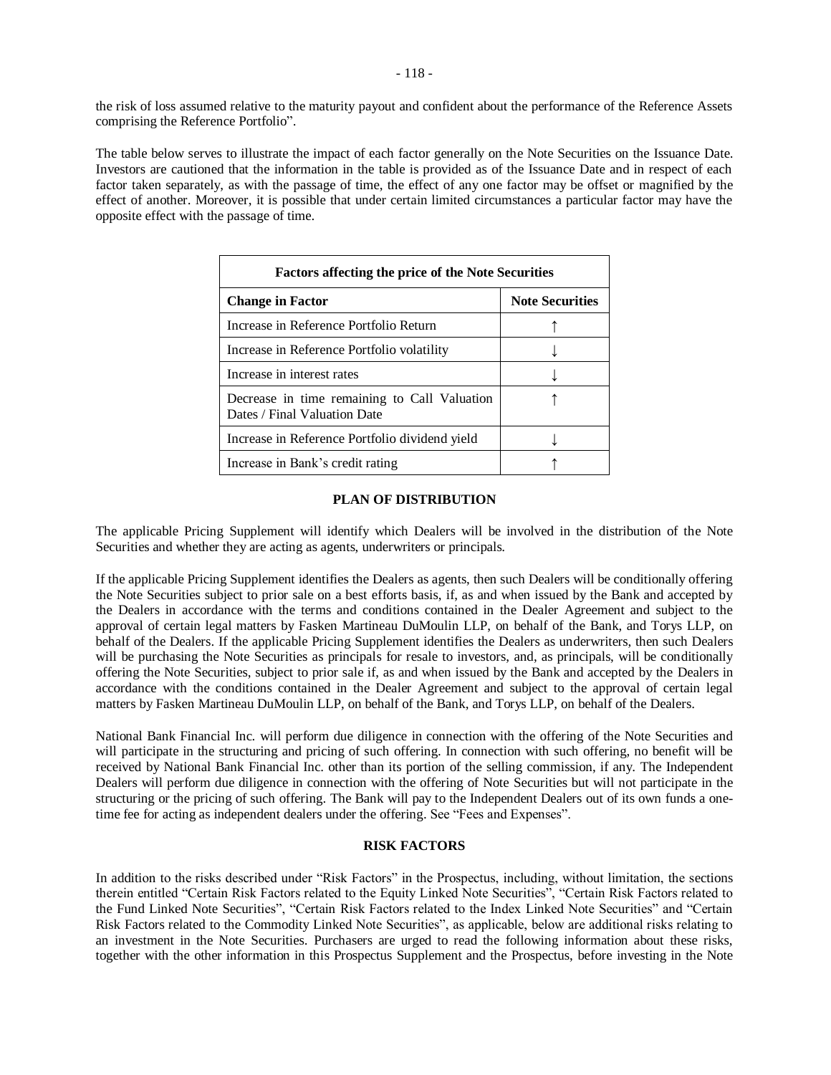the risk of loss assumed relative to the maturity payout and confident about the performance of the Reference Assets comprising the Reference Portfolio".

The table below serves to illustrate the impact of each factor generally on the Note Securities on the Issuance Date. Investors are cautioned that the information in the table is provided as of the Issuance Date and in respect of each factor taken separately, as with the passage of time, the effect of any one factor may be offset or magnified by the effect of another. Moreover, it is possible that under certain limited circumstances a particular factor may have the opposite effect with the passage of time.

| <b>Factors affecting the price of the Note Securities</b>                    |                        |
|------------------------------------------------------------------------------|------------------------|
| <b>Change in Factor</b>                                                      | <b>Note Securities</b> |
| Increase in Reference Portfolio Return                                       |                        |
| Increase in Reference Portfolio volatility                                   |                        |
| Increase in interest rates                                                   |                        |
| Decrease in time remaining to Call Valuation<br>Dates / Final Valuation Date |                        |
| Increase in Reference Portfolio dividend yield                               |                        |
| Increase in Bank's credit rating                                             |                        |

# **PLAN OF DISTRIBUTION**

The applicable Pricing Supplement will identify which Dealers will be involved in the distribution of the Note Securities and whether they are acting as agents, underwriters or principals.

If the applicable Pricing Supplement identifies the Dealers as agents, then such Dealers will be conditionally offering the Note Securities subject to prior sale on a best efforts basis, if, as and when issued by the Bank and accepted by the Dealers in accordance with the terms and conditions contained in the Dealer Agreement and subject to the approval of certain legal matters by Fasken Martineau DuMoulin LLP, on behalf of the Bank, and Torys LLP, on behalf of the Dealers. If the applicable Pricing Supplement identifies the Dealers as underwriters, then such Dealers will be purchasing the Note Securities as principals for resale to investors, and, as principals, will be conditionally offering the Note Securities, subject to prior sale if, as and when issued by the Bank and accepted by the Dealers in accordance with the conditions contained in the Dealer Agreement and subject to the approval of certain legal matters by Fasken Martineau DuMoulin LLP, on behalf of the Bank, and Torys LLP, on behalf of the Dealers.

National Bank Financial Inc. will perform due diligence in connection with the offering of the Note Securities and will participate in the structuring and pricing of such offering. In connection with such offering, no benefit will be received by National Bank Financial Inc. other than its portion of the selling commission, if any. The Independent Dealers will perform due diligence in connection with the offering of Note Securities but will not participate in the structuring or the pricing of such offering. The Bank will pay to the Independent Dealers out of its own funds a onetime fee for acting as independent dealers under the offering. See "Fees and Expenses".

# **RISK FACTORS**

In addition to the risks described under "Risk Factors" in the Prospectus, including, without limitation, the sections therein entitled "Certain Risk Factors related to the Equity Linked Note Securities", "Certain Risk Factors related to the Fund Linked Note Securities", "Certain Risk Factors related to the Index Linked Note Securities" and "Certain Risk Factors related to the Commodity Linked Note Securities", as applicable, below are additional risks relating to an investment in the Note Securities. Purchasers are urged to read the following information about these risks, together with the other information in this Prospectus Supplement and the Prospectus, before investing in the Note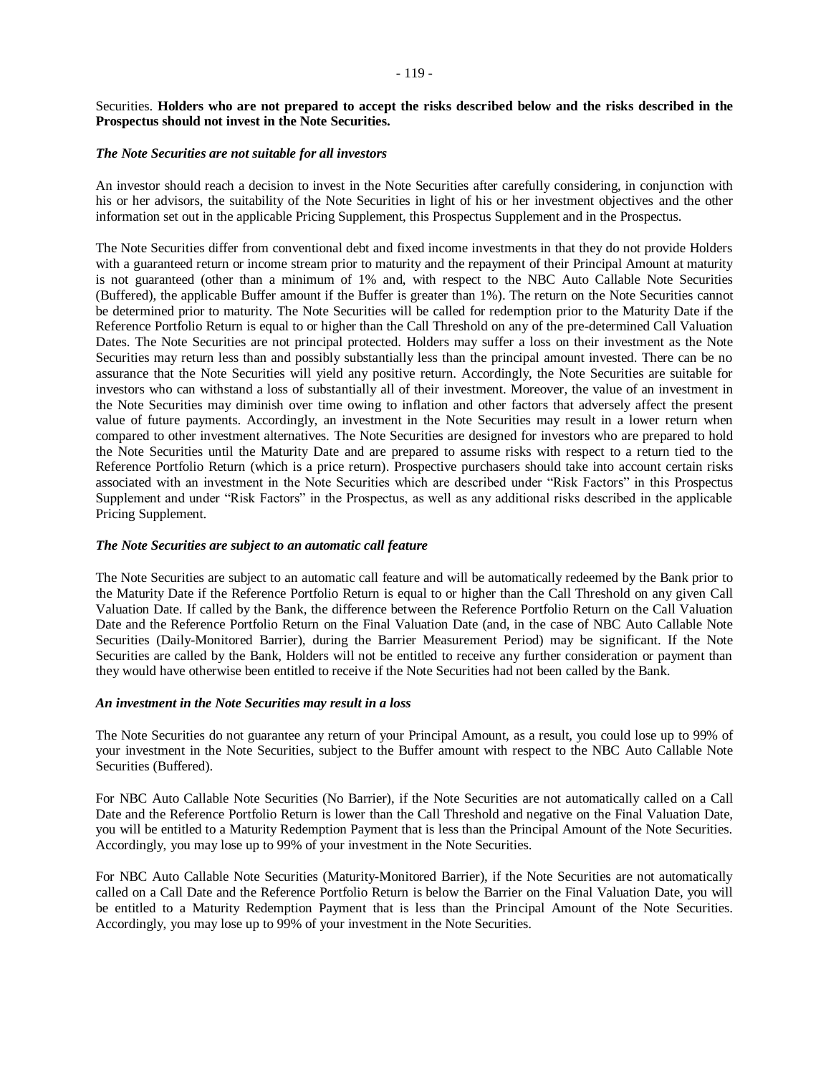# Securities. **Holders who are not prepared to accept the risks described below and the risks described in the Prospectus should not invest in the Note Securities.**

## *The Note Securities are not suitable for all investors*

An investor should reach a decision to invest in the Note Securities after carefully considering, in conjunction with his or her advisors, the suitability of the Note Securities in light of his or her investment objectives and the other information set out in the applicable Pricing Supplement, this Prospectus Supplement and in the Prospectus.

The Note Securities differ from conventional debt and fixed income investments in that they do not provide Holders with a guaranteed return or income stream prior to maturity and the repayment of their Principal Amount at maturity is not guaranteed (other than a minimum of 1% and, with respect to the NBC Auto Callable Note Securities (Buffered), the applicable Buffer amount if the Buffer is greater than 1%). The return on the Note Securities cannot be determined prior to maturity. The Note Securities will be called for redemption prior to the Maturity Date if the Reference Portfolio Return is equal to or higher than the Call Threshold on any of the pre-determined Call Valuation Dates. The Note Securities are not principal protected. Holders may suffer a loss on their investment as the Note Securities may return less than and possibly substantially less than the principal amount invested. There can be no assurance that the Note Securities will yield any positive return. Accordingly, the Note Securities are suitable for investors who can withstand a loss of substantially all of their investment. Moreover, the value of an investment in the Note Securities may diminish over time owing to inflation and other factors that adversely affect the present value of future payments. Accordingly, an investment in the Note Securities may result in a lower return when compared to other investment alternatives. The Note Securities are designed for investors who are prepared to hold the Note Securities until the Maturity Date and are prepared to assume risks with respect to a return tied to the Reference Portfolio Return (which is a price return). Prospective purchasers should take into account certain risks associated with an investment in the Note Securities which are described under "Risk Factors" in this Prospectus Supplement and under "Risk Factors" in the Prospectus, as well as any additional risks described in the applicable Pricing Supplement.

# *The Note Securities are subject to an automatic call feature*

The Note Securities are subject to an automatic call feature and will be automatically redeemed by the Bank prior to the Maturity Date if the Reference Portfolio Return is equal to or higher than the Call Threshold on any given Call Valuation Date. If called by the Bank, the difference between the Reference Portfolio Return on the Call Valuation Date and the Reference Portfolio Return on the Final Valuation Date (and, in the case of NBC Auto Callable Note Securities (Daily-Monitored Barrier), during the Barrier Measurement Period) may be significant. If the Note Securities are called by the Bank, Holders will not be entitled to receive any further consideration or payment than they would have otherwise been entitled to receive if the Note Securities had not been called by the Bank.

# *An investment in the Note Securities may result in a loss*

The Note Securities do not guarantee any return of your Principal Amount, as a result, you could lose up to 99% of your investment in the Note Securities, subject to the Buffer amount with respect to the NBC Auto Callable Note Securities (Buffered).

For NBC Auto Callable Note Securities (No Barrier), if the Note Securities are not automatically called on a Call Date and the Reference Portfolio Return is lower than the Call Threshold and negative on the Final Valuation Date, you will be entitled to a Maturity Redemption Payment that is less than the Principal Amount of the Note Securities. Accordingly, you may lose up to 99% of your investment in the Note Securities.

For NBC Auto Callable Note Securities (Maturity-Monitored Barrier), if the Note Securities are not automatically called on a Call Date and the Reference Portfolio Return is below the Barrier on the Final Valuation Date, you will be entitled to a Maturity Redemption Payment that is less than the Principal Amount of the Note Securities. Accordingly, you may lose up to 99% of your investment in the Note Securities.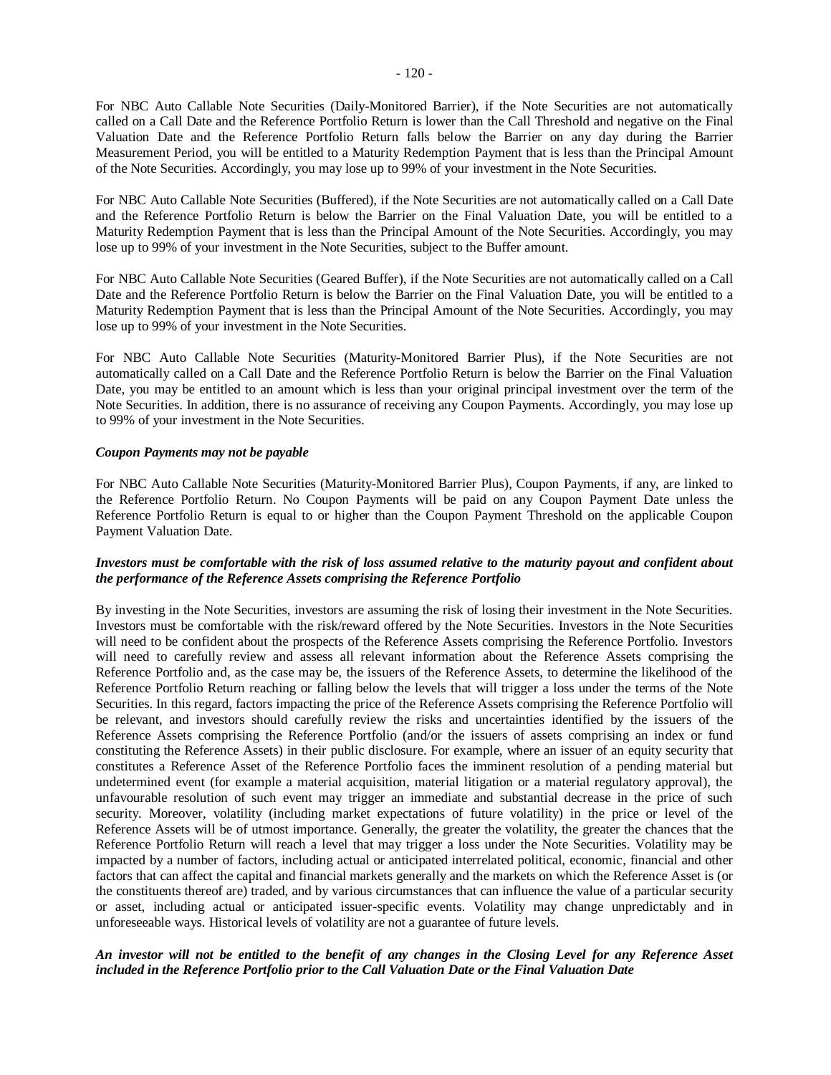For NBC Auto Callable Note Securities (Daily-Monitored Barrier), if the Note Securities are not automatically called on a Call Date and the Reference Portfolio Return is lower than the Call Threshold and negative on the Final Valuation Date and the Reference Portfolio Return falls below the Barrier on any day during the Barrier Measurement Period, you will be entitled to a Maturity Redemption Payment that is less than the Principal Amount of the Note Securities. Accordingly, you may lose up to 99% of your investment in the Note Securities.

For NBC Auto Callable Note Securities (Buffered), if the Note Securities are not automatically called on a Call Date and the Reference Portfolio Return is below the Barrier on the Final Valuation Date, you will be entitled to a Maturity Redemption Payment that is less than the Principal Amount of the Note Securities. Accordingly, you may lose up to 99% of your investment in the Note Securities, subject to the Buffer amount.

For NBC Auto Callable Note Securities (Geared Buffer), if the Note Securities are not automatically called on a Call Date and the Reference Portfolio Return is below the Barrier on the Final Valuation Date, you will be entitled to a Maturity Redemption Payment that is less than the Principal Amount of the Note Securities. Accordingly, you may lose up to 99% of your investment in the Note Securities.

For NBC Auto Callable Note Securities (Maturity-Monitored Barrier Plus), if the Note Securities are not automatically called on a Call Date and the Reference Portfolio Return is below the Barrier on the Final Valuation Date, you may be entitled to an amount which is less than your original principal investment over the term of the Note Securities. In addition, there is no assurance of receiving any Coupon Payments. Accordingly, you may lose up to 99% of your investment in the Note Securities.

## *Coupon Payments may not be payable*

For NBC Auto Callable Note Securities (Maturity-Monitored Barrier Plus), Coupon Payments, if any, are linked to the Reference Portfolio Return. No Coupon Payments will be paid on any Coupon Payment Date unless the Reference Portfolio Return is equal to or higher than the Coupon Payment Threshold on the applicable Coupon Payment Valuation Date.

# *Investors must be comfortable with the risk of loss assumed relative to the maturity payout and confident about the performance of the Reference Assets comprising the Reference Portfolio*

By investing in the Note Securities, investors are assuming the risk of losing their investment in the Note Securities. Investors must be comfortable with the risk/reward offered by the Note Securities. Investors in the Note Securities will need to be confident about the prospects of the Reference Assets comprising the Reference Portfolio. Investors will need to carefully review and assess all relevant information about the Reference Assets comprising the Reference Portfolio and, as the case may be, the issuers of the Reference Assets, to determine the likelihood of the Reference Portfolio Return reaching or falling below the levels that will trigger a loss under the terms of the Note Securities. In this regard, factors impacting the price of the Reference Assets comprising the Reference Portfolio will be relevant, and investors should carefully review the risks and uncertainties identified by the issuers of the Reference Assets comprising the Reference Portfolio (and/or the issuers of assets comprising an index or fund constituting the Reference Assets) in their public disclosure. For example, where an issuer of an equity security that constitutes a Reference Asset of the Reference Portfolio faces the imminent resolution of a pending material but undetermined event (for example a material acquisition, material litigation or a material regulatory approval), the unfavourable resolution of such event may trigger an immediate and substantial decrease in the price of such security. Moreover, volatility (including market expectations of future volatility) in the price or level of the Reference Assets will be of utmost importance. Generally, the greater the volatility, the greater the chances that the Reference Portfolio Return will reach a level that may trigger a loss under the Note Securities. Volatility may be impacted by a number of factors, including actual or anticipated interrelated political, economic, financial and other factors that can affect the capital and financial markets generally and the markets on which the Reference Asset is (or the constituents thereof are) traded, and by various circumstances that can influence the value of a particular security or asset, including actual or anticipated issuer-specific events. Volatility may change unpredictably and in unforeseeable ways. Historical levels of volatility are not a guarantee of future levels.

# *An investor will not be entitled to the benefit of any changes in the Closing Level for any Reference Asset included in the Reference Portfolio prior to the Call Valuation Date or the Final Valuation Date*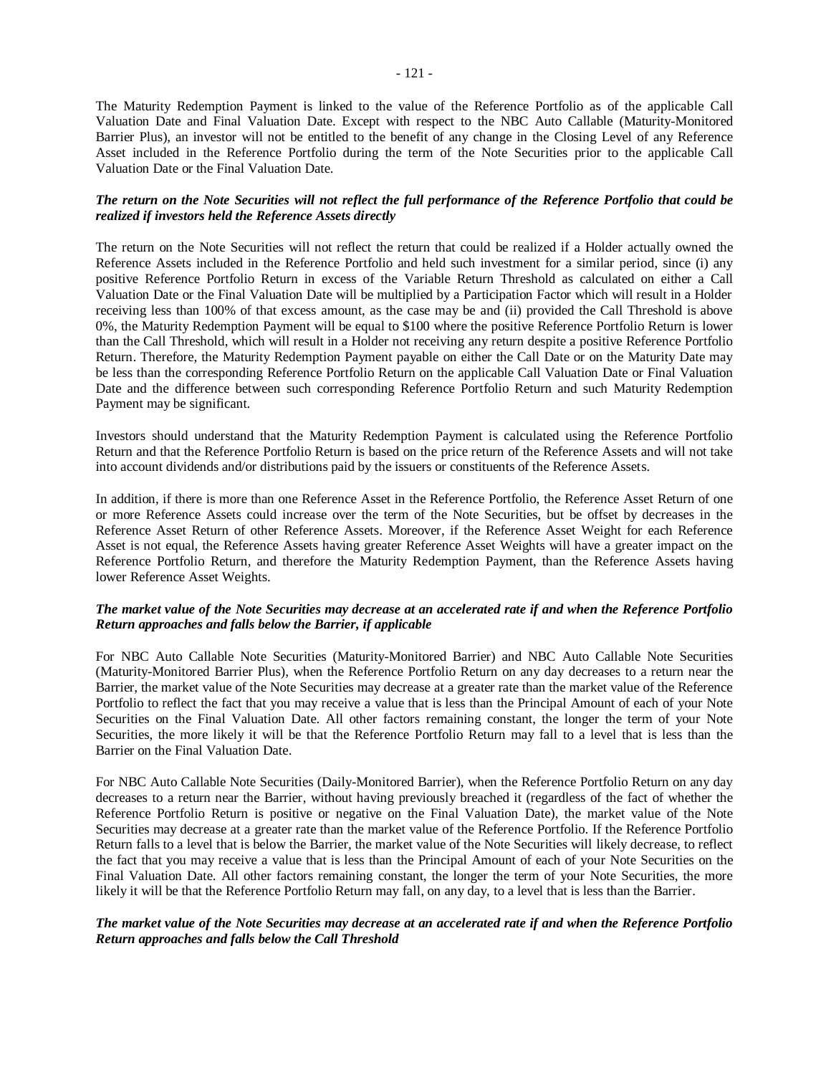The Maturity Redemption Payment is linked to the value of the Reference Portfolio as of the applicable Call Valuation Date and Final Valuation Date. Except with respect to the NBC Auto Callable (Maturity-Monitored Barrier Plus), an investor will not be entitled to the benefit of any change in the Closing Level of any Reference Asset included in the Reference Portfolio during the term of the Note Securities prior to the applicable Call Valuation Date or the Final Valuation Date.

# *The return on the Note Securities will not reflect the full performance of the Reference Portfolio that could be realized if investors held the Reference Assets directly*

The return on the Note Securities will not reflect the return that could be realized if a Holder actually owned the Reference Assets included in the Reference Portfolio and held such investment for a similar period, since (i) any positive Reference Portfolio Return in excess of the Variable Return Threshold as calculated on either a Call Valuation Date or the Final Valuation Date will be multiplied by a Participation Factor which will result in a Holder receiving less than 100% of that excess amount, as the case may be and (ii) provided the Call Threshold is above 0%, the Maturity Redemption Payment will be equal to \$100 where the positive Reference Portfolio Return is lower than the Call Threshold, which will result in a Holder not receiving any return despite a positive Reference Portfolio Return. Therefore, the Maturity Redemption Payment payable on either the Call Date or on the Maturity Date may be less than the corresponding Reference Portfolio Return on the applicable Call Valuation Date or Final Valuation Date and the difference between such corresponding Reference Portfolio Return and such Maturity Redemption Payment may be significant.

Investors should understand that the Maturity Redemption Payment is calculated using the Reference Portfolio Return and that the Reference Portfolio Return is based on the price return of the Reference Assets and will not take into account dividends and/or distributions paid by the issuers or constituents of the Reference Assets.

In addition, if there is more than one Reference Asset in the Reference Portfolio, the Reference Asset Return of one or more Reference Assets could increase over the term of the Note Securities, but be offset by decreases in the Reference Asset Return of other Reference Assets. Moreover, if the Reference Asset Weight for each Reference Asset is not equal, the Reference Assets having greater Reference Asset Weights will have a greater impact on the Reference Portfolio Return, and therefore the Maturity Redemption Payment, than the Reference Assets having lower Reference Asset Weights.

## *The market value of the Note Securities may decrease at an accelerated rate if and when the Reference Portfolio Return approaches and falls below the Barrier, if applicable*

For NBC Auto Callable Note Securities (Maturity-Monitored Barrier) and NBC Auto Callable Note Securities (Maturity-Monitored Barrier Plus), when the Reference Portfolio Return on any day decreases to a return near the Barrier, the market value of the Note Securities may decrease at a greater rate than the market value of the Reference Portfolio to reflect the fact that you may receive a value that is less than the Principal Amount of each of your Note Securities on the Final Valuation Date. All other factors remaining constant, the longer the term of your Note Securities, the more likely it will be that the Reference Portfolio Return may fall to a level that is less than the Barrier on the Final Valuation Date.

For NBC Auto Callable Note Securities (Daily-Monitored Barrier), when the Reference Portfolio Return on any day decreases to a return near the Barrier, without having previously breached it (regardless of the fact of whether the Reference Portfolio Return is positive or negative on the Final Valuation Date), the market value of the Note Securities may decrease at a greater rate than the market value of the Reference Portfolio. If the Reference Portfolio Return falls to a level that is below the Barrier, the market value of the Note Securities will likely decrease, to reflect the fact that you may receive a value that is less than the Principal Amount of each of your Note Securities on the Final Valuation Date. All other factors remaining constant, the longer the term of your Note Securities, the more likely it will be that the Reference Portfolio Return may fall, on any day, to a level that is less than the Barrier.

# *The market value of the Note Securities may decrease at an accelerated rate if and when the Reference Portfolio Return approaches and falls below the Call Threshold*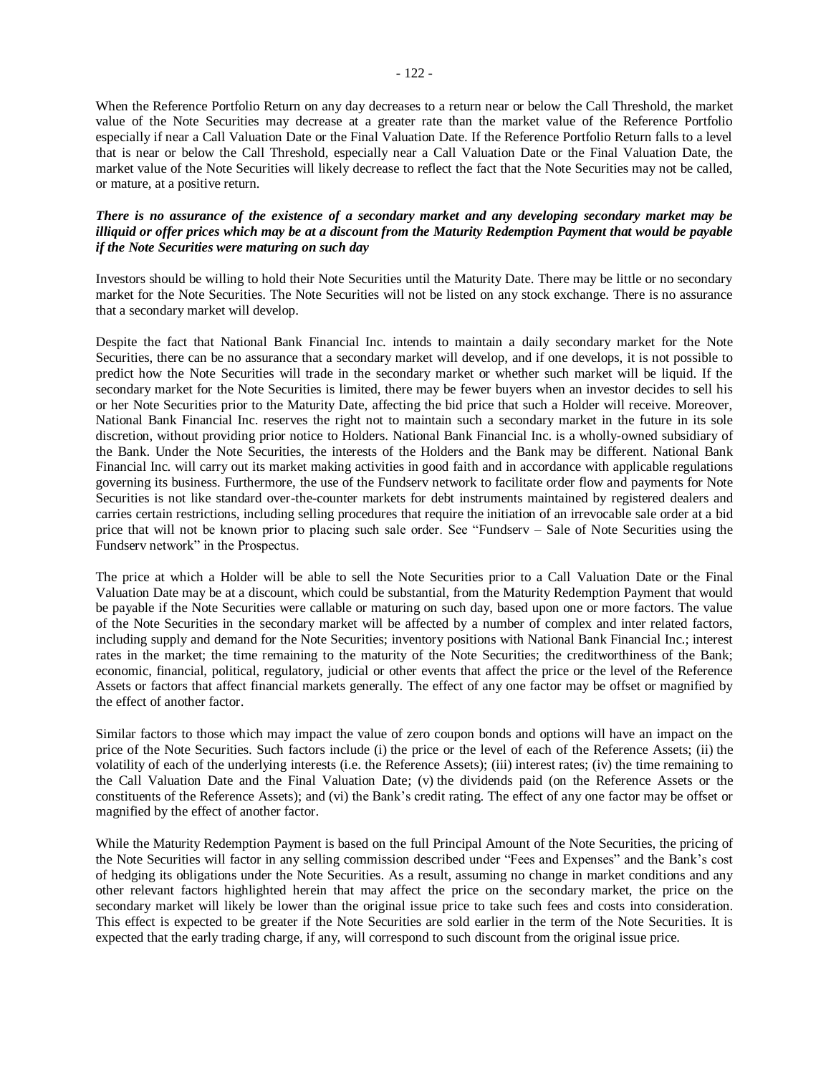When the Reference Portfolio Return on any day decreases to a return near or below the Call Threshold, the market value of the Note Securities may decrease at a greater rate than the market value of the Reference Portfolio especially if near a Call Valuation Date or the Final Valuation Date. If the Reference Portfolio Return falls to a level that is near or below the Call Threshold, especially near a Call Valuation Date or the Final Valuation Date, the market value of the Note Securities will likely decrease to reflect the fact that the Note Securities may not be called, or mature, at a positive return.

# *There is no assurance of the existence of a secondary market and any developing secondary market may be illiquid or offer prices which may be at a discount from the Maturity Redemption Payment that would be payable if the Note Securities were maturing on such day*

Investors should be willing to hold their Note Securities until the Maturity Date. There may be little or no secondary market for the Note Securities. The Note Securities will not be listed on any stock exchange. There is no assurance that a secondary market will develop.

Despite the fact that National Bank Financial Inc. intends to maintain a daily secondary market for the Note Securities, there can be no assurance that a secondary market will develop, and if one develops, it is not possible to predict how the Note Securities will trade in the secondary market or whether such market will be liquid. If the secondary market for the Note Securities is limited, there may be fewer buyers when an investor decides to sell his or her Note Securities prior to the Maturity Date, affecting the bid price that such a Holder will receive. Moreover, National Bank Financial Inc. reserves the right not to maintain such a secondary market in the future in its sole discretion, without providing prior notice to Holders. National Bank Financial Inc. is a wholly-owned subsidiary of the Bank. Under the Note Securities, the interests of the Holders and the Bank may be different. National Bank Financial Inc. will carry out its market making activities in good faith and in accordance with applicable regulations governing its business. Furthermore, the use of the Fundserv network to facilitate order flow and payments for Note Securities is not like standard over-the-counter markets for debt instruments maintained by registered dealers and carries certain restrictions, including selling procedures that require the initiation of an irrevocable sale order at a bid price that will not be known prior to placing such sale order. See "Fundserv – Sale of Note Securities using the Fundserv network" in the Prospectus.

The price at which a Holder will be able to sell the Note Securities prior to a Call Valuation Date or the Final Valuation Date may be at a discount, which could be substantial, from the Maturity Redemption Payment that would be payable if the Note Securities were callable or maturing on such day, based upon one or more factors. The value of the Note Securities in the secondary market will be affected by a number of complex and inter related factors, including supply and demand for the Note Securities; inventory positions with National Bank Financial Inc.; interest rates in the market; the time remaining to the maturity of the Note Securities; the creditworthiness of the Bank; economic, financial, political, regulatory, judicial or other events that affect the price or the level of the Reference Assets or factors that affect financial markets generally. The effect of any one factor may be offset or magnified by the effect of another factor.

Similar factors to those which may impact the value of zero coupon bonds and options will have an impact on the price of the Note Securities. Such factors include (i) the price or the level of each of the Reference Assets; (ii) the volatility of each of the underlying interests (i.e. the Reference Assets); (iii) interest rates; (iv) the time remaining to the Call Valuation Date and the Final Valuation Date; (v) the dividends paid (on the Reference Assets or the constituents of the Reference Assets); and (vi) the Bank's credit rating. The effect of any one factor may be offset or magnified by the effect of another factor.

While the Maturity Redemption Payment is based on the full Principal Amount of the Note Securities, the pricing of the Note Securities will factor in any selling commission described under "Fees and Expenses" and the Bank's cost of hedging its obligations under the Note Securities. As a result, assuming no change in market conditions and any other relevant factors highlighted herein that may affect the price on the secondary market, the price on the secondary market will likely be lower than the original issue price to take such fees and costs into consideration. This effect is expected to be greater if the Note Securities are sold earlier in the term of the Note Securities. It is expected that the early trading charge, if any, will correspond to such discount from the original issue price.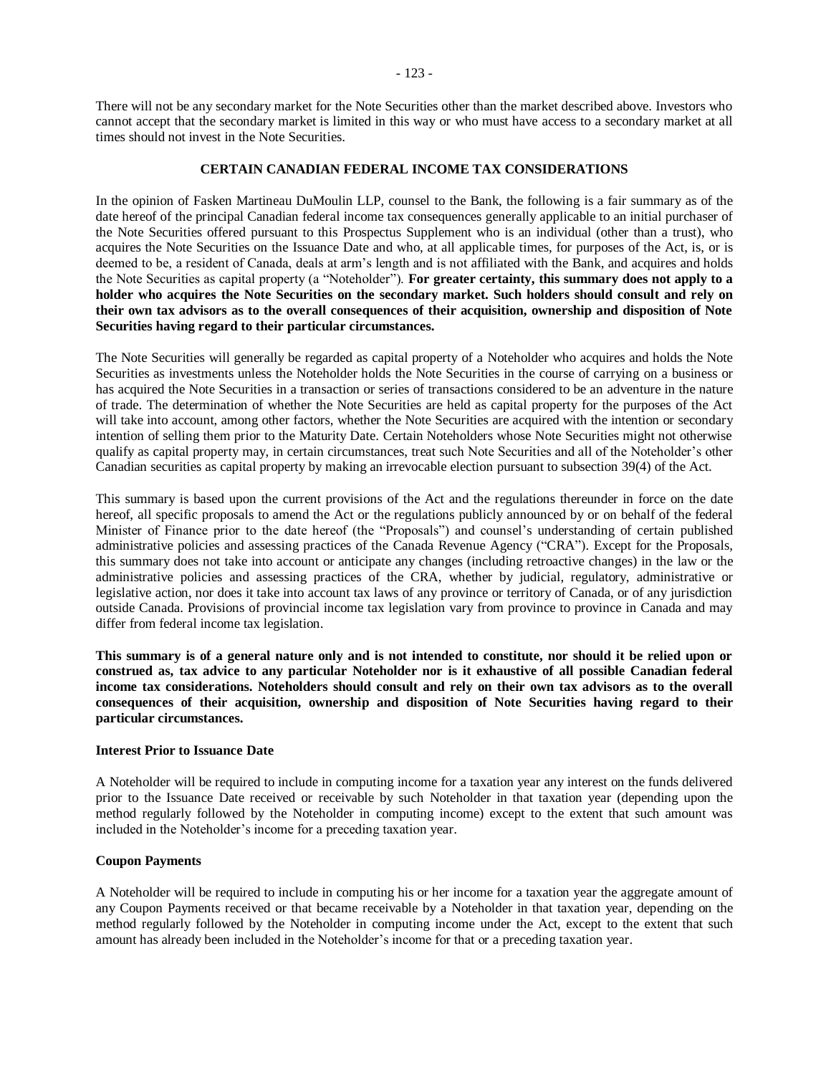There will not be any secondary market for the Note Securities other than the market described above. Investors who cannot accept that the secondary market is limited in this way or who must have access to a secondary market at all times should not invest in the Note Securities.

#### **CERTAIN CANADIAN FEDERAL INCOME TAX CONSIDERATIONS**

In the opinion of Fasken Martineau DuMoulin LLP, counsel to the Bank, the following is a fair summary as of the date hereof of the principal Canadian federal income tax consequences generally applicable to an initial purchaser of the Note Securities offered pursuant to this Prospectus Supplement who is an individual (other than a trust), who acquires the Note Securities on the Issuance Date and who, at all applicable times, for purposes of the Act, is, or is deemed to be, a resident of Canada, deals at arm's length and is not affiliated with the Bank, and acquires and holds the Note Securities as capital property (a "Noteholder"). **For greater certainty, this summary does not apply to a holder who acquires the Note Securities on the secondary market. Such holders should consult and rely on their own tax advisors as to the overall consequences of their acquisition, ownership and disposition of Note Securities having regard to their particular circumstances.**

The Note Securities will generally be regarded as capital property of a Noteholder who acquires and holds the Note Securities as investments unless the Noteholder holds the Note Securities in the course of carrying on a business or has acquired the Note Securities in a transaction or series of transactions considered to be an adventure in the nature of trade. The determination of whether the Note Securities are held as capital property for the purposes of the Act will take into account, among other factors, whether the Note Securities are acquired with the intention or secondary intention of selling them prior to the Maturity Date. Certain Noteholders whose Note Securities might not otherwise qualify as capital property may, in certain circumstances, treat such Note Securities and all of the Noteholder's other Canadian securities as capital property by making an irrevocable election pursuant to subsection 39(4) of the Act.

This summary is based upon the current provisions of the Act and the regulations thereunder in force on the date hereof, all specific proposals to amend the Act or the regulations publicly announced by or on behalf of the federal Minister of Finance prior to the date hereof (the "Proposals") and counsel's understanding of certain published administrative policies and assessing practices of the Canada Revenue Agency ("CRA"). Except for the Proposals, this summary does not take into account or anticipate any changes (including retroactive changes) in the law or the administrative policies and assessing practices of the CRA, whether by judicial, regulatory, administrative or legislative action, nor does it take into account tax laws of any province or territory of Canada, or of any jurisdiction outside Canada. Provisions of provincial income tax legislation vary from province to province in Canada and may differ from federal income tax legislation.

**This summary is of a general nature only and is not intended to constitute, nor should it be relied upon or construed as, tax advice to any particular Noteholder nor is it exhaustive of all possible Canadian federal income tax considerations. Noteholders should consult and rely on their own tax advisors as to the overall consequences of their acquisition, ownership and disposition of Note Securities having regard to their particular circumstances.**

#### **Interest Prior to Issuance Date**

A Noteholder will be required to include in computing income for a taxation year any interest on the funds delivered prior to the Issuance Date received or receivable by such Noteholder in that taxation year (depending upon the method regularly followed by the Noteholder in computing income) except to the extent that such amount was included in the Noteholder's income for a preceding taxation year.

## **Coupon Payments**

A Noteholder will be required to include in computing his or her income for a taxation year the aggregate amount of any Coupon Payments received or that became receivable by a Noteholder in that taxation year, depending on the method regularly followed by the Noteholder in computing income under the Act, except to the extent that such amount has already been included in the Noteholder's income for that or a preceding taxation year.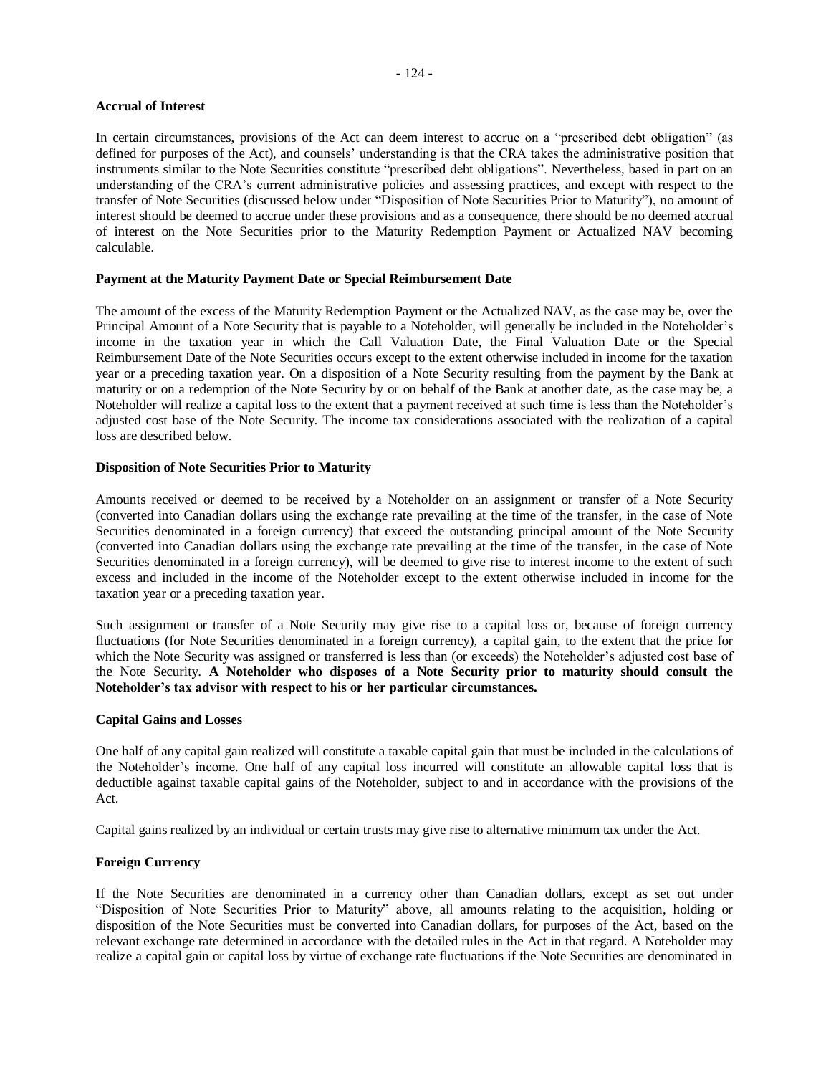# - 124 -

#### **Accrual of Interest**

In certain circumstances, provisions of the Act can deem interest to accrue on a "prescribed debt obligation" (as defined for purposes of the Act), and counsels' understanding is that the CRA takes the administrative position that instruments similar to the Note Securities constitute "prescribed debt obligations". Nevertheless, based in part on an understanding of the CRA's current administrative policies and assessing practices, and except with respect to the transfer of Note Securities (discussed below under "Disposition of Note Securities Prior to Maturity"), no amount of interest should be deemed to accrue under these provisions and as a consequence, there should be no deemed accrual of interest on the Note Securities prior to the Maturity Redemption Payment or Actualized NAV becoming calculable.

## **Payment at the Maturity Payment Date or Special Reimbursement Date**

The amount of the excess of the Maturity Redemption Payment or the Actualized NAV, as the case may be, over the Principal Amount of a Note Security that is payable to a Noteholder, will generally be included in the Noteholder's income in the taxation year in which the Call Valuation Date, the Final Valuation Date or the Special Reimbursement Date of the Note Securities occurs except to the extent otherwise included in income for the taxation year or a preceding taxation year. On a disposition of a Note Security resulting from the payment by the Bank at maturity or on a redemption of the Note Security by or on behalf of the Bank at another date, as the case may be, a Noteholder will realize a capital loss to the extent that a payment received at such time is less than the Noteholder's adjusted cost base of the Note Security. The income tax considerations associated with the realization of a capital loss are described below.

#### **Disposition of Note Securities Prior to Maturity**

Amounts received or deemed to be received by a Noteholder on an assignment or transfer of a Note Security (converted into Canadian dollars using the exchange rate prevailing at the time of the transfer, in the case of Note Securities denominated in a foreign currency) that exceed the outstanding principal amount of the Note Security (converted into Canadian dollars using the exchange rate prevailing at the time of the transfer, in the case of Note Securities denominated in a foreign currency), will be deemed to give rise to interest income to the extent of such excess and included in the income of the Noteholder except to the extent otherwise included in income for the taxation year or a preceding taxation year.

Such assignment or transfer of a Note Security may give rise to a capital loss or, because of foreign currency fluctuations (for Note Securities denominated in a foreign currency), a capital gain, to the extent that the price for which the Note Security was assigned or transferred is less than (or exceeds) the Noteholder's adjusted cost base of the Note Security. **A Noteholder who disposes of a Note Security prior to maturity should consult the Noteholder's tax advisor with respect to his or her particular circumstances.** 

#### **Capital Gains and Losses**

One half of any capital gain realized will constitute a taxable capital gain that must be included in the calculations of the Noteholder's income. One half of any capital loss incurred will constitute an allowable capital loss that is deductible against taxable capital gains of the Noteholder, subject to and in accordance with the provisions of the Act.

Capital gains realized by an individual or certain trusts may give rise to alternative minimum tax under the Act.

## **Foreign Currency**

If the Note Securities are denominated in a currency other than Canadian dollars, except as set out under "Disposition of Note Securities Prior to Maturity" above, all amounts relating to the acquisition, holding or disposition of the Note Securities must be converted into Canadian dollars, for purposes of the Act, based on the relevant exchange rate determined in accordance with the detailed rules in the Act in that regard. A Noteholder may realize a capital gain or capital loss by virtue of exchange rate fluctuations if the Note Securities are denominated in